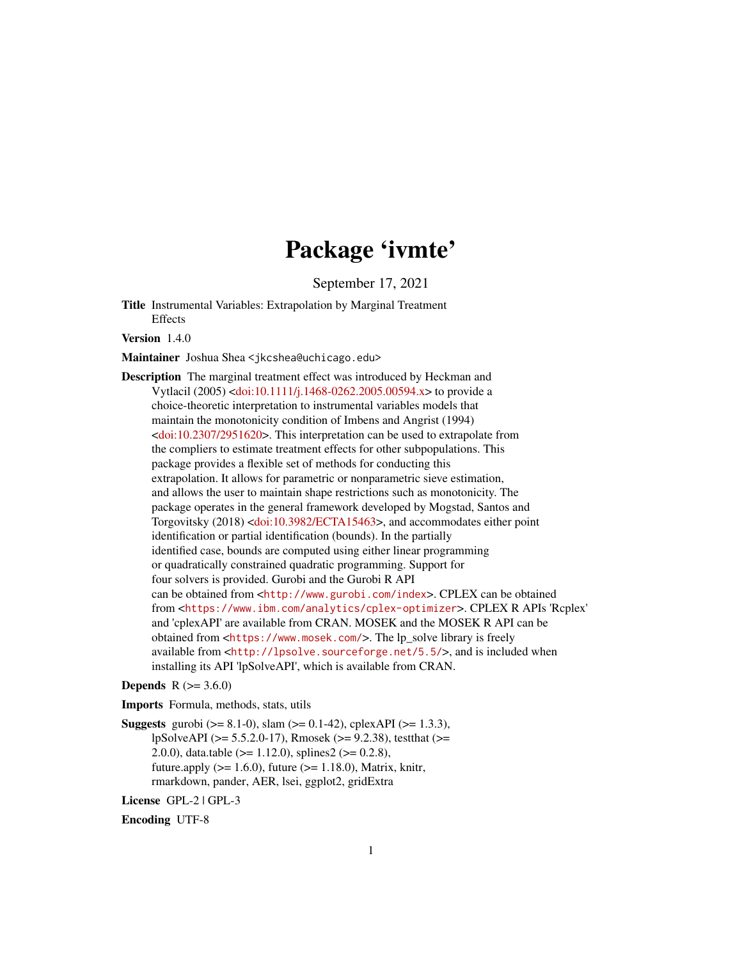# Package 'ivmte'

September 17, 2021

Title Instrumental Variables: Extrapolation by Marginal Treatment Effects

Version 1.4.0

Maintainer Joshua Shea <jkcshea@uchicago.edu>

Description The marginal treatment effect was introduced by Heckman and Vytlacil (2005) [<doi:10.1111/j.1468-0262.2005.00594.x>](https://doi.org/10.1111/j.1468-0262.2005.00594.x) to provide a choice-theoretic interpretation to instrumental variables models that maintain the monotonicity condition of Imbens and Angrist (1994)  $\langle \text{doi:10.2307/2951620}\rangle$ . This interpretation can be used to extrapolate from the compliers to estimate treatment effects for other subpopulations. This package provides a flexible set of methods for conducting this extrapolation. It allows for parametric or nonparametric sieve estimation, and allows the user to maintain shape restrictions such as monotonicity. The package operates in the general framework developed by Mogstad, Santos and Torgovitsky (2018) [<doi:10.3982/ECTA15463>](https://doi.org/10.3982/ECTA15463), and accommodates either point identification or partial identification (bounds). In the partially identified case, bounds are computed using either linear programming or quadratically constrained quadratic programming. Support for four solvers is provided. Gurobi and the Gurobi R API can be obtained from <<http://www.gurobi.com/index>>. CPLEX can be obtained from <<https://www.ibm.com/analytics/cplex-optimizer>>. CPLEX R APIs 'Rcplex' and 'cplexAPI' are available from CRAN. MOSEK and the MOSEK R API can be obtained from <<https://www.mosek.com/>>. The lp\_solve library is freely available from <<http://lpsolve.sourceforge.net/5.5/>>, and is included when installing its API 'lpSolveAPI', which is available from CRAN.

#### **Depends**  $R$  ( $> = 3.6.0$ )

Imports Formula, methods, stats, utils

**Suggests** gurobi ( $> = 8.1-0$ ), slam ( $> = 0.1-42$ ), cplexAPI ( $> = 1.3.3$ ), lpSolveAPI (>= 5.5.2.0-17), Rmosek (>= 9.2.38), testthat (>= 2.0.0), data.table ( $> = 1.12.0$ ), splines2 ( $> = 0.2.8$ ), future.apply  $(>= 1.6.0)$ , future  $(>= 1.18.0)$ , Matrix, knitr, rmarkdown, pander, AER, lsei, ggplot2, gridExtra

License GPL-2 | GPL-3

Encoding UTF-8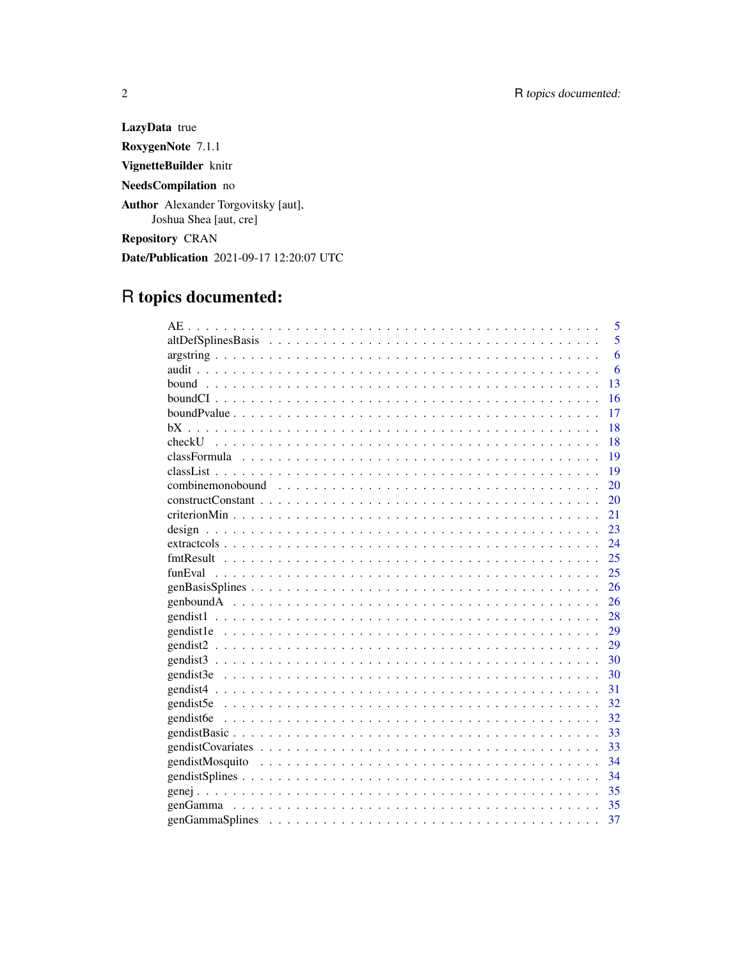LazyData true RoxygenNote 7.1.1 VignetteBuilder knitr NeedsCompilation no Author Alexander Torgovitsky [aut], Joshua Shea [aut, cre] **Repository CRAN** Date/Publication 2021-09-17 12:20:07 UTC

# R topics documented:

|                 | 5  |
|-----------------|----|
|                 | 5  |
|                 | 6  |
|                 | 6  |
|                 | 13 |
|                 | 16 |
|                 | 17 |
| hХ              | 18 |
| checkU_         | 18 |
|                 | 19 |
|                 | 19 |
|                 | 20 |
|                 | 20 |
|                 | 21 |
|                 | 23 |
|                 | 24 |
|                 | 25 |
| funEval         | 25 |
|                 | 26 |
|                 | 26 |
|                 | 28 |
|                 | 29 |
|                 | 29 |
|                 | 30 |
|                 | 30 |
|                 | 31 |
|                 | 32 |
| gendist6e       | 32 |
|                 | 33 |
|                 | 33 |
| gendistMosquito | 34 |
|                 | 34 |
|                 | 35 |
|                 | 35 |
|                 | 37 |

 $\overline{2}$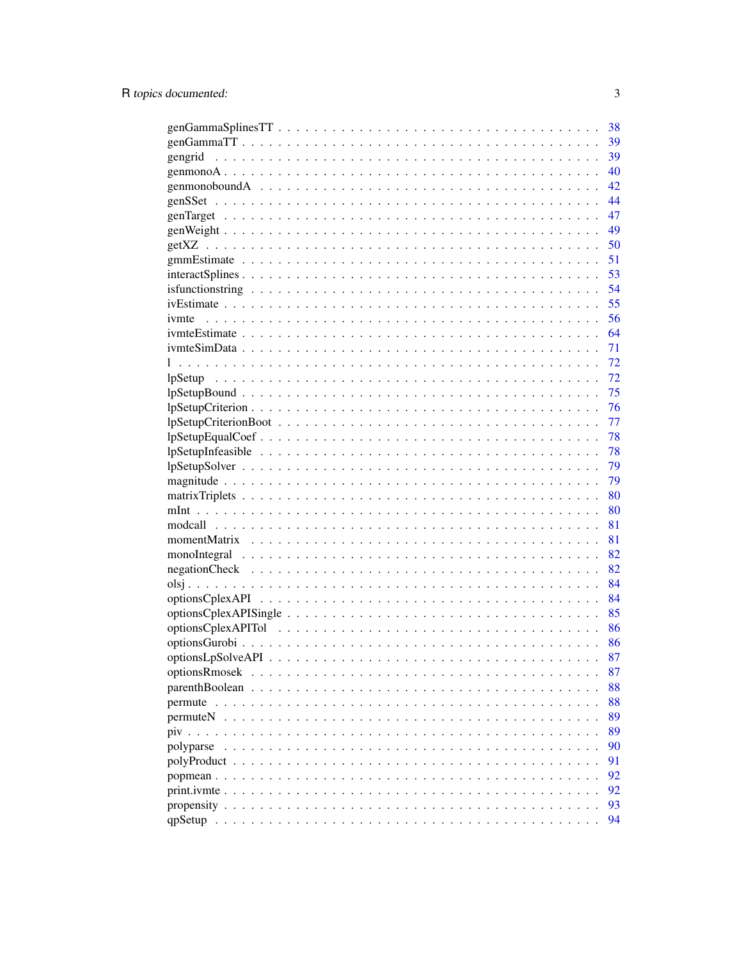|           | 38 |
|-----------|----|
|           | 39 |
| gengrid   | 39 |
|           | 40 |
|           | 42 |
|           | 44 |
|           | 47 |
|           | 49 |
|           | 50 |
|           | 51 |
|           | 53 |
|           | 54 |
|           | 55 |
| ivmte     | 56 |
|           | 64 |
|           | 71 |
|           | 72 |
|           | 72 |
|           | 75 |
|           | 76 |
|           | 77 |
|           | 78 |
|           | 78 |
|           | 79 |
|           | 79 |
|           | 80 |
|           | 80 |
|           | 81 |
|           | 81 |
|           | 82 |
|           | 82 |
|           | 84 |
|           | 84 |
|           | 85 |
|           | 86 |
|           | 86 |
|           | 87 |
|           | 87 |
|           | 88 |
|           | 88 |
|           | 89 |
|           | 89 |
| polyparse | 90 |
|           | 91 |
|           | 92 |
|           | 92 |
|           | 93 |
|           | 94 |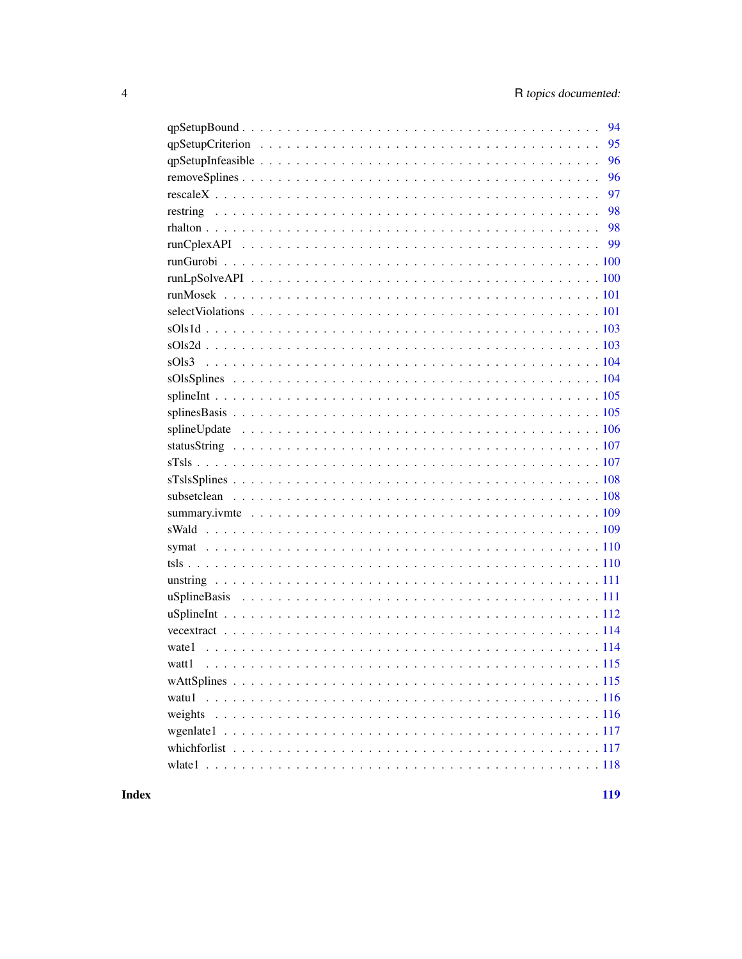| 94    |
|-------|
| 95    |
| 96    |
| 96    |
| 97    |
| 98    |
| 98    |
|       |
|       |
|       |
|       |
|       |
|       |
|       |
|       |
|       |
|       |
|       |
|       |
|       |
|       |
|       |
|       |
|       |
|       |
|       |
|       |
|       |
|       |
|       |
|       |
|       |
| watt1 |
|       |
|       |
|       |
|       |
|       |
|       |

**Index**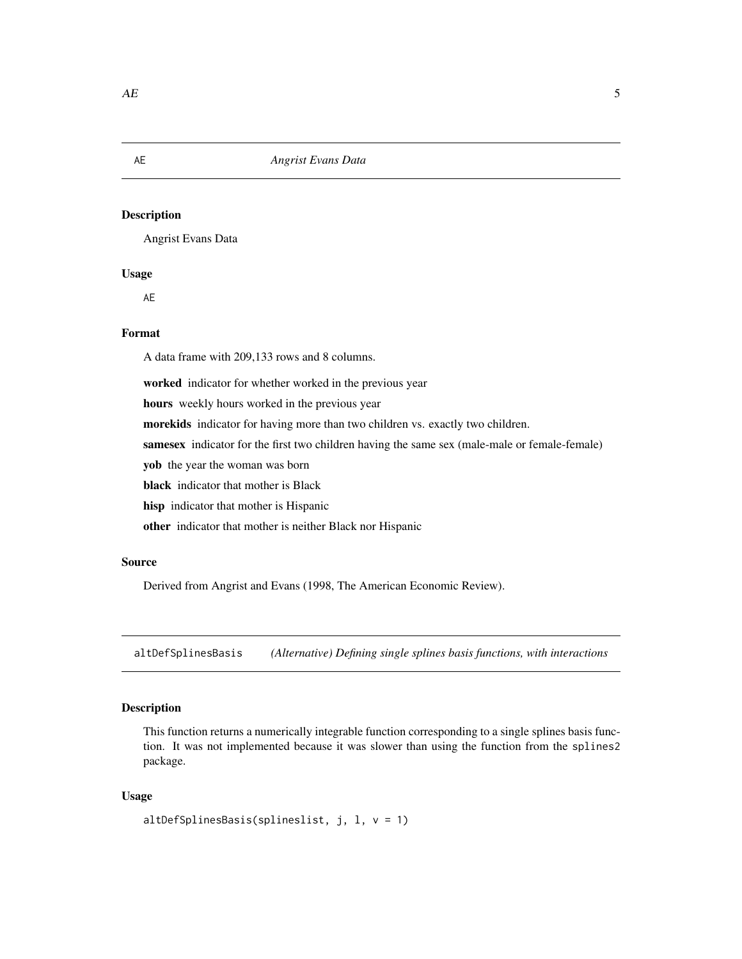Angrist Evans Data

#### Usage

AE

# Format

A data frame with 209,133 rows and 8 columns.

worked indicator for whether worked in the previous year

hours weekly hours worked in the previous year

morekids indicator for having more than two children vs. exactly two children.

samesex indicator for the first two children having the same sex (male-male or female-female)

yob the year the woman was born

black indicator that mother is Black

hisp indicator that mother is Hispanic

other indicator that mother is neither Black nor Hispanic

#### Source

Derived from Angrist and Evans (1998, The American Economic Review).

altDefSplinesBasis *(Alternative) Defining single splines basis functions, with interactions*

#### Description

This function returns a numerically integrable function corresponding to a single splines basis function. It was not implemented because it was slower than using the function from the splines2 package.

#### Usage

```
altDefSplinesBasis(splineslist, j, l, v = 1)
```
<span id="page-4-0"></span>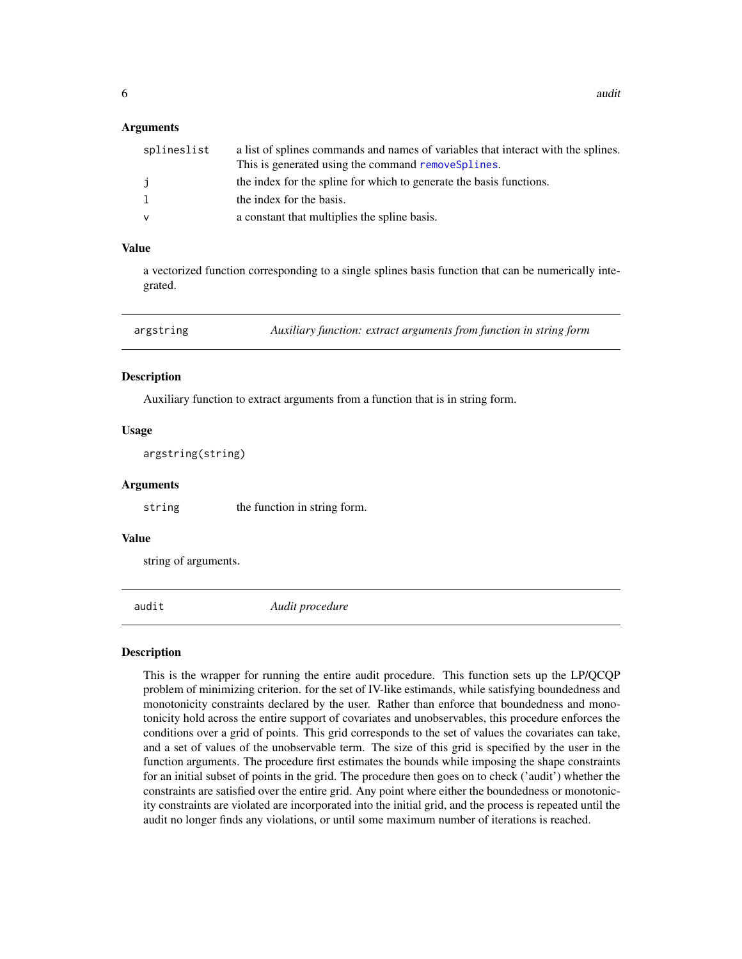#### <span id="page-5-0"></span>Arguments

| splineslist  | a list of splines commands and names of variables that interact with the splines. |
|--------------|-----------------------------------------------------------------------------------|
|              | This is generated using the command removes plines.                               |
| j            | the index for the spline for which to generate the basis functions.               |
| $\mathbf{1}$ | the index for the basis.                                                          |
| v            | a constant that multiplies the spline basis.                                      |

#### Value

a vectorized function corresponding to a single splines basis function that can be numerically integrated.

argstring *Auxiliary function: extract arguments from function in string form*

#### **Description**

Auxiliary function to extract arguments from a function that is in string form.

#### Usage

argstring(string)

#### Arguments

string the function in string form.

# Value

string of arguments.

audit *Audit procedure*

# **Description**

This is the wrapper for running the entire audit procedure. This function sets up the LP/QCQP problem of minimizing criterion. for the set of IV-like estimands, while satisfying boundedness and monotonicity constraints declared by the user. Rather than enforce that boundedness and monotonicity hold across the entire support of covariates and unobservables, this procedure enforces the conditions over a grid of points. This grid corresponds to the set of values the covariates can take, and a set of values of the unobservable term. The size of this grid is specified by the user in the function arguments. The procedure first estimates the bounds while imposing the shape constraints for an initial subset of points in the grid. The procedure then goes on to check ('audit') whether the constraints are satisfied over the entire grid. Any point where either the boundedness or monotonicity constraints are violated are incorporated into the initial grid, and the process is repeated until the audit no longer finds any violations, or until some maximum number of iterations is reached.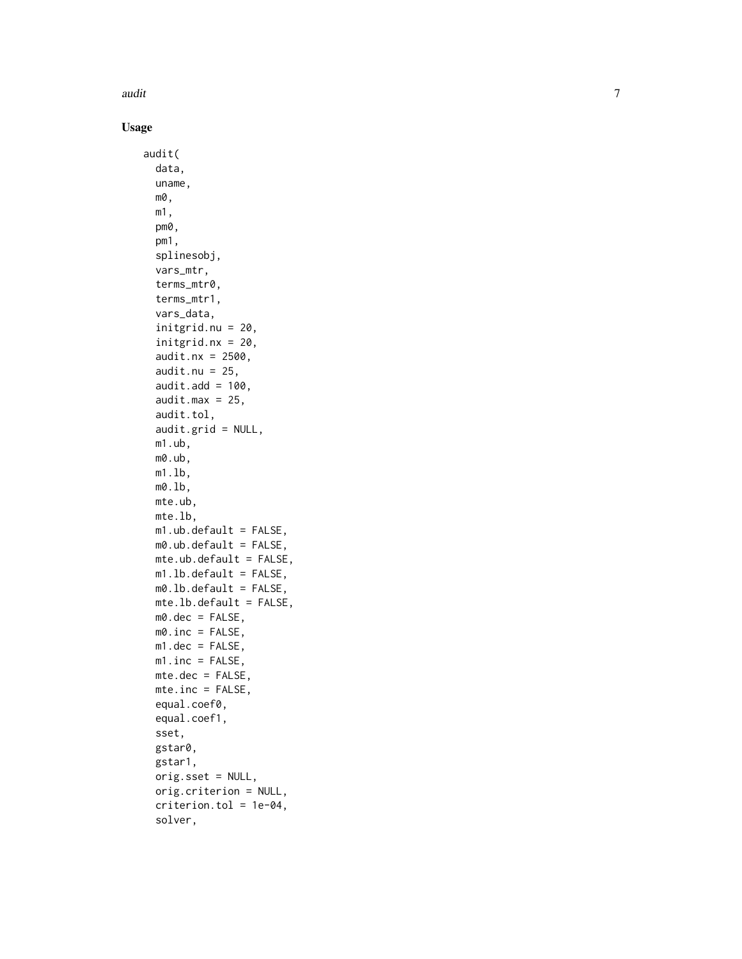audit

Usage

```
audit(
  data,
  uname,
 m0,
  m1,
  pm0,
 pm1,
  splinesobj,
  vars_mtr,
  terms_mtr0,
  terms_mtr1,
  vars_data,
  initgrid.nu = 20,
  initgrid.nx = 20,
  audit.nx = 2500,
  audit.nu = 25,
  audit.add = 100,
  audit.max = 25,
  audit.tol,
  audit.grid = NULL,
 m1.ub,
 m0.ub,
 m1.lb,
 m0.lb,
 mte.ub,
 mte.lb,
 m1.ub.default = FALSE,m0.ub.default = FALSE,
  mte.ub.default = FALSE,
 m1.lb.default = FALSE,
 m0.1b.default = FALSE,
 mte.lb.default = FALSE,
 m0.dec = FALSE,
 m0.inc = FALSE,
 m1.dec = FALSE,
 m1.inc = FALSE,mte.dec = FALSE,
 mte.inc = FALSE,equal.coef0,
  equal.coef1,
  sset,
  gstar0,
  gstar1,
  orig.sset = NULL,
  orig.criterion = NULL,
  criterion.tol = 1e-04,
  solver,
```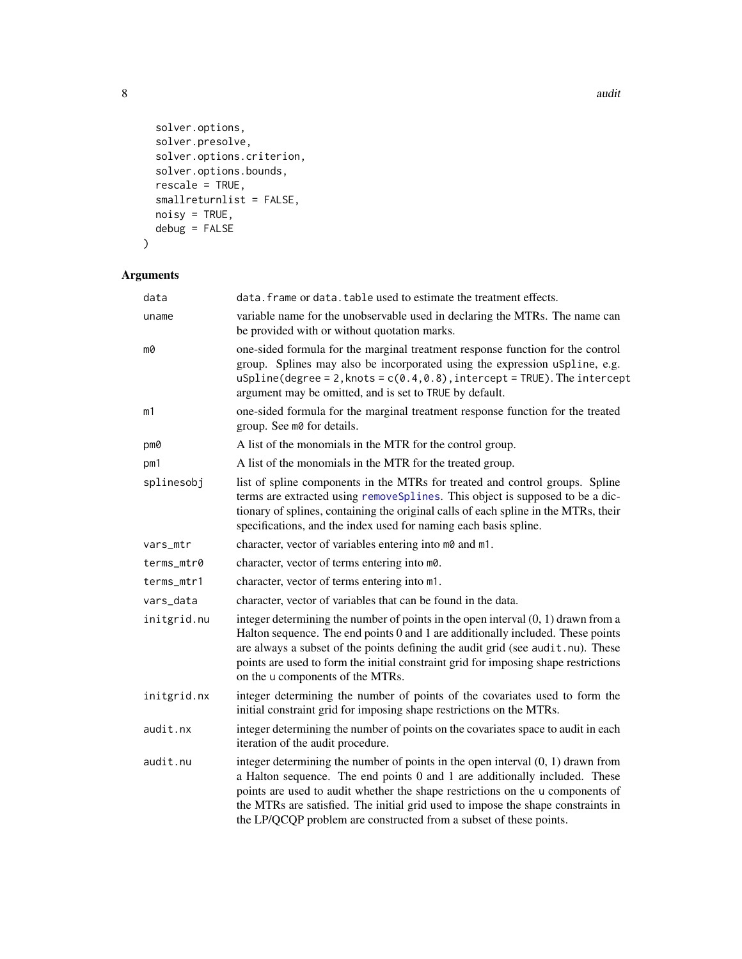```
solver.options,
 solver.presolve,
 solver.options.criterion,
 solver.options.bounds,
 rescale = TRUE,smallreturnlist = FALSE,
 noisy = TRUE,
 debug = FALSE
\mathcal{L}
```
# Arguments

| data        | data. frame or data. table used to estimate the treatment effects.                                                                                                                                                                                                                                                                                                                                          |
|-------------|-------------------------------------------------------------------------------------------------------------------------------------------------------------------------------------------------------------------------------------------------------------------------------------------------------------------------------------------------------------------------------------------------------------|
| uname       | variable name for the unobservable used in declaring the MTRs. The name can<br>be provided with or without quotation marks.                                                                                                                                                                                                                                                                                 |
| m0          | one-sided formula for the marginal treatment response function for the control<br>group. Splines may also be incorporated using the expression uSpline, e.g.<br>$uSplitne(degree = 2, knots = c(0.4, 0.8), intercept = TRUE).$ The $intercept$<br>argument may be omitted, and is set to TRUE by default.                                                                                                   |
| m1          | one-sided formula for the marginal treatment response function for the treated<br>group. See m0 for details.                                                                                                                                                                                                                                                                                                |
| pm0         | A list of the monomials in the MTR for the control group.                                                                                                                                                                                                                                                                                                                                                   |
| pm1         | A list of the monomials in the MTR for the treated group.                                                                                                                                                                                                                                                                                                                                                   |
| splinesobj  | list of spline components in the MTRs for treated and control groups. Spline<br>terms are extracted using removeSplines. This object is supposed to be a dic-<br>tionary of splines, containing the original calls of each spline in the MTRs, their<br>specifications, and the index used for naming each basis spline.                                                                                    |
| vars_mtr    | character, vector of variables entering into m0 and m1.                                                                                                                                                                                                                                                                                                                                                     |
| terms_mtr0  | character, vector of terms entering into m0.                                                                                                                                                                                                                                                                                                                                                                |
| terms_mtr1  | character, vector of terms entering into m1.                                                                                                                                                                                                                                                                                                                                                                |
| vars_data   | character, vector of variables that can be found in the data.                                                                                                                                                                                                                                                                                                                                               |
| initgrid.nu | integer determining the number of points in the open interval $(0, 1)$ drawn from a<br>Halton sequence. The end points 0 and 1 are additionally included. These points<br>are always a subset of the points defining the audit grid (see audit.nu). These<br>points are used to form the initial constraint grid for imposing shape restrictions<br>on the u components of the MTRs.                        |
| initgrid.nx | integer determining the number of points of the covariates used to form the<br>initial constraint grid for imposing shape restrictions on the MTRs.                                                                                                                                                                                                                                                         |
| audit.nx    | integer determining the number of points on the covariates space to audit in each<br>iteration of the audit procedure.                                                                                                                                                                                                                                                                                      |
| audit.nu    | integer determining the number of points in the open interval $(0, 1)$ drawn from<br>a Halton sequence. The end points 0 and 1 are additionally included. These<br>points are used to audit whether the shape restrictions on the u components of<br>the MTRs are satisfied. The initial grid used to impose the shape constraints in<br>the LP/QCQP problem are constructed from a subset of these points. |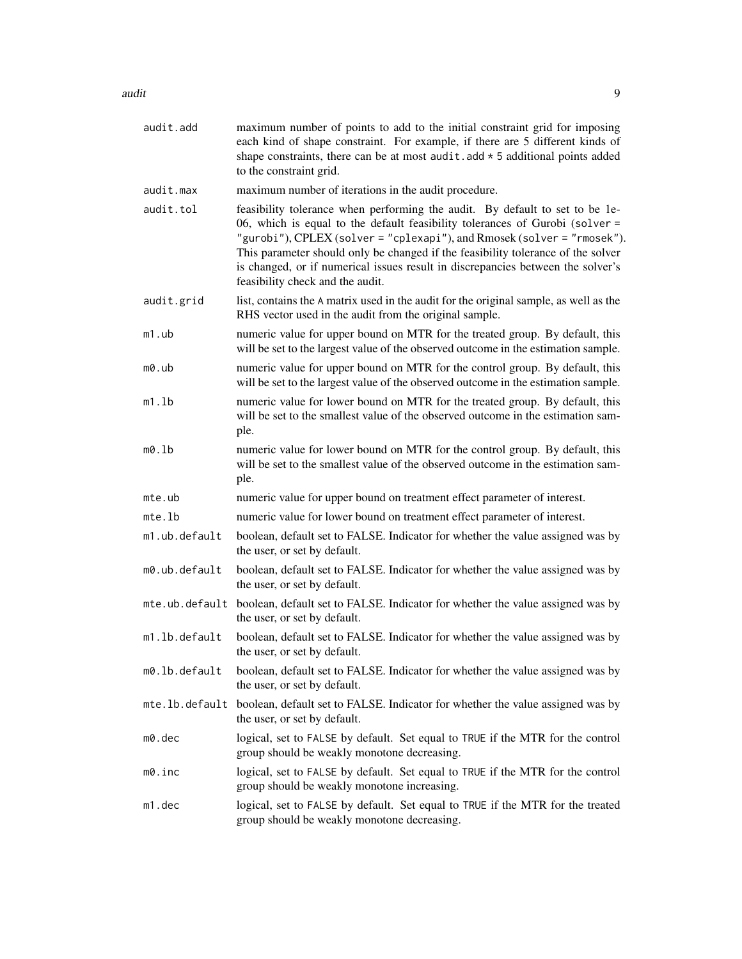| audit.add      | maximum number of points to add to the initial constraint grid for imposing<br>each kind of shape constraint. For example, if there are 5 different kinds of<br>shape constraints, there can be at most audit. add $\star$ 5 additional points added<br>to the constraint grid.                                                                                                                                                                    |
|----------------|----------------------------------------------------------------------------------------------------------------------------------------------------------------------------------------------------------------------------------------------------------------------------------------------------------------------------------------------------------------------------------------------------------------------------------------------------|
| audit.max      | maximum number of iterations in the audit procedure.                                                                                                                                                                                                                                                                                                                                                                                               |
| audit.tol      | feasibility tolerance when performing the audit. By default to set to be 1e-<br>06, which is equal to the default feasibility tolerances of Gurobi (solver =<br>"gurobi"), CPLEX (solver = "cplexapi"), and Rmosek (solver = "rmosek").<br>This parameter should only be changed if the feasibility tolerance of the solver<br>is changed, or if numerical issues result in discrepancies between the solver's<br>feasibility check and the audit. |
| audit.grid     | list, contains the A matrix used in the audit for the original sample, as well as the<br>RHS vector used in the audit from the original sample.                                                                                                                                                                                                                                                                                                    |
| m1.ub          | numeric value for upper bound on MTR for the treated group. By default, this<br>will be set to the largest value of the observed outcome in the estimation sample.                                                                                                                                                                                                                                                                                 |
| m0.ub          | numeric value for upper bound on MTR for the control group. By default, this<br>will be set to the largest value of the observed outcome in the estimation sample.                                                                                                                                                                                                                                                                                 |
| m1.lb          | numeric value for lower bound on MTR for the treated group. By default, this<br>will be set to the smallest value of the observed outcome in the estimation sam-<br>ple.                                                                                                                                                                                                                                                                           |
| m0.lb          | numeric value for lower bound on MTR for the control group. By default, this<br>will be set to the smallest value of the observed outcome in the estimation sam-<br>ple.                                                                                                                                                                                                                                                                           |
| mte.ub         | numeric value for upper bound on treatment effect parameter of interest.                                                                                                                                                                                                                                                                                                                                                                           |
| mte.lb         | numeric value for lower bound on treatment effect parameter of interest.                                                                                                                                                                                                                                                                                                                                                                           |
| m1.ub.default  | boolean, default set to FALSE. Indicator for whether the value assigned was by<br>the user, or set by default.                                                                                                                                                                                                                                                                                                                                     |
| m0.ub.default  | boolean, default set to FALSE. Indicator for whether the value assigned was by<br>the user, or set by default.                                                                                                                                                                                                                                                                                                                                     |
|                | mte.ub.default boolean, default set to FALSE. Indicator for whether the value assigned was by<br>the user, or set by default.                                                                                                                                                                                                                                                                                                                      |
| m1.lb.default  | boolean, default set to FALSE. Indicator for whether the value assigned was by<br>the user, or set by default.                                                                                                                                                                                                                                                                                                                                     |
| m0.1b.default  | boolean, default set to FALSE. Indicator for whether the value assigned was by<br>the user, or set by default.                                                                                                                                                                                                                                                                                                                                     |
| mte.lb.default | boolean, default set to FALSE. Indicator for whether the value assigned was by<br>the user, or set by default.                                                                                                                                                                                                                                                                                                                                     |
| m0.dec         | logical, set to FALSE by default. Set equal to TRUE if the MTR for the control<br>group should be weakly monotone decreasing.                                                                                                                                                                                                                                                                                                                      |
| m0.inc         | logical, set to FALSE by default. Set equal to TRUE if the MTR for the control<br>group should be weakly monotone increasing.                                                                                                                                                                                                                                                                                                                      |
| m1.dec         | logical, set to FALSE by default. Set equal to TRUE if the MTR for the treated<br>group should be weakly monotone decreasing.                                                                                                                                                                                                                                                                                                                      |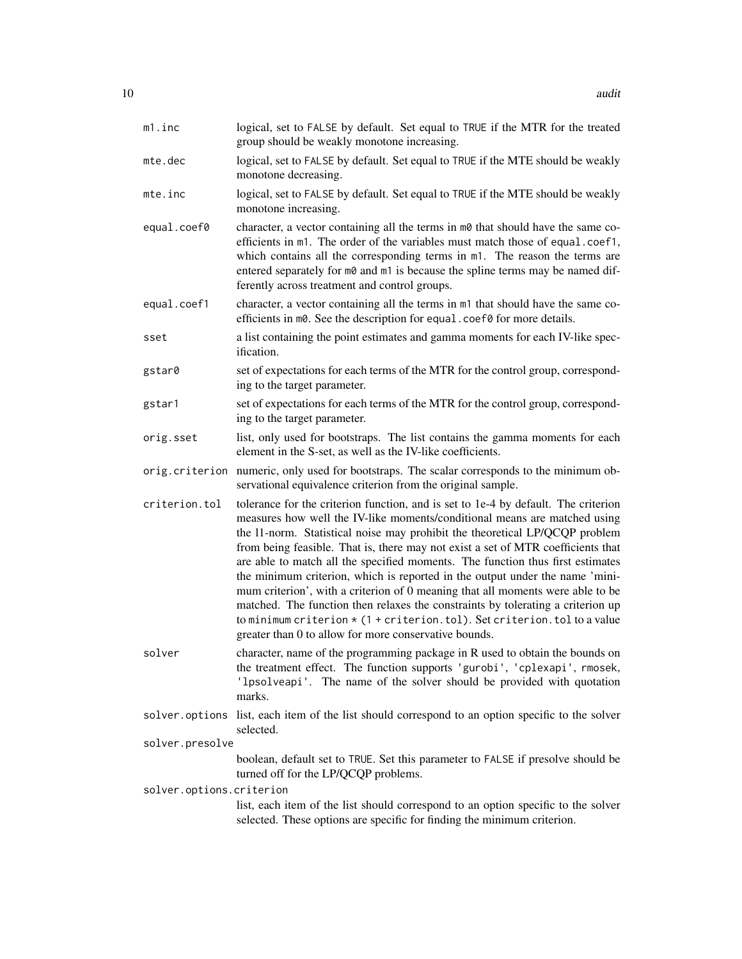| m1.inc                   | logical, set to FALSE by default. Set equal to TRUE if the MTR for the treated<br>group should be weakly monotone increasing.                                                                                                                                                                                                                                                                                                                                                                                                                                                                                                                                                                                                                                                                                        |
|--------------------------|----------------------------------------------------------------------------------------------------------------------------------------------------------------------------------------------------------------------------------------------------------------------------------------------------------------------------------------------------------------------------------------------------------------------------------------------------------------------------------------------------------------------------------------------------------------------------------------------------------------------------------------------------------------------------------------------------------------------------------------------------------------------------------------------------------------------|
| mte.dec                  | logical, set to FALSE by default. Set equal to TRUE if the MTE should be weakly<br>monotone decreasing.                                                                                                                                                                                                                                                                                                                                                                                                                                                                                                                                                                                                                                                                                                              |
| mte.inc                  | logical, set to FALSE by default. Set equal to TRUE if the MTE should be weakly<br>monotone increasing.                                                                                                                                                                                                                                                                                                                                                                                                                                                                                                                                                                                                                                                                                                              |
| equal.coef0              | character, a vector containing all the terms in m0 that should have the same co-<br>efficients in m1. The order of the variables must match those of equal.coef1,<br>which contains all the corresponding terms in m1. The reason the terms are<br>entered separately for m0 and m1 is because the spline terms may be named dif-<br>ferently across treatment and control groups.                                                                                                                                                                                                                                                                                                                                                                                                                                   |
| equal.coef1              | character, a vector containing all the terms in m1 that should have the same co-<br>efficients in m0. See the description for equal . coef0 for more details.                                                                                                                                                                                                                                                                                                                                                                                                                                                                                                                                                                                                                                                        |
| sset                     | a list containing the point estimates and gamma moments for each IV-like spec-<br>ification.                                                                                                                                                                                                                                                                                                                                                                                                                                                                                                                                                                                                                                                                                                                         |
| gstar0                   | set of expectations for each terms of the MTR for the control group, correspond-<br>ing to the target parameter.                                                                                                                                                                                                                                                                                                                                                                                                                                                                                                                                                                                                                                                                                                     |
| gstar1                   | set of expectations for each terms of the MTR for the control group, correspond-<br>ing to the target parameter.                                                                                                                                                                                                                                                                                                                                                                                                                                                                                                                                                                                                                                                                                                     |
| orig.sset                | list, only used for bootstraps. The list contains the gamma moments for each<br>element in the S-set, as well as the IV-like coefficients.                                                                                                                                                                                                                                                                                                                                                                                                                                                                                                                                                                                                                                                                           |
|                          | orig.criterion numeric, only used for bootstraps. The scalar corresponds to the minimum ob-<br>servational equivalence criterion from the original sample.                                                                                                                                                                                                                                                                                                                                                                                                                                                                                                                                                                                                                                                           |
| criterion.tol            | tolerance for the criterion function, and is set to 1e-4 by default. The criterion<br>measures how well the IV-like moments/conditional means are matched using<br>the 11-norm. Statistical noise may prohibit the theoretical LP/QCQP problem<br>from being feasible. That is, there may not exist a set of MTR coefficients that<br>are able to match all the specified moments. The function thus first estimates<br>the minimum criterion, which is reported in the output under the name 'mini-<br>mum criterion', with a criterion of 0 meaning that all moments were able to be<br>matched. The function then relaxes the constraints by tolerating a criterion up<br>to minimum criterion $\star$ (1 + criterion.tol). Set criterion.tol to a value<br>greater than 0 to allow for more conservative bounds. |
| solver                   | character, name of the programming package in R used to obtain the bounds on<br>the treatment effect. The function supports 'gurobi', 'cplexapi', rmosek,<br>'1psolveapi'. The name of the solver should be provided with quotation<br>marks.                                                                                                                                                                                                                                                                                                                                                                                                                                                                                                                                                                        |
|                          | solver options list, each item of the list should correspond to an option specific to the solver<br>selected.                                                                                                                                                                                                                                                                                                                                                                                                                                                                                                                                                                                                                                                                                                        |
| solver.presolve          |                                                                                                                                                                                                                                                                                                                                                                                                                                                                                                                                                                                                                                                                                                                                                                                                                      |
|                          | boolean, default set to TRUE. Set this parameter to FALSE if presolve should be<br>turned off for the LP/QCQP problems.                                                                                                                                                                                                                                                                                                                                                                                                                                                                                                                                                                                                                                                                                              |
| solver.options.criterion |                                                                                                                                                                                                                                                                                                                                                                                                                                                                                                                                                                                                                                                                                                                                                                                                                      |
|                          | list, each item of the list should correspond to an option specific to the solver<br>selected. These options are specific for finding the minimum criterion.                                                                                                                                                                                                                                                                                                                                                                                                                                                                                                                                                                                                                                                         |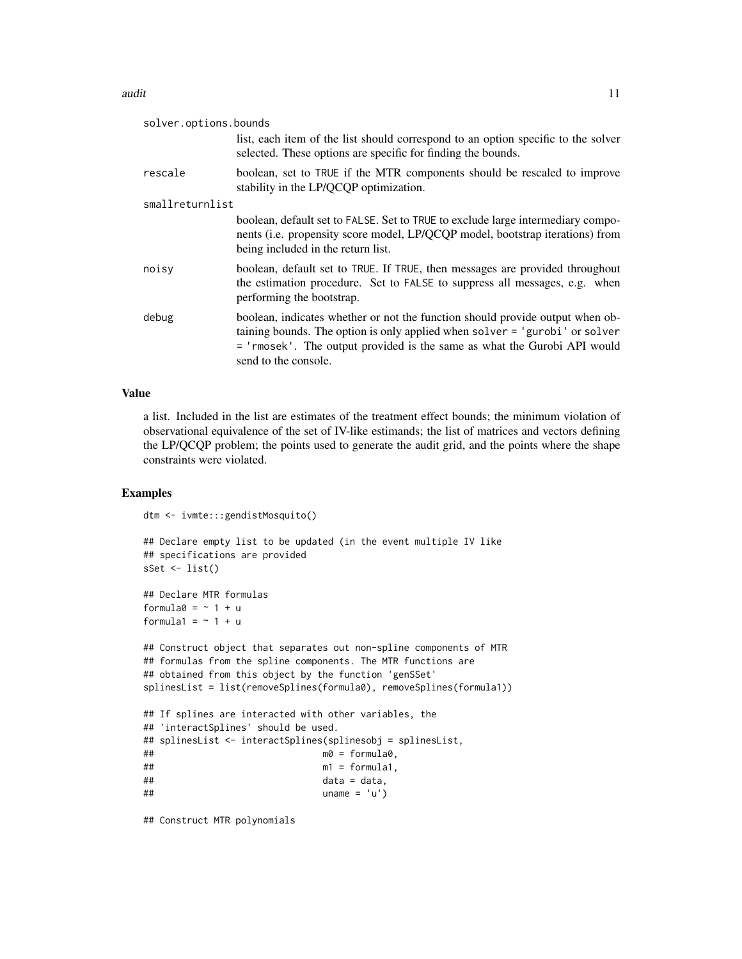| solver.options.bounds |                                                                                                                                                                                                                                                                  |
|-----------------------|------------------------------------------------------------------------------------------------------------------------------------------------------------------------------------------------------------------------------------------------------------------|
|                       | list, each item of the list should correspond to an option specific to the solver<br>selected. These options are specific for finding the bounds.                                                                                                                |
| rescale               | boolean, set to TRUE if the MTR components should be rescaled to improve<br>stability in the LP/QCQP optimization.                                                                                                                                               |
| smallreturnlist       |                                                                                                                                                                                                                                                                  |
|                       | boolean, default set to FALSE. Set to TRUE to exclude large intermediary compo-<br>nents (i.e. propensity score model, LP/QCQP model, bootstrap iterations) from<br>being included in the return list.                                                           |
| noisy                 | boolean, default set to TRUE. If TRUE, then messages are provided throughout<br>the estimation procedure. Set to FALSE to suppress all messages, e.g. when<br>performing the bootstrap.                                                                          |
| debug                 | boolean, indicates whether or not the function should provide output when ob-<br>taining bounds. The option is only applied when solver = 'gurobi' or solver<br>= 'rmosek'. The output provided is the same as what the Gurobi API would<br>send to the console. |

# Value

a list. Included in the list are estimates of the treatment effect bounds; the minimum violation of observational equivalence of the set of IV-like estimands; the list of matrices and vectors defining the LP/QCQP problem; the points used to generate the audit grid, and the points where the shape constraints were violated.

# Examples

```
dtm <- ivmte:::gendistMosquito()
```

```
## Declare empty list to be updated (in the event multiple IV like
## specifications are provided
sSet <- list()
```

```
## Declare MTR formulas
formula0 = \sim 1 + uformula1 = ~1 + u
```

```
## Construct object that separates out non-spline components of MTR
## formulas from the spline components. The MTR functions are
## obtained from this object by the function 'genSSet'
splinesList = list(removeSplines(formula0), removeSplines(formula1))
## If splines are interacted with other variables, the
## 'interactSplines' should be used.
## splinesList <- interactSplines(splinesobj = splinesList,
## m0 = formula0,
## m1 = formula1,
\# data = data,
## uname = 'u')
```
## Construct MTR polynomials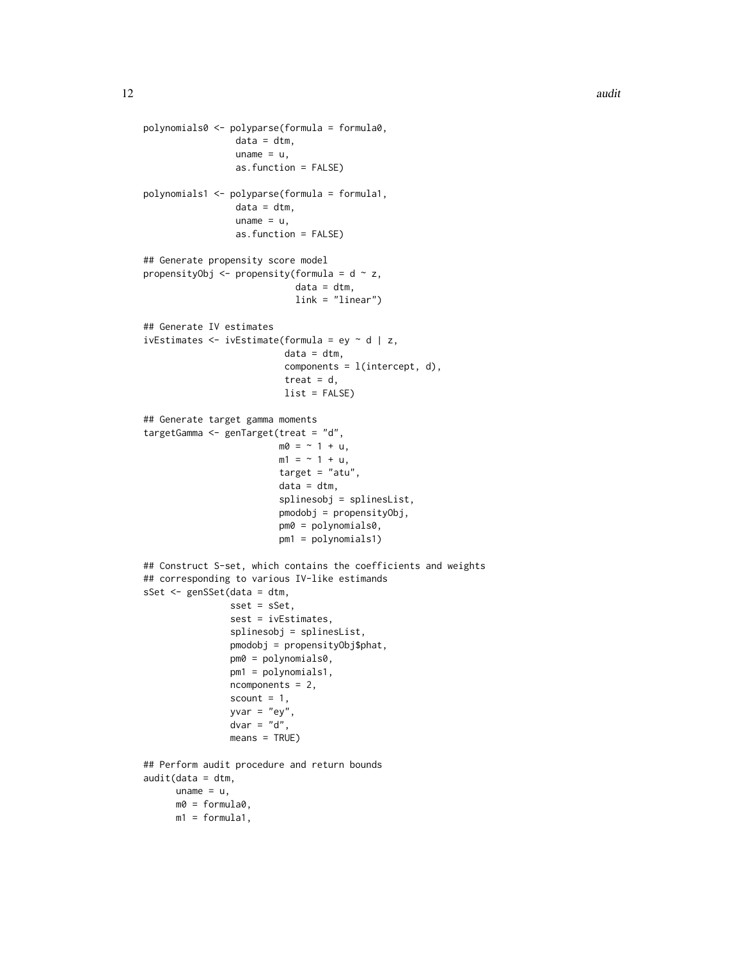```
polynomials0 <- polyparse(formula = formula0,
                 data = dtm,uname = u,
                 as.function = FALSE)
polynomials1 <- polyparse(formula = formula1,
                 data = dtm,uname = u,
                 as.function = FALSE)
## Generate propensity score model
propensityObj <- propensity(formula = d \sim z,
                            data = dtm,link = "linear")
## Generate IV estimates
ivEstimates <- ivEstimate(formula = ey ~ d | z,
                          data = dtm,components = l(intexcept, d),
                          treat = d,
                          list = FALSE)
## Generate target gamma moments
targetGamma <- genTarget(treat = "d",
                        m0 = -1 + u,
                        m1 = -1 + u,target = "atu",
                         data = dtm,splinesobj = splinesList,
                        pmodobj = propensityObj,
                        pm0 = polynomials0,
                        pm1 = polynomials1)
## Construct S-set, which contains the coefficients and weights
## corresponding to various IV-like estimands
sSet <- genSSet(data = dtm,
               sset = sSet,
                sest = ivEstimates,
                splinesobj = splinesList,
                pmodobj = propensityObj$phat,
                pm0 = polynomials0,
                pm1 = polynomials1,
                ncomponents = 2,
                scount = 1,
                yvar = "ey",dvar = "d",means = TRUE)
## Perform audit procedure and return bounds
audit(data = dtm,uname = u,
     m0 = formula0,
     m1 = formula1,
```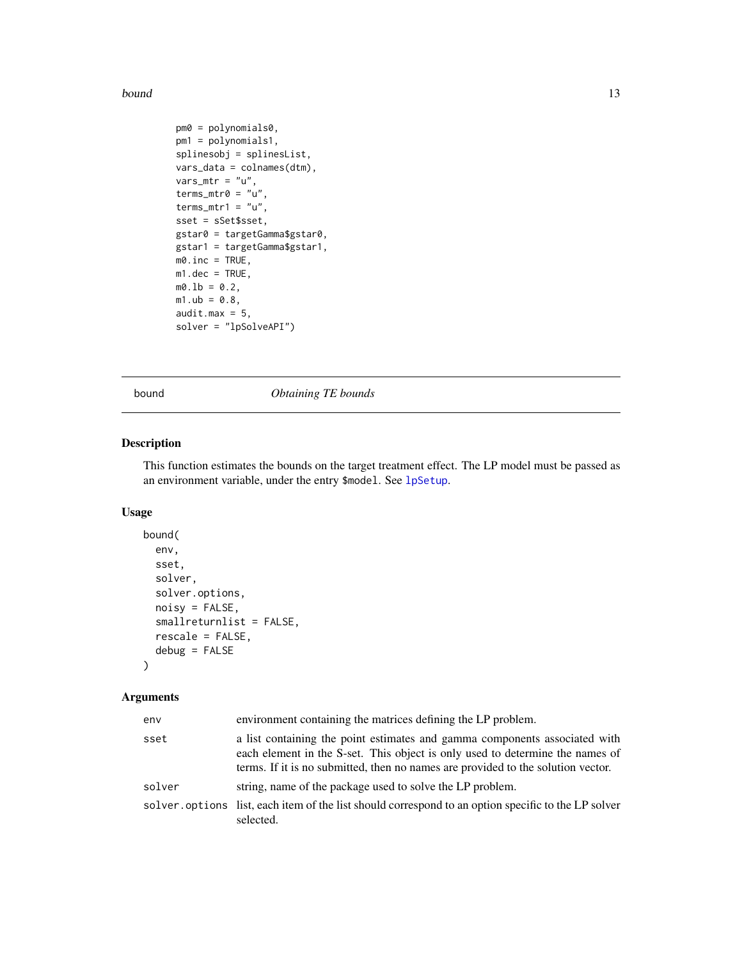#### <span id="page-12-0"></span>bound the contract of the contract of the contract of the contract of the contract of the contract of the contract of the contract of the contract of the contract of the contract of the contract of the contract of the cont

```
pm0 = polynomials0,
pm1 = polynomials1,
splinesobj = splinesList,
vars_data = colnames(dtm),
vars\_mtr = "u",terms_mtr0 = "u",terms_mtr1 = "u",sset = sSet$sset,
gstar0 = targetGamma$gstar0,
gstar1 = targetGamma$gstar1,
m0.inc = TRUE,
m1.dec = TRUE,
m0.1b = 0.2,
m1.ub = 0.8,
audit.max = 5,
solver = "lpSolveAPI")
```
bound *Obtaining TE bounds*

# Description

This function estimates the bounds on the target treatment effect. The LP model must be passed as an environment variable, under the entry \$model. See [lpSetup](#page-71-1).

# Usage

```
bound(
  env,
  sset,
  solver,
  solver.options,
  noisy = FALSE,
  smallreturnlist = FALSE,
  rescale = FALSE,
  debug = FALSE
)
```
#### Arguments

| env    | environment containing the matrices defining the LP problem.                                                                                                                                                                                    |
|--------|-------------------------------------------------------------------------------------------------------------------------------------------------------------------------------------------------------------------------------------------------|
| sset   | a list containing the point estimates and gamma components associated with<br>each element in the S-set. This object is only used to determine the names of<br>terms. If it is no submitted, then no names are provided to the solution vector. |
| solver | string, name of the package used to solve the LP problem.                                                                                                                                                                                       |
|        | solver, options list, each item of the list should correspond to an option specific to the LP solver<br>selected.                                                                                                                               |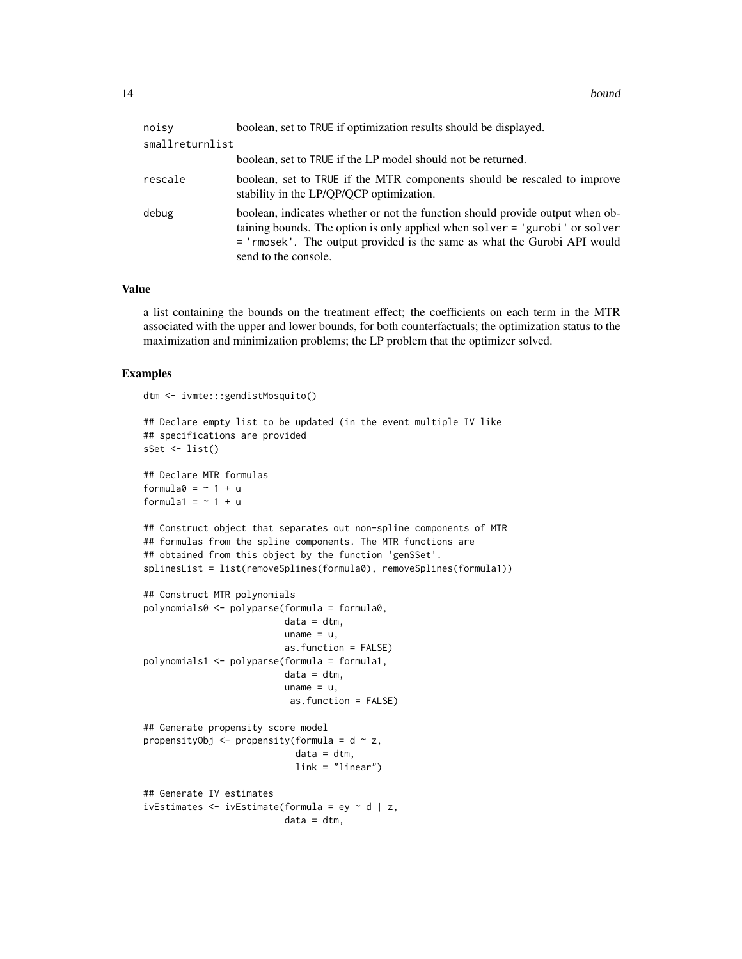| noisv           | boolean, set to TRUE if optimization results should be displayed.                                                                                                                                                                                                |
|-----------------|------------------------------------------------------------------------------------------------------------------------------------------------------------------------------------------------------------------------------------------------------------------|
| smallreturnlist |                                                                                                                                                                                                                                                                  |
|                 | boolean, set to TRUE if the LP model should not be returned.                                                                                                                                                                                                     |
| rescale         | boolean, set to TRUE if the MTR components should be rescaled to improve<br>stability in the LP/QP/QCP optimization.                                                                                                                                             |
| debug           | boolean, indicates whether or not the function should provide output when ob-<br>taining bounds. The option is only applied when solver = 'gurobi' or solver<br>= 'rmosek'. The output provided is the same as what the Gurobi API would<br>send to the console. |

#### Value

a list containing the bounds on the treatment effect; the coefficients on each term in the MTR associated with the upper and lower bounds, for both counterfactuals; the optimization status to the maximization and minimization problems; the LP problem that the optimizer solved.

#### Examples

```
dtm <- ivmte:::gendistMosquito()
## Declare empty list to be updated (in the event multiple IV like
## specifications are provided
sSet \leftarrow list()## Declare MTR formulas
formula0 = \gamma 1 + uformula1 = ~1 + u## Construct object that separates out non-spline components of MTR
## formulas from the spline components. The MTR functions are
## obtained from this object by the function 'genSSet'.
splinesList = list(removeSplines(formula0), removeSplines(formula1))
## Construct MTR polynomials
polynomials0 <- polyparse(formula = formula0,
                          data = dtm,uname = u,as.function = FALSE)
polynomials1 <- polyparse(formula = formula1,
                          data = dtm,uname = u,
                           as.function = FALSE)
## Generate propensity score model
propensityObj \leq propensity(formula = d \sim z,
                            data = dtm,link = "linear")
## Generate IV estimates
ivEstimates \leq ivEstimate(formula = ey \sim d | z,
                          data = dtm,
```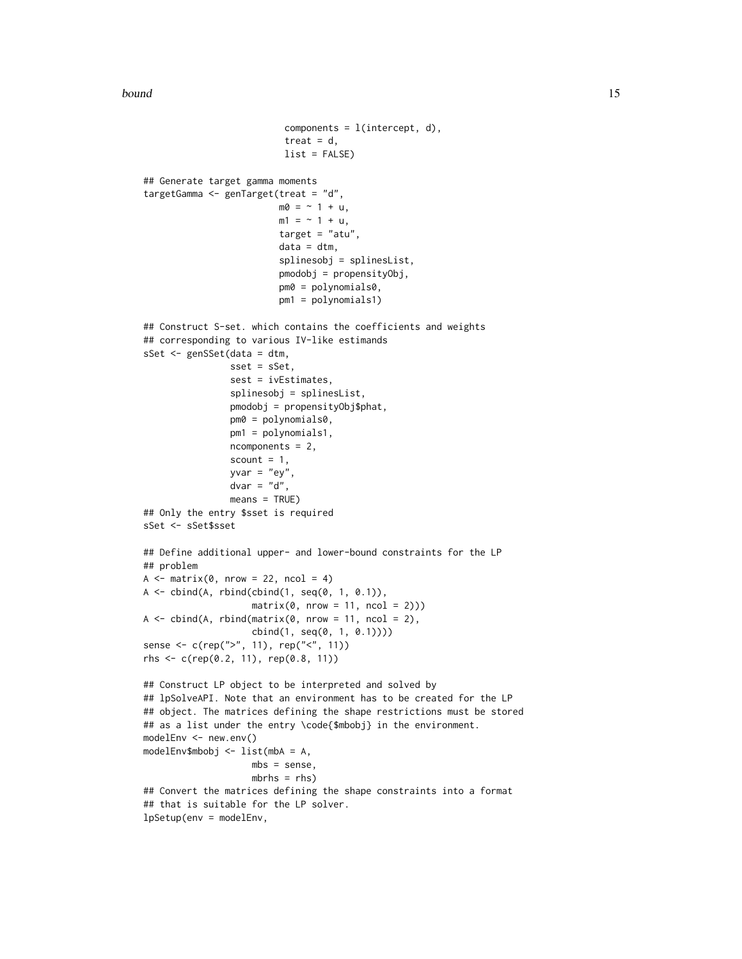bound the contract of the contract of the contract of the contract of the contract of the contract of the contract of the contract of the contract of the contract of the contract of the contract of the contract of the cont

```
components = l(intexcept, d),
                           treat = d,
                           list = FALSE)
## Generate target gamma moments
targetGamma <- genTarget(treat = "d",
                          m0 = -1 + u,
                          m1 = -1 + u,
                          target = "atu",
                          data = dtm,splinesobj = splinesList,
                          pmodobj = propensityObj,
                          pm0 = polynomials0,
                          pm1 = polynomials1)
## Construct S-set. which contains the coefficients and weights
## corresponding to various IV-like estimands
sSet <- genSSet(data = dtm,
                sset = sSet,
                sest = ivEstimates,
                splinesobj = splinesList,
                pmodobj = propensityObj$phat,
                pm0 = polynomials0,
                pm1 = polynomials1,
                ncomponents = 2,
                scount = 1,
                yvar = "ey",dvar = "d",means = TRUE)
## Only the entry $sset is required
sSet <- sSet$sset
## Define additional upper- and lower-bound constraints for the LP
## problem
A \leq - matrix(0, nrow = 22, ncol = 4)
A \leftarrow \text{cbind}(A, \text{rbind}(\text{cbind}(1, \text{seq}(0, 1, 0.1))),matrix(0, nrow = 11, ncol = 2)))A \leq cbind(A, rbind(matrix(0, nrow = 11, ncol = 2),
                     cbind(1, seq(0, 1, 0.1))))
sense <- c(rep(">", 11), rep("<", 11))
rhs <- c(rep(0.2, 11), rep(0.8, 11))
## Construct LP object to be interpreted and solved by
## lpSolveAPI. Note that an environment has to be created for the LP
## object. The matrices defining the shape restrictions must be stored
## as a list under the entry \code{$mbobj} in the environment.
modelEnv <- new.env()
modelEnv$mbobj <- list(mbA = A,
                    mbs = sense,
                    mbrhs = rbs)
## Convert the matrices defining the shape constraints into a format
## that is suitable for the LP solver.
lpSetup(env = modelEnv,
```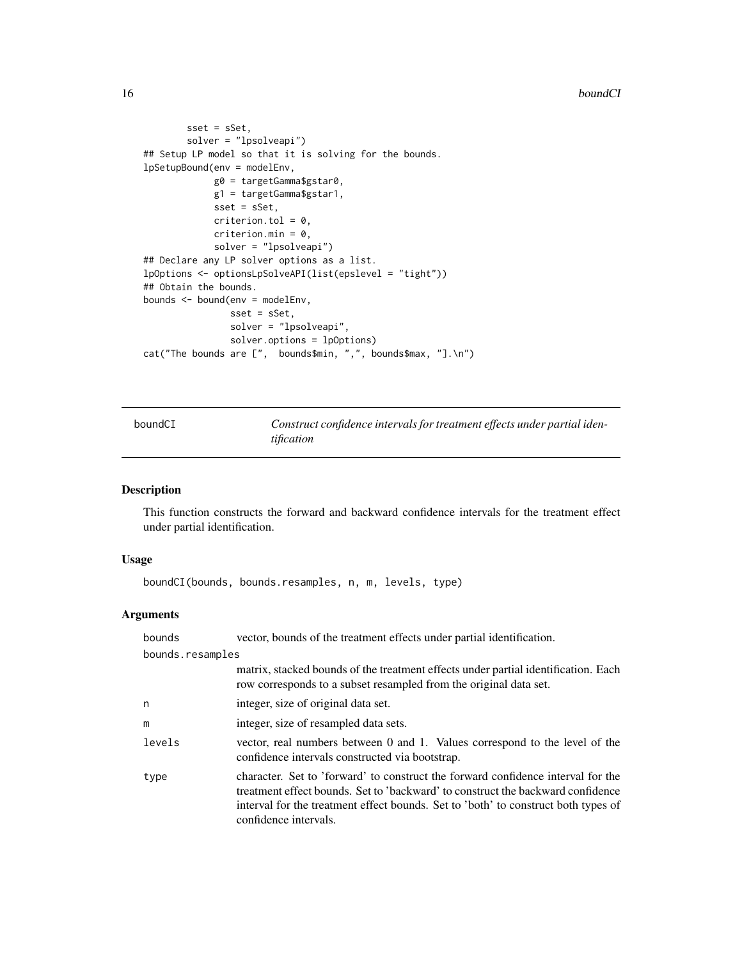```
sset = sSet,
       solver = "lpsolveapi")
## Setup LP model so that it is solving for the bounds.
lpSetupBound(env = modelEnv,
            g0 = targetGamma$gstar0,
            g1 = targetGamma$gstar1,
            sset = sSet,
            criterion.tol = 0,criterion.min = 0,
             solver = "lpsolveapi")
## Declare any LP solver options as a list.
lpOptions <- optionsLpSolveAPI(list(epslevel = "tight"))
## Obtain the bounds.
bounds <- bound(env = modelEnv,
                sset = sSet,
                solver = "lpsolveapi",
                solver.options = lpOptions)
cat("The bounds are [", bounds$min, ",", bounds$max, "].\n")
```
boundCI *Construct confidence intervals for treatment effects under partial identification*

# Description

This function constructs the forward and backward confidence intervals for the treatment effect under partial identification.

#### Usage

boundCI(bounds, bounds.resamples, n, m, levels, type)

#### Arguments

| bounds | vector, bounds of the treatment effects under partial identification.                                                                                                                                                                                                              |  |  |
|--------|------------------------------------------------------------------------------------------------------------------------------------------------------------------------------------------------------------------------------------------------------------------------------------|--|--|
|        | bounds.resamples                                                                                                                                                                                                                                                                   |  |  |
|        | matrix, stacked bounds of the treatment effects under partial identification. Each<br>row corresponds to a subset resampled from the original data set.                                                                                                                            |  |  |
| n      | integer, size of original data set.                                                                                                                                                                                                                                                |  |  |
| m      | integer, size of resampled data sets.                                                                                                                                                                                                                                              |  |  |
| levels | vector, real numbers between 0 and 1. Values correspond to the level of the<br>confidence intervals constructed via bootstrap.                                                                                                                                                     |  |  |
| type   | character. Set to 'forward' to construct the forward confidence interval for the<br>treatment effect bounds. Set to 'backward' to construct the backward confidence<br>interval for the treatment effect bounds. Set to 'both' to construct both types of<br>confidence intervals. |  |  |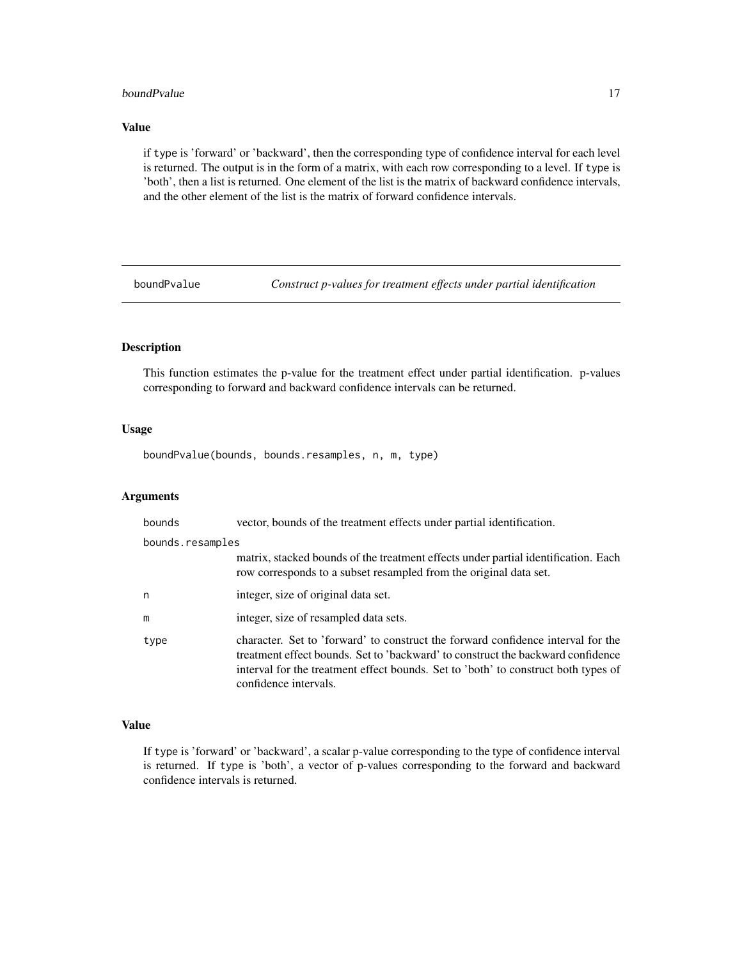#### <span id="page-16-0"></span>boundPvalue 17

# Value

if type is 'forward' or 'backward', then the corresponding type of confidence interval for each level is returned. The output is in the form of a matrix, with each row corresponding to a level. If type is 'both', then a list is returned. One element of the list is the matrix of backward confidence intervals, and the other element of the list is the matrix of forward confidence intervals.

boundPvalue *Construct p-values for treatment effects under partial identification*

# Description

This function estimates the p-value for the treatment effect under partial identification. p-values corresponding to forward and backward confidence intervals can be returned.

#### Usage

boundPvalue(bounds, bounds.resamples, n, m, type)

# Arguments

| bounds           | vector, bounds of the treatment effects under partial identification.                                                                                                                                                                                                              |
|------------------|------------------------------------------------------------------------------------------------------------------------------------------------------------------------------------------------------------------------------------------------------------------------------------|
| bounds.resamples |                                                                                                                                                                                                                                                                                    |
|                  | matrix, stacked bounds of the treatment effects under partial identification. Each<br>row corresponds to a subset resampled from the original data set.                                                                                                                            |
| n                | integer, size of original data set.                                                                                                                                                                                                                                                |
| m                | integer, size of resampled data sets.                                                                                                                                                                                                                                              |
| type             | character. Set to 'forward' to construct the forward confidence interval for the<br>treatment effect bounds. Set to 'backward' to construct the backward confidence<br>interval for the treatment effect bounds. Set to 'both' to construct both types of<br>confidence intervals. |

# Value

If type is 'forward' or 'backward', a scalar p-value corresponding to the type of confidence interval is returned. If type is 'both', a vector of p-values corresponding to the forward and backward confidence intervals is returned.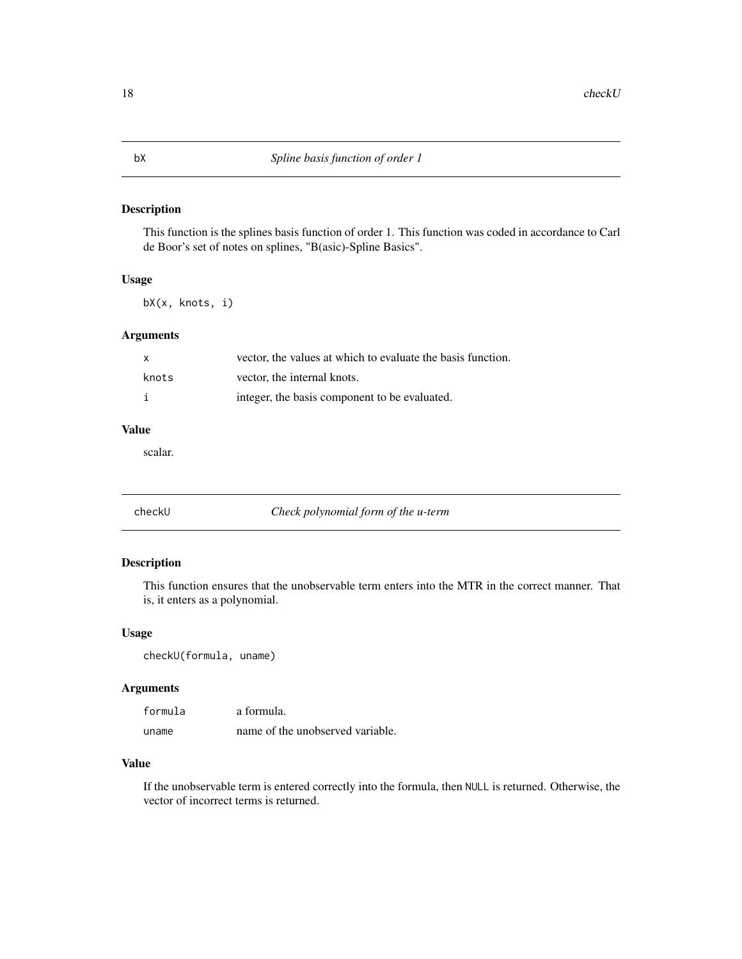<span id="page-17-0"></span>This function is the splines basis function of order 1. This function was coded in accordance to Carl de Boor's set of notes on splines, "B(asic)-Spline Basics".

# Usage

bX(x, knots, i)

# Arguments

|       | vector, the values at which to evaluate the basis function. |
|-------|-------------------------------------------------------------|
| knots | vector, the internal knots.                                 |
|       | integer, the basis component to be evaluated.               |

# Value

scalar.

| checkll |  |  |  |
|---------|--|--|--|

Check polynomial form of the u-term

#### Description

This function ensures that the unobservable term enters into the MTR in the correct manner. That is, it enters as a polynomial.

# Usage

```
checkU(formula, uname)
```
# Arguments

| formula | a formula.                       |
|---------|----------------------------------|
| uname   | name of the unobserved variable. |

#### Value

If the unobservable term is entered correctly into the formula, then NULL is returned. Otherwise, the vector of incorrect terms is returned.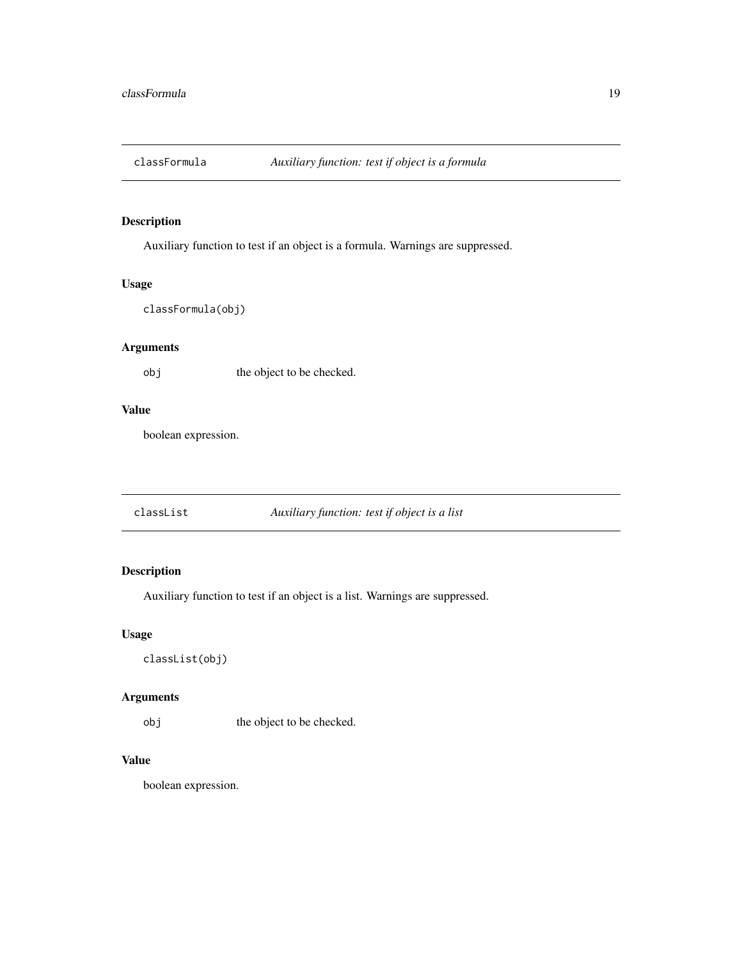<span id="page-18-0"></span>

Auxiliary function to test if an object is a formula. Warnings are suppressed.

#### Usage

classFormula(obj)

# Arguments

obj the object to be checked.

#### Value

boolean expression.

classList *Auxiliary function: test if object is a list*

# Description

Auxiliary function to test if an object is a list. Warnings are suppressed.

#### Usage

classList(obj)

# Arguments

obj the object to be checked.

# Value

boolean expression.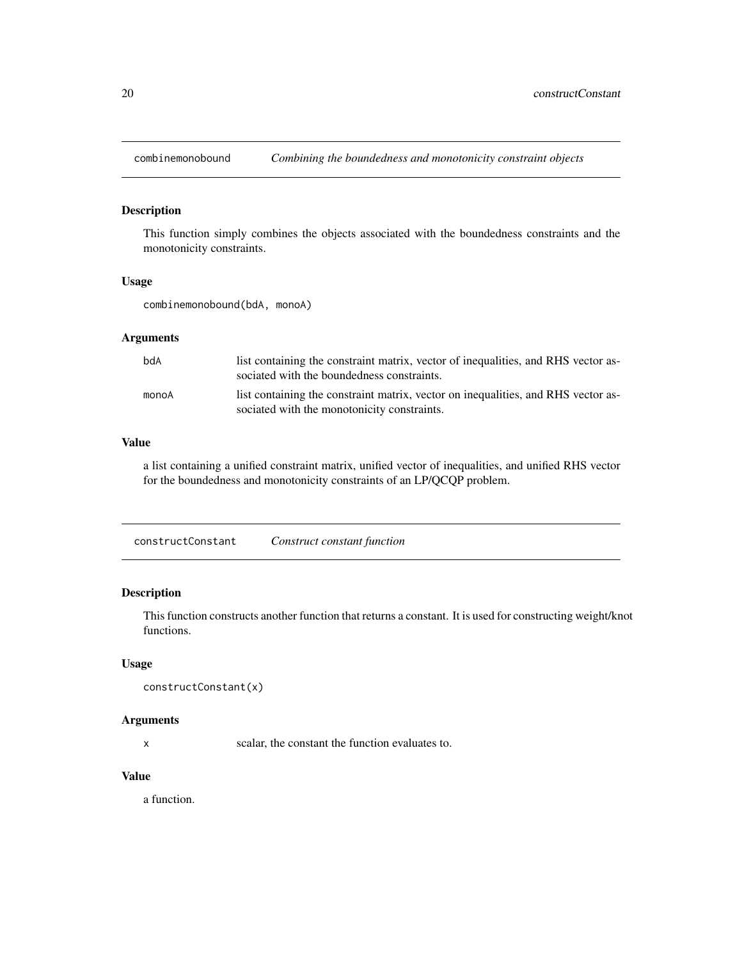<span id="page-19-0"></span>

This function simply combines the objects associated with the boundedness constraints and the monotonicity constraints.

#### Usage

combinemonobound(bdA, monoA)

#### Arguments

| bdA   | list containing the constraint matrix, vector of inequalities, and RHS vector as-<br>sociated with the boundedness constraints.  |
|-------|----------------------------------------------------------------------------------------------------------------------------------|
| monoA | list containing the constraint matrix, vector on inequalities, and RHS vector as-<br>sociated with the monotonicity constraints. |

# Value

a list containing a unified constraint matrix, unified vector of inequalities, and unified RHS vector for the boundedness and monotonicity constraints of an LP/QCQP problem.

constructConstant *Construct constant function*

# Description

This function constructs another function that returns a constant. It is used for constructing weight/knot functions.

#### Usage

```
constructConstant(x)
```
#### Arguments

x scalar, the constant the function evaluates to.

#### Value

a function.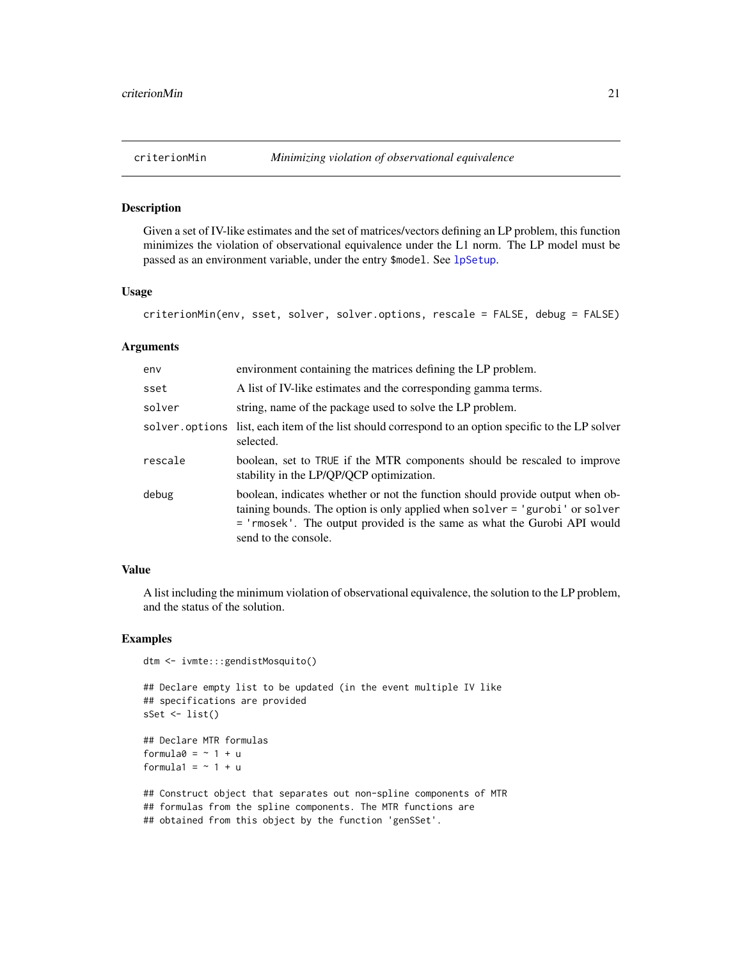<span id="page-20-0"></span>

Given a set of IV-like estimates and the set of matrices/vectors defining an LP problem, this function minimizes the violation of observational equivalence under the L1 norm. The LP model must be passed as an environment variable, under the entry \$model. See [lpSetup](#page-71-1).

#### Usage

```
criterionMin(env, sset, solver, solver.options, rescale = FALSE, debug = FALSE)
```
#### Arguments

| env     | environment containing the matrices defining the LP problem.                                                                                                                                                                                                     |
|---------|------------------------------------------------------------------------------------------------------------------------------------------------------------------------------------------------------------------------------------------------------------------|
| sset    | A list of IV-like estimates and the corresponding gamma terms.                                                                                                                                                                                                   |
| solver  | string, name of the package used to solve the LP problem.                                                                                                                                                                                                        |
|         | solver options list, each item of the list should correspond to an option specific to the LP solver<br>selected.                                                                                                                                                 |
| rescale | boolean, set to TRUE if the MTR components should be rescaled to improve<br>stability in the LP/QP/QCP optimization.                                                                                                                                             |
| debug   | boolean, indicates whether or not the function should provide output when ob-<br>taining bounds. The option is only applied when solver = 'gurobi' or solver<br>= 'rmosek'. The output provided is the same as what the Gurobi API would<br>send to the console. |

# Value

A list including the minimum violation of observational equivalence, the solution to the LP problem, and the status of the solution.

# Examples

```
dtm <- ivmte:::gendistMosquito()
```

```
## Declare empty list to be updated (in the event multiple IV like
## specifications are provided
sSet <- list()
```

```
## Declare MTR formulas
formula0 = -1 + uformula1 = ~1 + u
```

```
## Construct object that separates out non-spline components of MTR
## formulas from the spline components. The MTR functions are
## obtained from this object by the function 'genSSet'.
```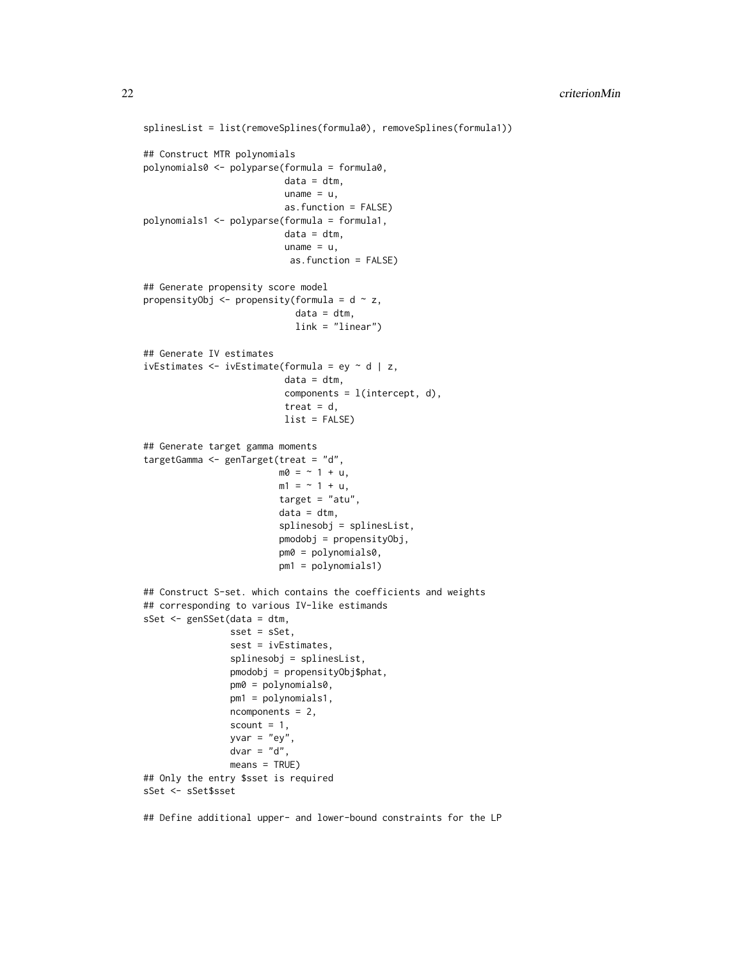```
splinesList = list(removeSplines(formula0), removeSplines(formula1))
## Construct MTR polynomials
polynomials0 <- polyparse(formula = formula0,
                          data = dtm,uname = u,
                          as.function = FALSE)
polynomials1 <- polyparse(formula = formula1,
                          data = dtm,
                          uname = u,
                           as.function = FALSE)
## Generate propensity score model
propensityObj \leq propensity(formula = d \sim z,
                            data = dtm,link = "linear")
## Generate IV estimates
ivEstimates \leq ivEstimate(formula = ey \sim d | z,
                          data = dtm,components = l(intercept, d),
                          treat = d,
                          list = FALSE)
## Generate target gamma moments
targetGamma <- genTarget(treat = "d",
                         m0 = -1 + u,
                         m1 = -1 + u,
                         target = "atu",
                         data = dtm,splinesobj = splinesList,
                         pmodobj = propensityObj,
                         pm0 = polynomials0,
                         pm1 = polynomials1)
## Construct S-set. which contains the coefficients and weights
## corresponding to various IV-like estimands
sSet <- genSSet(data = dtm,
                sset = sSet,
                sest = ivEstimates,
                splinesobj = splinesList,
                pmodobj = propensityObj$phat,
                pm0 = polynomials0,
                pm1 = polynomials1,
                ncomponents = 2,
                scount = 1,
                yvar = "ey",dvar = "d",means = TRUE)
## Only the entry $sset is required
sSet <- sSet$sset
```
## Define additional upper- and lower-bound constraints for the LP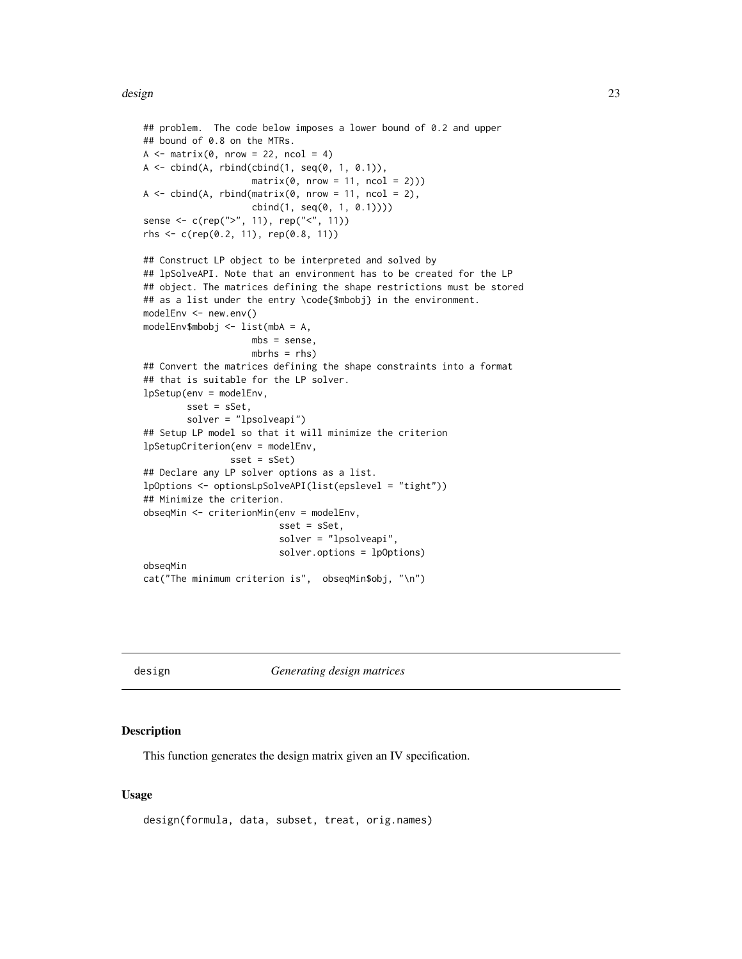#### <span id="page-22-0"></span>design 23

```
## problem. The code below imposes a lower bound of 0.2 and upper
## bound of 0.8 on the MTRs.
A \leftarrow matrix(0, nrow = 22, ncol = 4)A \leftarrow \text{cbind}(A, \text{rbind}(\text{cbind}(1, \text{seq}(0, 1, 0.1))),matrix(0, nrow = 11, ncol = 2))A \leq cbind(A, rbind(matrix(0, nrow = 11, ncol = 2),
                    cbind(1, seq(0, 1, 0.1))))
sense <- c(rep(">", 11), rep("<", 11))
rhs \leq c (rep(0.2, 11), rep(0.8, 11))
## Construct LP object to be interpreted and solved by
## lpSolveAPI. Note that an environment has to be created for the LP
## object. The matrices defining the shape restrictions must be stored
## as a list under the entry \code{$mbobj} in the environment.
modelEnv <- new.env()
modelEnv$mbobj <- list(mbA = A,
                    mbs = sense,
                    mbrhs = rhs)
## Convert the matrices defining the shape constraints into a format
## that is suitable for the LP solver.
lpSetup(env = modelEnv,
        sset = sSet,
        solver = "lpsolveapi")
## Setup LP model so that it will minimize the criterion
lpSetupCriterion(env = modelEnv,
                sset = sSet)
## Declare any LP solver options as a list.
lpOptions <- optionsLpSolveAPI(list(epslevel = "tight"))
## Minimize the criterion.
obseqMin <- criterionMin(env = modelEnv,
                          sset = sSet,
                          solver = "lpsolveapi",
                          solver.options = lpOptions)
obseqMin
cat("The minimum criterion is", obseqMin$obj, "\n")
```
design *Generating design matrices*

#### Description

This function generates the design matrix given an IV specification.

#### Usage

```
design(formula, data, subset, treat, orig.names)
```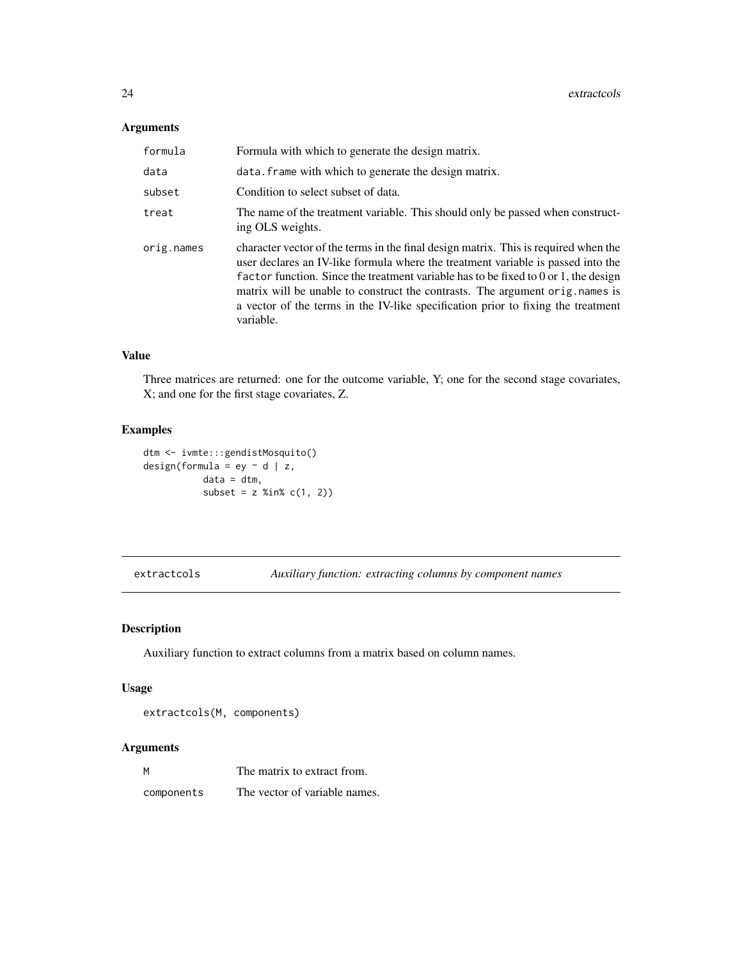# <span id="page-23-0"></span>Arguments

| formula    | Formula with which to generate the design matrix.                                                                                                                                                                                                                                                                                                                                                                                                  |
|------------|----------------------------------------------------------------------------------------------------------------------------------------------------------------------------------------------------------------------------------------------------------------------------------------------------------------------------------------------------------------------------------------------------------------------------------------------------|
| data       | data. frame with which to generate the design matrix.                                                                                                                                                                                                                                                                                                                                                                                              |
| subset     | Condition to select subset of data.                                                                                                                                                                                                                                                                                                                                                                                                                |
| treat      | The name of the treatment variable. This should only be passed when construct-<br>ing OLS weights.                                                                                                                                                                                                                                                                                                                                                 |
| orig.names | character vector of the terms in the final design matrix. This is required when the<br>user declares an IV-like formula where the treatment variable is passed into the<br>factor function. Since the treatment variable has to be fixed to $0$ or 1, the design<br>matrix will be unable to construct the contrasts. The argument orig. names is<br>a vector of the terms in the IV-like specification prior to fixing the treatment<br>variable. |

#### Value

Three matrices are returned: one for the outcome variable, Y; one for the second stage covariates, X; and one for the first stage covariates, Z.

# Examples

```
dtm <- ivmte:::gendistMosquito()
design(formula = ey \sim d | z,
           data = dtm,
           subset = z %in% c(1, 2))
```
extractcols *Auxiliary function: extracting columns by component names*

# Description

Auxiliary function to extract columns from a matrix based on column names.

# Usage

extractcols(M, components)

# Arguments

| M          | The matrix to extract from.   |
|------------|-------------------------------|
| components | The vector of variable names. |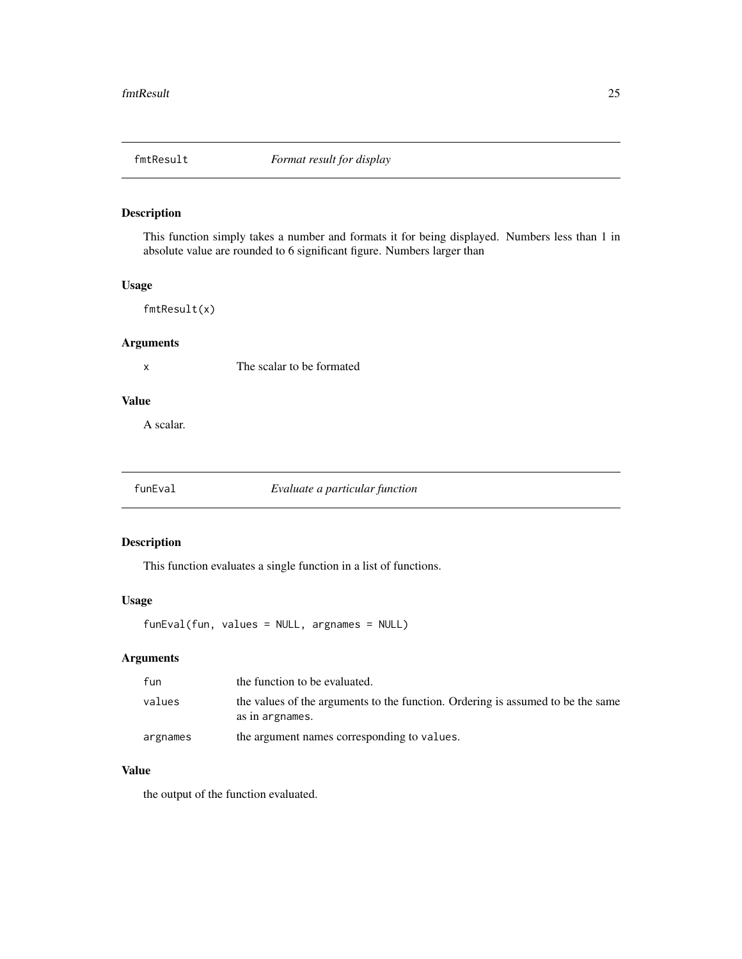<span id="page-24-0"></span>

This function simply takes a number and formats it for being displayed. Numbers less than 1 in absolute value are rounded to 6 significant figure. Numbers larger than

# Usage

fmtResult(x)

# Arguments

x The scalar to be formated

# Value

A scalar.

# funEval *Evaluate a particular function*

# Description

This function evaluates a single function in a list of functions.

# Usage

funEval(fun, values = NULL, argnames = NULL)

# Arguments

| fun      | the function to be evaluated.                                                                      |
|----------|----------------------------------------------------------------------------------------------------|
| values   | the values of the arguments to the function. Ordering is assumed to be the same<br>as in argnames. |
| argnames | the argument names corresponding to values.                                                        |

#### Value

the output of the function evaluated.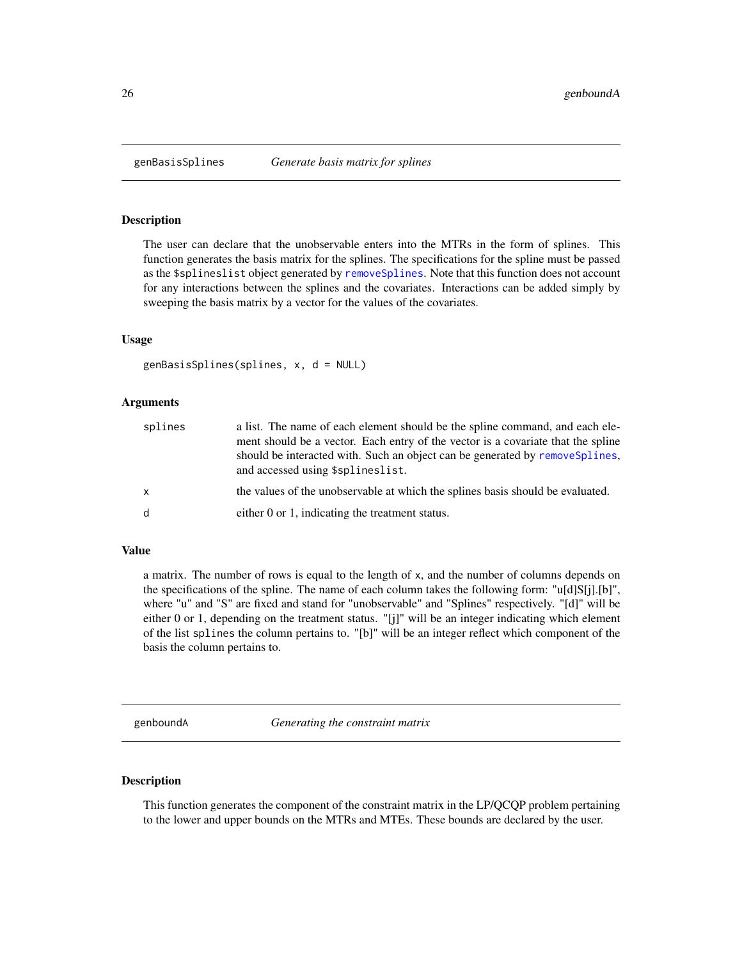The user can declare that the unobservable enters into the MTRs in the form of splines. This function generates the basis matrix for the splines. The specifications for the spline must be passed as the \$splineslist object generated by [removeSplines](#page-95-1). Note that this function does not account for any interactions between the splines and the covariates. Interactions can be added simply by sweeping the basis matrix by a vector for the values of the covariates.

#### Usage

```
genBasisSplines(splines, x, d = NULL)
```
#### Arguments

| splines | a list. The name of each element should be the spline command, and each ele-<br>ment should be a vector. Each entry of the vector is a covariate that the spline<br>should be interacted with. Such an object can be generated by removes plines.<br>and accessed using \$splineslist. |
|---------|----------------------------------------------------------------------------------------------------------------------------------------------------------------------------------------------------------------------------------------------------------------------------------------|
| X       | the values of the unobservable at which the splines basis should be evaluated.                                                                                                                                                                                                         |
| d       | either 0 or 1, indicating the treatment status.                                                                                                                                                                                                                                        |

#### Value

a matrix. The number of rows is equal to the length of x, and the number of columns depends on the specifications of the spline. The name of each column takes the following form: "u[d]S[j].[b]", where "u" and "S" are fixed and stand for "unobservable" and "Splines" respectively. "[d]" will be either 0 or 1, depending on the treatment status. "[j]" will be an integer indicating which element of the list splines the column pertains to. "[b]" will be an integer reflect which component of the basis the column pertains to.

genboundA *Generating the constraint matrix*

# **Description**

This function generates the component of the constraint matrix in the LP/QCQP problem pertaining to the lower and upper bounds on the MTRs and MTEs. These bounds are declared by the user.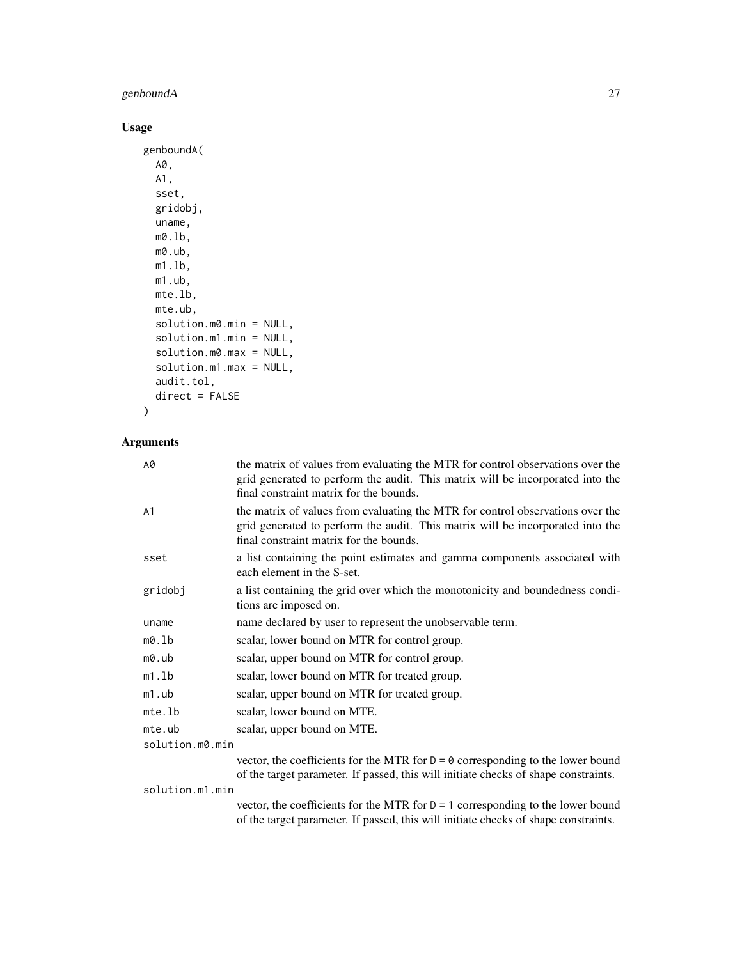# genboundA 27

# Usage

```
genboundA(
  A0,
  A1,
  sset,
 gridobj,
 uname,
 m0.lb,
 m0.ub,
 m1.lb,
 m1.ub,
 mte.lb,
 mte.ub,
  solution.m0.min = NULL,
  solution.m1.min = NULL,
  solution.m0.max = NULL,
  solution.m1.max = NULL,
  audit.tol,
  direct = FALSE
)
```
# Arguments

| А0              | the matrix of values from evaluating the MTR for control observations over the<br>grid generated to perform the audit. This matrix will be incorporated into the<br>final constraint matrix for the bounds. |
|-----------------|-------------------------------------------------------------------------------------------------------------------------------------------------------------------------------------------------------------|
| А1              | the matrix of values from evaluating the MTR for control observations over the<br>grid generated to perform the audit. This matrix will be incorporated into the<br>final constraint matrix for the bounds. |
| sset            | a list containing the point estimates and gamma components associated with<br>each element in the S-set.                                                                                                    |
| gridobj         | a list containing the grid over which the monotonicity and boundedness condi-<br>tions are imposed on.                                                                                                      |
| uname           | name declared by user to represent the unobservable term.                                                                                                                                                   |
| m0.lb           | scalar, lower bound on MTR for control group.                                                                                                                                                               |
| m0.ub           | scalar, upper bound on MTR for control group.                                                                                                                                                               |
| m1.lb           | scalar, lower bound on MTR for treated group.                                                                                                                                                               |
| m1.ub           | scalar, upper bound on MTR for treated group.                                                                                                                                                               |
| mte.lb          | scalar, lower bound on MTE.                                                                                                                                                                                 |
| mte.ub          | scalar, upper bound on MTE.                                                                                                                                                                                 |
| solution.m0.min |                                                                                                                                                                                                             |
|                 | vector, the coefficients for the MTR for $D = \emptyset$ corresponding to the lower bound<br>of the target parameter. If passed, this will initiate checks of shape constraints.                            |

solution.m1.min

vector, the coefficients for the MTR for  $D = 1$  corresponding to the lower bound of the target parameter. If passed, this will initiate checks of shape constraints.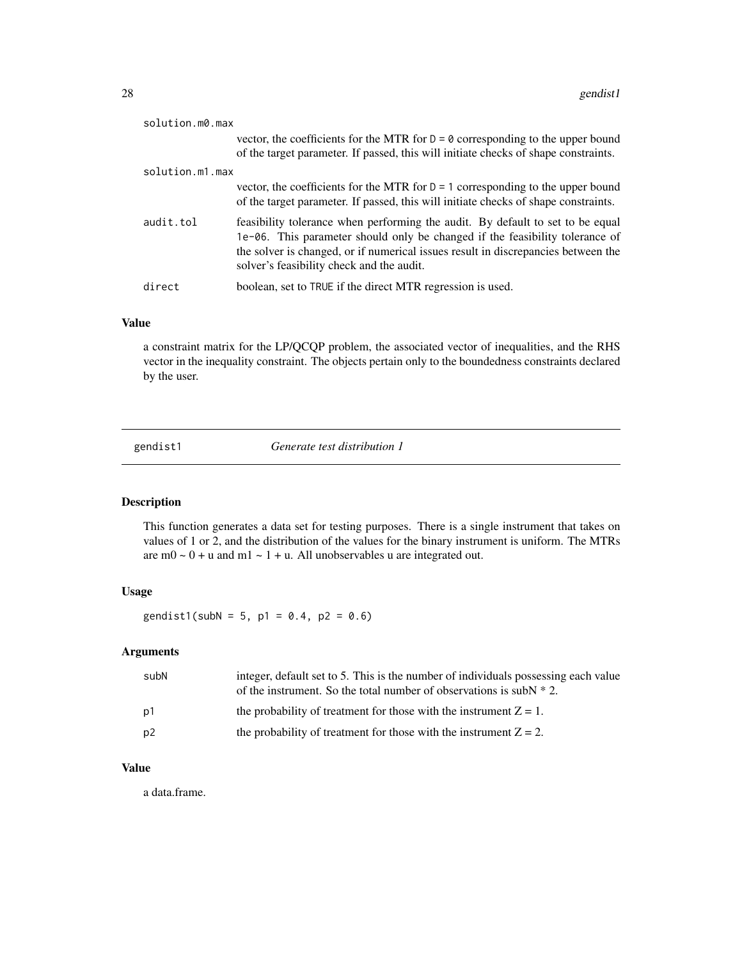<span id="page-27-0"></span>

| solution.m0.max |                                                                                                                                                                                                                                                                                                  |
|-----------------|--------------------------------------------------------------------------------------------------------------------------------------------------------------------------------------------------------------------------------------------------------------------------------------------------|
|                 | vector, the coefficients for the MTR for $D = \emptyset$ corresponding to the upper bound<br>of the target parameter. If passed, this will initiate checks of shape constraints.                                                                                                                 |
|                 |                                                                                                                                                                                                                                                                                                  |
| solution.m1.max |                                                                                                                                                                                                                                                                                                  |
|                 | vector, the coefficients for the MTR for $D = 1$ corresponding to the upper bound<br>of the target parameter. If passed, this will initiate checks of shape constraints.                                                                                                                         |
| audit.tol       | feasibility tolerance when performing the audit. By default to set to be equal<br>1e-06. This parameter should only be changed if the feasibility tolerance of<br>the solver is changed, or if numerical issues result in discrepancies between the<br>solver's feasibility check and the audit. |
| direct          | boolean, set to TRUE if the direct MTR regression is used.                                                                                                                                                                                                                                       |

# Value

a constraint matrix for the LP/QCQP problem, the associated vector of inequalities, and the RHS vector in the inequality constraint. The objects pertain only to the boundedness constraints declared by the user.

gendist1 *Generate test distribution 1*

#### Description

This function generates a data set for testing purposes. There is a single instrument that takes on values of 1 or 2, and the distribution of the values for the binary instrument is uniform. The MTRs are  $m0 \sim 0 + u$  and  $m1 \sim 1 + u$ . All unobservables u are integrated out.

# Usage

gendist1(subN = 5, p1 = 0.4, p2 = 0.6)

#### Arguments

| subN           | integer, default set to 5. This is the number of individuals possessing each value<br>of the instrument. So the total number of observations is subN $* 2$ . |
|----------------|--------------------------------------------------------------------------------------------------------------------------------------------------------------|
| p1             | the probability of treatment for those with the instrument $Z = 1$ .                                                                                         |
| p <sub>2</sub> | the probability of treatment for those with the instrument $Z = 2$ .                                                                                         |

#### Value

a data.frame.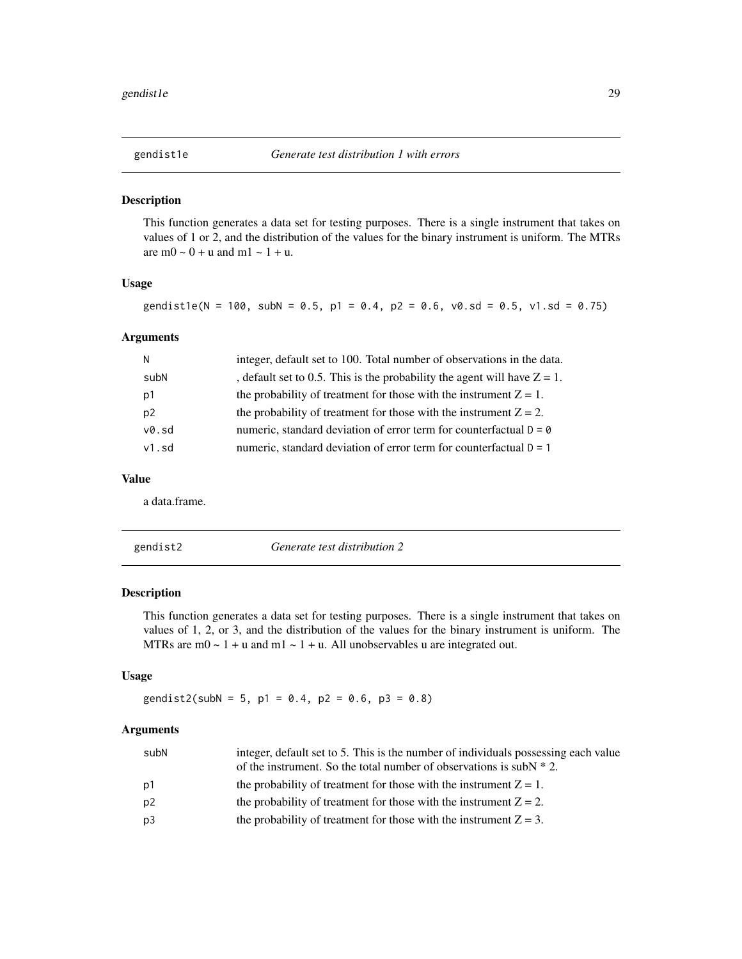<span id="page-28-0"></span>

This function generates a data set for testing purposes. There is a single instrument that takes on values of 1 or 2, and the distribution of the values for the binary instrument is uniform. The MTRs are  $m0 \sim 0 + u$  and  $m1 \sim 1 + u$ .

#### Usage

gendist1e(N = 100, subN = 0.5, p1 = 0.4, p2 = 0.6, v0.sd = 0.5, v1.sd = 0.75)

#### Arguments

| N              | integer, default set to 100. Total number of observations in the data.      |
|----------------|-----------------------------------------------------------------------------|
| subN           | , default set to 0.5. This is the probability the agent will have $Z = 1$ . |
| p1             | the probability of treatment for those with the instrument $Z = 1$ .        |
| p <sub>2</sub> | the probability of treatment for those with the instrument $Z = 2$ .        |
| v0.sd          | numeric, standard deviation of error term for counterfactual $D = 0$        |
| $v1$ . sd      | numeric, standard deviation of error term for counterfactual $D = 1$        |

#### Value

a data.frame.

| gendist2 |  |
|----------|--|

Generate test distribution 2

## Description

This function generates a data set for testing purposes. There is a single instrument that takes on values of 1, 2, or 3, and the distribution of the values for the binary instrument is uniform. The MTRs are  $m0 \sim 1 + u$  and  $m1 \sim 1 + u$ . All unobservables u are integrated out.

# Usage

gendist2(subN = 5, p1 = 0.4, p2 = 0.6, p3 = 0.8)

# Arguments

| subN | integer, default set to 5. This is the number of individuals possessing each value<br>of the instrument. So the total number of observations is subN $* 2$ . |
|------|--------------------------------------------------------------------------------------------------------------------------------------------------------------|
| p1   | the probability of treatment for those with the instrument $Z = 1$ .                                                                                         |
| p2   | the probability of treatment for those with the instrument $Z = 2$ .                                                                                         |
| p3   | the probability of treatment for those with the instrument $Z = 3$ .                                                                                         |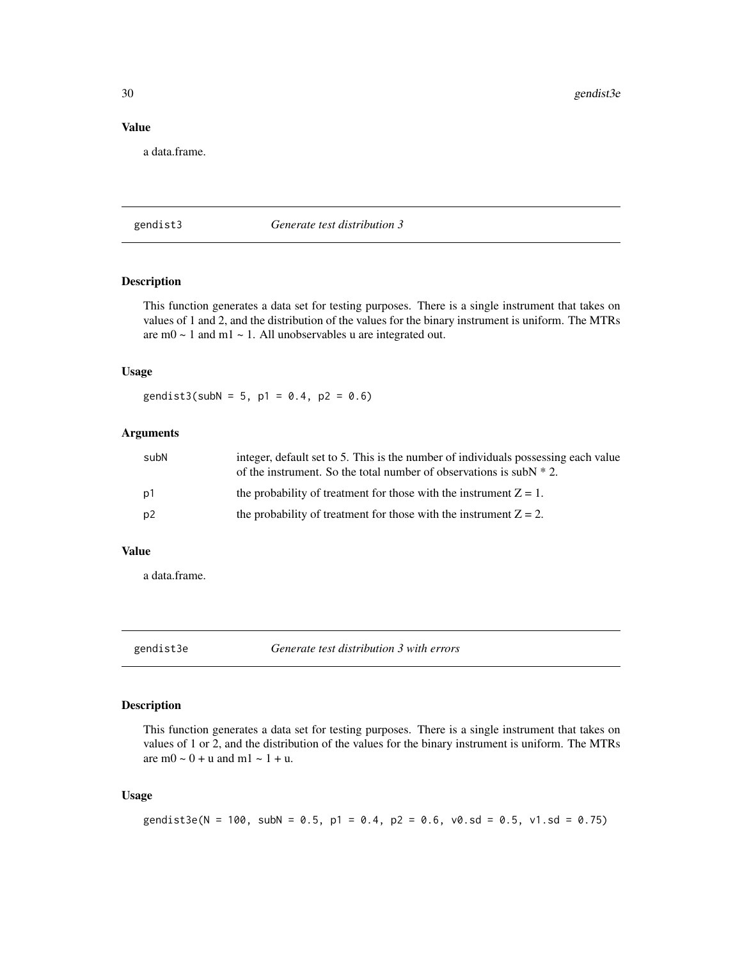<span id="page-29-0"></span>30 gendist3e

#### Value

a data.frame.

gendist3 *Generate test distribution 3*

# Description

This function generates a data set for testing purposes. There is a single instrument that takes on values of 1 and 2, and the distribution of the values for the binary instrument is uniform. The MTRs are  $m0 \sim 1$  and  $m1 \sim 1$ . All unobservables u are integrated out.

# Usage

gendist3(subN = 5, p1 =  $0.4$ , p2 =  $0.6$ )

# Arguments

| subN | integer, default set to 5. This is the number of individuals possessing each value<br>of the instrument. So the total number of observations is subN $* 2$ . |
|------|--------------------------------------------------------------------------------------------------------------------------------------------------------------|
| p1   | the probability of treatment for those with the instrument $Z = 1$ .                                                                                         |
| p2   | the probability of treatment for those with the instrument $Z = 2$ .                                                                                         |

#### Value

a data.frame.

gendist3e *Generate test distribution 3 with errors*

# Description

This function generates a data set for testing purposes. There is a single instrument that takes on values of 1 or 2, and the distribution of the values for the binary instrument is uniform. The MTRs are  $m0 \sim 0 + u$  and  $m1 \sim 1 + u$ .

# Usage

```
gendist3e(N = 100, subN = 0.5, p1 = 0.4, p2 = 0.6, v0.sd = 0.5, v1.sd = 0.75)
```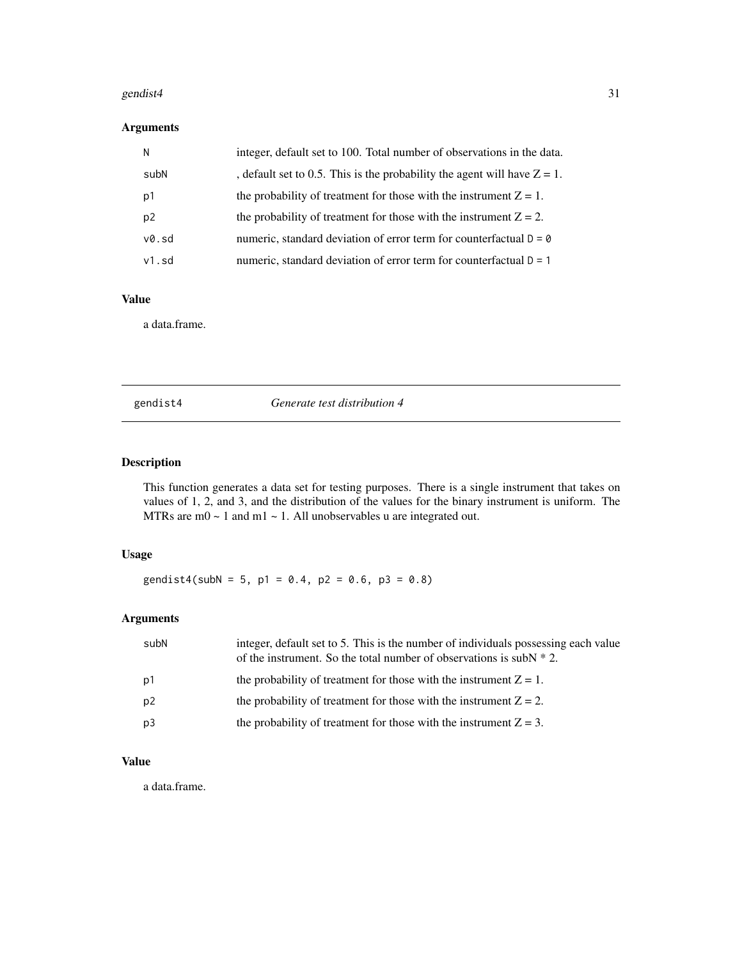#### <span id="page-30-0"></span>gendist4 31

# Arguments

| N              | integer, default set to 100. Total number of observations in the data.       |
|----------------|------------------------------------------------------------------------------|
| subN           | , default set to 0.5. This is the probability the agent will have $Z = 1$ .  |
| p1             | the probability of treatment for those with the instrument $Z = 1$ .         |
| p <sub>2</sub> | the probability of treatment for those with the instrument $Z = 2$ .         |
| v0.sd          | numeric, standard deviation of error term for counterfactual $D = \emptyset$ |
| $v1$ .sd       | numeric, standard deviation of error term for counterfactual $D = 1$         |

# Value

a data.frame.

gendist4 *Generate test distribution 4*

# Description

This function generates a data set for testing purposes. There is a single instrument that takes on values of 1, 2, and 3, and the distribution of the values for the binary instrument is uniform. The MTRs are m0  $\sim$  1 and m1  $\sim$  1. All unobservables u are integrated out.

# Usage

gendist4(subN = 5, p1 = 0.4, p2 = 0.6, p3 = 0.8)

# Arguments

| subN | integer, default set to 5. This is the number of individuals possessing each value<br>of the instrument. So the total number of observations is subN $* 2$ . |
|------|--------------------------------------------------------------------------------------------------------------------------------------------------------------|
| p1   | the probability of treatment for those with the instrument $Z = 1$ .                                                                                         |
| p2   | the probability of treatment for those with the instrument $Z = 2$ .                                                                                         |
| p3   | the probability of treatment for those with the instrument $Z = 3$ .                                                                                         |

# Value

a data.frame.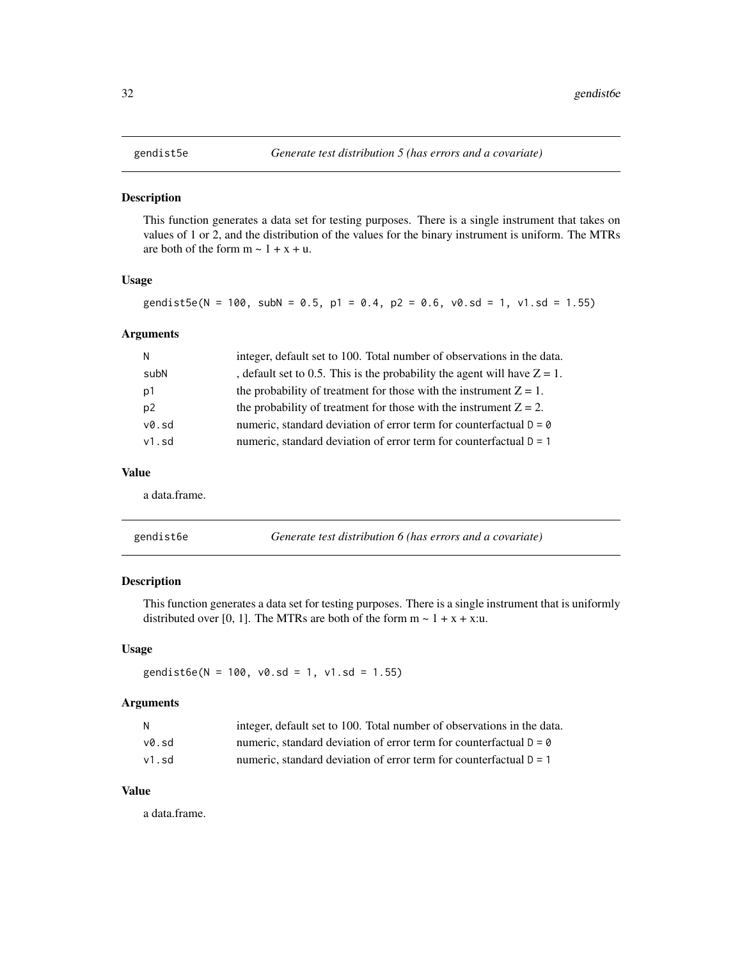<span id="page-31-0"></span>

This function generates a data set for testing purposes. There is a single instrument that takes on values of 1 or 2, and the distribution of the values for the binary instrument is uniform. The MTRs are both of the form  $m \sim 1 + x + u$ .

# Usage

gendist5e(N = 100, subN = 0.5, p1 = 0.4, p2 = 0.6,  $v0 \cdot sd = 1$ ,  $v1 \cdot sd = 1.55$ )

# Arguments

| N              | integer, default set to 100. Total number of observations in the data.      |
|----------------|-----------------------------------------------------------------------------|
| subN           | , default set to 0.5. This is the probability the agent will have $Z = 1$ . |
| p1             | the probability of treatment for those with the instrument $Z = 1$ .        |
| p <sub>2</sub> | the probability of treatment for those with the instrument $Z = 2$ .        |
| v0.sd          | numeric, standard deviation of error term for counterfactual $D = 0$        |
| $v1$ .sd       | numeric, standard deviation of error term for counterfactual $D = 1$        |

#### Value

a data.frame.

| gendist6e | Generate test distribution 6 (has errors and a covariate) |
|-----------|-----------------------------------------------------------|
|-----------|-----------------------------------------------------------|

# Description

This function generates a data set for testing purposes. There is a single instrument that is uniformly distributed over [0, 1]. The MTRs are both of the form  $m \sim 1 + x + x$ :u.

#### Usage

gendist6e(N = 100,  $v0.$ sd = 1,  $v1.$ sd = 1.55)

#### Arguments

| N     | integer, default set to 100. Total number of observations in the data. |
|-------|------------------------------------------------------------------------|
| v0.sd | numeric, standard deviation of error term for counterfactual $D = 0$   |
| v1.sd | numeric, standard deviation of error term for counterfactual $D = 1$   |

# Value

a data.frame.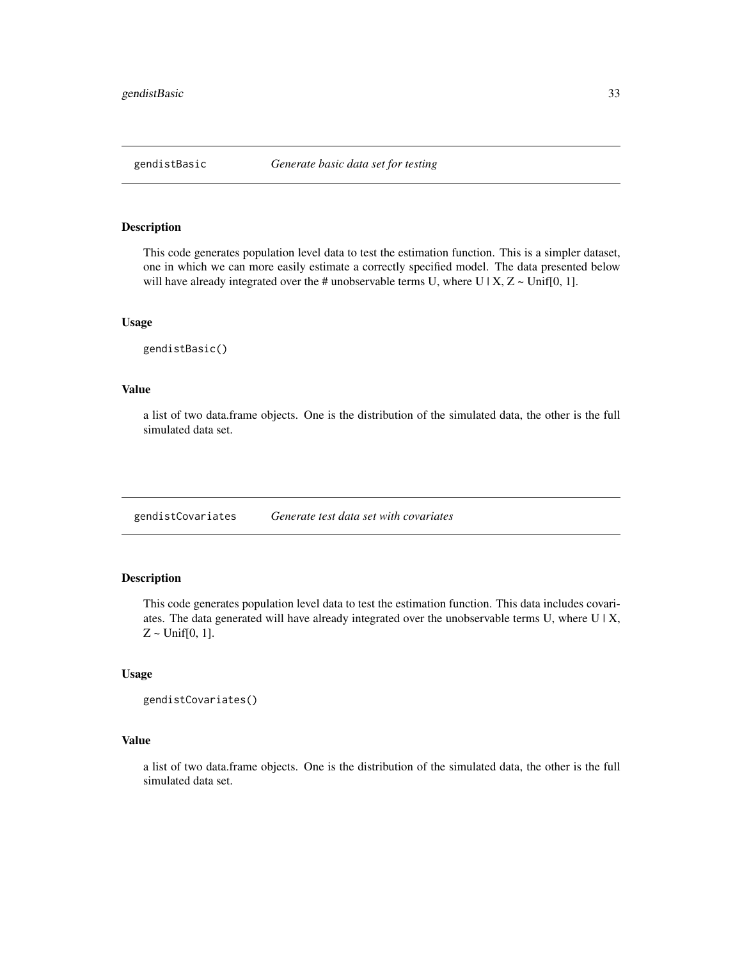<span id="page-32-0"></span>

This code generates population level data to test the estimation function. This is a simpler dataset, one in which we can more easily estimate a correctly specified model. The data presented below will have already integrated over the # unobservable terms U, where U | X,  $Z \sim$  Unif[0, 1].

#### Usage

gendistBasic()

#### Value

a list of two data.frame objects. One is the distribution of the simulated data, the other is the full simulated data set.

gendistCovariates *Generate test data set with covariates*

# Description

This code generates population level data to test the estimation function. This data includes covariates. The data generated will have already integrated over the unobservable terms U, where U | X,  $Z \sim \text{Unif}[0, 1].$ 

#### Usage

```
gendistCovariates()
```
# Value

a list of two data.frame objects. One is the distribution of the simulated data, the other is the full simulated data set.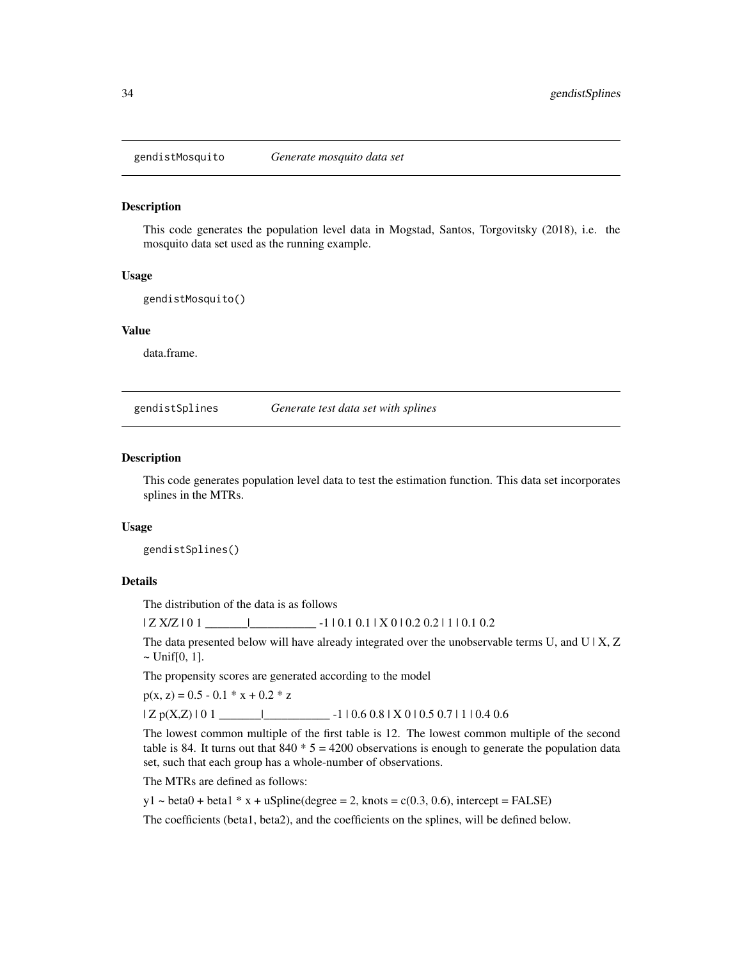<span id="page-33-0"></span>

This code generates the population level data in Mogstad, Santos, Torgovitsky (2018), i.e. the mosquito data set used as the running example.

#### Usage

gendistMosquito()

#### Value

data.frame.

gendistSplines *Generate test data set with splines*

#### Description

This code generates population level data to test the estimation function. This data set incorporates splines in the MTRs.

#### Usage

gendistSplines()

#### Details

The distribution of the data is as follows

| Z X/Z | 0 1 \_\_\_\_\_\_\_|\_\_\_\_\_\_\_\_\_\_\_ -1 | 0.1 0.1 | X 0 | 0.2 0.2 | 1 | 0.1 0.2

The data presented below will have already integrated over the unobservable terms U, and U |  $X, Z$  $\sim$  Unif[0, 1].

The propensity scores are generated according to the model

 $p(x, z) = 0.5 - 0.1 * x + 0.2 * z$ 

 $| Z p(X,Z) | 0 1 \underline{\hspace{1cm}}$  -1 | 0.6 0.8 | X 0 | 0.5 0.7 | 1 | 0.4 0.6

The lowest common multiple of the first table is 12. The lowest common multiple of the second table is 84. It turns out that  $840 * 5 = 4200$  observations is enough to generate the population data set, such that each group has a whole-number of observations.

The MTRs are defined as follows:

 $y1 \sim \text{beta0} + \text{beta1} * x + u\text{Spline}$ (degree = 2, knots = c(0.3, 0.6), intercept = FALSE)

The coefficients (beta1, beta2), and the coefficients on the splines, will be defined below.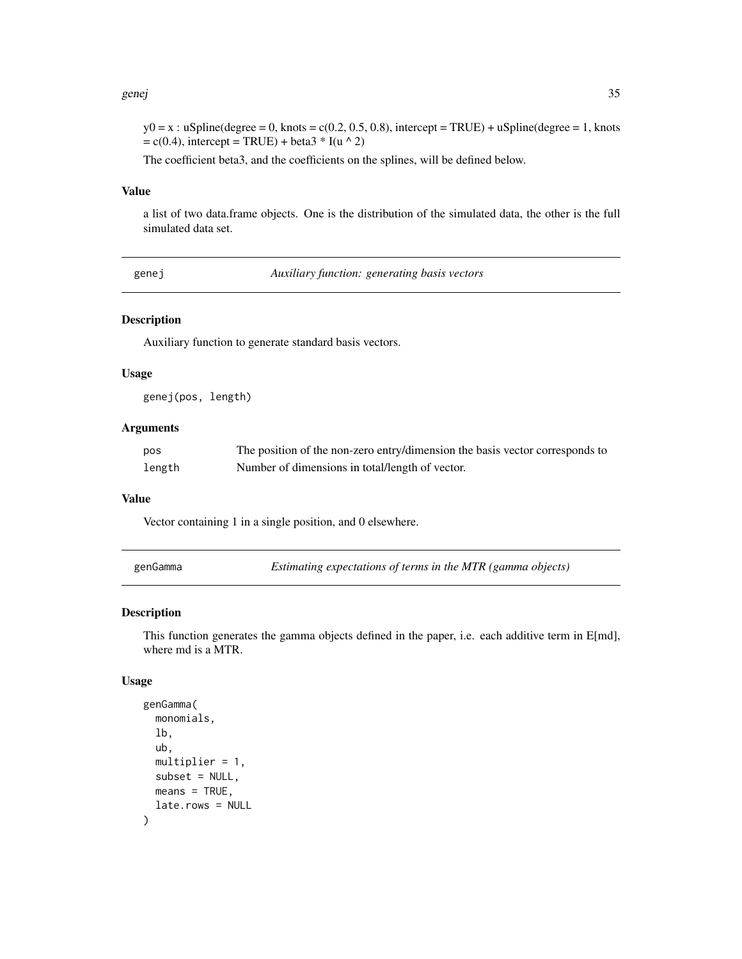#### <span id="page-34-0"></span>genej 35

 $y0 = x$ : uSpline(degree = 0, knots = c(0.2, 0.5, 0.8), intercept = TRUE) + uSpline(degree = 1, knots  $= c(0.4)$ , intercept = TRUE) + beta $3 * I(u \wedge 2)$ 

The coefficient beta3, and the coefficients on the splines, will be defined below.

#### Value

a list of two data.frame objects. One is the distribution of the simulated data, the other is the full simulated data set.

genej *Auxiliary function: generating basis vectors*

# Description

Auxiliary function to generate standard basis vectors.

#### Usage

genej(pos, length)

#### **Arguments**

| pos    | The position of the non-zero entry/dimension the basis vector corresponds to |
|--------|------------------------------------------------------------------------------|
| length | Number of dimensions in total/length of vector.                              |

#### Value

Vector containing 1 in a single position, and 0 elsewhere.

genGamma *Estimating expectations of terms in the MTR (gamma objects)*

#### Description

This function generates the gamma objects defined in the paper, i.e. each additive term in E[md], where md is a MTR.

#### Usage

```
genGamma(
  monomials,
  lb,
  ub,
  multiplier = 1,
  subset = NULL,
  means = TRUE,late.rows = NULL
)
```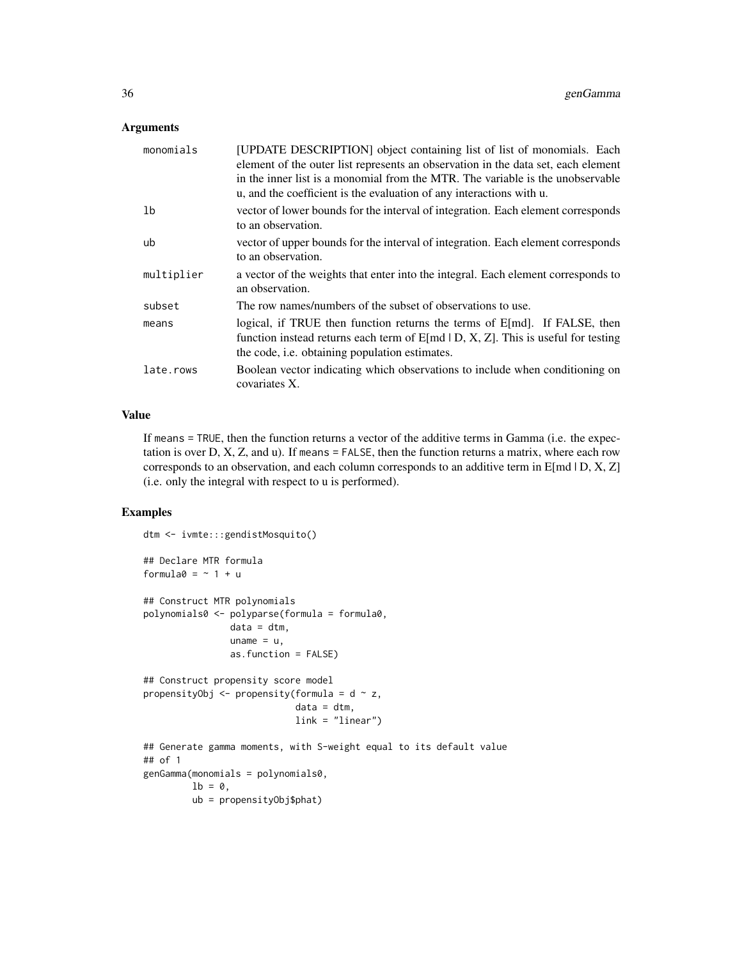# Arguments

| monomials  | [UPDATE DESCRIPTION] object containing list of list of monomials. Each<br>element of the outer list represents an observation in the data set, each element<br>in the inner list is a monomial from the MTR. The variable is the unobservable<br>u, and the coefficient is the evaluation of any interactions with u. |
|------------|-----------------------------------------------------------------------------------------------------------------------------------------------------------------------------------------------------------------------------------------------------------------------------------------------------------------------|
| 1b         | vector of lower bounds for the interval of integration. Each element corresponds<br>to an observation.                                                                                                                                                                                                                |
| ub         | vector of upper bounds for the interval of integration. Each element corresponds<br>to an observation.                                                                                                                                                                                                                |
| multiplier | a vector of the weights that enter into the integral. Each element corresponds to<br>an observation.                                                                                                                                                                                                                  |
| subset     | The row names/numbers of the subset of observations to use.                                                                                                                                                                                                                                                           |
| means      | logical, if TRUE then function returns the terms of $E[md]$ . If FALSE, then<br>function instead returns each term of $E[md   D, X, Z]$ . This is useful for testing<br>the code, i.e. obtaining population estimates.                                                                                                |
| late.rows  | Boolean vector indicating which observations to include when conditioning on<br>covariates X.                                                                                                                                                                                                                         |

# Value

If means = TRUE, then the function returns a vector of the additive terms in Gamma (i.e. the expectation is over  $D, X, Z$ , and u). If means  $=$  FALSE, then the function returns a matrix, where each row corresponds to an observation, and each column corresponds to an additive term in  $E[md | D, X, Z]$ (i.e. only the integral with respect to u is performed).

# Examples

```
dtm <- ivmte:::gendistMosquito()
## Declare MTR formula
formula0 = -1 + u## Construct MTR polynomials
polynomials0 <- polyparse(formula = formula0,
                data = dtm,uname = u,
                as.function = FALSE)
## Construct propensity score model
propensityObj \leq propensity(formula = d \sim z,
                            data = dtm,link = "linear")
## Generate gamma moments, with S-weight equal to its default value
## of 1
genGamma(monomials = polynomials0,
        1b = 0,
        ub = propensityObj$phat)
```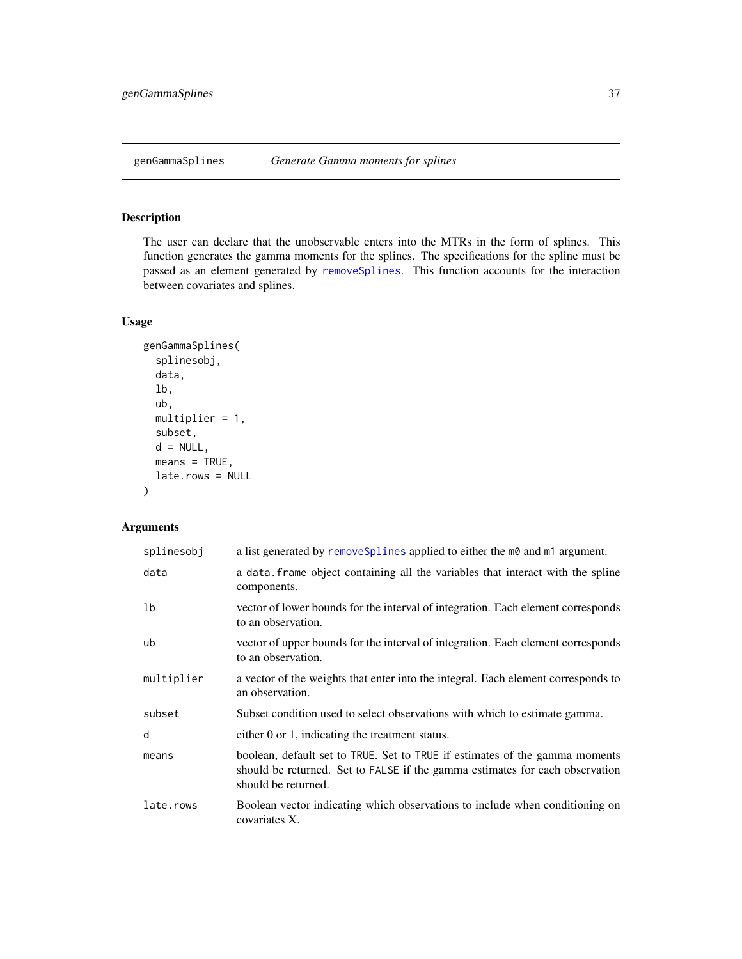The user can declare that the unobservable enters into the MTRs in the form of splines. This function generates the gamma moments for the splines. The specifications for the spline must be passed as an element generated by [removeSplines](#page-95-0). This function accounts for the interaction between covariates and splines.

# Usage

```
genGammaSplines(
  splinesobj,
  data,
  lb,
  ub,
  multiplier = 1,
  subset,
  d = NULL,
  means = TRUE,late.rows = NULL
\mathcal{L}
```
# Arguments

| splinesobj | a list generated by removeSplines applied to either the m0 and m1 argument.                                                                                                        |
|------------|------------------------------------------------------------------------------------------------------------------------------------------------------------------------------------|
| data       | a data. Frame object containing all the variables that interact with the spline<br>components.                                                                                     |
| 1b         | vector of lower bounds for the interval of integration. Each element corresponds<br>to an observation.                                                                             |
| ub         | vector of upper bounds for the interval of integration. Each element corresponds<br>to an observation.                                                                             |
| multiplier | a vector of the weights that enter into the integral. Each element corresponds to<br>an observation.                                                                               |
| subset     | Subset condition used to select observations with which to estimate gamma.                                                                                                         |
| d          | either 0 or 1, indicating the treatment status.                                                                                                                                    |
| means      | boolean, default set to TRUE. Set to TRUE if estimates of the gamma moments<br>should be returned. Set to FALSE if the gamma estimates for each observation<br>should be returned. |
| late.rows  | Boolean vector indicating which observations to include when conditioning on<br>covariates X.                                                                                      |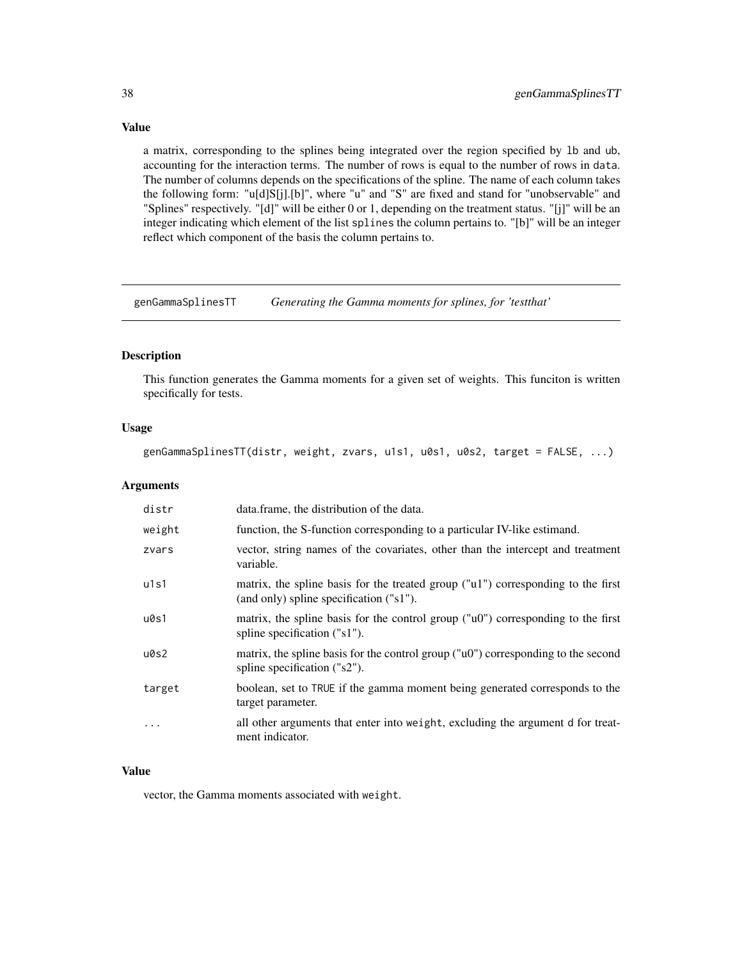a matrix, corresponding to the splines being integrated over the region specified by lb and ub, accounting for the interaction terms. The number of rows is equal to the number of rows in data. The number of columns depends on the specifications of the spline. The name of each column takes the following form: "u[d]S[j].[b]", where "u" and "S" are fixed and stand for "unobservable" and "Splines" respectively. "[d]" will be either 0 or 1, depending on the treatment status. "[j]" will be an integer indicating which element of the list splines the column pertains to. "[b]" will be an integer reflect which component of the basis the column pertains to.

genGammaSplinesTT *Generating the Gamma moments for splines, for 'testthat'*

#### Description

This function generates the Gamma moments for a given set of weights. This funciton is written specifically for tests.

#### Usage

genGammaSplinesTT(distr, weight, zvars, u1s1, u0s1, u0s2, target = FALSE, ...)

### Arguments

| distr  | data. frame, the distribution of the data.                                                                                            |
|--------|---------------------------------------------------------------------------------------------------------------------------------------|
| weight | function, the S-function corresponding to a particular IV-like estimand.                                                              |
| zvars  | vector, string names of the covariates, other than the intercept and treatment<br>variable.                                           |
| u1s1   | matrix, the spline basis for the treated group ("u1") corresponding to the first<br>(and only) spline specification ("s1").           |
| u0s1   | matrix, the spline basis for the control group ("u0") corresponding to the first<br>spline specification ("s1").                      |
| u0s2   | matrix, the spline basis for the control group ( $\degree$ u0 $\degree$ ) corresponding to the second<br>spline specification ("s2"). |
| target | boolean, set to TRUE if the gamma moment being generated corresponds to the<br>target parameter.                                      |
| .      | all other arguments that enter into weight, excluding the argument of for treat-<br>ment indicator.                                   |

## Value

vector, the Gamma moments associated with weight.

# Value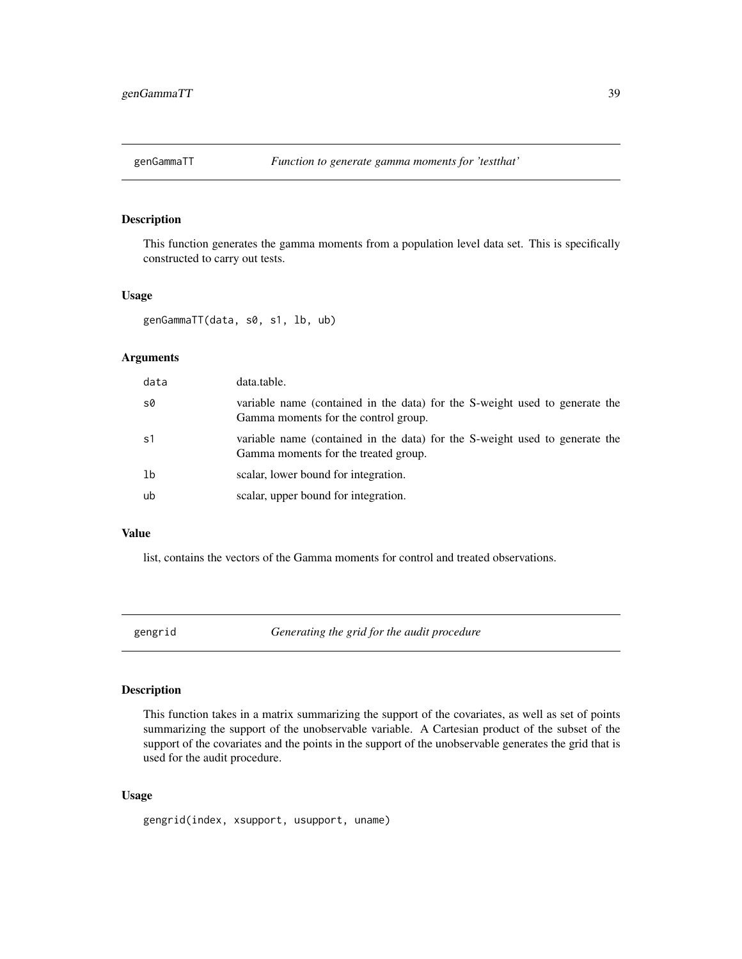This function generates the gamma moments from a population level data set. This is specifically constructed to carry out tests.

#### Usage

genGammaTT(data, s0, s1, lb, ub)

#### Arguments

| data           | data.table.                                                                                                         |
|----------------|---------------------------------------------------------------------------------------------------------------------|
| s0             | variable name (contained in the data) for the S-weight used to generate the<br>Gamma moments for the control group. |
| s <sub>1</sub> | variable name (contained in the data) for the S-weight used to generate the<br>Gamma moments for the treated group. |
| 1 <sub>b</sub> | scalar, lower bound for integration.                                                                                |
| ub             | scalar, upper bound for integration.                                                                                |

## Value

list, contains the vectors of the Gamma moments for control and treated observations.

gengrid *Generating the grid for the audit procedure*

#### Description

This function takes in a matrix summarizing the support of the covariates, as well as set of points summarizing the support of the unobservable variable. A Cartesian product of the subset of the support of the covariates and the points in the support of the unobservable generates the grid that is used for the audit procedure.

#### Usage

gengrid(index, xsupport, usupport, uname)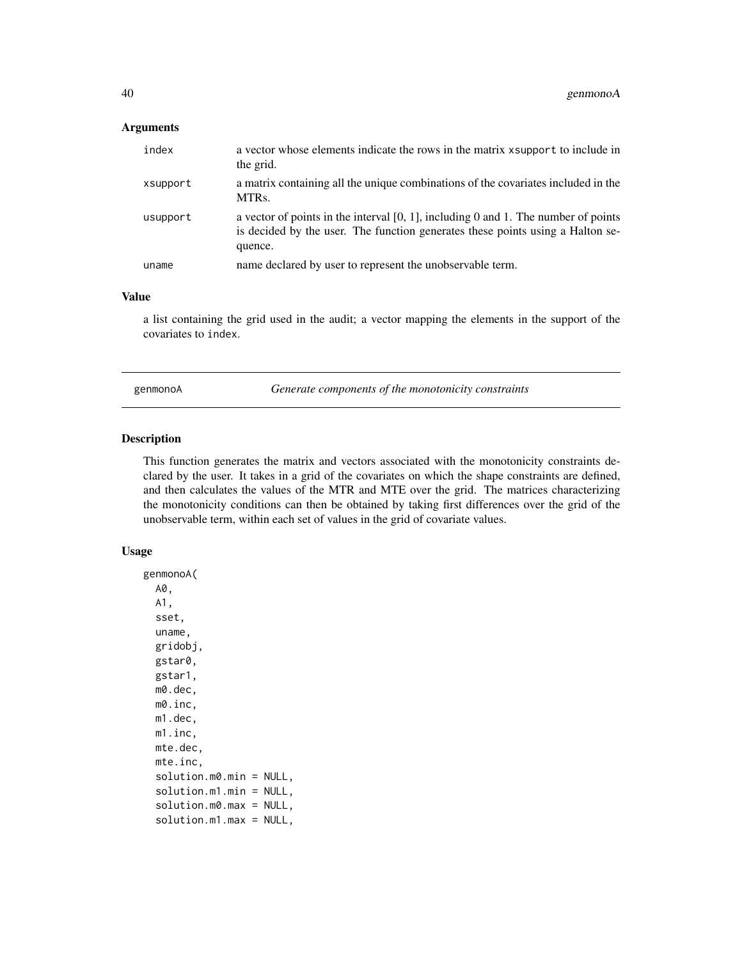# Arguments

| index    | a vector whose elements indicate the rows in the matrix x support to include in<br>the grid.                                                                                       |
|----------|------------------------------------------------------------------------------------------------------------------------------------------------------------------------------------|
| xsupport | a matrix containing all the unique combinations of the covariates included in the<br>MTR <sub>s</sub> .                                                                            |
| usupport | a vector of points in the interval $[0, 1]$ , including 0 and 1. The number of points<br>is decided by the user. The function generates these points using a Halton se-<br>quence. |
| uname    | name declared by user to represent the unobservable term.                                                                                                                          |

#### Value

a list containing the grid used in the audit; a vector mapping the elements in the support of the covariates to index.

genmonoA *Generate components of the monotonicity constraints*

# Description

This function generates the matrix and vectors associated with the monotonicity constraints declared by the user. It takes in a grid of the covariates on which the shape constraints are defined, and then calculates the values of the MTR and MTE over the grid. The matrices characterizing the monotonicity conditions can then be obtained by taking first differences over the grid of the unobservable term, within each set of values in the grid of covariate values.

#### Usage

genmonoA( A0, A1, sset, uname, gridobj, gstar0, gstar1, m0.dec, m0.inc, m1.dec, m1.inc, mte.dec, mte.inc, solution.m0.min = NULL, solution.m1.min = NULL, solution.m0.max = NULL, solution.m1.max = NULL,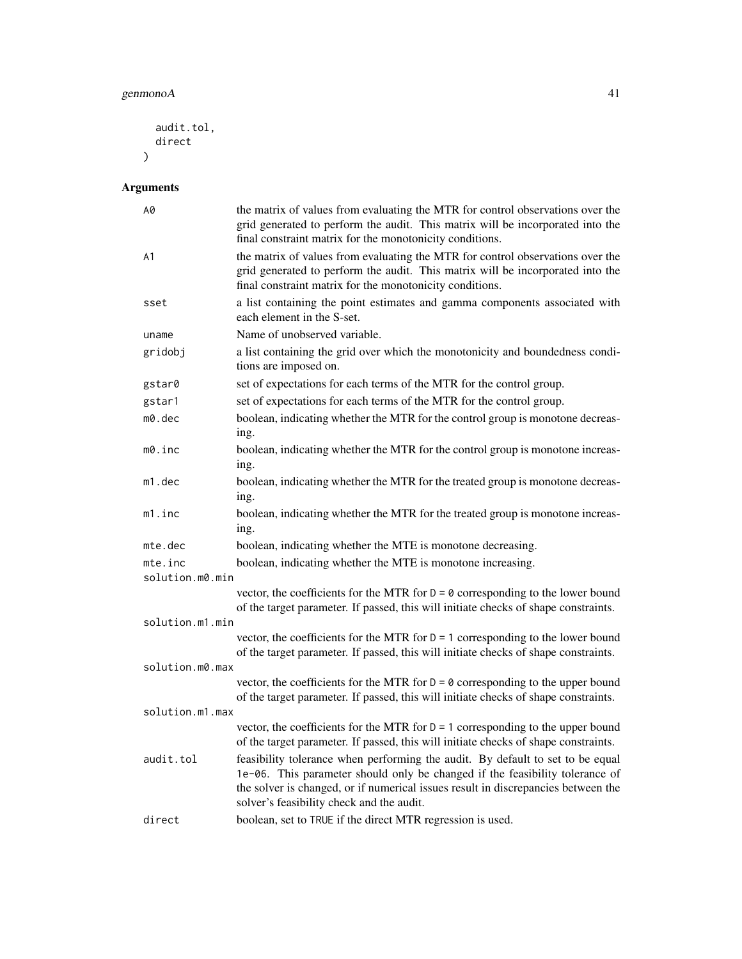```
audit.tol,
  direct
\lambda
```
# Arguments

| A0              | the matrix of values from evaluating the MTR for control observations over the<br>grid generated to perform the audit. This matrix will be incorporated into the<br>final constraint matrix for the monotonicity conditions.                                                                     |  |
|-----------------|--------------------------------------------------------------------------------------------------------------------------------------------------------------------------------------------------------------------------------------------------------------------------------------------------|--|
| A <sub>1</sub>  | the matrix of values from evaluating the MTR for control observations over the<br>grid generated to perform the audit. This matrix will be incorporated into the<br>final constraint matrix for the monotonicity conditions.                                                                     |  |
| sset            | a list containing the point estimates and gamma components associated with<br>each element in the S-set.                                                                                                                                                                                         |  |
| uname           | Name of unobserved variable.                                                                                                                                                                                                                                                                     |  |
| gridobj         | a list containing the grid over which the monotonicity and boundedness condi-<br>tions are imposed on.                                                                                                                                                                                           |  |
| gstar0          | set of expectations for each terms of the MTR for the control group.                                                                                                                                                                                                                             |  |
| gstar1          | set of expectations for each terms of the MTR for the control group.                                                                                                                                                                                                                             |  |
| $m0$ .dec       | boolean, indicating whether the MTR for the control group is monotone decreas-<br>ing.                                                                                                                                                                                                           |  |
| m0.inc          | boolean, indicating whether the MTR for the control group is monotone increas-<br>ing.                                                                                                                                                                                                           |  |
| m1.dec          | boolean, indicating whether the MTR for the treated group is monotone decreas-<br>ing.                                                                                                                                                                                                           |  |
| m1.inc          | boolean, indicating whether the MTR for the treated group is monotone increas-<br>ing.                                                                                                                                                                                                           |  |
| mte.dec         | boolean, indicating whether the MTE is monotone decreasing.                                                                                                                                                                                                                                      |  |
| mte.inc         | boolean, indicating whether the MTE is monotone increasing.                                                                                                                                                                                                                                      |  |
| solution.m0.min |                                                                                                                                                                                                                                                                                                  |  |
|                 | vector, the coefficients for the MTR for $D = \emptyset$ corresponding to the lower bound<br>of the target parameter. If passed, this will initiate checks of shape constraints.                                                                                                                 |  |
| solution.m1.min |                                                                                                                                                                                                                                                                                                  |  |
|                 | vector, the coefficients for the MTR for $D = 1$ corresponding to the lower bound<br>of the target parameter. If passed, this will initiate checks of shape constraints.                                                                                                                         |  |
| solution.m0.max |                                                                                                                                                                                                                                                                                                  |  |
|                 | vector, the coefficients for the MTR for $D = \emptyset$ corresponding to the upper bound<br>of the target parameter. If passed, this will initiate checks of shape constraints.                                                                                                                 |  |
| solution.m1.max |                                                                                                                                                                                                                                                                                                  |  |
|                 | vector, the coefficients for the MTR for $D = 1$ corresponding to the upper bound<br>of the target parameter. If passed, this will initiate checks of shape constraints.                                                                                                                         |  |
| audit.tol       | feasibility tolerance when performing the audit. By default to set to be equal<br>1e-06. This parameter should only be changed if the feasibility tolerance of<br>the solver is changed, or if numerical issues result in discrepancies between the<br>solver's feasibility check and the audit. |  |
| direct          | boolean, set to TRUE if the direct MTR regression is used.                                                                                                                                                                                                                                       |  |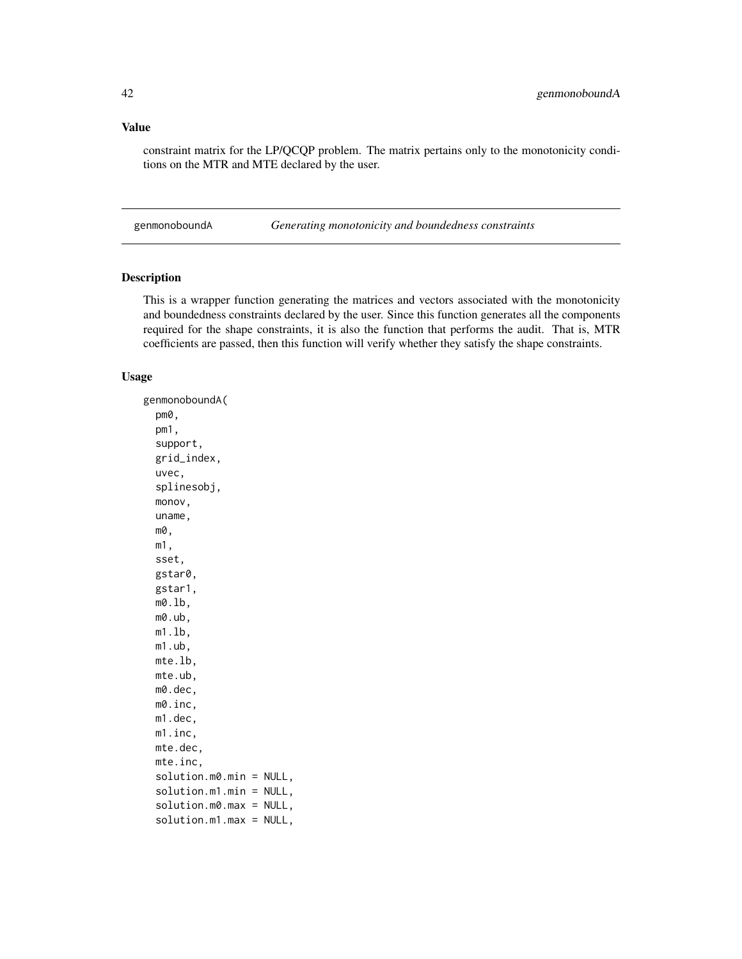#### Value

constraint matrix for the LP/QCQP problem. The matrix pertains only to the monotonicity conditions on the MTR and MTE declared by the user.

genmonoboundA *Generating monotonicity and boundedness constraints*

#### Description

This is a wrapper function generating the matrices and vectors associated with the monotonicity and boundedness constraints declared by the user. Since this function generates all the components required for the shape constraints, it is also the function that performs the audit. That is, MTR coefficients are passed, then this function will verify whether they satisfy the shape constraints.

#### Usage

genmonoboundA( pm0, pm1, support, grid\_index, uvec, splinesobj, monov, uname, m0, m1, sset, gstar0, gstar1, m0.lb, m0.ub, m1.lb, m1.ub, mte.lb, mte.ub, m0.dec, m0.inc, m1.dec, m1.inc, mte.dec, mte.inc, solution.m0.min = NULL, solution.m1.min = NULL, solution.m0.max = NULL, solution.m1.max = NULL,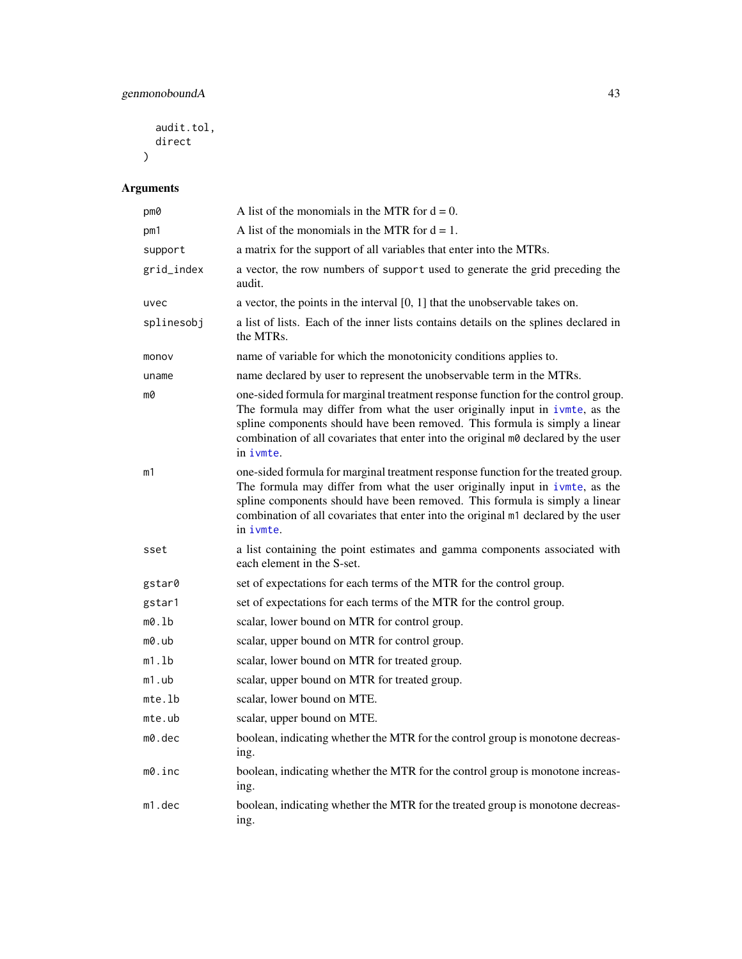audit.tol, direct  $\mathcal{L}$ 

# Arguments

| pm0        | A list of the monomials in the MTR for $d = 0$ .                                                                                                                                                                                                                                                                                                   |  |
|------------|----------------------------------------------------------------------------------------------------------------------------------------------------------------------------------------------------------------------------------------------------------------------------------------------------------------------------------------------------|--|
| pm1        | A list of the monomials in the MTR for $d = 1$ .                                                                                                                                                                                                                                                                                                   |  |
| support    | a matrix for the support of all variables that enter into the MTRs.                                                                                                                                                                                                                                                                                |  |
| grid_index | a vector, the row numbers of support used to generate the grid preceding the<br>audit.                                                                                                                                                                                                                                                             |  |
| uvec       | a vector, the points in the interval $[0, 1]$ that the unobservable takes on.                                                                                                                                                                                                                                                                      |  |
| splinesobj | a list of lists. Each of the inner lists contains details on the splines declared in<br>the MTRs.                                                                                                                                                                                                                                                  |  |
| monov      | name of variable for which the monotonicity conditions applies to.                                                                                                                                                                                                                                                                                 |  |
| uname      | name declared by user to represent the unobservable term in the MTRs.                                                                                                                                                                                                                                                                              |  |
| m0         | one-sided formula for marginal treatment response function for the control group.<br>The formula may differ from what the user originally input in ivmte, as the<br>spline components should have been removed. This formula is simply a linear<br>combination of all covariates that enter into the original m0 declared by the user<br>in ivmte. |  |
| m1         | one-sided formula for marginal treatment response function for the treated group.<br>The formula may differ from what the user originally input in ivmte, as the<br>spline components should have been removed. This formula is simply a linear<br>combination of all covariates that enter into the original m1 declared by the user<br>in ivmte. |  |
| sset       | a list containing the point estimates and gamma components associated with<br>each element in the S-set.                                                                                                                                                                                                                                           |  |
| gstar0     | set of expectations for each terms of the MTR for the control group.                                                                                                                                                                                                                                                                               |  |
| gstar1     | set of expectations for each terms of the MTR for the control group.                                                                                                                                                                                                                                                                               |  |
| m0.lb      | scalar, lower bound on MTR for control group.                                                                                                                                                                                                                                                                                                      |  |
| m0.ub      | scalar, upper bound on MTR for control group.                                                                                                                                                                                                                                                                                                      |  |
| m1.1b      | scalar, lower bound on MTR for treated group.                                                                                                                                                                                                                                                                                                      |  |
| m1.ub      | scalar, upper bound on MTR for treated group.                                                                                                                                                                                                                                                                                                      |  |
| mte.lb     | scalar, lower bound on MTE.                                                                                                                                                                                                                                                                                                                        |  |
| $mte.$ ub  | scalar, upper bound on MTE.                                                                                                                                                                                                                                                                                                                        |  |
| m0.dec     | boolean, indicating whether the MTR for the control group is monotone decreas-<br>ing.                                                                                                                                                                                                                                                             |  |
| m0.inc     | boolean, indicating whether the MTR for the control group is monotone increas-<br>ing.                                                                                                                                                                                                                                                             |  |
| m1.dec     | boolean, indicating whether the MTR for the treated group is monotone decreas-<br>ing.                                                                                                                                                                                                                                                             |  |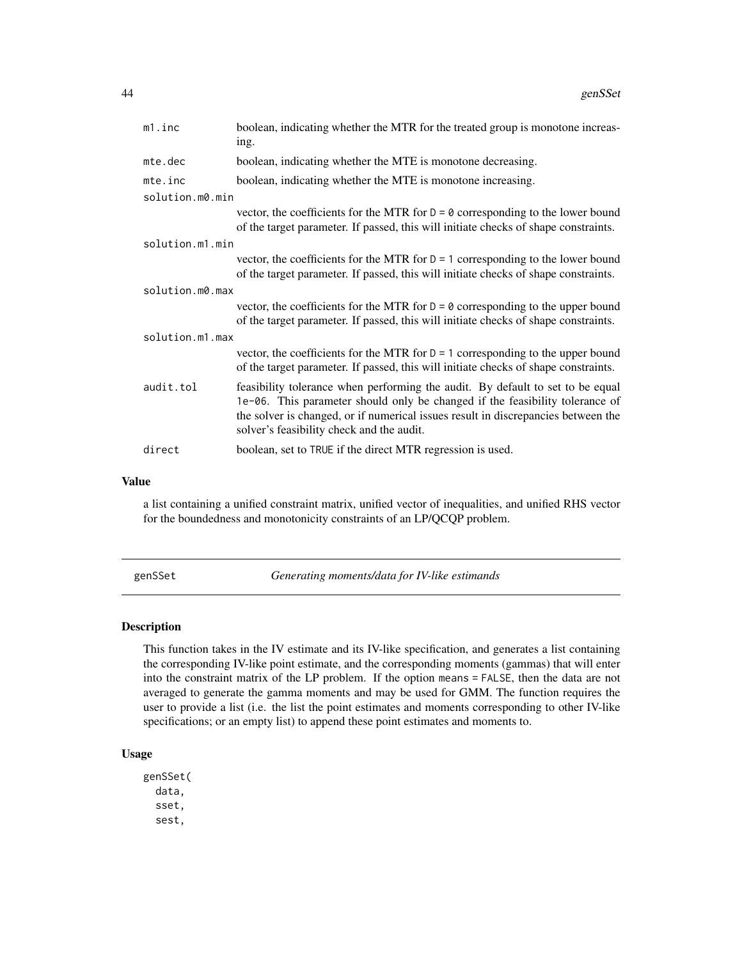| m1.inc          | boolean, indicating whether the MTR for the treated group is monotone increas-<br>ing.                                                                                                                                                                                                           |  |
|-----------------|--------------------------------------------------------------------------------------------------------------------------------------------------------------------------------------------------------------------------------------------------------------------------------------------------|--|
| mte.dec         | boolean, indicating whether the MTE is monotone decreasing.                                                                                                                                                                                                                                      |  |
| mte.inc         | boolean, indicating whether the MTE is monotone increasing.                                                                                                                                                                                                                                      |  |
| solution.m0.min |                                                                                                                                                                                                                                                                                                  |  |
|                 | vector, the coefficients for the MTR for $D = 0$ corresponding to the lower bound<br>of the target parameter. If passed, this will initiate checks of shape constraints.                                                                                                                         |  |
| solution.m1.min |                                                                                                                                                                                                                                                                                                  |  |
|                 | vector, the coefficients for the MTR for $D = 1$ corresponding to the lower bound<br>of the target parameter. If passed, this will initiate checks of shape constraints.                                                                                                                         |  |
| solution.m0.max |                                                                                                                                                                                                                                                                                                  |  |
|                 | vector, the coefficients for the MTR for $D = \emptyset$ corresponding to the upper bound<br>of the target parameter. If passed, this will initiate checks of shape constraints.                                                                                                                 |  |
| solution.m1.max |                                                                                                                                                                                                                                                                                                  |  |
|                 | vector, the coefficients for the MTR for $D = 1$ corresponding to the upper bound<br>of the target parameter. If passed, this will initiate checks of shape constraints.                                                                                                                         |  |
| audit.tol       | feasibility tolerance when performing the audit. By default to set to be equal<br>1e-06. This parameter should only be changed if the feasibility tolerance of<br>the solver is changed, or if numerical issues result in discrepancies between the<br>solver's feasibility check and the audit. |  |
| direct          | boolean, set to TRUE if the direct MTR regression is used.                                                                                                                                                                                                                                       |  |

#### Value

a list containing a unified constraint matrix, unified vector of inequalities, and unified RHS vector for the boundedness and monotonicity constraints of an LP/QCQP problem.

<span id="page-43-0"></span>genSSet *Generating moments/data for IV-like estimands*

# Description

This function takes in the IV estimate and its IV-like specification, and generates a list containing the corresponding IV-like point estimate, and the corresponding moments (gammas) that will enter into the constraint matrix of the LP problem. If the option means = FALSE, then the data are not averaged to generate the gamma moments and may be used for GMM. The function requires the user to provide a list (i.e. the list the point estimates and moments corresponding to other IV-like specifications; or an empty list) to append these point estimates and moments to.

#### Usage

genSSet( data, sset, sest,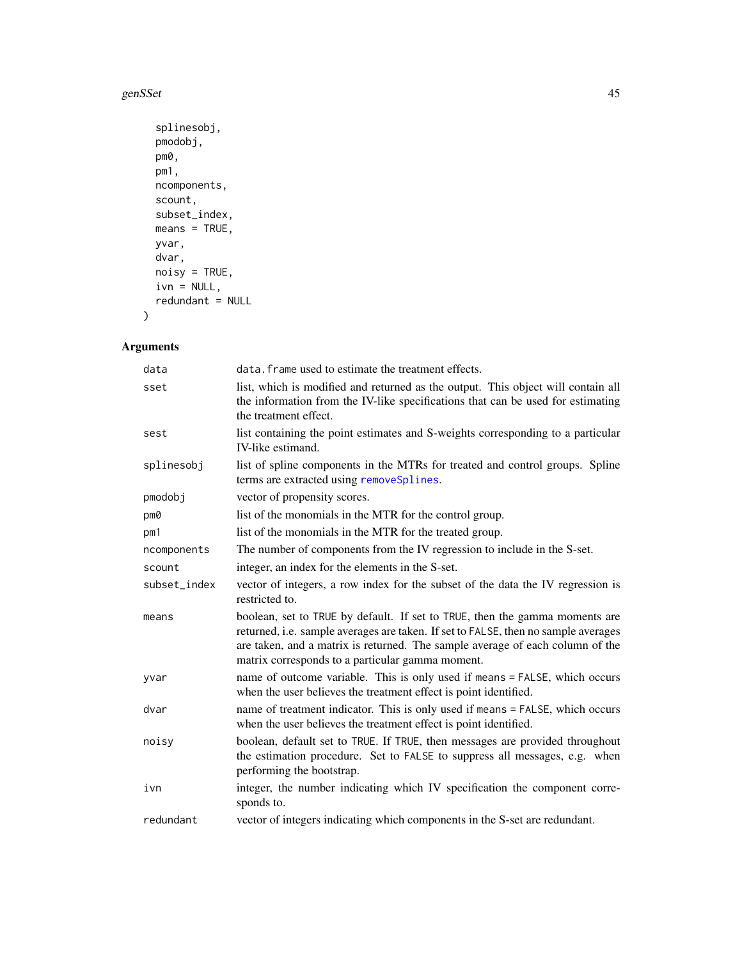#### genSSet 45

```
splinesobj,
pmodobj,
pm0,
pm1,
ncomponents,
scount,
subset_index,
means = TRUE,yvar,
dvar,
noisy = TRUE,
ivn = NULL,redundant = NULL
```
# Arguments

 $\mathcal{L}$ 

| data         | data. frame used to estimate the treatment effects.                                                                                                                                                                                                                                                    |  |
|--------------|--------------------------------------------------------------------------------------------------------------------------------------------------------------------------------------------------------------------------------------------------------------------------------------------------------|--|
| sset         | list, which is modified and returned as the output. This object will contain all<br>the information from the IV-like specifications that can be used for estimating<br>the treatment effect.                                                                                                           |  |
| sest         | list containing the point estimates and S-weights corresponding to a particular<br>IV-like estimand.                                                                                                                                                                                                   |  |
| splinesobj   | list of spline components in the MTRs for treated and control groups. Spline<br>terms are extracted using removeSplines.                                                                                                                                                                               |  |
| pmodobj      | vector of propensity scores.                                                                                                                                                                                                                                                                           |  |
| pm0          | list of the monomials in the MTR for the control group.                                                                                                                                                                                                                                                |  |
| pm1          | list of the monomials in the MTR for the treated group.                                                                                                                                                                                                                                                |  |
| ncomponents  | The number of components from the IV regression to include in the S-set.                                                                                                                                                                                                                               |  |
| scount       | integer, an index for the elements in the S-set.                                                                                                                                                                                                                                                       |  |
| subset_index | vector of integers, a row index for the subset of the data the IV regression is<br>restricted to.                                                                                                                                                                                                      |  |
| means        | boolean, set to TRUE by default. If set to TRUE, then the gamma moments are<br>returned, i.e. sample averages are taken. If set to FALSE, then no sample averages<br>are taken, and a matrix is returned. The sample average of each column of the<br>matrix corresponds to a particular gamma moment. |  |
| yvar         | name of outcome variable. This is only used if means = FALSE, which occurs<br>when the user believes the treatment effect is point identified.                                                                                                                                                         |  |
| dvar         | name of treatment indicator. This is only used if means = FALSE, which occurs<br>when the user believes the treatment effect is point identified.                                                                                                                                                      |  |
| noisy        | boolean, default set to TRUE. If TRUE, then messages are provided throughout<br>the estimation procedure. Set to FALSE to suppress all messages, e.g. when<br>performing the bootstrap.                                                                                                                |  |
| ivn          | integer, the number indicating which IV specification the component corre-<br>sponds to.                                                                                                                                                                                                               |  |
| redundant    | vector of integers indicating which components in the S-set are redundant.                                                                                                                                                                                                                             |  |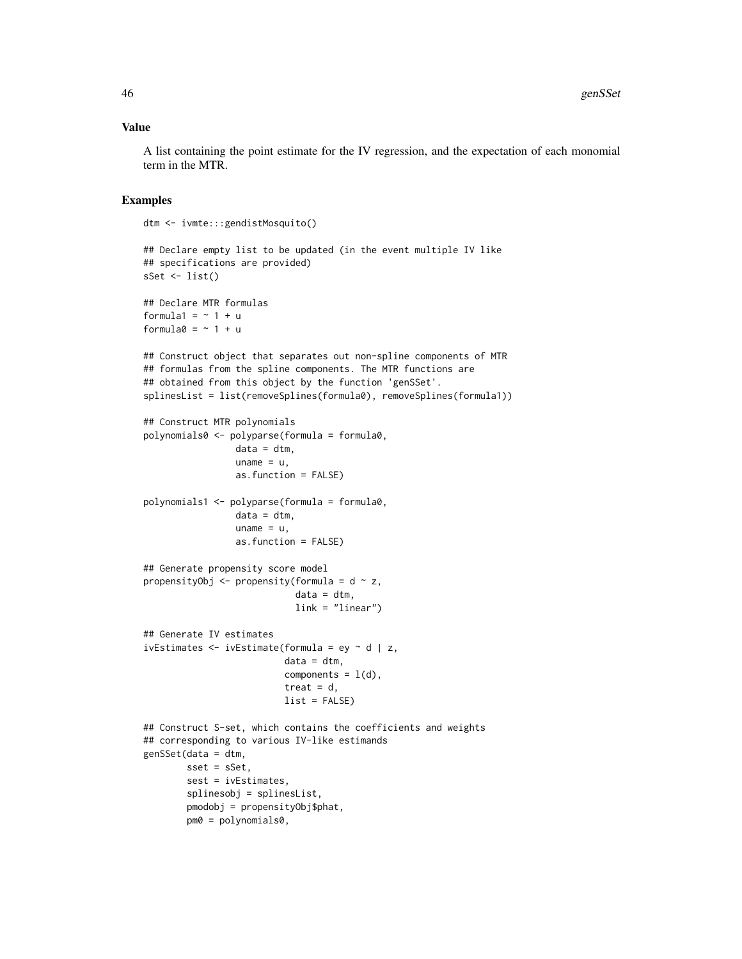#### Value

A list containing the point estimate for the IV regression, and the expectation of each monomial term in the MTR.

#### Examples

dtm <- ivmte:::gendistMosquito()

```
## Declare empty list to be updated (in the event multiple IV like
## specifications are provided)
sSet \leftarrow list()
## Declare MTR formulas
formula1 = ~1 + uformula0 = \sim 1 + u## Construct object that separates out non-spline components of MTR
## formulas from the spline components. The MTR functions are
## obtained from this object by the function 'genSSet'.
splinesList = list(removeSplines(formula0), removeSplines(formula1))
## Construct MTR polynomials
polynomials0 <- polyparse(formula = formula0,
                 data = dtm,uname = u,
                 as.function = FALSE)
polynomials1 <- polyparse(formula = formula0,
                 data = dtm,uname = u,
                 as.function = FALSE)
## Generate propensity score model
propensityObj \leq propensity(formula = d \sim z,
                            data = dtm,
                            link = "linear")
## Generate IV estimates
ivEstimates \leq ivEstimate(formula = ey \sim d | z,
                          data = dtm,
                          components = l(d),
                          treat = d,
                          list = FALSE)
## Construct S-set, which contains the coefficients and weights
## corresponding to various IV-like estimands
genSSet(data = dtm,
       sset = sSet,
        sest = ivEstimates,
        splinesobj = splinesList,
        pmodobj = propensityObj$phat,
        pm0 = polynomials0,
```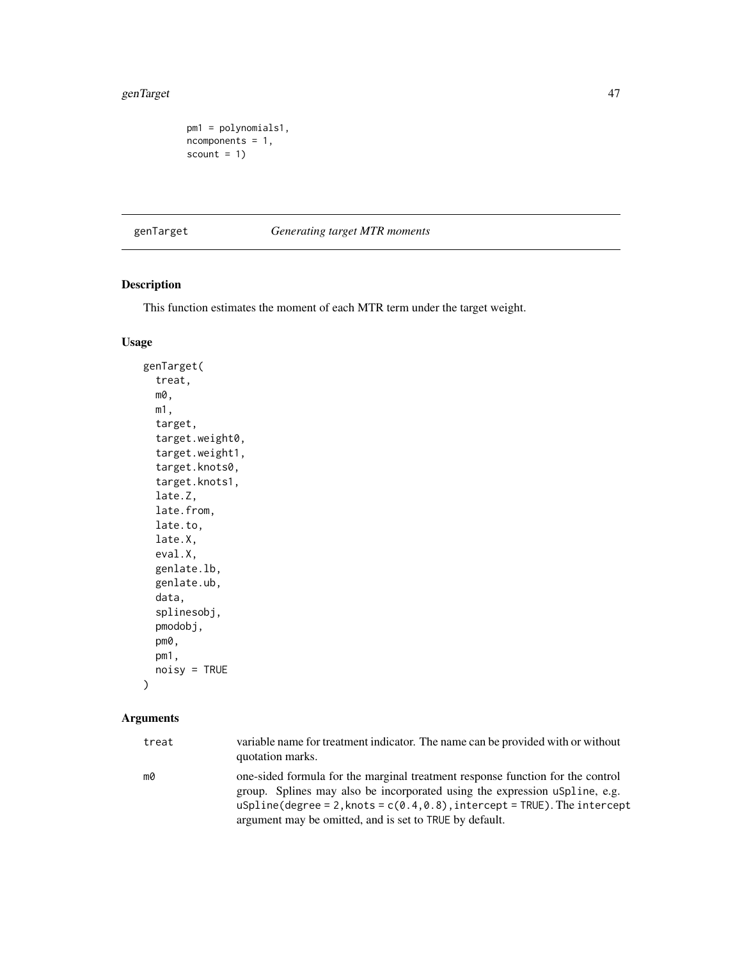#### genTarget 47

```
pm1 = polynomials1,
ncomponents = 1,
scount = 1)
```
genTarget *Generating target MTR moments*

# Description

This function estimates the moment of each MTR term under the target weight.

# Usage

```
genTarget(
  treat,
 m0,
 m1,
  target,
  target.weight0,
  target.weight1,
  target.knots0,
  target.knots1,
  late.Z,
  late.from,
  late.to,
  late.X,
  eval.X,
  genlate.lb,
  genlate.ub,
  data,
  splinesobj,
  pmodobj,
  pm0,
 pm1,
 noisy = TRUE
```
# Arguments

)

| treat | variable name for treatment indicator. The name can be provided with or without<br>quotation marks.                                                          |
|-------|--------------------------------------------------------------------------------------------------------------------------------------------------------------|
| m0    | one-sided formula for the marginal treatment response function for the control<br>group. Splines may also be incorporated using the expression uspline, e.g. |
|       | uSpline(degree = 2, knots = $c(0.4, 0.8)$ , intercept = TRUE). The intercept                                                                                 |
|       | argument may be omitted, and is set to TRUE by default.                                                                                                      |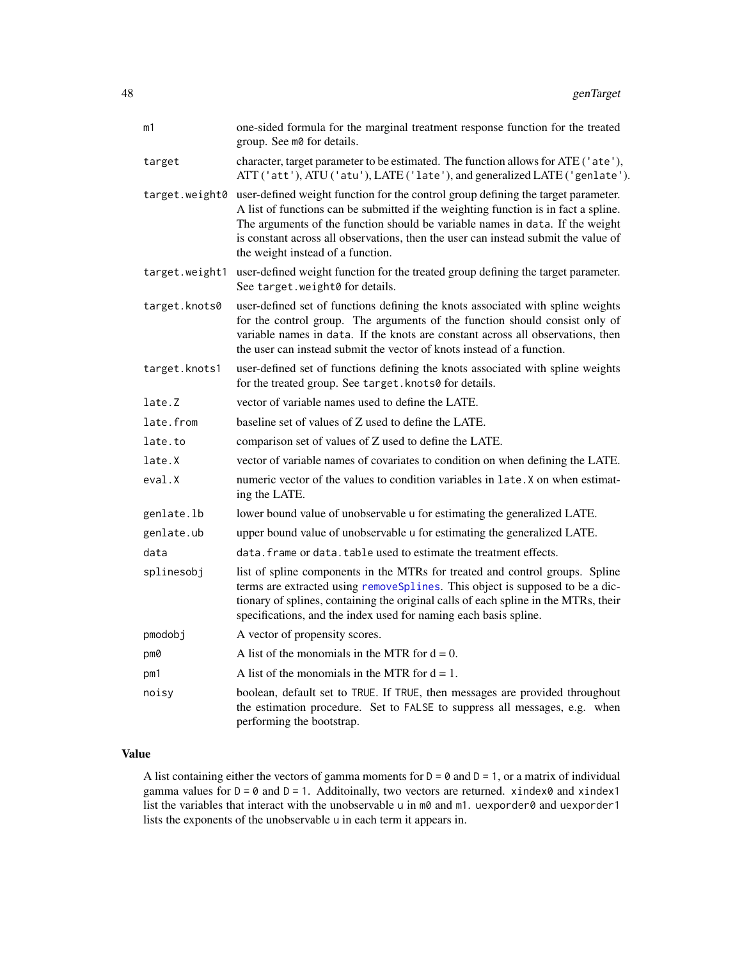| m1             | one-sided formula for the marginal treatment response function for the treated<br>group. See m0 for details.                                                                                                                                                                                                                                                                         |
|----------------|--------------------------------------------------------------------------------------------------------------------------------------------------------------------------------------------------------------------------------------------------------------------------------------------------------------------------------------------------------------------------------------|
| target         | character, target parameter to be estimated. The function allows for ATE ('ate'),<br>ATT ('att'), ATU ('atu'), LATE ('late'), and generalized LATE ('genlate').                                                                                                                                                                                                                      |
| target.weight0 | user-defined weight function for the control group defining the target parameter.<br>A list of functions can be submitted if the weighting function is in fact a spline.<br>The arguments of the function should be variable names in data. If the weight<br>is constant across all observations, then the user can instead submit the value of<br>the weight instead of a function. |
| target.weight1 | user-defined weight function for the treated group defining the target parameter.<br>See target.weight0 for details.                                                                                                                                                                                                                                                                 |
| target.knots0  | user-defined set of functions defining the knots associated with spline weights<br>for the control group. The arguments of the function should consist only of<br>variable names in data. If the knots are constant across all observations, then<br>the user can instead submit the vector of knots instead of a function.                                                          |
| target.knots1  | user-defined set of functions defining the knots associated with spline weights<br>for the treated group. See target. knots0 for details.                                                                                                                                                                                                                                            |
| late.Z         | vector of variable names used to define the LATE.                                                                                                                                                                                                                                                                                                                                    |
| late.from      | baseline set of values of Z used to define the LATE.                                                                                                                                                                                                                                                                                                                                 |
| late.to        | comparison set of values of Z used to define the LATE.                                                                                                                                                                                                                                                                                                                               |
| late.X         | vector of variable names of covariates to condition on when defining the LATE.                                                                                                                                                                                                                                                                                                       |
| eval.X         | numeric vector of the values to condition variables in late. X on when estimat-<br>ing the LATE.                                                                                                                                                                                                                                                                                     |
| genlate.lb     | lower bound value of unobservable u for estimating the generalized LATE.                                                                                                                                                                                                                                                                                                             |
| genlate.ub     | upper bound value of unobservable u for estimating the generalized LATE.                                                                                                                                                                                                                                                                                                             |
| data           | data. frame or data, table used to estimate the treatment effects.                                                                                                                                                                                                                                                                                                                   |
| splinesobj     | list of spline components in the MTRs for treated and control groups. Spline<br>terms are extracted using remove Splines. This object is supposed to be a dic-<br>tionary of splines, containing the original calls of each spline in the MTRs, their<br>specifications, and the index used for naming each basis spline.                                                            |
| pmodobj        | A vector of propensity scores.                                                                                                                                                                                                                                                                                                                                                       |
| pm0            | A list of the monomials in the MTR for $d = 0$ .                                                                                                                                                                                                                                                                                                                                     |
| pm1            | A list of the monomials in the MTR for $d = 1$ .                                                                                                                                                                                                                                                                                                                                     |
| noisy          | boolean, default set to TRUE. If TRUE, then messages are provided throughout<br>the estimation procedure. Set to FALSE to suppress all messages, e.g. when<br>performing the bootstrap.                                                                                                                                                                                              |

# Value

A list containing either the vectors of gamma moments for  $D = 0$  and  $D = 1$ , or a matrix of individual gamma values for  $D = 0$  and  $D = 1$ . Additoinally, two vectors are returned. xindex0 and xindex1 list the variables that interact with the unobservable u in m0 and m1. uexporder0 and uexporder1 lists the exponents of the unobservable u in each term it appears in.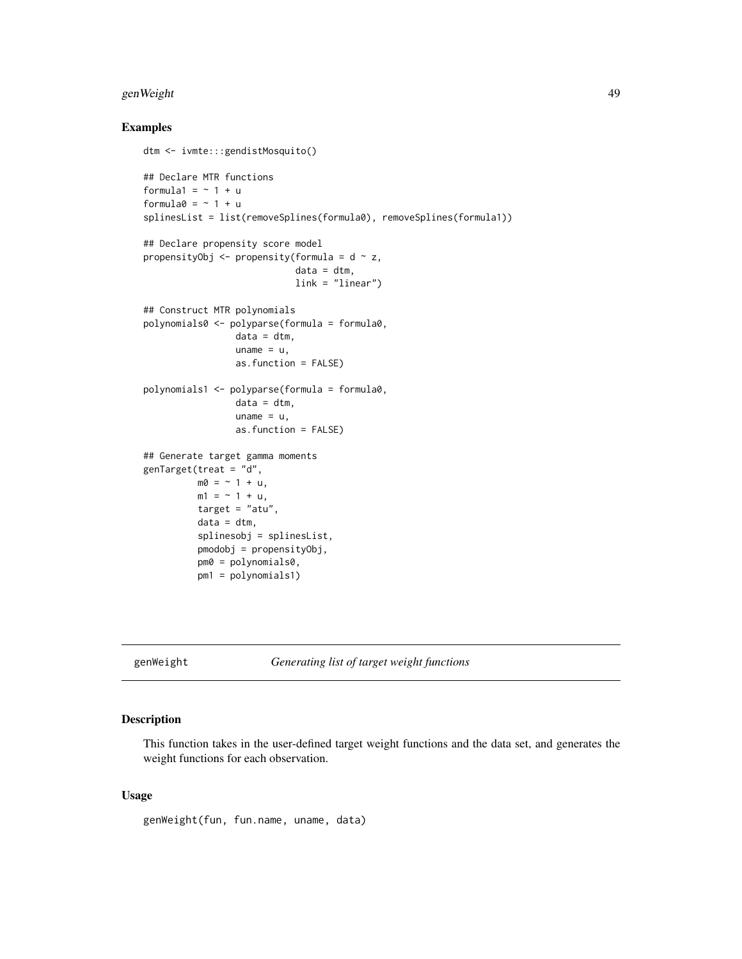# genWeight 49

#### Examples

```
dtm <- ivmte:::gendistMosquito()
## Declare MTR functions
formula1 = ~1 + uformula0 = ~1 + usplinesList = list(removeSplines(formula0), removeSplines(formula1))
## Declare propensity score model
propensityObj <- propensity(formula = d \sim z,
                            data = dtm,link = "linear")
## Construct MTR polynomials
polynomials0 <- polyparse(formula = formula0,
                 data = dtm,uname = u,
                 as.function = FALSE)
polynomials1 <- polyparse(formula = formula0,
                 data = dtm,
                 uname = u,
                 as.function = FALSE)
## Generate target gamma moments
genTarget(treat = "d",
          m0 = -1 + u,
          m1 = -1 + u,
          target = "atu".
          data = dtm,splinesobj = splinesList,
          pmodobj = propensityObj,
          pm0 = polynomials0,
          pm1 = polynomials1)
```
genWeight *Generating list of target weight functions*

# Description

This function takes in the user-defined target weight functions and the data set, and generates the weight functions for each observation.

#### Usage

genWeight(fun, fun.name, uname, data)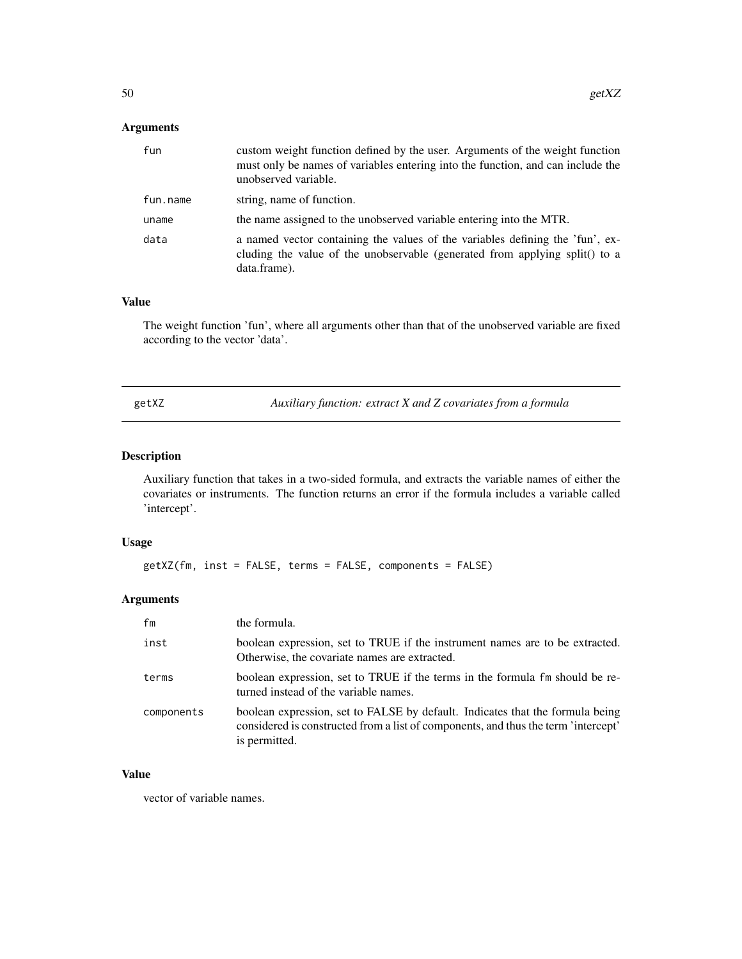# Arguments

| fun      | custom weight function defined by the user. Arguments of the weight function<br>must only be names of variables entering into the function, and can include the<br>unobserved variable. |
|----------|-----------------------------------------------------------------------------------------------------------------------------------------------------------------------------------------|
| fun.name | string, name of function.                                                                                                                                                               |
| uname    | the name assigned to the unobserved variable entering into the MTR.                                                                                                                     |
| data     | a named vector containing the values of the variables defining the 'fun', ex-<br>cluding the value of the unobservable (generated from applying split) to a<br>data.frame).             |

# Value

The weight function 'fun', where all arguments other than that of the unobserved variable are fixed according to the vector 'data'.

Auxiliary function: extract X and Z covariates from a formula

### Description

Auxiliary function that takes in a two-sided formula, and extracts the variable names of either the covariates or instruments. The function returns an error if the formula includes a variable called 'intercept'.

#### Usage

getXZ(fm, inst = FALSE, terms = FALSE, components = FALSE)

#### Arguments

| fm         | the formula.                                                                                                                                                                         |
|------------|--------------------------------------------------------------------------------------------------------------------------------------------------------------------------------------|
| inst       | boolean expression, set to TRUE if the instrument names are to be extracted.<br>Otherwise, the covariate names are extracted.                                                        |
| terms      | boolean expression, set to TRUE if the terms in the formula fm should be re-<br>turned instead of the variable names.                                                                |
| components | boolean expression, set to FALSE by default. Indicates that the formula being<br>considered is constructed from a list of components, and thus the term 'intercept'<br>is permitted. |

# Value

vector of variable names.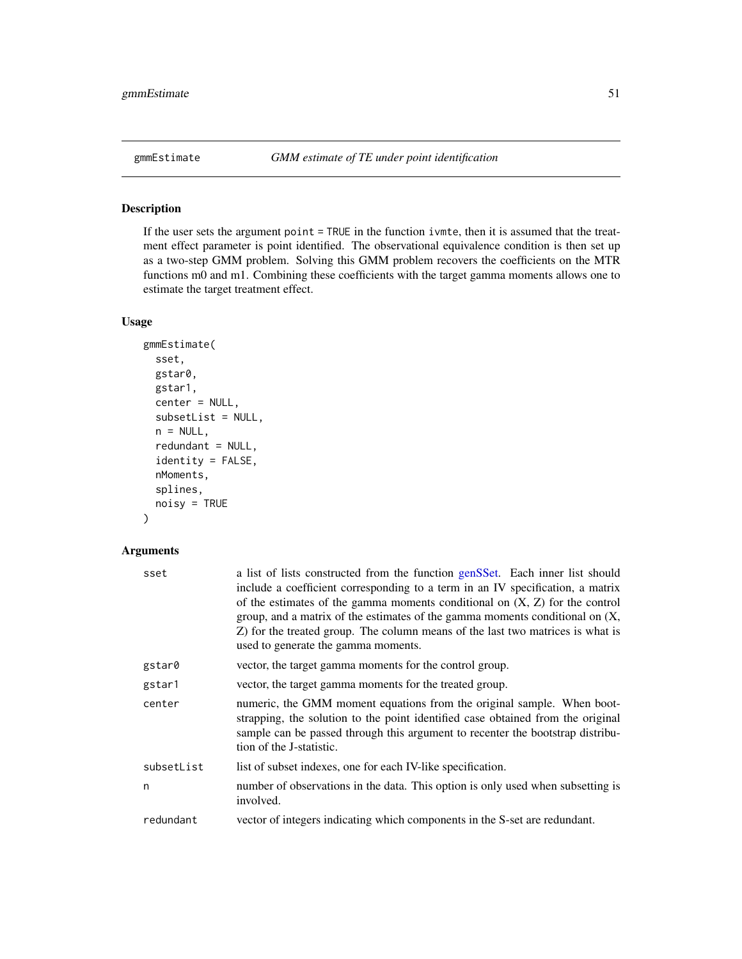If the user sets the argument point = TRUE in the function ivmte, then it is assumed that the treatment effect parameter is point identified. The observational equivalence condition is then set up as a two-step GMM problem. Solving this GMM problem recovers the coefficients on the MTR functions m0 and m1. Combining these coefficients with the target gamma moments allows one to estimate the target treatment effect.

#### Usage

```
gmmEstimate(
  sset,
  gstar0,
 gstar1,
  center = NULL,
  subsetList = NULL,
  n = NULL,redundant = NULL,
  identity = FALSE,
  nMoments,
  splines,
  noisy = TRUE
```

```
\mathcal{E}
```
# Arguments

| sset       | a list of lists constructed from the function genSSet. Each inner list should<br>include a coefficient corresponding to a term in an IV specification, a matrix<br>of the estimates of the gamma moments conditional on $(X, Z)$ for the control<br>group, and a matrix of the estimates of the gamma moments conditional on $(X,$<br>Z) for the treated group. The column means of the last two matrices is what is<br>used to generate the gamma moments. |
|------------|-------------------------------------------------------------------------------------------------------------------------------------------------------------------------------------------------------------------------------------------------------------------------------------------------------------------------------------------------------------------------------------------------------------------------------------------------------------|
| gstar0     | vector, the target gamma moments for the control group.                                                                                                                                                                                                                                                                                                                                                                                                     |
| gstar1     | vector, the target gamma moments for the treated group.                                                                                                                                                                                                                                                                                                                                                                                                     |
| center     | numeric, the GMM moment equations from the original sample. When boot-<br>strapping, the solution to the point identified case obtained from the original<br>sample can be passed through this argument to recenter the bootstrap distribu-<br>tion of the J-statistic.                                                                                                                                                                                     |
| subsetList | list of subset indexes, one for each IV-like specification.                                                                                                                                                                                                                                                                                                                                                                                                 |
| n          | number of observations in the data. This option is only used when subsetting is<br>involved.                                                                                                                                                                                                                                                                                                                                                                |
| redundant  | vector of integers indicating which components in the S-set are redundant.                                                                                                                                                                                                                                                                                                                                                                                  |
|            |                                                                                                                                                                                                                                                                                                                                                                                                                                                             |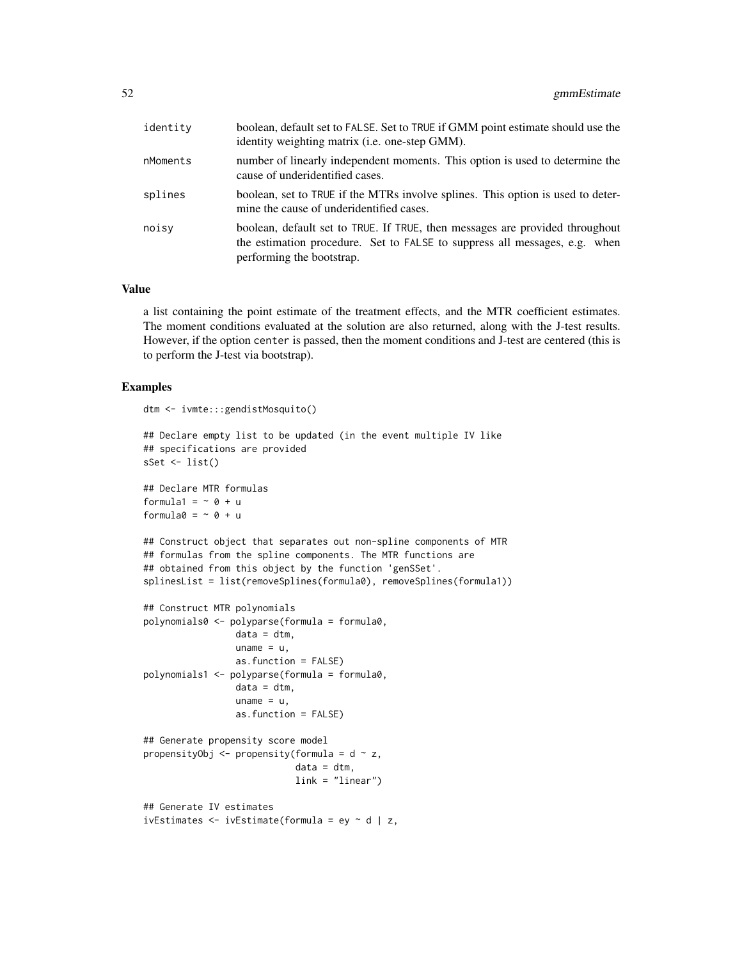| identity | boolean, default set to FALSE. Set to TRUE if GMM point estimate should use the<br>identity weighting matrix (i.e. one-step GMM).                                                       |
|----------|-----------------------------------------------------------------------------------------------------------------------------------------------------------------------------------------|
| nMoments | number of linearly independent moments. This option is used to determine the<br>cause of underidentified cases.                                                                         |
| splines  | boolean, set to TRUE if the MTRs involve splines. This option is used to deter-<br>mine the cause of underidentified cases.                                                             |
| noisv    | boolean, default set to TRUE. If TRUE, then messages are provided throughout<br>the estimation procedure. Set to FALSE to suppress all messages, e.g. when<br>performing the bootstrap. |

#### Value

a list containing the point estimate of the treatment effects, and the MTR coefficient estimates. The moment conditions evaluated at the solution are also returned, along with the J-test results. However, if the option center is passed, then the moment conditions and J-test are centered (this is to perform the J-test via bootstrap).

#### Examples

```
dtm <- ivmte:::gendistMosquito()
```

```
## Declare empty list to be updated (in the event multiple IV like
## specifications are provided
sSet \leftarrow list()
## Declare MTR formulas
formula1 = ~0 + u
formula0 = \sim 0 + u## Construct object that separates out non-spline components of MTR
## formulas from the spline components. The MTR functions are
## obtained from this object by the function 'genSSet'.
splinesList = list(removeSplines(formula0), removeSplines(formula1))
## Construct MTR polynomials
polynomials0 <- polyparse(formula = formula0,
                 data = dtm,uname = u,
                 as.function = FALSE)
polynomials1 <- polyparse(formula = formula0,
                 data = dtm,uname = u,
                 as.function = FALSE)
## Generate propensity score model
propensityObj \leq propensity(formula = d \sim z,
                            data = dtm,link = "linear")
## Generate IV estimates
ivEstimates \leq ivEstimate(formula = ey \sim d | z,
```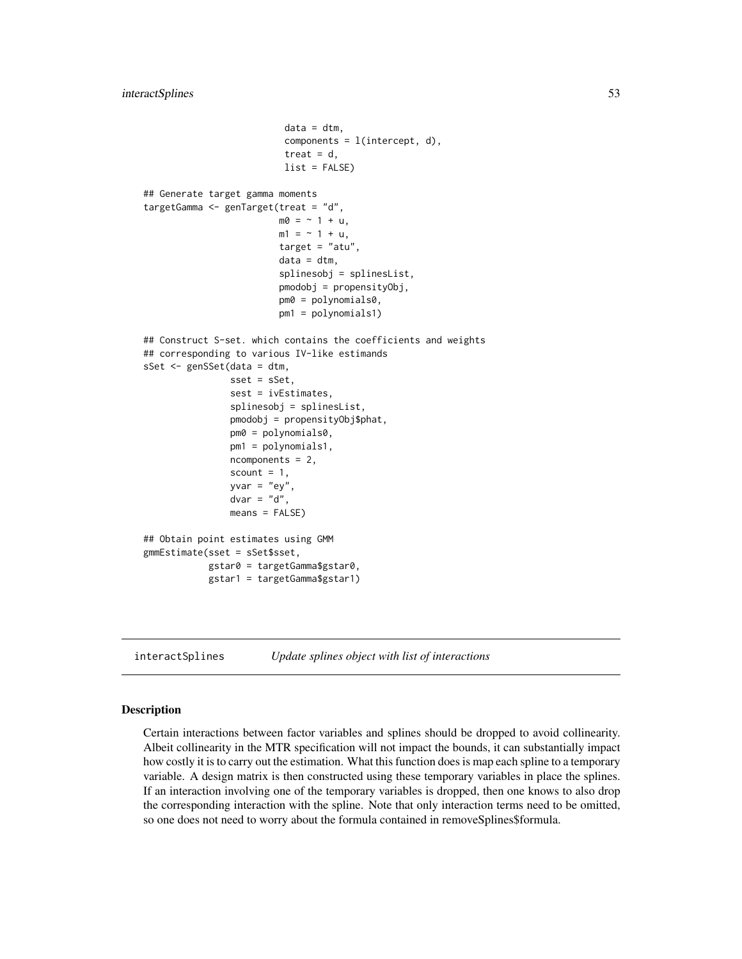```
data = dtm,components = 1(intexcept, d),treat = d,
                          list = FALSE)
## Generate target gamma moments
targetGamma <- genTarget(treat = "d",
                         m0 = -1 + u,
                         m1 = -1 + u,
                         target = "atu",data = dtm,splinesobj = splinesList,
                         pmodobj = propensityObj,
                         pm0 = polynomials0,
                         pm1 = polynomials1)
## Construct S-set. which contains the coefficients and weights
## corresponding to various IV-like estimands
sSet <- genSSet(data = dtm,
                sset = sSet,
                sest = ivEstimates,
                splinesobj = splinesList,
                pmodobj = propensityObj$phat,
                pm0 = polynomials0,
                pm1 = polynomials1,
                ncomponents = 2,
                scount = 1,
                yvar = "ey",dvar = "d",
                means = FALSE)
## Obtain point estimates using GMM
gmmEstimate(sset = sSet$sset,
            gstar0 = targetGamma$gstar0,
            gstar1 = targetGamma$gstar1)
```

```
interactSplines Update splines object with list of interactions
```
Certain interactions between factor variables and splines should be dropped to avoid collinearity. Albeit collinearity in the MTR specification will not impact the bounds, it can substantially impact how costly it is to carry out the estimation. What this function does is map each spline to a temporary variable. A design matrix is then constructed using these temporary variables in place the splines. If an interaction involving one of the temporary variables is dropped, then one knows to also drop the corresponding interaction with the spline. Note that only interaction terms need to be omitted, so one does not need to worry about the formula contained in removeSplines\$formula.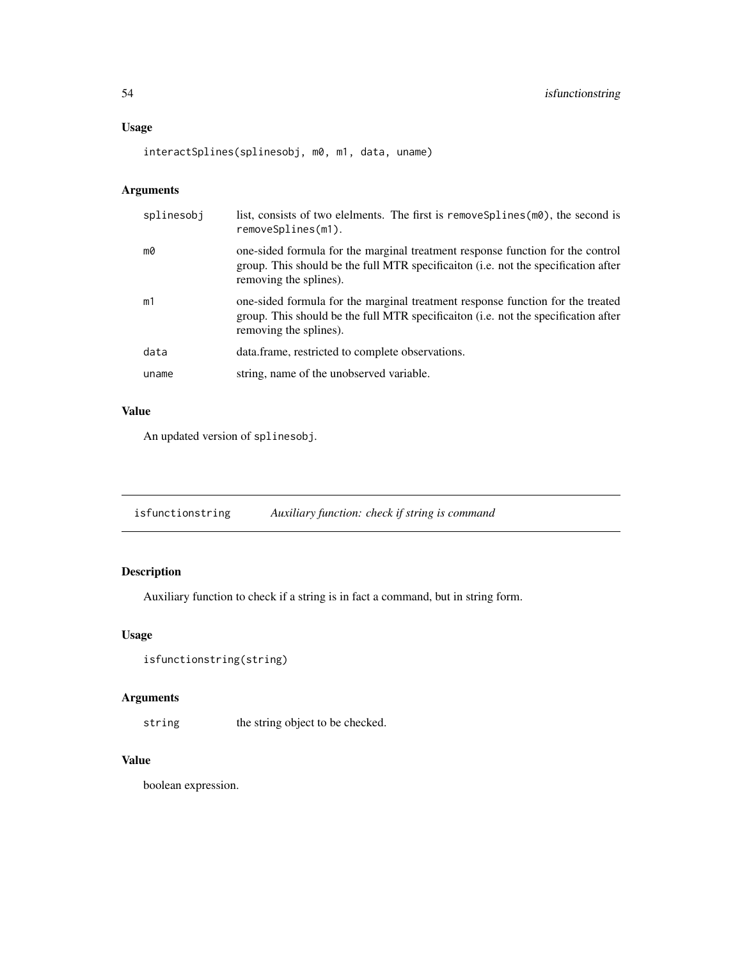#### Usage

interactSplines(splinesobj, m0, m1, data, uname)

# Arguments

| splinesobj | list, consists of two elelments. The first is removes plines $(m0)$ , the second is<br>removeSplines(m1).                                                                                      |
|------------|------------------------------------------------------------------------------------------------------------------------------------------------------------------------------------------------|
| mØ         | one-sided formula for the marginal treatment response function for the control<br>group. This should be the full MTR specification (i.e. not the specification after<br>removing the splines). |
| m1         | one-sided formula for the marginal treatment response function for the treated<br>group. This should be the full MTR specification (i.e. not the specification after<br>removing the splines). |
| data       | data.frame, restricted to complete observations.                                                                                                                                               |
| uname      | string, name of the unobserved variable.                                                                                                                                                       |

# Value

An updated version of splinesobj.

isfunctionstring *Auxiliary function: check if string is command*

# Description

Auxiliary function to check if a string is in fact a command, but in string form.

# Usage

```
isfunctionstring(string)
```
# Arguments

string the string object to be checked.

# Value

boolean expression.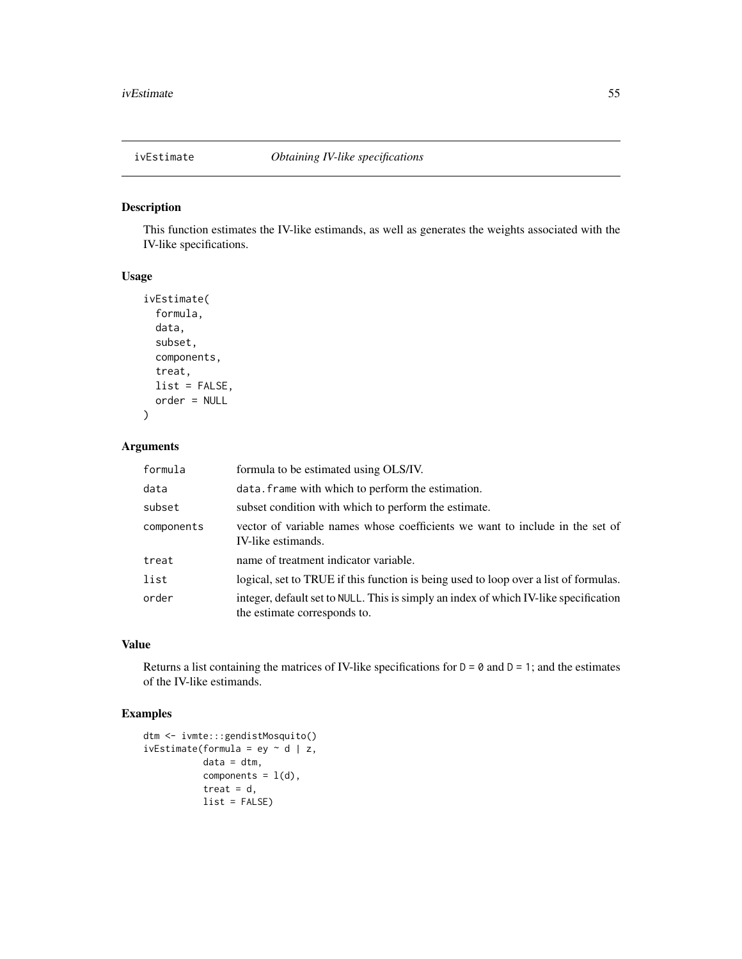This function estimates the IV-like estimands, as well as generates the weights associated with the IV-like specifications.

### Usage

```
ivEstimate(
  formula,
  data,
  subset,
  components,
  treat,
  list = FALSE,
  order = NULL
\mathcal{L}
```
# Arguments

| formula    | formula to be estimated using OLS/IV.                                                                                |
|------------|----------------------------------------------------------------------------------------------------------------------|
| data       | data. frame with which to perform the estimation.                                                                    |
| subset     | subset condition with which to perform the estimate.                                                                 |
| components | vector of variable names whose coefficients we want to include in the set of<br>IV-like estimands.                   |
| treat      | name of treatment indicator variable.                                                                                |
| list       | logical, set to TRUE if this function is being used to loop over a list of formulas.                                 |
| order      | integer, default set to NULL. This is simply an index of which IV-like specification<br>the estimate corresponds to. |

# Value

Returns a list containing the matrices of IV-like specifications for  $D = 0$  and  $D = 1$ ; and the estimates of the IV-like estimands.

# Examples

```
dtm <- ivmte:::gendistMosquito()
ivEstimate(formula = ey \sim d | z,
           data = dtm,components = l(d),
           treat = d,
           list = FALSE)
```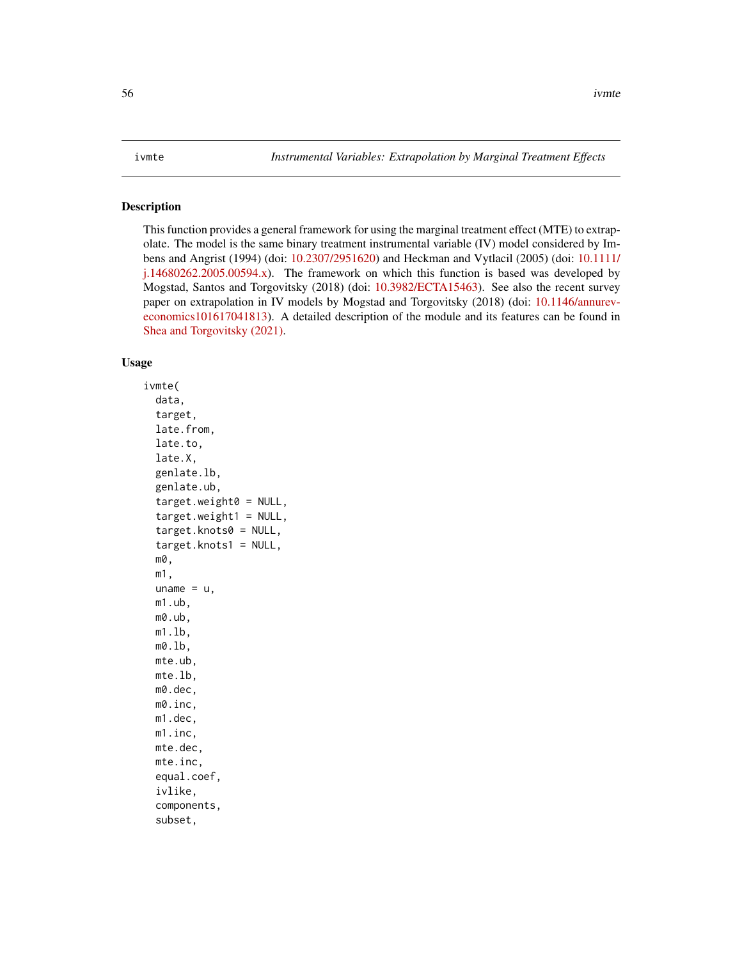<span id="page-55-0"></span>This function provides a general framework for using the marginal treatment effect (MTE) to extrapolate. The model is the same binary treatment instrumental variable (IV) model considered by Imbens and Angrist (1994) (doi: [10.2307/2951620\)](https://doi.org/10.2307/2951620) and Heckman and Vytlacil (2005) (doi: [10.1111/](https://doi.org/10.1111/j.1468-0262.2005.00594.x) [j.14680262.2005.00594.x\)](https://doi.org/10.1111/j.1468-0262.2005.00594.x). The framework on which this function is based was developed by Mogstad, Santos and Torgovitsky (2018) (doi: [10.3982/ECTA15463\)](https://doi.org/10.3982/ECTA15463). See also the recent survey paper on extrapolation in IV models by Mogstad and Torgovitsky (2018) (doi: [10.1146/annurev](https://doi.org/10.1146/annurev-economics-101617-041813)[economics101617041813\)](https://doi.org/10.1146/annurev-economics-101617-041813). A detailed description of the module and its features can be found in [Shea and Torgovitsky \(2021\).](https://a-torgovitsky.github.io/shea-torgovitsky.pdf)

# Usage

```
ivmte(
  data,
  target,
  late.from,
  late.to,
  late.X,
  genlate.lb,
  genlate.ub,
  target.weight0 = NULL,
  target.weight1 = NULL,
  target.knots0 = NULL,
  target.knots1 = NULL,
  m0,
 m1,
  uname = u,
 m1.ub,
 m0.ub,
 m1.lb,
 m0.lb,
 mte.ub,
 mte.lb,
 m0.dec,
 m0.inc,
 m1.dec,
 m1.inc,
 mte.dec,
 mte.inc,
  equal.coef,
  ivlike,
  components,
  subset,
```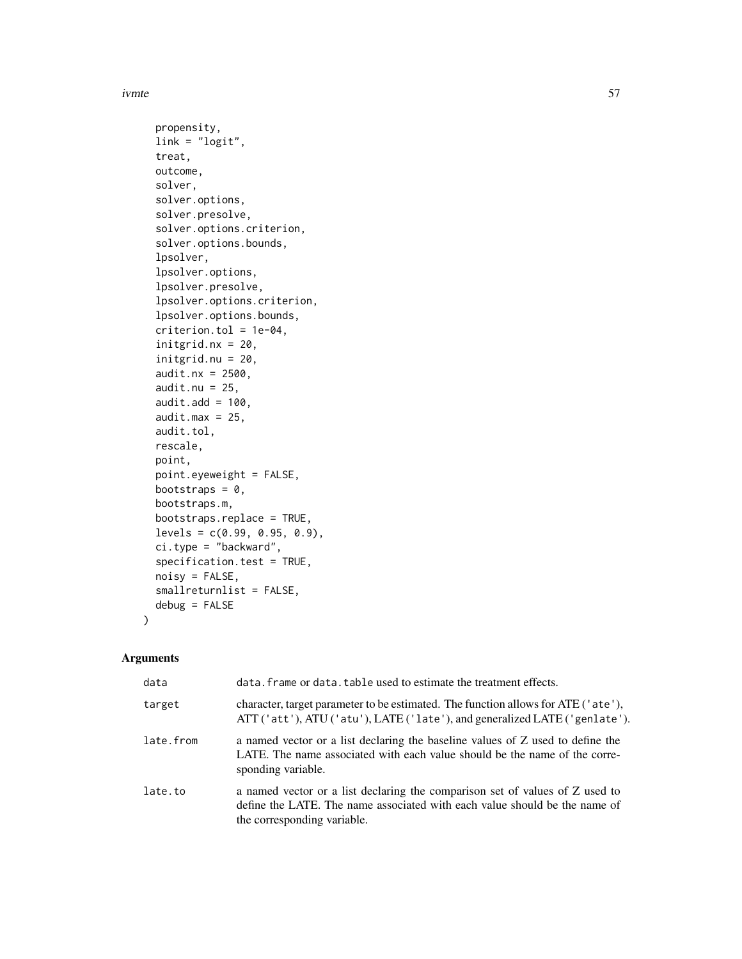#### ivmte 57

```
propensity,
link = "logit",treat,
outcome,
solver,
solver.options,
solver.presolve,
solver.options.criterion,
solver.options.bounds,
lpsolver,
lpsolver.options,
lpsolver.presolve,
lpsolver.options.criterion,
lpsolver.options.bounds,
criterion.tol = 1e-04,
initgrid.nx = 20,
initgrid.nu = 20,
audit.nx = 2500,
audit.nu = 25,
audit.add = 100.
audit.max = 25,
audit.tol,
rescale,
point,
point.eyeweight = FALSE,
bootstraps = 0,
bootstraps.m,
bootstraps.replace = TRUE,
levels = c(0.99, 0.95, 0.9),ci.type = "backward",
specification.test = TRUE,
noisy = FALSE,
smallreturnlist = FALSE,
debug = FALSE
```
# Arguments

 $\mathcal{L}$ 

| data      | data. frame or data. table used to estimate the treatment effects.                                                                                                                        |
|-----------|-------------------------------------------------------------------------------------------------------------------------------------------------------------------------------------------|
| target    | character, target parameter to be estimated. The function allows for ATE ('ate'),<br>ATT ('att'), ATU ('atu'), LATE ('late'), and generalized LATE ('genlate').                           |
| late.from | a named vector or a list declaring the baseline values of Z used to define the<br>LATE. The name associated with each value should be the name of the corre-<br>sponding variable.        |
| late.to   | a named vector or a list declaring the comparison set of values of Z used to<br>define the LATE. The name associated with each value should be the name of<br>the corresponding variable. |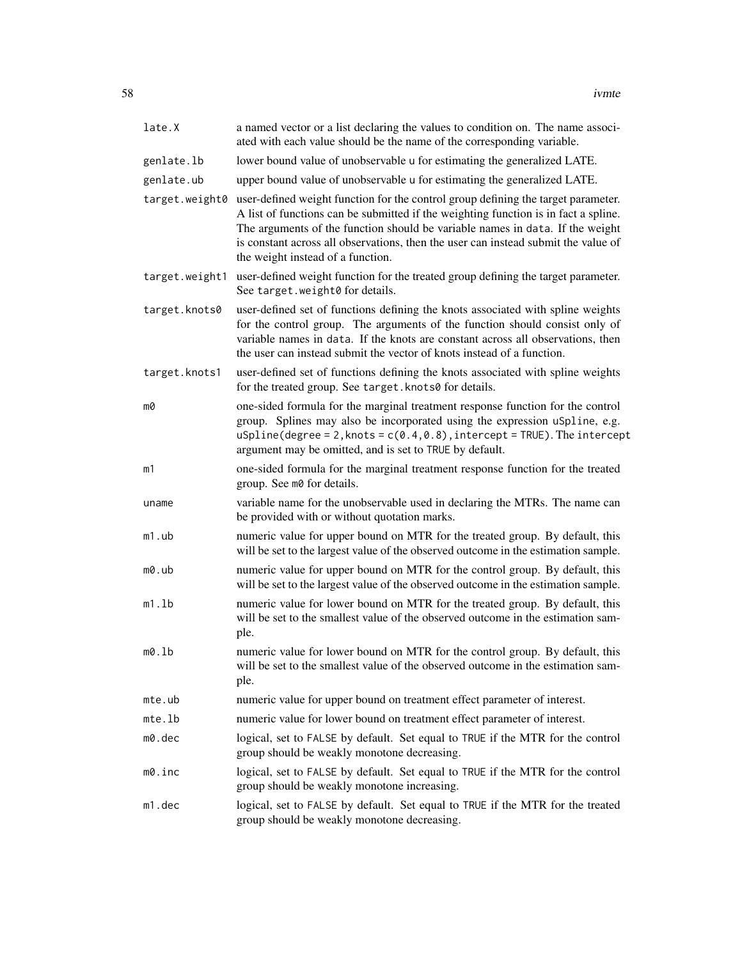| late.X         | a named vector or a list declaring the values to condition on. The name associ-<br>ated with each value should be the name of the corresponding variable.                                                                                                                                                                                                                            |
|----------------|--------------------------------------------------------------------------------------------------------------------------------------------------------------------------------------------------------------------------------------------------------------------------------------------------------------------------------------------------------------------------------------|
| genlate.lb     | lower bound value of unobservable u for estimating the generalized LATE.                                                                                                                                                                                                                                                                                                             |
| genlate.ub     | upper bound value of unobservable u for estimating the generalized LATE.                                                                                                                                                                                                                                                                                                             |
| target.weight0 | user-defined weight function for the control group defining the target parameter.<br>A list of functions can be submitted if the weighting function is in fact a spline.<br>The arguments of the function should be variable names in data. If the weight<br>is constant across all observations, then the user can instead submit the value of<br>the weight instead of a function. |
| target.weight1 | user-defined weight function for the treated group defining the target parameter.<br>See target.weight0 for details.                                                                                                                                                                                                                                                                 |
| target.knots0  | user-defined set of functions defining the knots associated with spline weights<br>for the control group. The arguments of the function should consist only of<br>variable names in data. If the knots are constant across all observations, then<br>the user can instead submit the vector of knots instead of a function.                                                          |
| target.knots1  | user-defined set of functions defining the knots associated with spline weights<br>for the treated group. See target. knots0 for details.                                                                                                                                                                                                                                            |
| m0             | one-sided formula for the marginal treatment response function for the control<br>group. Splines may also be incorporated using the expression uSpline, e.g.<br>$uSplitne(degree = 2, knots = c(0.4, 0.8), intercept = TRUE).$ The $intercept$<br>argument may be omitted, and is set to TRUE by default.                                                                            |
| m1             | one-sided formula for the marginal treatment response function for the treated<br>group. See m0 for details.                                                                                                                                                                                                                                                                         |
| uname          | variable name for the unobservable used in declaring the MTRs. The name can<br>be provided with or without quotation marks.                                                                                                                                                                                                                                                          |
| $m1.$ ub       | numeric value for upper bound on MTR for the treated group. By default, this<br>will be set to the largest value of the observed outcome in the estimation sample.                                                                                                                                                                                                                   |
| m0.ub          | numeric value for upper bound on MTR for the control group. By default, this<br>will be set to the largest value of the observed outcome in the estimation sample.                                                                                                                                                                                                                   |
| m1.1b          | numeric value for lower bound on MTR for the treated group. By default, this<br>will be set to the smallest value of the observed outcome in the estimation sam-<br>ple.                                                                                                                                                                                                             |
| m0.1b          | numeric value for lower bound on MTR for the control group. By default, this<br>will be set to the smallest value of the observed outcome in the estimation sam-<br>ple.                                                                                                                                                                                                             |
| mte.ub         | numeric value for upper bound on treatment effect parameter of interest.                                                                                                                                                                                                                                                                                                             |
| mte.lb         | numeric value for lower bound on treatment effect parameter of interest.                                                                                                                                                                                                                                                                                                             |
| $m0$ .dec      | logical, set to FALSE by default. Set equal to TRUE if the MTR for the control<br>group should be weakly monotone decreasing.                                                                                                                                                                                                                                                        |
| m0.inc         | logical, set to FALSE by default. Set equal to TRUE if the MTR for the control<br>group should be weakly monotone increasing.                                                                                                                                                                                                                                                        |
| m1.dec         | logical, set to FALSE by default. Set equal to TRUE if the MTR for the treated<br>group should be weakly monotone decreasing.                                                                                                                                                                                                                                                        |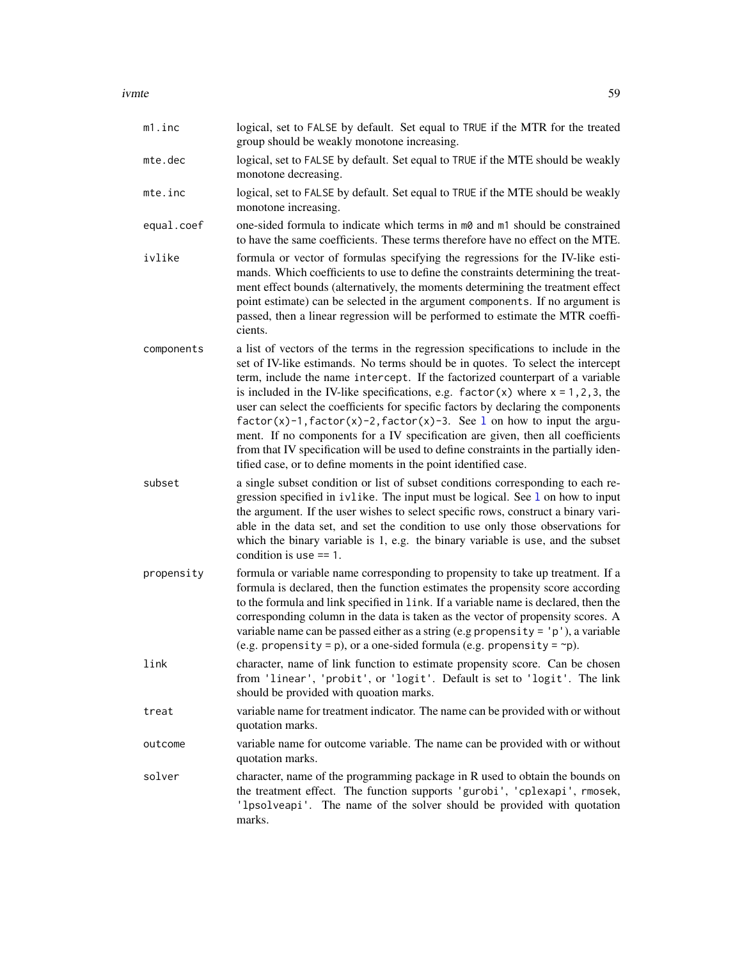ivmte to the state of the state of the state of the state of the state of the state of the state of the state o

| m1.inc     | logical, set to FALSE by default. Set equal to TRUE if the MTR for the treated<br>group should be weakly monotone increasing.                                                                                                                                                                                                                                                                                                                                                                                                                                                                                                                                                                                                                                |
|------------|--------------------------------------------------------------------------------------------------------------------------------------------------------------------------------------------------------------------------------------------------------------------------------------------------------------------------------------------------------------------------------------------------------------------------------------------------------------------------------------------------------------------------------------------------------------------------------------------------------------------------------------------------------------------------------------------------------------------------------------------------------------|
| mte.dec    | logical, set to FALSE by default. Set equal to TRUE if the MTE should be weakly<br>monotone decreasing.                                                                                                                                                                                                                                                                                                                                                                                                                                                                                                                                                                                                                                                      |
| mte.inc    | logical, set to FALSE by default. Set equal to TRUE if the MTE should be weakly<br>monotone increasing.                                                                                                                                                                                                                                                                                                                                                                                                                                                                                                                                                                                                                                                      |
| equal.coef | one-sided formula to indicate which terms in m0 and m1 should be constrained<br>to have the same coefficients. These terms therefore have no effect on the MTE.                                                                                                                                                                                                                                                                                                                                                                                                                                                                                                                                                                                              |
| ivlike     | formula or vector of formulas specifying the regressions for the IV-like esti-<br>mands. Which coefficients to use to define the constraints determining the treat-<br>ment effect bounds (alternatively, the moments determining the treatment effect<br>point estimate) can be selected in the argument components. If no argument is<br>passed, then a linear regression will be performed to estimate the MTR coeffi-<br>cients.                                                                                                                                                                                                                                                                                                                         |
| components | a list of vectors of the terms in the regression specifications to include in the<br>set of IV-like estimands. No terms should be in quotes. To select the intercept<br>term, include the name intercept. If the factorized counterpart of a variable<br>is included in the IV-like specifications, e.g. $factor(x)$ where $x = 1, 2, 3$ , the<br>user can select the coefficients for specific factors by declaring the components<br>$factor(x)-1, factor(x)-2, factor(x)-3.$ See 1 on how to input the argu-<br>ment. If no components for a IV specification are given, then all coefficients<br>from that IV specification will be used to define constraints in the partially iden-<br>tified case, or to define moments in the point identified case. |
| subset     | a single subset condition or list of subset conditions corresponding to each re-<br>gression specified in ivlike. The input must be logical. See 1 on how to input<br>the argument. If the user wishes to select specific rows, construct a binary vari-<br>able in the data set, and set the condition to use only those observations for<br>which the binary variable is 1, e.g. the binary variable is use, and the subset<br>condition is use $== 1$ .                                                                                                                                                                                                                                                                                                   |
| propensity | formula or variable name corresponding to propensity to take up treatment. If a<br>formula is declared, then the function estimates the propensity score according<br>to the formula and link specified in link. If a variable name is declared, then the<br>corresponding column in the data is taken as the vector of propensity scores. A<br>variable name can be passed either as a string (e.g propensity = $'p'$ ), a variable<br>(e.g. propensity = p), or a one-sided formula (e.g. propensity = $\neg$ p).                                                                                                                                                                                                                                          |
| link       | character, name of link function to estimate propensity score. Can be chosen<br>from 'linear', 'probit', or 'logit'. Default is set to 'logit'. The link<br>should be provided with quoation marks.                                                                                                                                                                                                                                                                                                                                                                                                                                                                                                                                                          |
| treat      | variable name for treatment indicator. The name can be provided with or without<br>quotation marks.                                                                                                                                                                                                                                                                                                                                                                                                                                                                                                                                                                                                                                                          |
| outcome    | variable name for outcome variable. The name can be provided with or without<br>quotation marks.                                                                                                                                                                                                                                                                                                                                                                                                                                                                                                                                                                                                                                                             |
| solver     | character, name of the programming package in R used to obtain the bounds on<br>the treatment effect. The function supports 'gurobi', 'cplexapi', rmosek,<br>'1psolveapi'. The name of the solver should be provided with quotation<br>marks.                                                                                                                                                                                                                                                                                                                                                                                                                                                                                                                |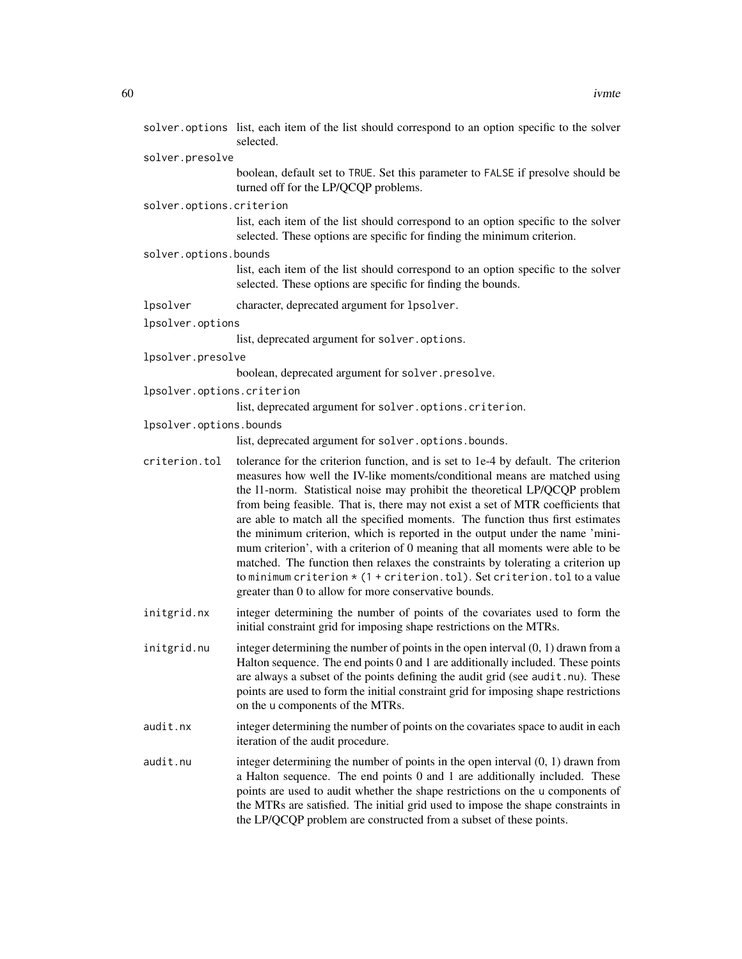| solver.presolve                                                                                                                                                                                                                                                                                                                                                                                                                                                                                                                                                                                                                                                                                                                                                                                                      |
|----------------------------------------------------------------------------------------------------------------------------------------------------------------------------------------------------------------------------------------------------------------------------------------------------------------------------------------------------------------------------------------------------------------------------------------------------------------------------------------------------------------------------------------------------------------------------------------------------------------------------------------------------------------------------------------------------------------------------------------------------------------------------------------------------------------------|
| boolean, default set to TRUE. Set this parameter to FALSE if presolve should be<br>turned off for the LP/QCQP problems.                                                                                                                                                                                                                                                                                                                                                                                                                                                                                                                                                                                                                                                                                              |
| solver.options.criterion                                                                                                                                                                                                                                                                                                                                                                                                                                                                                                                                                                                                                                                                                                                                                                                             |
| list, each item of the list should correspond to an option specific to the solver<br>selected. These options are specific for finding the minimum criterion.                                                                                                                                                                                                                                                                                                                                                                                                                                                                                                                                                                                                                                                         |
| solver.options.bounds                                                                                                                                                                                                                                                                                                                                                                                                                                                                                                                                                                                                                                                                                                                                                                                                |
| list, each item of the list should correspond to an option specific to the solver<br>selected. These options are specific for finding the bounds.                                                                                                                                                                                                                                                                                                                                                                                                                                                                                                                                                                                                                                                                    |
| character, deprecated argument for 1psolver.                                                                                                                                                                                                                                                                                                                                                                                                                                                                                                                                                                                                                                                                                                                                                                         |
| lpsolver.options                                                                                                                                                                                                                                                                                                                                                                                                                                                                                                                                                                                                                                                                                                                                                                                                     |
| list, deprecated argument for solver.options.                                                                                                                                                                                                                                                                                                                                                                                                                                                                                                                                                                                                                                                                                                                                                                        |
| lpsolver.presolve                                                                                                                                                                                                                                                                                                                                                                                                                                                                                                                                                                                                                                                                                                                                                                                                    |
| boolean, deprecated argument for solver.presolve.                                                                                                                                                                                                                                                                                                                                                                                                                                                                                                                                                                                                                                                                                                                                                                    |
| lpsolver.options.criterion                                                                                                                                                                                                                                                                                                                                                                                                                                                                                                                                                                                                                                                                                                                                                                                           |
| list, deprecated argument for solver.options.criterion.                                                                                                                                                                                                                                                                                                                                                                                                                                                                                                                                                                                                                                                                                                                                                              |
| lpsolver.options.bounds                                                                                                                                                                                                                                                                                                                                                                                                                                                                                                                                                                                                                                                                                                                                                                                              |
| list, deprecated argument for solver.options.bounds.                                                                                                                                                                                                                                                                                                                                                                                                                                                                                                                                                                                                                                                                                                                                                                 |
| tolerance for the criterion function, and is set to 1e-4 by default. The criterion<br>measures how well the IV-like moments/conditional means are matched using<br>the 11-norm. Statistical noise may prohibit the theoretical LP/QCQP problem<br>from being feasible. That is, there may not exist a set of MTR coefficients that<br>are able to match all the specified moments. The function thus first estimates<br>the minimum criterion, which is reported in the output under the name 'mini-<br>mum criterion', with a criterion of 0 meaning that all moments were able to be<br>matched. The function then relaxes the constraints by tolerating a criterion up<br>to minimum criterion $\star$ (1 + criterion.tol). Set criterion.tol to a value<br>greater than 0 to allow for more conservative bounds. |
| integer determining the number of points of the covariates used to form the<br>initial constraint grid for imposing shape restrictions on the MTRs.                                                                                                                                                                                                                                                                                                                                                                                                                                                                                                                                                                                                                                                                  |
| integer determining the number of points in the open interval $(0, 1)$ drawn from a<br>Halton sequence. The end points 0 and 1 are additionally included. These points<br>are always a subset of the points defining the audit grid (see audit.nu). These<br>points are used to form the initial constraint grid for imposing shape restrictions<br>on the u components of the MTRs.                                                                                                                                                                                                                                                                                                                                                                                                                                 |
| integer determining the number of points on the covariates space to audit in each<br>iteration of the audit procedure.                                                                                                                                                                                                                                                                                                                                                                                                                                                                                                                                                                                                                                                                                               |
| integer determining the number of points in the open interval $(0, 1)$ drawn from<br>a Halton sequence. The end points 0 and 1 are additionally included. These<br>points are used to audit whether the shape restrictions on the u components of<br>the MTRs are satisfied. The initial grid used to impose the shape constraints in<br>the LP/QCQP problem are constructed from a subset of these points.                                                                                                                                                                                                                                                                                                                                                                                                          |
|                                                                                                                                                                                                                                                                                                                                                                                                                                                                                                                                                                                                                                                                                                                                                                                                                      |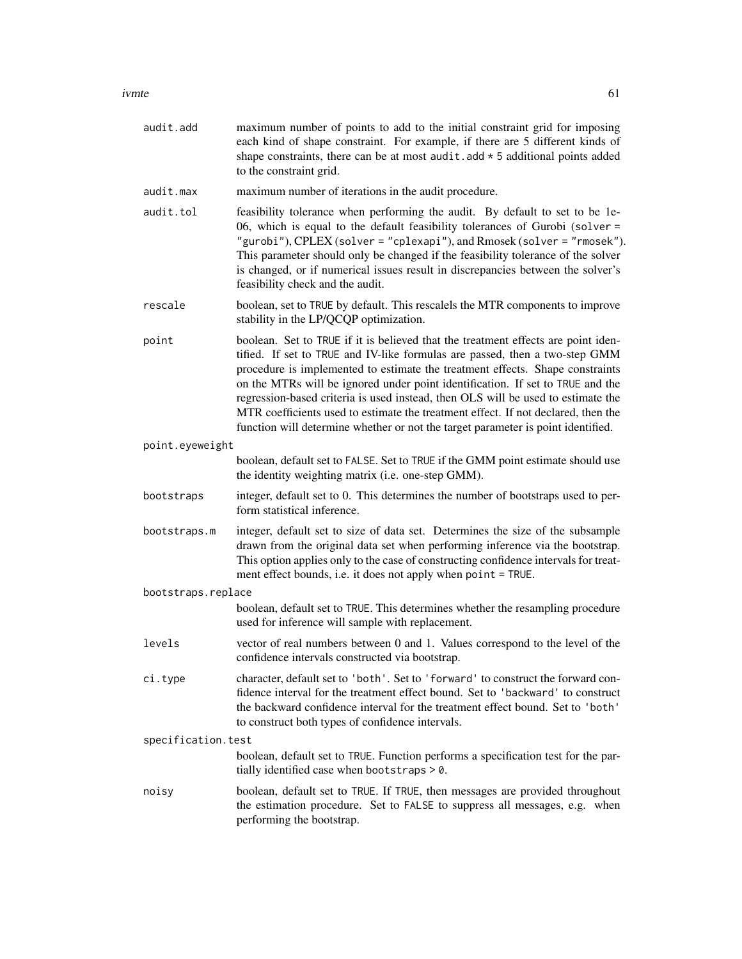| audit.add          | maximum number of points to add to the initial constraint grid for imposing<br>each kind of shape constraint. For example, if there are 5 different kinds of<br>shape constraints, there can be at most audit. add $\star$ 5 additional points added<br>to the constraint grid.                                                                                                                                                                                                                                                                                                                  |
|--------------------|--------------------------------------------------------------------------------------------------------------------------------------------------------------------------------------------------------------------------------------------------------------------------------------------------------------------------------------------------------------------------------------------------------------------------------------------------------------------------------------------------------------------------------------------------------------------------------------------------|
| audit.max          | maximum number of iterations in the audit procedure.                                                                                                                                                                                                                                                                                                                                                                                                                                                                                                                                             |
| audit.tol          | feasibility tolerance when performing the audit. By default to set to be 1e-<br>06, which is equal to the default feasibility tolerances of Gurobi (solver =<br>"gurobi"), CPLEX (solver = "cplexapi"), and Rmosek (solver = "rmosek").<br>This parameter should only be changed if the feasibility tolerance of the solver<br>is changed, or if numerical issues result in discrepancies between the solver's<br>feasibility check and the audit.                                                                                                                                               |
| rescale            | boolean, set to TRUE by default. This rescalels the MTR components to improve<br>stability in the LP/QCQP optimization.                                                                                                                                                                                                                                                                                                                                                                                                                                                                          |
| point              | boolean. Set to TRUE if it is believed that the treatment effects are point iden-<br>tified. If set to TRUE and IV-like formulas are passed, then a two-step GMM<br>procedure is implemented to estimate the treatment effects. Shape constraints<br>on the MTRs will be ignored under point identification. If set to TRUE and the<br>regression-based criteria is used instead, then OLS will be used to estimate the<br>MTR coefficients used to estimate the treatment effect. If not declared, then the<br>function will determine whether or not the target parameter is point identified. |
| point.eyeweight    |                                                                                                                                                                                                                                                                                                                                                                                                                                                                                                                                                                                                  |
|                    | boolean, default set to FALSE. Set to TRUE if the GMM point estimate should use<br>the identity weighting matrix (i.e. one-step GMM).                                                                                                                                                                                                                                                                                                                                                                                                                                                            |
| bootstraps         | integer, default set to 0. This determines the number of bootstraps used to per-<br>form statistical inference.                                                                                                                                                                                                                                                                                                                                                                                                                                                                                  |
| bootstraps.m       | integer, default set to size of data set. Determines the size of the subsample<br>drawn from the original data set when performing inference via the bootstrap.<br>This option applies only to the case of constructing confidence intervals for treat-<br>ment effect bounds, i.e. it does not apply when point = TRUE.                                                                                                                                                                                                                                                                         |
| bootstraps.replace |                                                                                                                                                                                                                                                                                                                                                                                                                                                                                                                                                                                                  |
|                    | boolean, default set to TRUE. This determines whether the resampling procedure<br>used for inference will sample with replacement.                                                                                                                                                                                                                                                                                                                                                                                                                                                               |
| levels             | vector of real numbers between 0 and 1. Values correspond to the level of the<br>confidence intervals constructed via bootstrap.                                                                                                                                                                                                                                                                                                                                                                                                                                                                 |
| ci.type            | character, default set to 'both'. Set to 'forward' to construct the forward con-<br>fidence interval for the treatment effect bound. Set to 'backward' to construct<br>the backward confidence interval for the treatment effect bound. Set to 'both'<br>to construct both types of confidence intervals.                                                                                                                                                                                                                                                                                        |
| specification.test |                                                                                                                                                                                                                                                                                                                                                                                                                                                                                                                                                                                                  |
|                    | boolean, default set to TRUE. Function performs a specification test for the par-<br>tially identified case when bootstraps > 0.                                                                                                                                                                                                                                                                                                                                                                                                                                                                 |
| noisy              | boolean, default set to TRUE. If TRUE, then messages are provided throughout<br>the estimation procedure. Set to FALSE to suppress all messages, e.g. when<br>performing the bootstrap.                                                                                                                                                                                                                                                                                                                                                                                                          |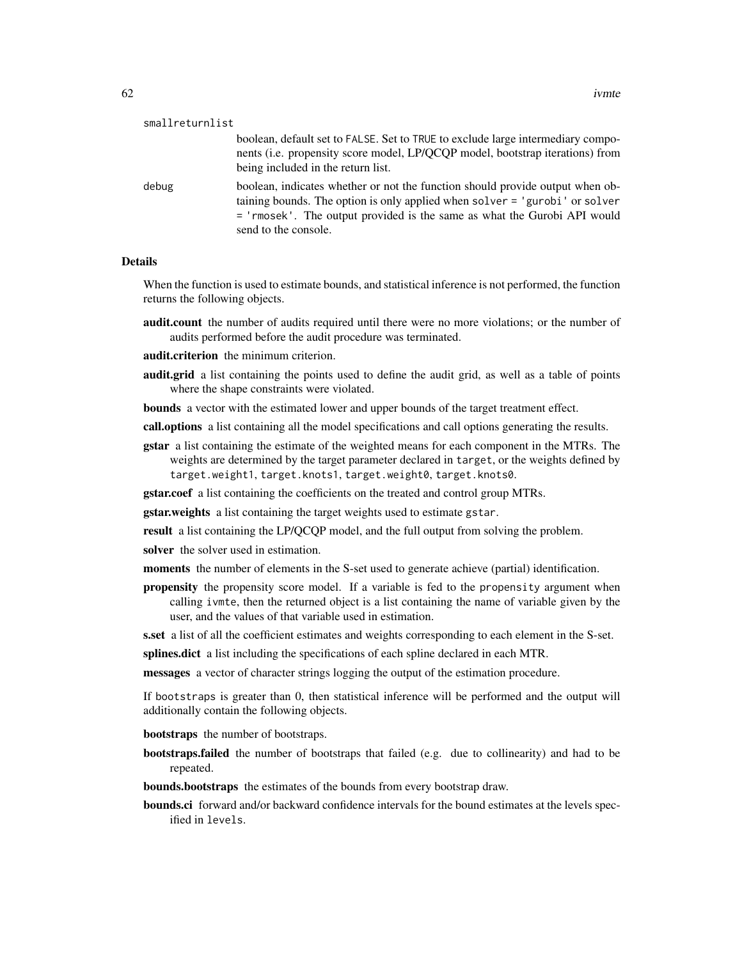| smallreturnlist |                                                                                                                                                                                                                                                                  |
|-----------------|------------------------------------------------------------------------------------------------------------------------------------------------------------------------------------------------------------------------------------------------------------------|
|                 | boolean, default set to FALSE. Set to TRUE to exclude large intermediary compo-<br>nents (i.e. propensity score model, LP/QCQP model, bootstrap iterations) from<br>being included in the return list.                                                           |
| debug           | boolean, indicates whether or not the function should provide output when ob-<br>taining bounds. The option is only applied when solver = 'gurobi' or solver<br>= 'rmosek'. The output provided is the same as what the Gurobi API would<br>send to the console. |

#### Details

When the function is used to estimate bounds, and statistical inference is not performed, the function returns the following objects.

**audit.count** the number of audits required until there were no more violations; or the number of audits performed before the audit procedure was terminated.

audit.criterion the minimum criterion.

audit.grid a list containing the points used to define the audit grid, as well as a table of points where the shape constraints were violated.

bounds a vector with the estimated lower and upper bounds of the target treatment effect.

call.options a list containing all the model specifications and call options generating the results.

gstar a list containing the estimate of the weighted means for each component in the MTRs. The weights are determined by the target parameter declared in target, or the weights defined by target.weight1, target.knots1, target.weight0, target.knots0.

gstar.coef a list containing the coefficients on the treated and control group MTRs.

gstar.weights a list containing the target weights used to estimate gstar.

result a list containing the LP/QCQP model, and the full output from solving the problem.

solver the solver used in estimation.

- moments the number of elements in the S-set used to generate achieve (partial) identification.
- propensity the propensity score model. If a variable is fed to the propensity argument when calling ivmte, then the returned object is a list containing the name of variable given by the user, and the values of that variable used in estimation.

s.set a list of all the coefficient estimates and weights corresponding to each element in the S-set.

splines.dict a list including the specifications of each spline declared in each MTR.

messages a vector of character strings logging the output of the estimation procedure.

If bootstraps is greater than 0, then statistical inference will be performed and the output will additionally contain the following objects.

bootstraps the number of bootstraps.

- bootstraps.failed the number of bootstraps that failed (e.g. due to collinearity) and had to be repeated.
- bounds.bootstraps the estimates of the bounds from every bootstrap draw.
- bounds.ci forward and/or backward confidence intervals for the bound estimates at the levels specified in levels.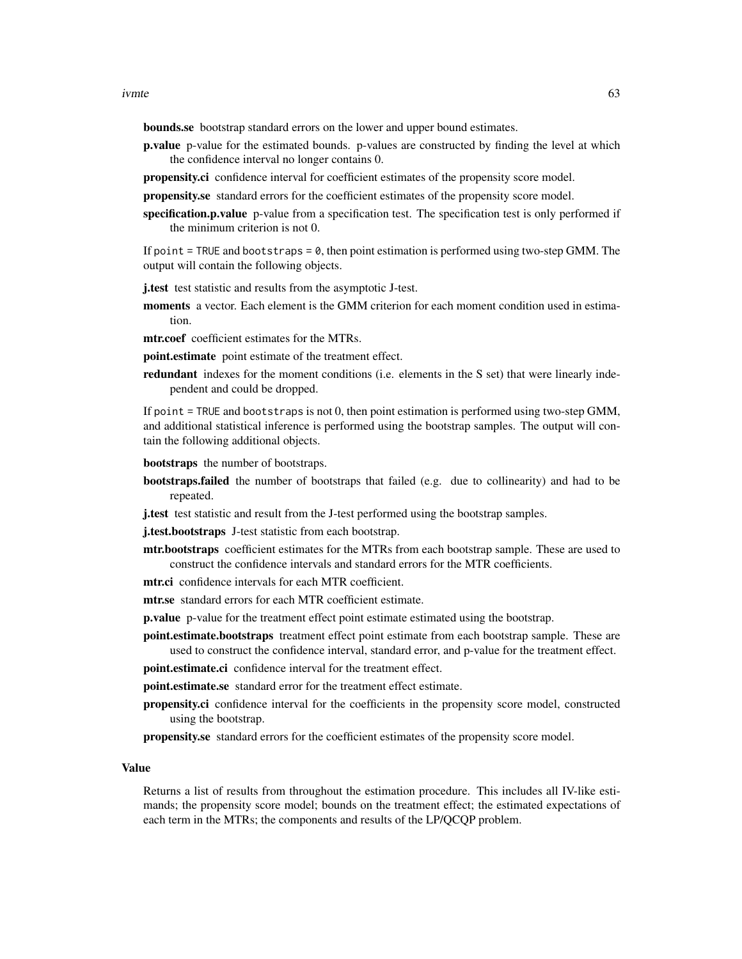bounds.se bootstrap standard errors on the lower and upper bound estimates.

- p.value p-value for the estimated bounds. p-values are constructed by finding the level at which the confidence interval no longer contains 0.
- propensity.ci confidence interval for coefficient estimates of the propensity score model.

propensity.se standard errors for the coefficient estimates of the propensity score model.

specification.p.value p-value from a specification test. The specification test is only performed if the minimum criterion is not 0.

If point  $=$  TRUE and bootstraps  $=$  0, then point estimation is performed using two-step GMM. The output will contain the following objects.

j.test test statistic and results from the asymptotic J-test.

- moments a vector. Each element is the GMM criterion for each moment condition used in estimation.
- mtr.coef coefficient estimates for the MTRs.

point.estimate point estimate of the treatment effect.

redundant indexes for the moment conditions (i.e. elements in the S set) that were linearly independent and could be dropped.

If point = TRUE and bootstraps is not 0, then point estimation is performed using two-step GMM, and additional statistical inference is performed using the bootstrap samples. The output will contain the following additional objects.

bootstraps the number of bootstraps.

- **bootstraps.failed** the number of bootstraps that failed (e.g. due to collinearity) and had to be repeated.
- j.test test statistic and result from the J-test performed using the bootstrap samples.

j.test.bootstraps J-test statistic from each bootstrap.

- mtr.bootstraps coefficient estimates for the MTRs from each bootstrap sample. These are used to construct the confidence intervals and standard errors for the MTR coefficients.
- mtr.ci confidence intervals for each MTR coefficient.
- mtr.se standard errors for each MTR coefficient estimate.

p.value p-value for the treatment effect point estimate estimated using the bootstrap.

point.estimate.bootstraps treatment effect point estimate from each bootstrap sample. These are used to construct the confidence interval, standard error, and p-value for the treatment effect.

point.estimate.ci confidence interval for the treatment effect.

point.estimate.se standard error for the treatment effect estimate.

propensity.ci confidence interval for the coefficients in the propensity score model, constructed using the bootstrap.

propensity.se standard errors for the coefficient estimates of the propensity score model.

#### Value

Returns a list of results from throughout the estimation procedure. This includes all IV-like estimands; the propensity score model; bounds on the treatment effect; the estimated expectations of each term in the MTRs; the components and results of the LP/QCQP problem.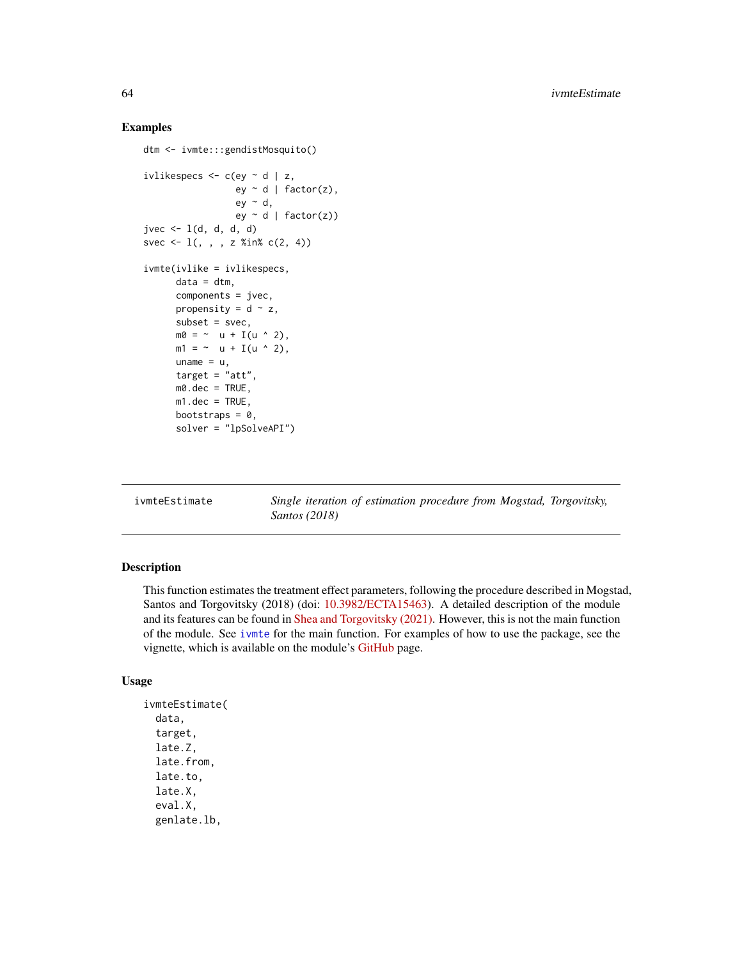#### Examples

```
dtm <- ivmte:::gendistMosquito()
ivlikespecs \leq c(ey \sim d | z,
                  ey \sim d | factor(z),
                  ey ~ d,
                  ey - d | factor(z))
jvec \leq 1(d, d, d, d)svec \leq 1(, , , z %in% c(2, 4))
ivmte(ivlike = ivlikespecs,
      data = dtm,components = jvec,
      propensity = d \sim z,
      subset = svec,
      m\theta = \sim u + I(u \wedge 2),
      m1 = \sim u + I(u \sim 2),
      uname = u,
      target = "att",m0.dec = TRUE,
      m1.dec = TRUE,
      bootstraps = 0,
      solver = "lpSolveAPI")
```
ivmteEstimate *Single iteration of estimation procedure from Mogstad, Torgovitsky, Santos (2018)*

# Description

This function estimates the treatment effect parameters, following the procedure described in Mogstad, Santos and Torgovitsky (2018) (doi: [10.3982/ECTA15463\)](https://doi.org/10.3982/ECTA15463). A detailed description of the module and its features can be found in [Shea and Torgovitsky \(2021\).](https://a-torgovitsky.github.io/shea-torgovitsky.pdf) However, this is not the main function of the module. See [ivmte](#page-55-0) for the main function. For examples of how to use the package, see the vignette, which is available on the module's [GitHub](https://github.com/jkcshea/ivmte) page.

#### Usage

```
ivmteEstimate(
  data,
  target,
  late.Z,
  late.from,
  late.to,
  late.X,
  eval.X,
  genlate.lb,
```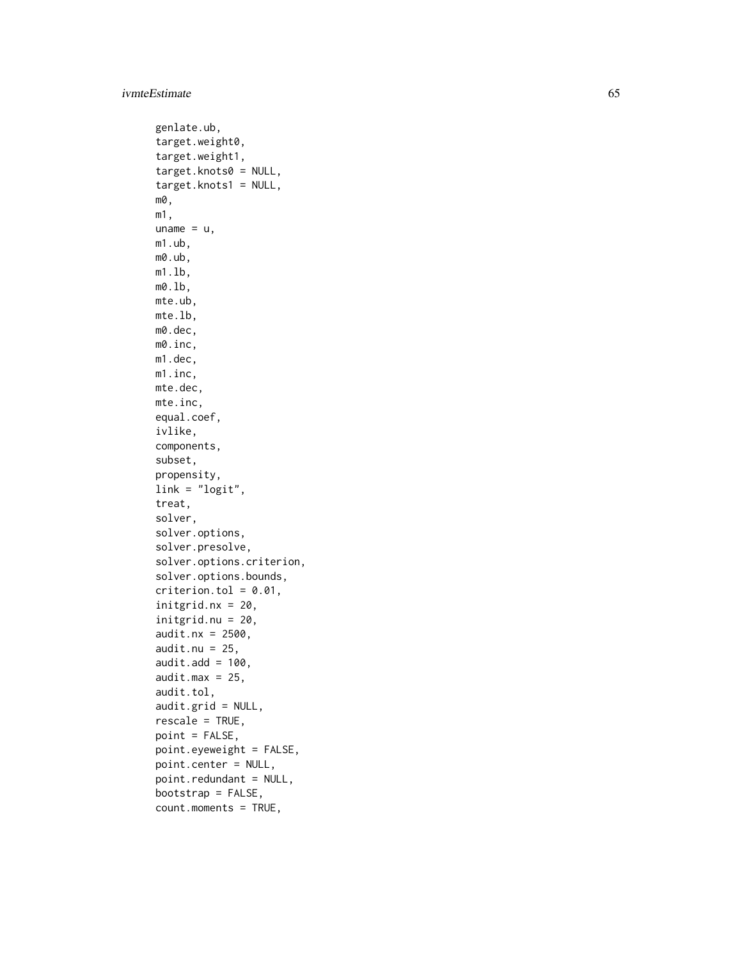#### ivmteEstimate 65

```
genlate.ub,
target.weight0,
target.weight1,
target.knots0 = NULL,
target.knots1 = NULL,
m0,
m1,
uname = u,m1.ub,
m0.ub,
m1.lb,
m0.lb,
mte.ub,
mte.lb,
m0.dec,
m0.inc,
m1.dec,
m1.inc,
mte.dec,
mte.inc,
equal.coef,
ivlike,
components,
subset,
propensity,
link = "logit",treat,
solver,
solver.options,
solver.presolve,
solver.options.criterion,
solver.options.bounds,
criterion.tol = 0.01,
initgrid.nx = 20,
initgrid.nu = 20,
audit.nx = 2500,
audit.nu = 25.
audit.add = 100,
audit.max = 25,
audit.tol,
audit.grid = NULL,
rescale = TRUE,
point = FALSE,
point.eyeweight = FALSE,
point.center = NULL,
point.redundant = NULL,
bootstrap = FALSE,
count.moments = TRUE,
```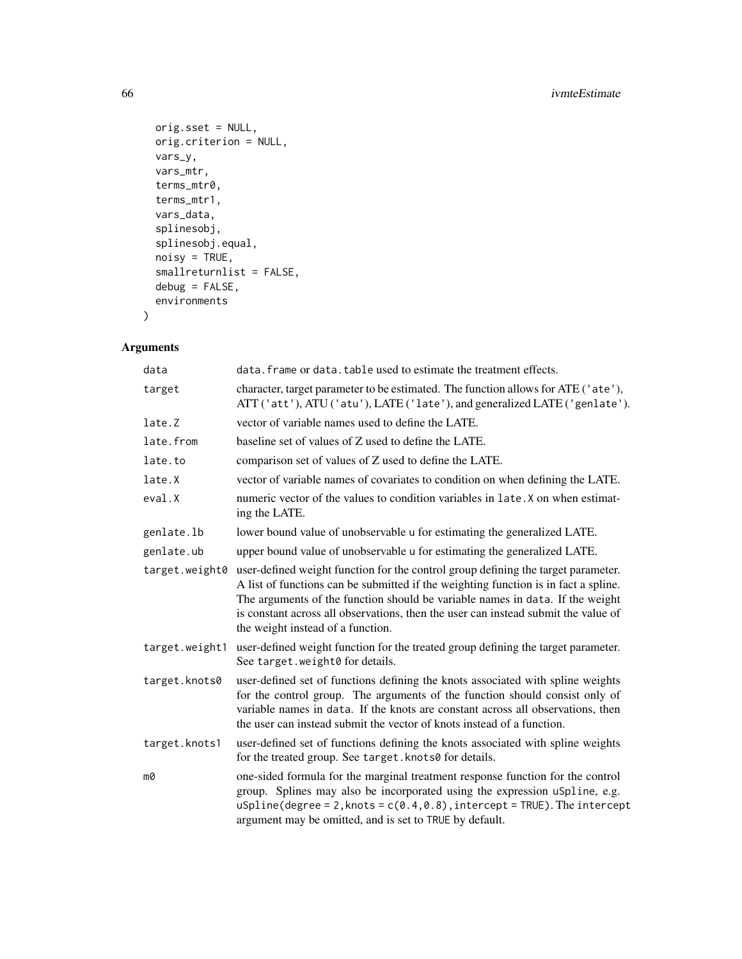```
orig.sset = NULL,
 orig.criterion = NULL,
 vars_y,
 vars_mtr,
  terms_mtr0,
 terms_mtr1,
 vars_data,
  splinesobj,
  splinesobj.equal,
 noisy = TRUE,
 smallreturnlist = FALSE,
 debug = FALSE,environments
)
```
# Arguments

| data           | data. frame or data. table used to estimate the treatment effects.                                                                                                                                                                                                                                                                                                                   |
|----------------|--------------------------------------------------------------------------------------------------------------------------------------------------------------------------------------------------------------------------------------------------------------------------------------------------------------------------------------------------------------------------------------|
| target         | character, target parameter to be estimated. The function allows for ATE ('ate'),<br>ATT ('att'), ATU ('atu'), LATE ('late'), and generalized LATE ('genlate').                                                                                                                                                                                                                      |
| late.Z         | vector of variable names used to define the LATE.                                                                                                                                                                                                                                                                                                                                    |
| late.from      | baseline set of values of Z used to define the LATE.                                                                                                                                                                                                                                                                                                                                 |
| late.to        | comparison set of values of Z used to define the LATE.                                                                                                                                                                                                                                                                                                                               |
| late.X         | vector of variable names of covariates to condition on when defining the LATE.                                                                                                                                                                                                                                                                                                       |
| eval.X         | numeric vector of the values to condition variables in late. X on when estimat-<br>ing the LATE.                                                                                                                                                                                                                                                                                     |
| genlate.lb     | lower bound value of unobservable u for estimating the generalized LATE.                                                                                                                                                                                                                                                                                                             |
| genlate.ub     | upper bound value of unobservable u for estimating the generalized LATE.                                                                                                                                                                                                                                                                                                             |
| target.weight0 | user-defined weight function for the control group defining the target parameter.<br>A list of functions can be submitted if the weighting function is in fact a spline.<br>The arguments of the function should be variable names in data. If the weight<br>is constant across all observations, then the user can instead submit the value of<br>the weight instead of a function. |
| target.weight1 | user-defined weight function for the treated group defining the target parameter.<br>See target.weight0 for details.                                                                                                                                                                                                                                                                 |
| target.knots0  | user-defined set of functions defining the knots associated with spline weights<br>for the control group. The arguments of the function should consist only of<br>variable names in data. If the knots are constant across all observations, then<br>the user can instead submit the vector of knots instead of a function.                                                          |
| target.knots1  | user-defined set of functions defining the knots associated with spline weights<br>for the treated group. See target. knots0 for details.                                                                                                                                                                                                                                            |
| m0             | one-sided formula for the marginal treatment response function for the control<br>group. Splines may also be incorporated using the expression uSpline, e.g.<br>$uSplitne(degree = 2, knots = c(0.4, 0.8), intercept = TRUE).$ The $intercept$<br>argument may be omitted, and is set to TRUE by default.                                                                            |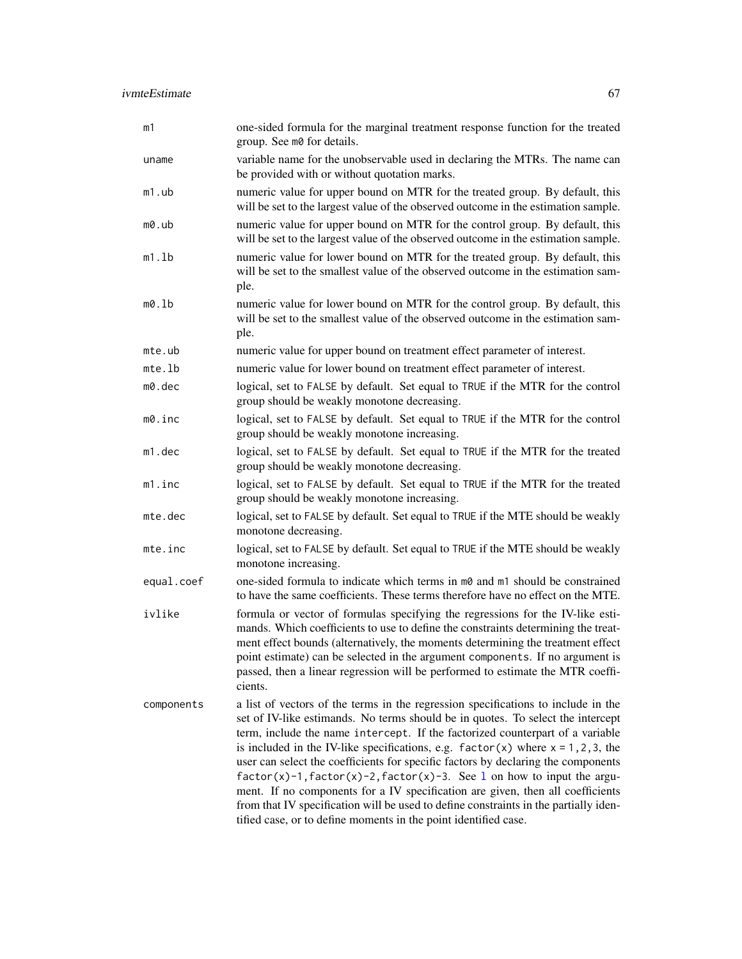| m1         | one-sided formula for the marginal treatment response function for the treated<br>group. See m0 for details.                                                                                                                                                                                                                                                                                                                                                                                                                                                                                                                                                                                                                                                 |
|------------|--------------------------------------------------------------------------------------------------------------------------------------------------------------------------------------------------------------------------------------------------------------------------------------------------------------------------------------------------------------------------------------------------------------------------------------------------------------------------------------------------------------------------------------------------------------------------------------------------------------------------------------------------------------------------------------------------------------------------------------------------------------|
| uname      | variable name for the unobservable used in declaring the MTRs. The name can<br>be provided with or without quotation marks.                                                                                                                                                                                                                                                                                                                                                                                                                                                                                                                                                                                                                                  |
| $m1.$ ub   | numeric value for upper bound on MTR for the treated group. By default, this<br>will be set to the largest value of the observed outcome in the estimation sample.                                                                                                                                                                                                                                                                                                                                                                                                                                                                                                                                                                                           |
| m0.ub      | numeric value for upper bound on MTR for the control group. By default, this<br>will be set to the largest value of the observed outcome in the estimation sample.                                                                                                                                                                                                                                                                                                                                                                                                                                                                                                                                                                                           |
| m1.1b      | numeric value for lower bound on MTR for the treated group. By default, this<br>will be set to the smallest value of the observed outcome in the estimation sam-<br>ple.                                                                                                                                                                                                                                                                                                                                                                                                                                                                                                                                                                                     |
| m0.1b      | numeric value for lower bound on MTR for the control group. By default, this<br>will be set to the smallest value of the observed outcome in the estimation sam-<br>ple.                                                                                                                                                                                                                                                                                                                                                                                                                                                                                                                                                                                     |
| mte.ub     | numeric value for upper bound on treatment effect parameter of interest.                                                                                                                                                                                                                                                                                                                                                                                                                                                                                                                                                                                                                                                                                     |
| mte.       | numeric value for lower bound on treatment effect parameter of interest.                                                                                                                                                                                                                                                                                                                                                                                                                                                                                                                                                                                                                                                                                     |
| m0.dec     | logical, set to FALSE by default. Set equal to TRUE if the MTR for the control<br>group should be weakly monotone decreasing.                                                                                                                                                                                                                                                                                                                                                                                                                                                                                                                                                                                                                                |
| m0.inc     | logical, set to FALSE by default. Set equal to TRUE if the MTR for the control<br>group should be weakly monotone increasing.                                                                                                                                                                                                                                                                                                                                                                                                                                                                                                                                                                                                                                |
| $m1$ .dec  | logical, set to FALSE by default. Set equal to TRUE if the MTR for the treated<br>group should be weakly monotone decreasing.                                                                                                                                                                                                                                                                                                                                                                                                                                                                                                                                                                                                                                |
| m1.inc     | logical, set to FALSE by default. Set equal to TRUE if the MTR for the treated<br>group should be weakly monotone increasing.                                                                                                                                                                                                                                                                                                                                                                                                                                                                                                                                                                                                                                |
| mte.dec    | logical, set to FALSE by default. Set equal to TRUE if the MTE should be weakly<br>monotone decreasing.                                                                                                                                                                                                                                                                                                                                                                                                                                                                                                                                                                                                                                                      |
| mte.inc    | logical, set to FALSE by default. Set equal to TRUE if the MTE should be weakly<br>monotone increasing.                                                                                                                                                                                                                                                                                                                                                                                                                                                                                                                                                                                                                                                      |
| equal.coef | one-sided formula to indicate which terms in $m\omega$ and $m\omega$ should be constrained<br>to have the same coefficients. These terms therefore have no effect on the MTE.                                                                                                                                                                                                                                                                                                                                                                                                                                                                                                                                                                                |
| ivlike     | formula or vector of formulas specifying the regressions for the IV-like esti-<br>mands. Which coefficients to use to define the constraints determining the treat-<br>ment effect bounds (alternatively, the moments determining the treatment effect<br>point estimate) can be selected in the argument components. If no argument is<br>passed, then a linear regression will be performed to estimate the MTR coeffi-<br>cients.                                                                                                                                                                                                                                                                                                                         |
| components | a list of vectors of the terms in the regression specifications to include in the<br>set of IV-like estimands. No terms should be in quotes. To select the intercept<br>term, include the name intercept. If the factorized counterpart of a variable<br>is included in the IV-like specifications, e.g. $factor(x)$ where $x = 1, 2, 3$ , the<br>user can select the coefficients for specific factors by declaring the components<br>$factor(x)-1, factor(x)-2, factor(x)-3.$ See 1 on how to input the argu-<br>ment. If no components for a IV specification are given, then all coefficients<br>from that IV specification will be used to define constraints in the partially iden-<br>tified case, or to define moments in the point identified case. |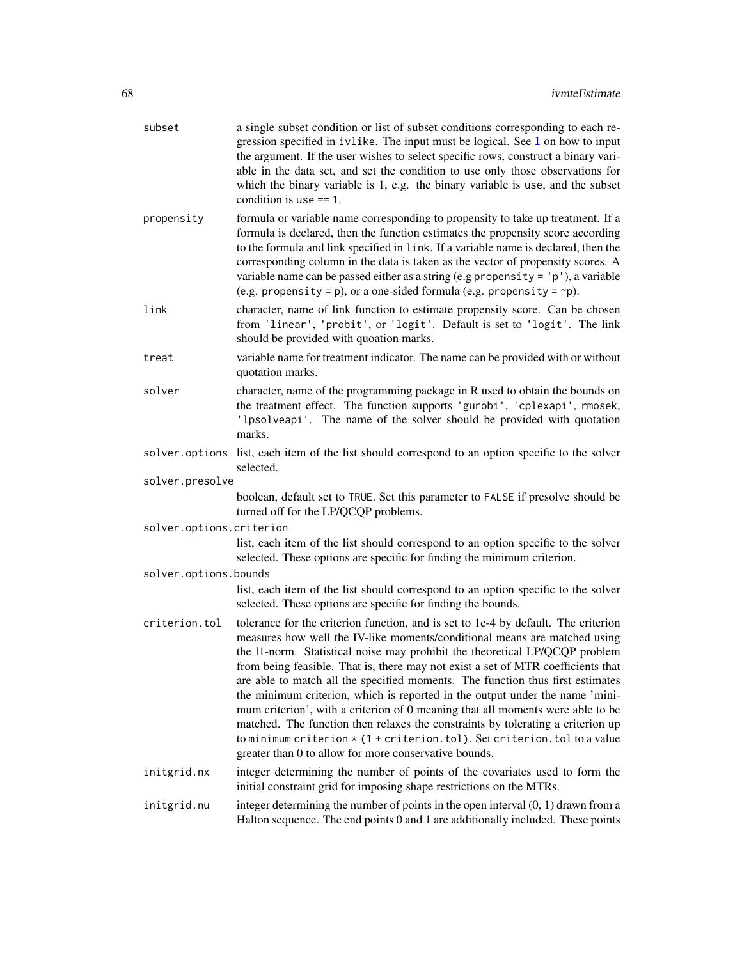| subset                   | a single subset condition or list of subset conditions corresponding to each re-<br>gression specified in ivlike. The input must be logical. See 1 on how to input<br>the argument. If the user wishes to select specific rows, construct a binary vari-<br>able in the data set, and set the condition to use only those observations for<br>which the binary variable is 1, e.g. the binary variable is use, and the subset<br>condition is use $== 1$ .                                                                                                                                                                                                                                                                                                                                                           |  |
|--------------------------|----------------------------------------------------------------------------------------------------------------------------------------------------------------------------------------------------------------------------------------------------------------------------------------------------------------------------------------------------------------------------------------------------------------------------------------------------------------------------------------------------------------------------------------------------------------------------------------------------------------------------------------------------------------------------------------------------------------------------------------------------------------------------------------------------------------------|--|
| propensity               | formula or variable name corresponding to propensity to take up treatment. If a<br>formula is declared, then the function estimates the propensity score according<br>to the formula and link specified in link. If a variable name is declared, then the<br>corresponding column in the data is taken as the vector of propensity scores. A<br>variable name can be passed either as a string (e.g propensity = $'p'$ ), a variable<br>(e.g. propensity = p), or a one-sided formula (e.g. propensity = $\neg$ p).                                                                                                                                                                                                                                                                                                  |  |
| link                     | character, name of link function to estimate propensity score. Can be chosen<br>from 'linear', 'probit', or 'logit'. Default is set to 'logit'. The link<br>should be provided with quoation marks.                                                                                                                                                                                                                                                                                                                                                                                                                                                                                                                                                                                                                  |  |
| treat                    | variable name for treatment indicator. The name can be provided with or without<br>quotation marks.                                                                                                                                                                                                                                                                                                                                                                                                                                                                                                                                                                                                                                                                                                                  |  |
| solver                   | character, name of the programming package in R used to obtain the bounds on<br>the treatment effect. The function supports 'gurobi', 'cplexapi', rmosek,<br>'lpsolveapi'. The name of the solver should be provided with quotation<br>marks.                                                                                                                                                                                                                                                                                                                                                                                                                                                                                                                                                                        |  |
|                          | solver options list, each item of the list should correspond to an option specific to the solver<br>selected.                                                                                                                                                                                                                                                                                                                                                                                                                                                                                                                                                                                                                                                                                                        |  |
| solver.presolve          |                                                                                                                                                                                                                                                                                                                                                                                                                                                                                                                                                                                                                                                                                                                                                                                                                      |  |
|                          | boolean, default set to TRUE. Set this parameter to FALSE if presolve should be<br>turned off for the LP/QCQP problems.                                                                                                                                                                                                                                                                                                                                                                                                                                                                                                                                                                                                                                                                                              |  |
| solver.options.criterion |                                                                                                                                                                                                                                                                                                                                                                                                                                                                                                                                                                                                                                                                                                                                                                                                                      |  |
|                          | list, each item of the list should correspond to an option specific to the solver<br>selected. These options are specific for finding the minimum criterion.                                                                                                                                                                                                                                                                                                                                                                                                                                                                                                                                                                                                                                                         |  |
| solver.options.bounds    |                                                                                                                                                                                                                                                                                                                                                                                                                                                                                                                                                                                                                                                                                                                                                                                                                      |  |
|                          | list, each item of the list should correspond to an option specific to the solver<br>selected. These options are specific for finding the bounds.                                                                                                                                                                                                                                                                                                                                                                                                                                                                                                                                                                                                                                                                    |  |
| criterion.tol            | tolerance for the criterion function, and is set to 1e-4 by default. The criterion<br>measures how well the IV-like moments/conditional means are matched using<br>the 11-norm. Statistical noise may prohibit the theoretical LP/QCQP problem<br>from being feasible. That is, there may not exist a set of MTR coefficients that<br>are able to match all the specified moments. The function thus first estimates<br>the minimum criterion, which is reported in the output under the name 'mini-<br>mum criterion', with a criterion of 0 meaning that all moments were able to be<br>matched. The function then relaxes the constraints by tolerating a criterion up<br>to minimum criterion $\star$ (1 + criterion.tol). Set criterion.tol to a value<br>greater than 0 to allow for more conservative bounds. |  |
| initgrid.nx              | integer determining the number of points of the covariates used to form the<br>initial constraint grid for imposing shape restrictions on the MTRs.                                                                                                                                                                                                                                                                                                                                                                                                                                                                                                                                                                                                                                                                  |  |
| initgrid.nu              | integer determining the number of points in the open interval $(0, 1)$ drawn from a<br>Halton sequence. The end points 0 and 1 are additionally included. These points                                                                                                                                                                                                                                                                                                                                                                                                                                                                                                                                                                                                                                               |  |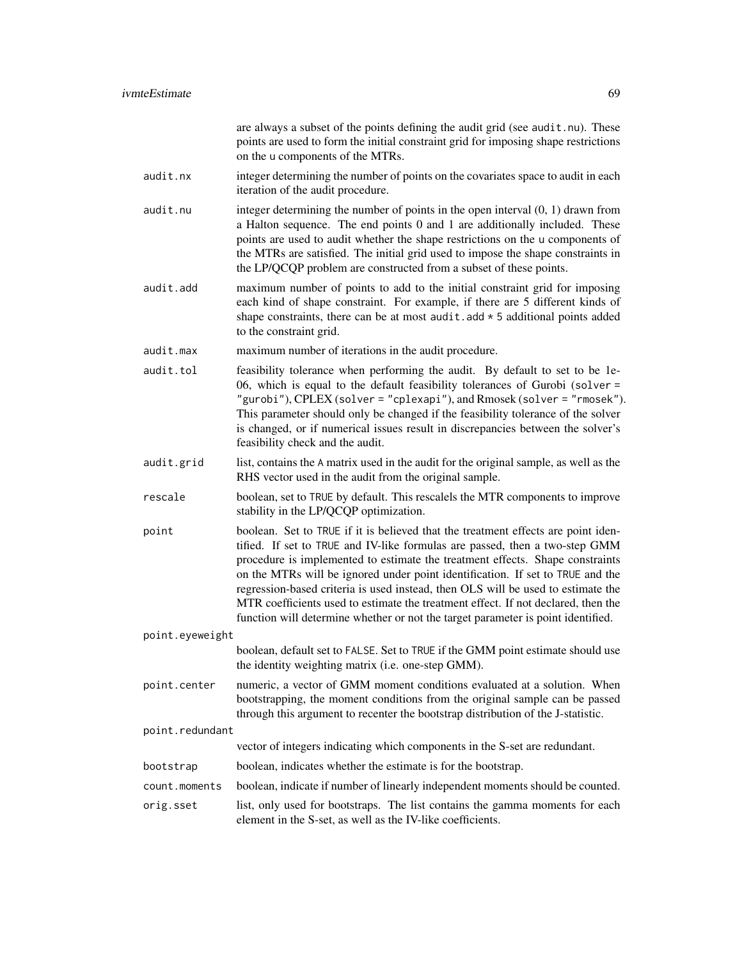|                 |               | are always a subset of the points defining the audit grid (see audit . nu). These<br>points are used to form the initial constraint grid for imposing shape restrictions<br>on the u components of the MTRs.                                                                                                                                                                                                                                                                                                                                                                                     |
|-----------------|---------------|--------------------------------------------------------------------------------------------------------------------------------------------------------------------------------------------------------------------------------------------------------------------------------------------------------------------------------------------------------------------------------------------------------------------------------------------------------------------------------------------------------------------------------------------------------------------------------------------------|
|                 | audit.nx      | integer determining the number of points on the covariates space to audit in each<br>iteration of the audit procedure.                                                                                                                                                                                                                                                                                                                                                                                                                                                                           |
|                 | audit.nu      | integer determining the number of points in the open interval $(0, 1)$ drawn from<br>a Halton sequence. The end points 0 and 1 are additionally included. These<br>points are used to audit whether the shape restrictions on the u components of<br>the MTRs are satisfied. The initial grid used to impose the shape constraints in<br>the LP/QCQP problem are constructed from a subset of these points.                                                                                                                                                                                      |
|                 | audit.add     | maximum number of points to add to the initial constraint grid for imposing<br>each kind of shape constraint. For example, if there are 5 different kinds of<br>shape constraints, there can be at most $a$ udit. $a$ dd $*$ 5 additional points added<br>to the constraint grid.                                                                                                                                                                                                                                                                                                                |
|                 | audit.max     | maximum number of iterations in the audit procedure.                                                                                                                                                                                                                                                                                                                                                                                                                                                                                                                                             |
|                 | audit.tol     | feasibility tolerance when performing the audit. By default to set to be 1e-<br>06, which is equal to the default feasibility tolerances of Gurobi (solver =<br>"gurobi"), CPLEX (solver = "cplexapi"), and Rmosek (solver = "rmosek").<br>This parameter should only be changed if the feasibility tolerance of the solver<br>is changed, or if numerical issues result in discrepancies between the solver's<br>feasibility check and the audit.                                                                                                                                               |
|                 | audit.grid    | list, contains the A matrix used in the audit for the original sample, as well as the<br>RHS vector used in the audit from the original sample.                                                                                                                                                                                                                                                                                                                                                                                                                                                  |
|                 | rescale       | boolean, set to TRUE by default. This rescalels the MTR components to improve<br>stability in the LP/QCQP optimization.                                                                                                                                                                                                                                                                                                                                                                                                                                                                          |
|                 | point         | boolean. Set to TRUE if it is believed that the treatment effects are point iden-<br>tified. If set to TRUE and IV-like formulas are passed, then a two-step GMM<br>procedure is implemented to estimate the treatment effects. Shape constraints<br>on the MTRs will be ignored under point identification. If set to TRUE and the<br>regression-based criteria is used instead, then OLS will be used to estimate the<br>MTR coefficients used to estimate the treatment effect. If not declared, then the<br>function will determine whether or not the target parameter is point identified. |
| point.eyeweight |               |                                                                                                                                                                                                                                                                                                                                                                                                                                                                                                                                                                                                  |
|                 |               | boolean, default set to FALSE. Set to TRUE if the GMM point estimate should use<br>the identity weighting matrix (i.e. one-step GMM).                                                                                                                                                                                                                                                                                                                                                                                                                                                            |
|                 | point.center  | numeric, a vector of GMM moment conditions evaluated at a solution. When<br>bootstrapping, the moment conditions from the original sample can be passed<br>through this argument to recenter the bootstrap distribution of the J-statistic.                                                                                                                                                                                                                                                                                                                                                      |
| point.redundant |               |                                                                                                                                                                                                                                                                                                                                                                                                                                                                                                                                                                                                  |
|                 |               | vector of integers indicating which components in the S-set are redundant.                                                                                                                                                                                                                                                                                                                                                                                                                                                                                                                       |
|                 | bootstrap     | boolean, indicates whether the estimate is for the bootstrap.                                                                                                                                                                                                                                                                                                                                                                                                                                                                                                                                    |
|                 | count.moments | boolean, indicate if number of linearly independent moments should be counted.                                                                                                                                                                                                                                                                                                                                                                                                                                                                                                                   |
|                 | orig.sset     | list, only used for bootstraps. The list contains the gamma moments for each<br>element in the S-set, as well as the IV-like coefficients.                                                                                                                                                                                                                                                                                                                                                                                                                                                       |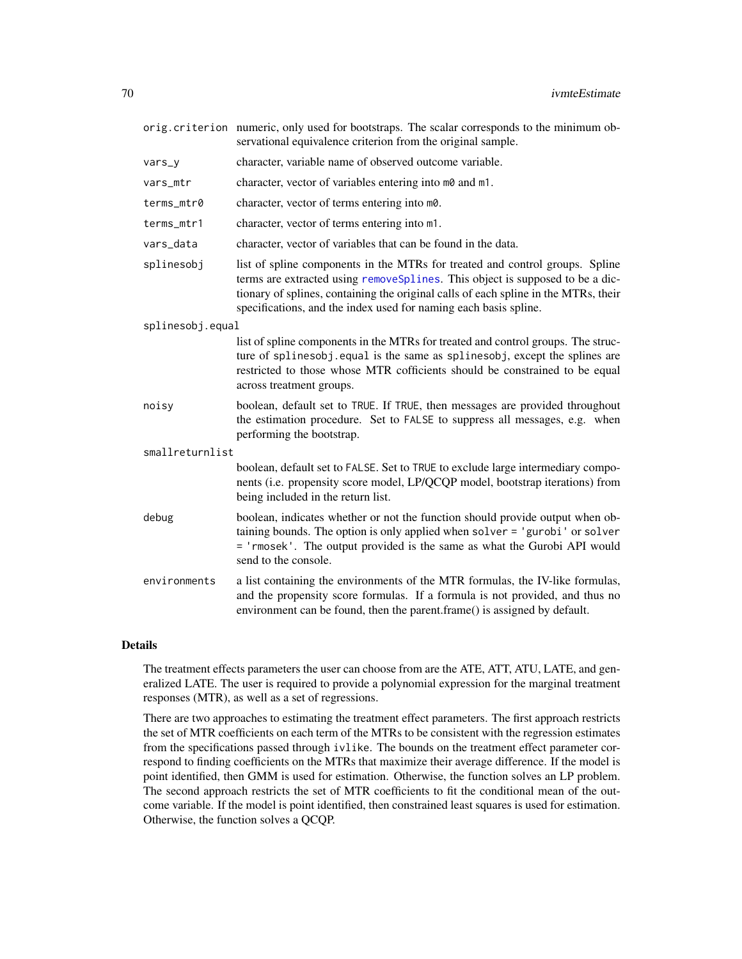|                  | orig.criterion numeric, only used for bootstraps. The scalar corresponds to the minimum ob-<br>servational equivalence criterion from the original sample.                                                                                                                                                               |  |  |
|------------------|--------------------------------------------------------------------------------------------------------------------------------------------------------------------------------------------------------------------------------------------------------------------------------------------------------------------------|--|--|
| vars_y           | character, variable name of observed outcome variable.                                                                                                                                                                                                                                                                   |  |  |
| vars_mtr         | character, vector of variables entering into m0 and m1.                                                                                                                                                                                                                                                                  |  |  |
| terms_mtr0       | character, vector of terms entering into m0.                                                                                                                                                                                                                                                                             |  |  |
| terms_mtr1       | character, vector of terms entering into m1.                                                                                                                                                                                                                                                                             |  |  |
| vars_data        | character, vector of variables that can be found in the data.                                                                                                                                                                                                                                                            |  |  |
| splinesobj       | list of spline components in the MTRs for treated and control groups. Spline<br>terms are extracted using removeSplines. This object is supposed to be a dic-<br>tionary of splines, containing the original calls of each spline in the MTRs, their<br>specifications, and the index used for naming each basis spline. |  |  |
| splinesobj.equal |                                                                                                                                                                                                                                                                                                                          |  |  |
|                  | list of spline components in the MTRs for treated and control groups. The struc-<br>ture of splinesobj. equal is the same as splinesobj, except the splines are<br>restricted to those whose MTR cofficients should be constrained to be equal<br>across treatment groups.                                               |  |  |
| noisy            | boolean, default set to TRUE. If TRUE, then messages are provided throughout<br>the estimation procedure. Set to FALSE to suppress all messages, e.g. when<br>performing the bootstrap.                                                                                                                                  |  |  |
| smallreturnlist  |                                                                                                                                                                                                                                                                                                                          |  |  |
|                  | boolean, default set to FALSE. Set to TRUE to exclude large intermediary compo-<br>nents (i.e. propensity score model, LP/QCQP model, bootstrap iterations) from<br>being included in the return list.                                                                                                                   |  |  |
| debug            | boolean, indicates whether or not the function should provide output when ob-<br>taining bounds. The option is only applied when solver = 'gurobi' or solver<br>= 'rmosek'. The output provided is the same as what the Gurobi API would<br>send to the console.                                                         |  |  |
| environments     | a list containing the environments of the MTR formulas, the IV-like formulas,<br>and the propensity score formulas. If a formula is not provided, and thus no<br>environment can be found, then the parent.frame() is assigned by default.                                                                               |  |  |

# Details

The treatment effects parameters the user can choose from are the ATE, ATT, ATU, LATE, and generalized LATE. The user is required to provide a polynomial expression for the marginal treatment responses (MTR), as well as a set of regressions.

There are two approaches to estimating the treatment effect parameters. The first approach restricts the set of MTR coefficients on each term of the MTRs to be consistent with the regression estimates from the specifications passed through ivlike. The bounds on the treatment effect parameter correspond to finding coefficients on the MTRs that maximize their average difference. If the model is point identified, then GMM is used for estimation. Otherwise, the function solves an LP problem. The second approach restricts the set of MTR coefficients to fit the conditional mean of the outcome variable. If the model is point identified, then constrained least squares is used for estimation. Otherwise, the function solves a QCQP.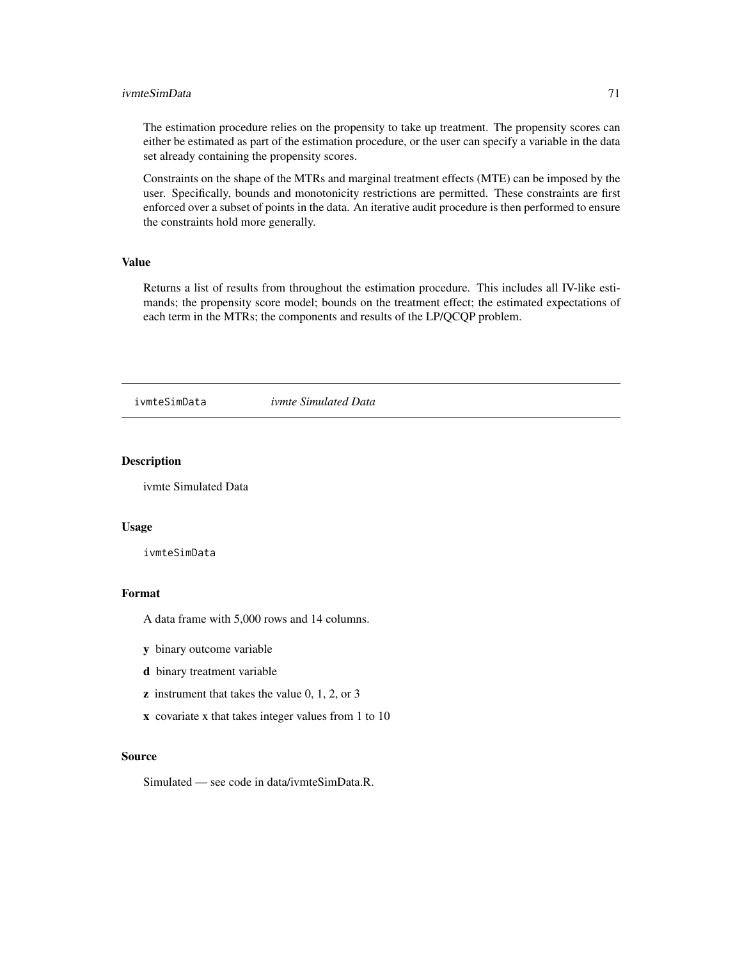#### ivmteSimData 71

The estimation procedure relies on the propensity to take up treatment. The propensity scores can either be estimated as part of the estimation procedure, or the user can specify a variable in the data set already containing the propensity scores.

Constraints on the shape of the MTRs and marginal treatment effects (MTE) can be imposed by the user. Specifically, bounds and monotonicity restrictions are permitted. These constraints are first enforced over a subset of points in the data. An iterative audit procedure is then performed to ensure the constraints hold more generally.

# Value

Returns a list of results from throughout the estimation procedure. This includes all IV-like estimands; the propensity score model; bounds on the treatment effect; the estimated expectations of each term in the MTRs; the components and results of the LP/QCQP problem.

ivmteSimData *ivmte Simulated Data*

#### Description

ivmte Simulated Data

#### Usage

ivmteSimData

# Format

A data frame with 5,000 rows and 14 columns.

- y binary outcome variable
- d binary treatment variable
- $\boldsymbol{z}$  instrument that takes the value 0, 1, 2, or 3
- x covariate x that takes integer values from 1 to 10

#### Source

Simulated — see code in data/ivmteSimData.R.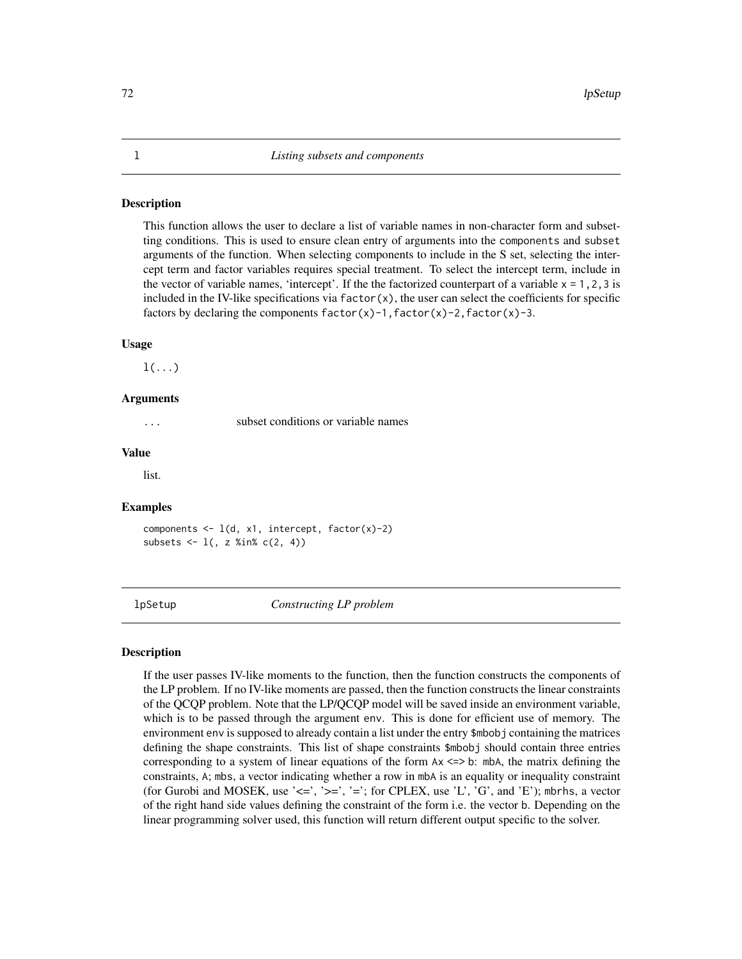<span id="page-71-0"></span>This function allows the user to declare a list of variable names in non-character form and subsetting conditions. This is used to ensure clean entry of arguments into the components and subset arguments of the function. When selecting components to include in the S set, selecting the intercept term and factor variables requires special treatment. To select the intercept term, include in the vector of variable names, 'intercept'. If the the factorized counterpart of a variable  $x = 1, 2, 3$  is included in the IV-like specifications via  $factor(x)$ , the user can select the coefficients for specific factors by declaring the components  $factor(x)-1$ ,  $factor(x)-2$ ,  $factor(x)-3$ .

#### Usage

 $l(\ldots)$ 

#### Arguments

... subset conditions or variable names

#### Value

list.

#### Examples

components  $\leq 1(d, x1, \text{ intercept}, \text{factor}(x)-2)$ subsets  $\leq 1$ (, z %in% c(2, 4))

lpSetup *Constructing LP problem*

## **Description**

If the user passes IV-like moments to the function, then the function constructs the components of the LP problem. If no IV-like moments are passed, then the function constructs the linear constraints of the QCQP problem. Note that the LP/QCQP model will be saved inside an environment variable, which is to be passed through the argument env. This is done for efficient use of memory. The environment env is supposed to already contain a list under the entry \$mbobj containing the matrices defining the shape constraints. This list of shape constraints \$mbobj should contain three entries corresponding to a system of linear equations of the form  $Ax \leq b$ : mbA, the matrix defining the constraints, A; mbs, a vector indicating whether a row in mbA is an equality or inequality constraint (for Gurobi and MOSEK, use ' $\leq$ ', ' $\geq$ ', ' $=$ '; for CPLEX, use 'L', 'G', and 'E'); mbrhs, a vector of the right hand side values defining the constraint of the form i.e. the vector b. Depending on the linear programming solver used, this function will return different output specific to the solver.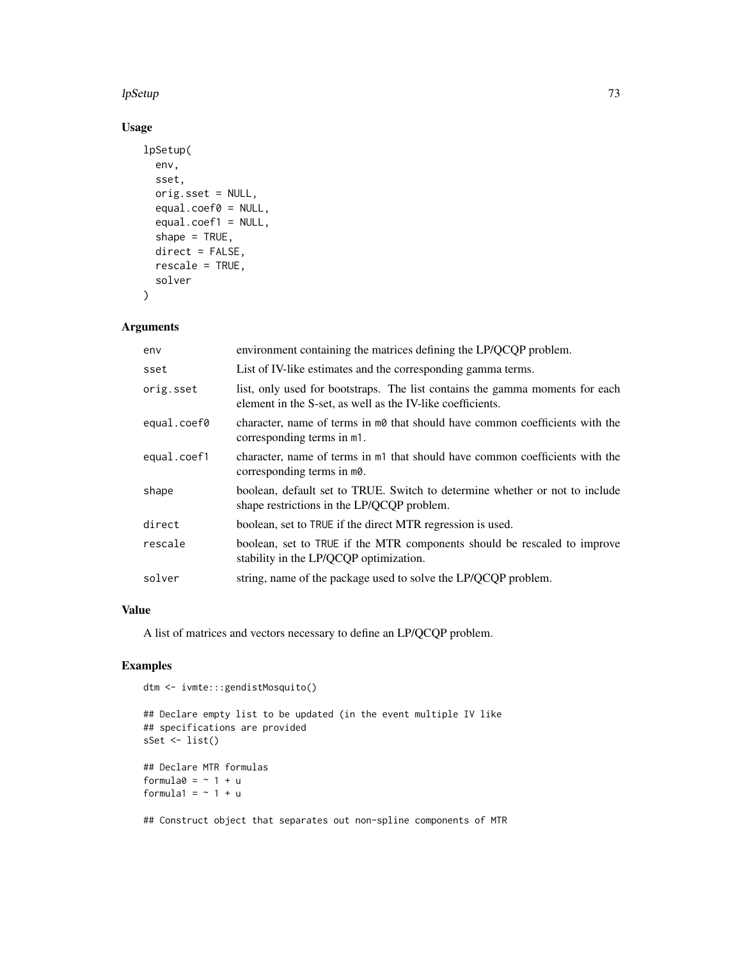## lpSetup 73

# Usage

```
lpSetup(
  env,
  sset,
 orig.sset = NULL,
  equal.coef0 = NULL,
  equal.coef1 = NULL,
  shape = TRUE,
 direct = FALSE,rescale = TRUE,
  solver
)
```
# Arguments

| env         | environment containing the matrices defining the LP/QCQP problem.                                                                          |
|-------------|--------------------------------------------------------------------------------------------------------------------------------------------|
| sset        | List of IV-like estimates and the corresponding gamma terms.                                                                               |
| orig.sset   | list, only used for bootstraps. The list contains the gamma moments for each<br>element in the S-set, as well as the IV-like coefficients. |
| equal.coef0 | character, name of terms in m0 that should have common coefficients with the<br>corresponding terms in m1.                                 |
| equal.coef1 | character, name of terms in m <sub>1</sub> that should have common coefficients with the<br>corresponding terms in m0.                     |
| shape       | boolean, default set to TRUE. Switch to determine whether or not to include<br>shape restrictions in the LP/QCQP problem.                  |
| direct      | boolean, set to TRUE if the direct MTR regression is used.                                                                                 |
| rescale     | boolean, set to TRUE if the MTR components should be rescaled to improve<br>stability in the LP/QCQP optimization.                         |
| solver      | string, name of the package used to solve the LP/QCQP problem.                                                                             |

## Value

A list of matrices and vectors necessary to define an LP/QCQP problem.

# Examples

```
dtm <- ivmte:::gendistMosquito()
```

```
## Declare empty list to be updated (in the event multiple IV like
## specifications are provided
sSet <- list()
## Declare MTR formulas
formula0 = -1 + uformula1 = ~1 + u
```
## Construct object that separates out non-spline components of MTR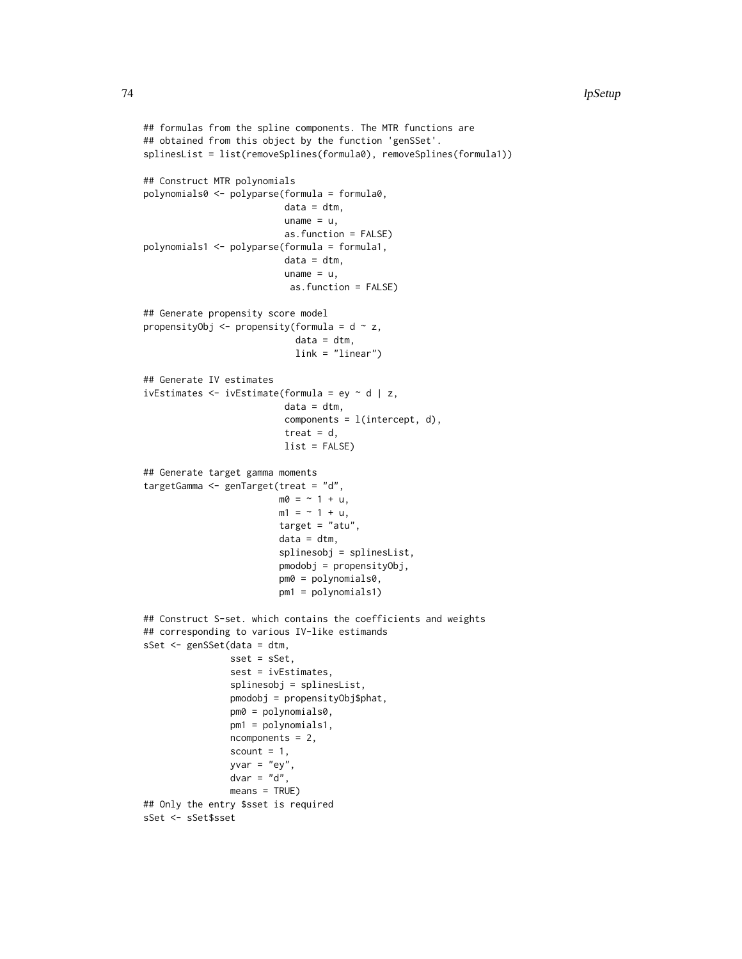```
## formulas from the spline components. The MTR functions are
## obtained from this object by the function 'genSSet'.
splinesList = list(removeSplines(formula0), removeSplines(formula1))
## Construct MTR polynomials
polynomials0 <- polyparse(formula = formula0,
                          data = dtm,uname = u,
                          as.function = FALSE)
polynomials1 <- polyparse(formula = formula1,
                          data = dtm,
                          uname = u,as.function = FALSE)
## Generate propensity score model
propensityObj \leq propensity(formula = d \sim z,
                            data = dtm,link = "linear")
## Generate IV estimates
ivEstimates \leq ivEstimate(formula = ey \sim d | z,
                          data = dtm,
                          components = l(intercept, d),
                          treat = d,
                          list = FALSE)
## Generate target gamma moments
targetGamma <- genTarget(treat = "d",
                         m0 = -1 + u,
                         m1 = -1 + u,
                         target = "atu",data = dtm,splinesobj = splinesList,
                         pmodobj = propensityObj,
                         pm0 = polynomials0,
                         pm1 = polynomials1)
## Construct S-set. which contains the coefficients and weights
## corresponding to various IV-like estimands
sSet <- genSSet(data = dtm,
                sset = sSet,
                sest = ivEstimates,
                splinesobj = splinesList,
                pmodobj = propensityObj$phat,
                pm0 = polynomials0,
                pm1 = polynomials1,
                ncomponents = 2,
                scount = 1,
                yvar = "ey",dvar = "d",means = TRUE)
## Only the entry $sset is required
sSet <- sSet$sset
```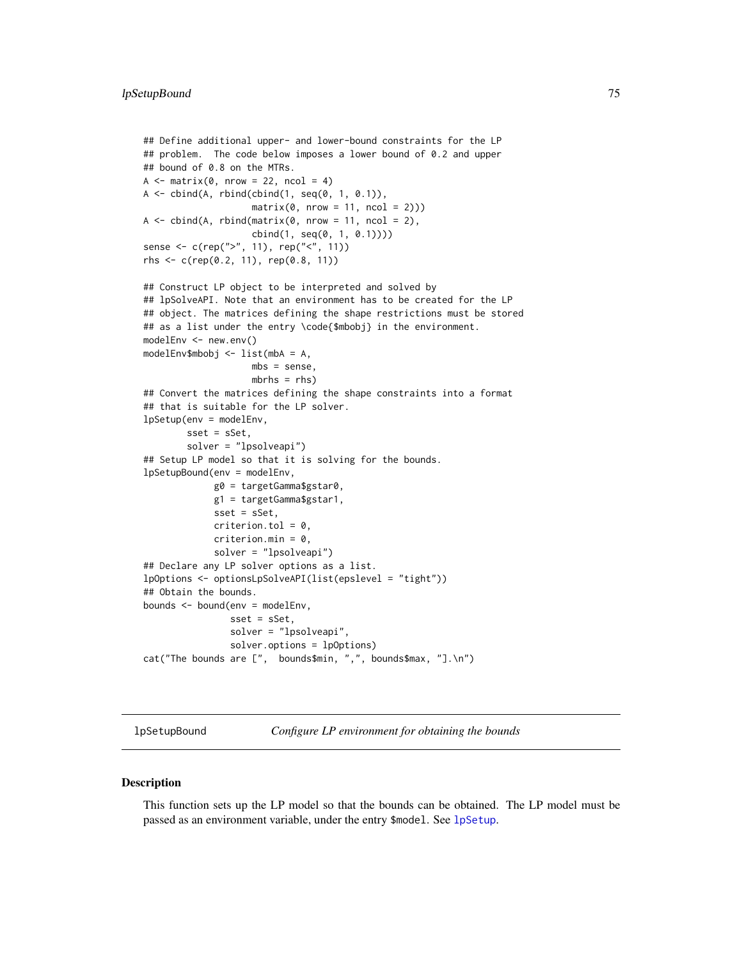```
## Define additional upper- and lower-bound constraints for the LP
## problem. The code below imposes a lower bound of 0.2 and upper
## bound of 0.8 on the MTRs.
A \leq - matrix(0, nrow = 22, ncol = 4)
A \leftarrow \text{cbind}(A, \text{rbind}(\text{cbind}(1, \text{seq}(0, 1, 0.1))),matrix(0, nrow = 11, ncol = 2))A \leq cbind(A, rbind(matrix(0, nrow = 11, ncol = 2),
                     cbind(1, seq(0, 1, 0.1))))
sense <- c(rep(">", 11), rep("<", 11))
rhs <- c(rep(0.2, 11), rep(0.8, 11))
## Construct LP object to be interpreted and solved by
## lpSolveAPI. Note that an environment has to be created for the LP
## object. The matrices defining the shape restrictions must be stored
## as a list under the entry \code{$mbobj} in the environment.
modelEnv <- new.env()
modelEnv$mbobj <- list(mbA = A,
                    mbs = sense,
                    mbrhs = rhs)
## Convert the matrices defining the shape constraints into a format
## that is suitable for the LP solver.
lpSetup(env = modelEnv,
        sset = sSet,
        solver = "lpsolveapi")
## Setup LP model so that it is solving for the bounds.
lpSetupBound(env = modelEnv,
             g0 = targetGamma$gstar0,
             g1 = targetGamma$gstar1,
             sset = sSet,
             criterion.tol = 0,
             criterion.min = 0,
             solver = "lpsolveapi")
## Declare any LP solver options as a list.
lpOptions <- optionsLpSolveAPI(list(epslevel = "tight"))
## Obtain the bounds.
bounds <- bound(env = modelEnv,
                sset = sSet,
                solver = "lpsolveapi",
                solver.options = lpOptions)
cat("The bounds are [", bounds$min, ",", bounds$max, "].\n")
```
lpSetupBound *Configure LP environment for obtaining the bounds*

#### **Description**

This function sets up the LP model so that the bounds can be obtained. The LP model must be passed as an environment variable, under the entry \$model. See [lpSetup](#page-71-0).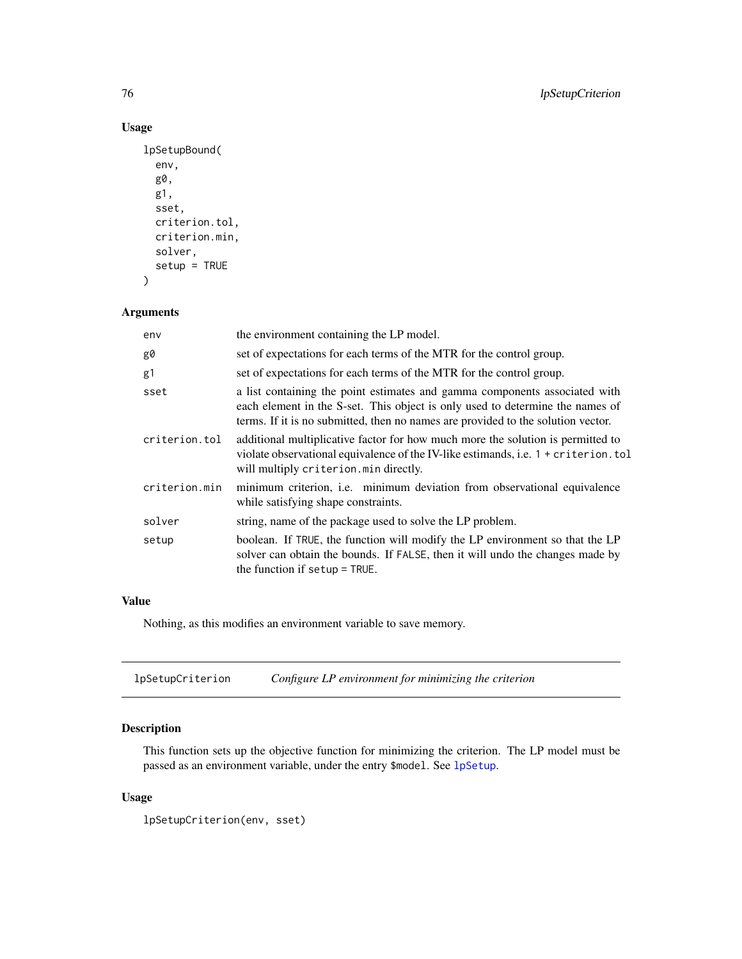# Usage

```
lpSetupBound(
  env,
  g0,
  g1,
  sset,
  criterion.tol,
  criterion.min,
  solver,
  setup = TRUE\mathcal{E}
```
# Arguments

| env           | the environment containing the LP model.                                                                                                                                                                                                        |
|---------------|-------------------------------------------------------------------------------------------------------------------------------------------------------------------------------------------------------------------------------------------------|
| g0            | set of expectations for each terms of the MTR for the control group.                                                                                                                                                                            |
| g1            | set of expectations for each terms of the MTR for the control group.                                                                                                                                                                            |
| sset          | a list containing the point estimates and gamma components associated with<br>each element in the S-set. This object is only used to determine the names of<br>terms. If it is no submitted, then no names are provided to the solution vector. |
| criterion.tol | additional multiplicative factor for how much more the solution is permitted to<br>violate observational equivalence of the IV-like estimands, i.e. 1 + criterion.tol<br>will multiply criterion.min directly.                                  |
| criterion.min | minimum criterion, <i>i.e.</i> minimum deviation from observational equivalence<br>while satisfying shape constraints.                                                                                                                          |
| solver        | string, name of the package used to solve the LP problem.                                                                                                                                                                                       |
| setup         | boolean. If TRUE, the function will modify the LP environment so that the LP<br>solver can obtain the bounds. If FALSE, then it will undo the changes made by<br>the function if setup $=$ TRUE.                                                |

# Value

Nothing, as this modifies an environment variable to save memory.

| lpSetupCriterion | Configure LP environment for minimizing the criterion |
|------------------|-------------------------------------------------------|
|------------------|-------------------------------------------------------|

# Description

This function sets up the objective function for minimizing the criterion. The LP model must be passed as an environment variable, under the entry \$model. See [lpSetup](#page-71-0).

# Usage

lpSetupCriterion(env, sset)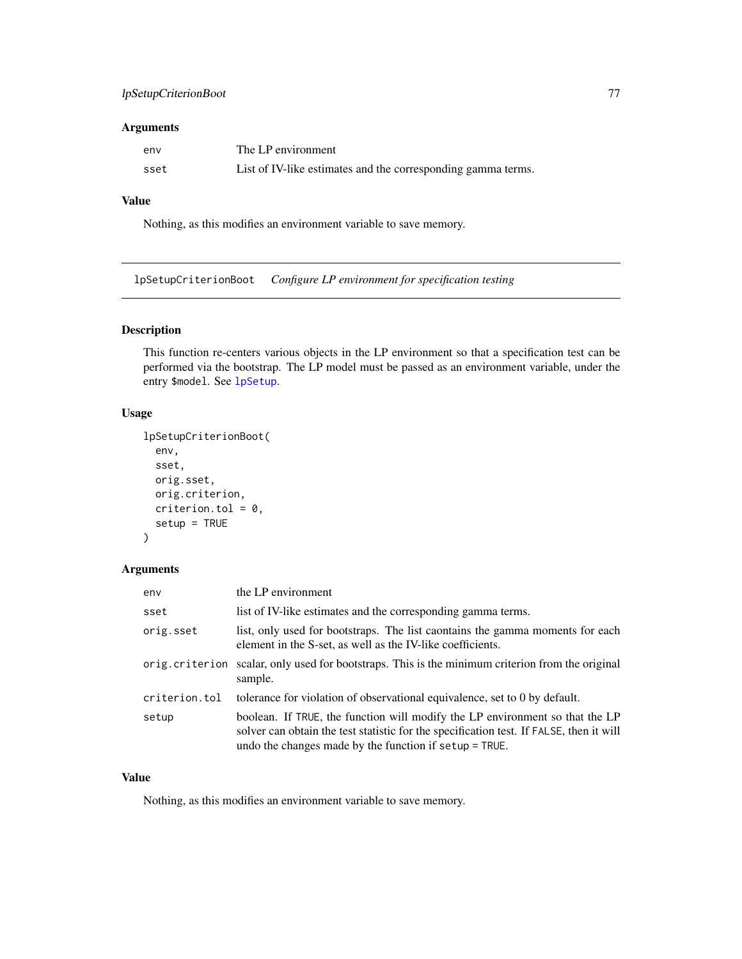# lpSetupCriterionBoot 77

## Arguments

| env  | The LP environment                                           |
|------|--------------------------------------------------------------|
| sset | List of IV-like estimates and the corresponding gamma terms. |

## Value

Nothing, as this modifies an environment variable to save memory.

lpSetupCriterionBoot *Configure LP environment for specification testing*

# Description

This function re-centers various objects in the LP environment so that a specification test can be performed via the bootstrap. The LP model must be passed as an environment variable, under the entry \$model. See [lpSetup](#page-71-0).

## Usage

```
lpSetupCriterionBoot(
  env,
  sset,
 orig.sset,
 orig.criterion,
 criterion.tol = 0,
  setup = TRUE
```
# )

## Arguments

| env            | the LP environment                                                                                                                                                                                                                |
|----------------|-----------------------------------------------------------------------------------------------------------------------------------------------------------------------------------------------------------------------------------|
| sset           | list of IV-like estimates and the corresponding gamma terms.                                                                                                                                                                      |
| orig.sset      | list, only used for bootstraps. The list caontains the gamma moments for each<br>element in the S-set, as well as the IV-like coefficients.                                                                                       |
| orig.criterion | scalar, only used for bootstraps. This is the minimum criterion from the original<br>sample.                                                                                                                                      |
| criterion.tol  | tolerance for violation of observational equivalence, set to 0 by default.                                                                                                                                                        |
| setup          | boolean. If TRUE, the function will modify the LP environment so that the LP<br>solver can obtain the test statistic for the specification test. If FALSE, then it will<br>undo the changes made by the function if setup = TRUE. |

# Value

Nothing, as this modifies an environment variable to save memory.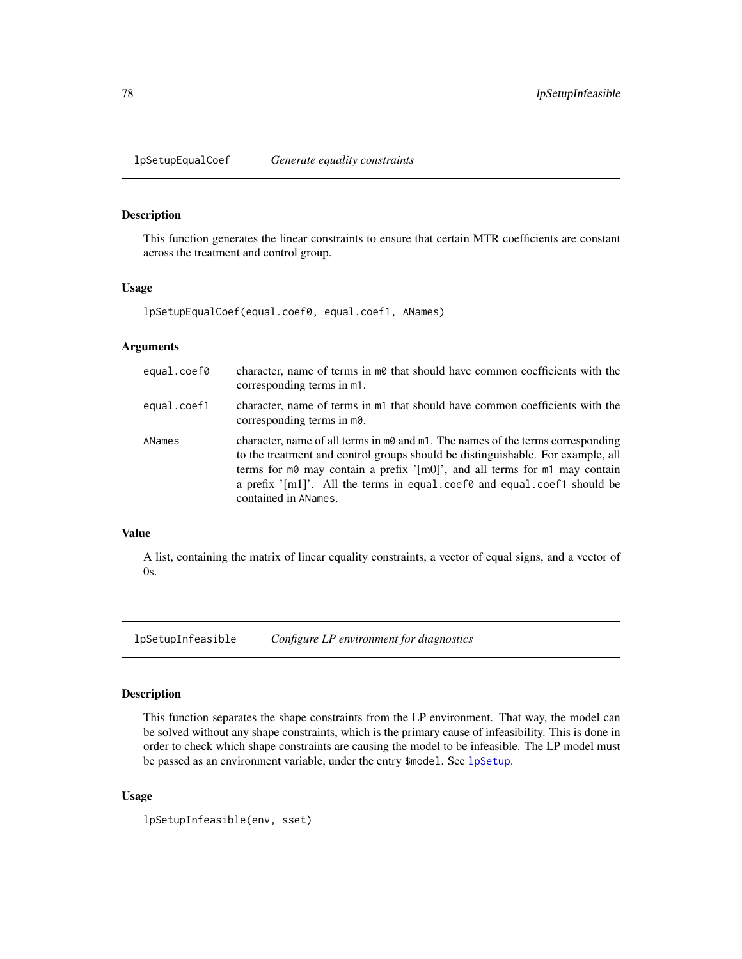This function generates the linear constraints to ensure that certain MTR coefficients are constant across the treatment and control group.

## Usage

lpSetupEqualCoef(equal.coef0, equal.coef1, ANames)

## Arguments

| equal.coef0 | character, name of terms in mot hat should have common coefficients with the<br>corresponding terms in m1.                                                                                                                                                                                                                                                                                     |
|-------------|------------------------------------------------------------------------------------------------------------------------------------------------------------------------------------------------------------------------------------------------------------------------------------------------------------------------------------------------------------------------------------------------|
| equal.coef1 | character, name of terms in m1 that should have common coefficients with the<br>corresponding terms in m0.                                                                                                                                                                                                                                                                                     |
| ANames      | character, name of all terms in $m\theta$ and $m\theta$ . The names of the terms corresponding<br>to the treatment and control groups should be distinguishable. For example, all<br>terms for $m\theta$ may contain a prefix '[m0]', and all terms for $m\theta$ may contain<br>a prefix $\lceil m_1 \rceil$ . All the terms in equal coefo and equal coefo should be<br>contained in ANames. |

# Value

A list, containing the matrix of linear equality constraints, a vector of equal signs, and a vector of 0s.

lpSetupInfeasible *Configure LP environment for diagnostics*

## Description

This function separates the shape constraints from the LP environment. That way, the model can be solved without any shape constraints, which is the primary cause of infeasibility. This is done in order to check which shape constraints are causing the model to be infeasible. The LP model must be passed as an environment variable, under the entry \$model. See [lpSetup](#page-71-0).

### Usage

lpSetupInfeasible(env, sset)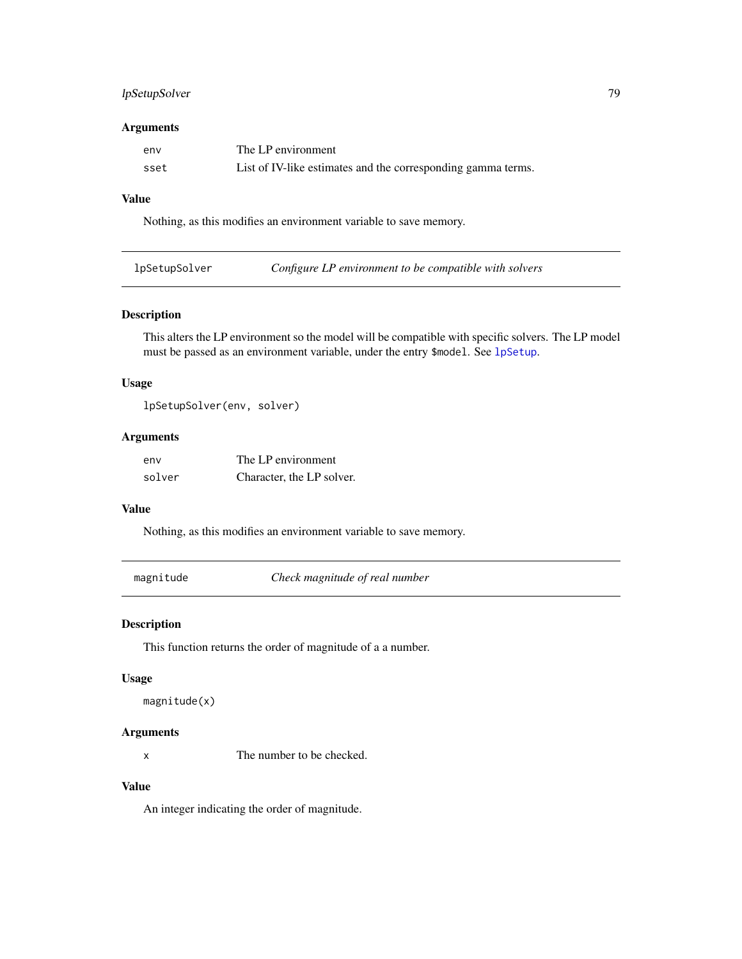# lpSetupSolver 79

## Arguments

| env  | The LP environment                                           |
|------|--------------------------------------------------------------|
| sset | List of IV-like estimates and the corresponding gamma terms. |

## Value

Nothing, as this modifies an environment variable to save memory.

| lpSetupSolver | Configure LP environment to be compatible with solvers |
|---------------|--------------------------------------------------------|
|               |                                                        |

# Description

This alters the LP environment so the model will be compatible with specific solvers. The LP model must be passed as an environment variable, under the entry \$model. See [lpSetup](#page-71-0).

## Usage

lpSetupSolver(env, solver)

### Arguments

| env    | The LP environment        |
|--------|---------------------------|
| solver | Character, the LP solver. |

## Value

Nothing, as this modifies an environment variable to save memory.

magnitude *Check magnitude of real number*

# Description

This function returns the order of magnitude of a a number.

# Usage

```
magnitude(x)
```
## Arguments

x The number to be checked.

# Value

An integer indicating the order of magnitude.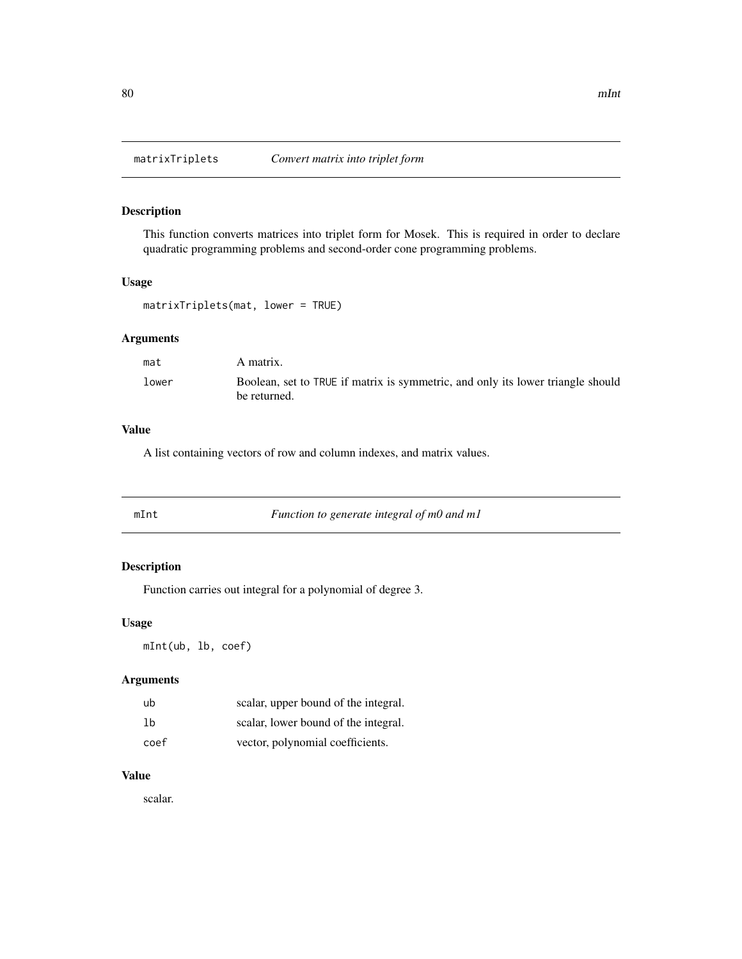This function converts matrices into triplet form for Mosek. This is required in order to declare quadratic programming problems and second-order cone programming problems.

## Usage

matrixTriplets(mat, lower = TRUE)

# Arguments

| mat   | A matrix.                                                                                       |
|-------|-------------------------------------------------------------------------------------------------|
| lower | Boolean, set to TRUE if matrix is symmetric, and only its lower triangle should<br>be returned. |

## Value

A list containing vectors of row and column indexes, and matrix values.

Function to generate integral of m0 and m1

# Description

Function carries out integral for a polynomial of degree 3.

## Usage

mInt(ub, lb, coef)

## Arguments

| ub   | scalar, upper bound of the integral. |
|------|--------------------------------------|
| 1b   | scalar, lower bound of the integral. |
| coef | vector, polynomial coefficients.     |

## Value

scalar.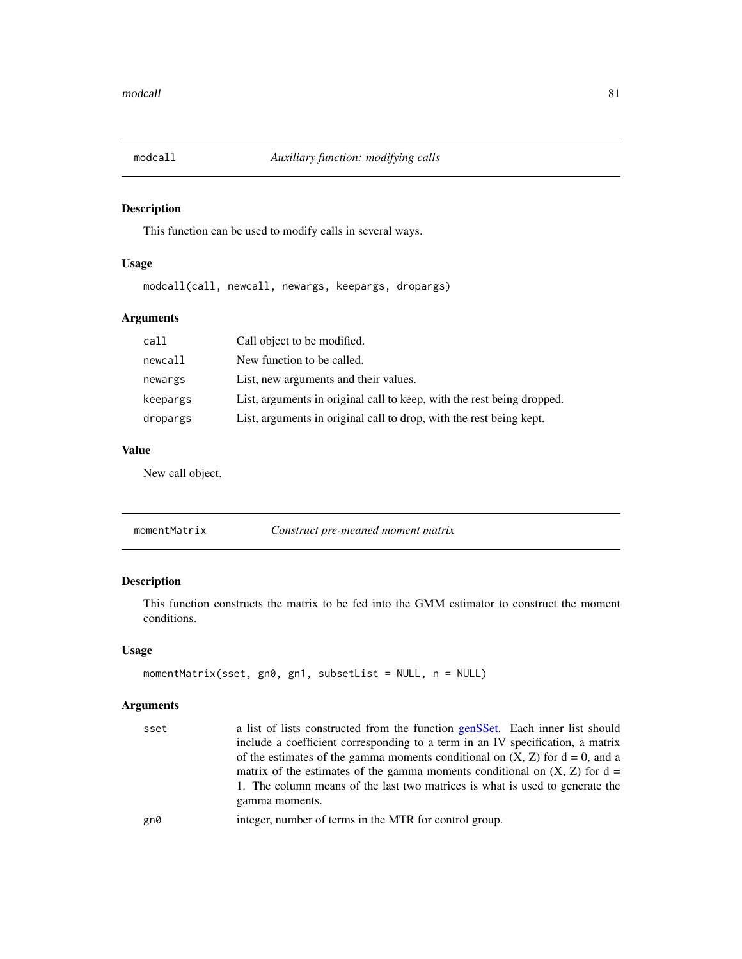This function can be used to modify calls in several ways.

# Usage

modcall(call, newcall, newargs, keepargs, dropargs)

# Arguments

| call     | Call object to be modified.                                            |
|----------|------------------------------------------------------------------------|
| newcall  | New function to be called.                                             |
| newargs  | List, new arguments and their values.                                  |
| keepargs | List, arguments in original call to keep, with the rest being dropped. |
| dropargs | List, arguments in original call to drop, with the rest being kept.    |

## Value

New call object.

momentMatrix *Construct pre-meaned moment matrix*

# Description

This function constructs the matrix to be fed into the GMM estimator to construct the moment conditions.

## Usage

```
momentMatrix(sset, gn0, gn1, subsetList = NULL, n = NULL)
```
# Arguments

| sset | a list of lists constructed from the function genSSet. Each inner list should     |
|------|-----------------------------------------------------------------------------------|
|      | include a coefficient corresponding to a term in an IV specification, a matrix    |
|      | of the estimates of the gamma moments conditional on $(X, Z)$ for $d = 0$ , and a |
|      | matrix of the estimates of the gamma moments conditional on $(X, Z)$ for $d =$    |
|      | 1. The column means of the last two matrices is what is used to generate the      |
|      | gamma moments.                                                                    |
| gn0  | integer, number of terms in the MTR for control group.                            |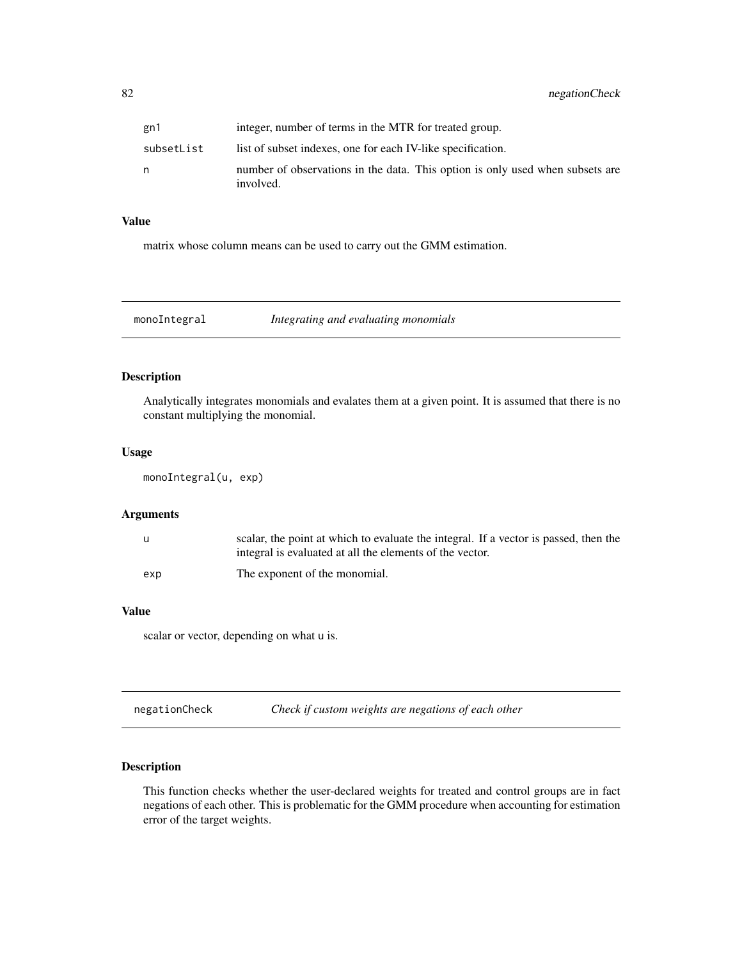| gn1        | integer, number of terms in the MTR for treated group.                                     |
|------------|--------------------------------------------------------------------------------------------|
| subsetList | list of subset indexes, one for each IV-like specification.                                |
| n          | number of observations in the data. This option is only used when subsets are<br>involved. |

## Value

matrix whose column means can be used to carry out the GMM estimation.

|  | monoIntegral | Integrating and evaluating monomials |
|--|--------------|--------------------------------------|
|--|--------------|--------------------------------------|

# Description

Analytically integrates monomials and evalates them at a given point. It is assumed that there is no constant multiplying the monomial.

## Usage

```
monoIntegral(u, exp)
```
## Arguments

|     | scalar, the point at which to evaluate the integral. If a vector is passed, then the |
|-----|--------------------------------------------------------------------------------------|
|     | integral is evaluated at all the elements of the vector.                             |
| exp | The exponent of the monomial.                                                        |

#### Value

scalar or vector, depending on what u is.

negationCheck *Check if custom weights are negations of each other*

## Description

This function checks whether the user-declared weights for treated and control groups are in fact negations of each other. This is problematic for the GMM procedure when accounting for estimation error of the target weights.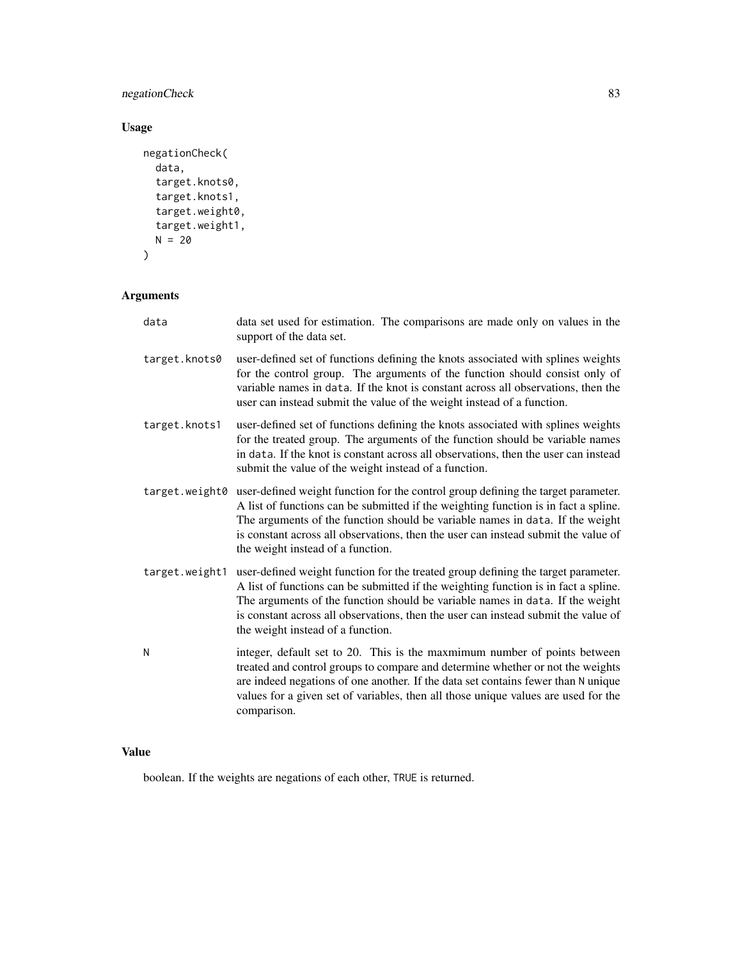# negationCheck 83

# Usage

```
negationCheck(
  data,
  target.knots0,
  target.knots1,
  target.weight0,
  target.weight1,
  N = 20\mathcal{L}
```
# Arguments

| data           | data set used for estimation. The comparisons are made only on values in the<br>support of the data set.                                                                                                                                                                                                                                                                             |
|----------------|--------------------------------------------------------------------------------------------------------------------------------------------------------------------------------------------------------------------------------------------------------------------------------------------------------------------------------------------------------------------------------------|
| target.knots0  | user-defined set of functions defining the knots associated with splines weights<br>for the control group. The arguments of the function should consist only of<br>variable names in data. If the knot is constant across all observations, then the<br>user can instead submit the value of the weight instead of a function.                                                       |
| target.knots1  | user-defined set of functions defining the knots associated with splines weights<br>for the treated group. The arguments of the function should be variable names<br>in data. If the knot is constant across all observations, then the user can instead<br>submit the value of the weight instead of a function.                                                                    |
| target.weight0 | user-defined weight function for the control group defining the target parameter.<br>A list of functions can be submitted if the weighting function is in fact a spline.<br>The arguments of the function should be variable names in data. If the weight<br>is constant across all observations, then the user can instead submit the value of<br>the weight instead of a function. |
| target.weight1 | user-defined weight function for the treated group defining the target parameter.<br>A list of functions can be submitted if the weighting function is in fact a spline.<br>The arguments of the function should be variable names in data. If the weight<br>is constant across all observations, then the user can instead submit the value of<br>the weight instead of a function. |
| N              | integer, default set to 20. This is the maxmimum number of points between<br>treated and control groups to compare and determine whether or not the weights<br>are indeed negations of one another. If the data set contains fewer than N unique<br>values for a given set of variables, then all those unique values are used for the<br>comparison.                                |

# Value

boolean. If the weights are negations of each other, TRUE is returned.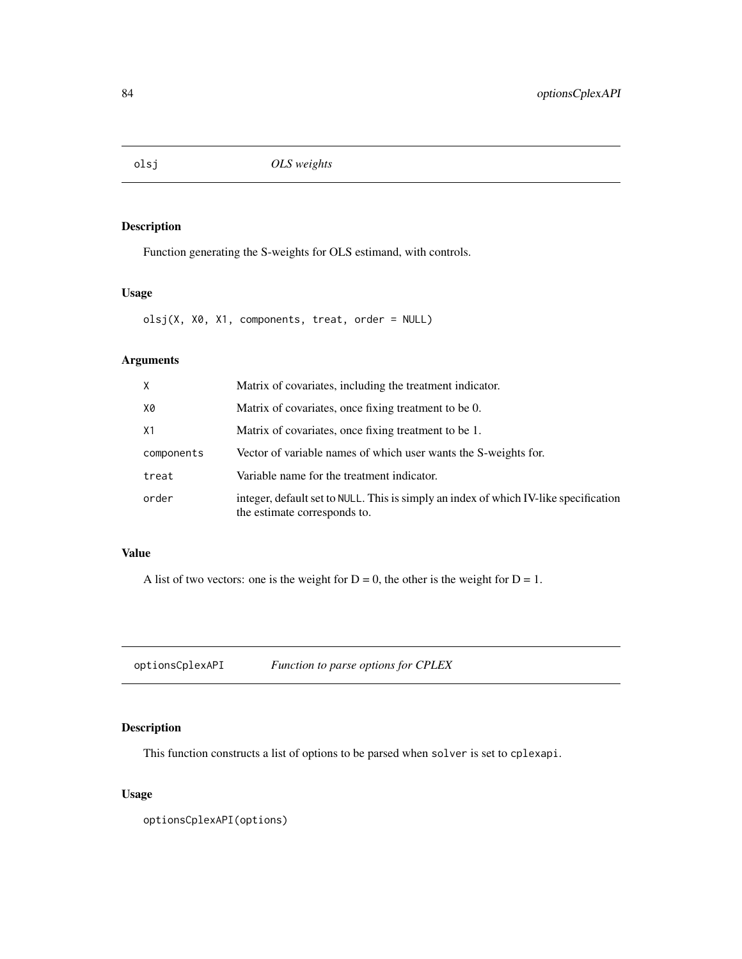Function generating the S-weights for OLS estimand, with controls.

# Usage

olsj(X, X0, X1, components, treat, order = NULL)

# Arguments

| X              | Matrix of covariates, including the treatment indicator.                                                             |
|----------------|----------------------------------------------------------------------------------------------------------------------|
| X0             | Matrix of covariates, once fixing treatment to be 0.                                                                 |
| X <sub>1</sub> | Matrix of covariates, once fixing treatment to be 1.                                                                 |
| components     | Vector of variable names of which user wants the S-weights for.                                                      |
| treat          | Variable name for the treatment indicator.                                                                           |
| order          | integer, default set to NULL. This is simply an index of which IV-like specification<br>the estimate corresponds to. |

# Value

A list of two vectors: one is the weight for  $D = 0$ , the other is the weight for  $D = 1$ .

optionsCplexAPI *Function to parse options for CPLEX*

# Description

This function constructs a list of options to be parsed when solver is set to cplexapi.

## Usage

optionsCplexAPI(options)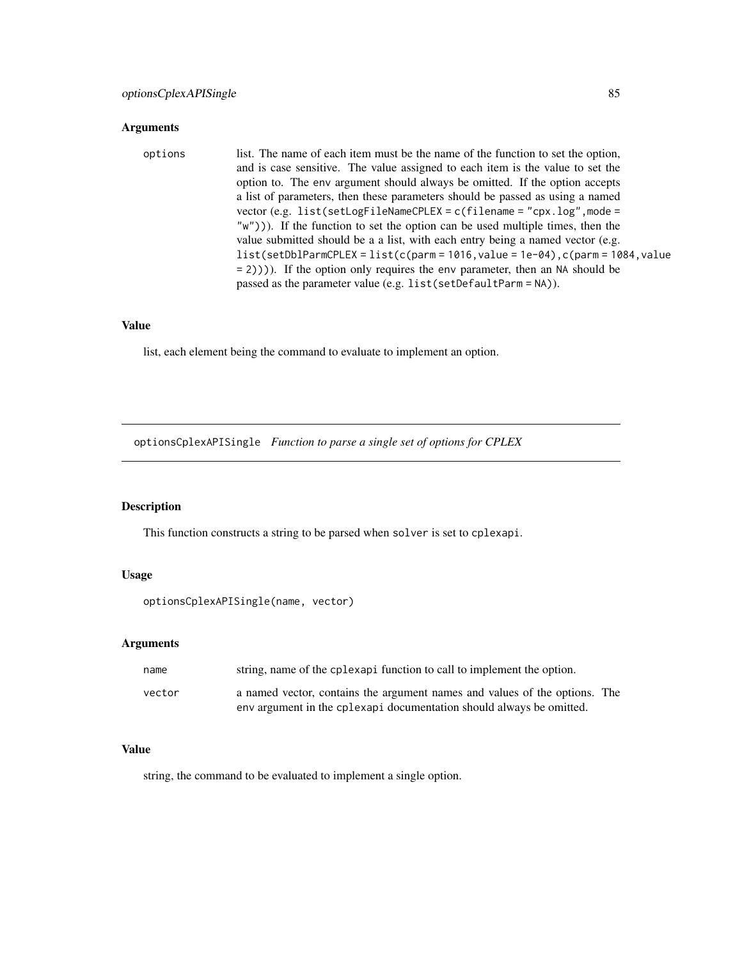### Arguments

# options list. The name of each item must be the name of the function to set the option, and is case sensitive. The value assigned to each item is the value to set the option to. The env argument should always be omitted. If the option accepts a list of parameters, then these parameters should be passed as using a named vector (e.g. list(setLogFileNameCPLEX = c(filename = "cpx.log",mode = "w"))). If the function to set the option can be used multiple times, then the value submitted should be a a list, with each entry being a named vector (e.g.  $list(setDb1ParamCPLEX = list(c(parm = 1016, value = 1e-04), c(parm = 1084, value$ = 2)))). If the option only requires the env parameter, then an NA should be passed as the parameter value (e.g. list(setDefaultParm = NA)).

### Value

list, each element being the command to evaluate to implement an option.

optionsCplexAPISingle *Function to parse a single set of options for CPLEX*

# Description

This function constructs a string to be parsed when solver is set to cplexapi.

### Usage

```
optionsCplexAPISingle(name, vector)
```
#### Arguments

| name   | string, name of the cplexapi function to call to implement the option.                                                                             |
|--------|----------------------------------------------------------------------------------------------------------------------------------------------------|
| vector | a named vector, contains the argument names and values of the options. The<br>env argument in the cplexapi documentation should always be omitted. |

## Value

string, the command to be evaluated to implement a single option.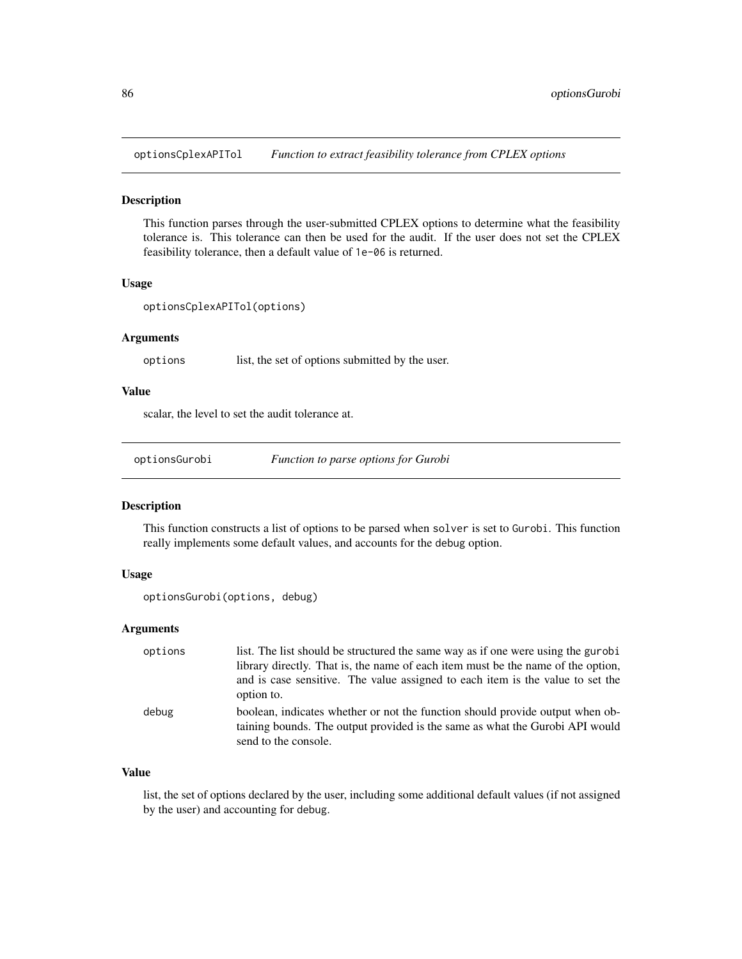optionsCplexAPITol *Function to extract feasibility tolerance from CPLEX options*

## Description

This function parses through the user-submitted CPLEX options to determine what the feasibility tolerance is. This tolerance can then be used for the audit. If the user does not set the CPLEX feasibility tolerance, then a default value of 1e-06 is returned.

#### Usage

```
optionsCplexAPITol(options)
```
### Arguments

options list, the set of options submitted by the user.

## Value

scalar, the level to set the audit tolerance at.

optionsGurobi *Function to parse options for Gurobi*

## Description

This function constructs a list of options to be parsed when solver is set to Gurobi. This function really implements some default values, and accounts for the debug option.

### Usage

```
optionsGurobi(options, debug)
```
## Arguments

| options | list. The list should be structured the same way as if one were using the gurobi<br>library directly. That is, the name of each item must be the name of the option,<br>and is case sensitive. The value assigned to each item is the value to set the<br>option to. |
|---------|----------------------------------------------------------------------------------------------------------------------------------------------------------------------------------------------------------------------------------------------------------------------|
| debug   | boolean, indicates whether or not the function should provide output when ob-<br>taining bounds. The output provided is the same as what the Gurobi API would<br>send to the console.                                                                                |

# Value

list, the set of options declared by the user, including some additional default values (if not assigned by the user) and accounting for debug.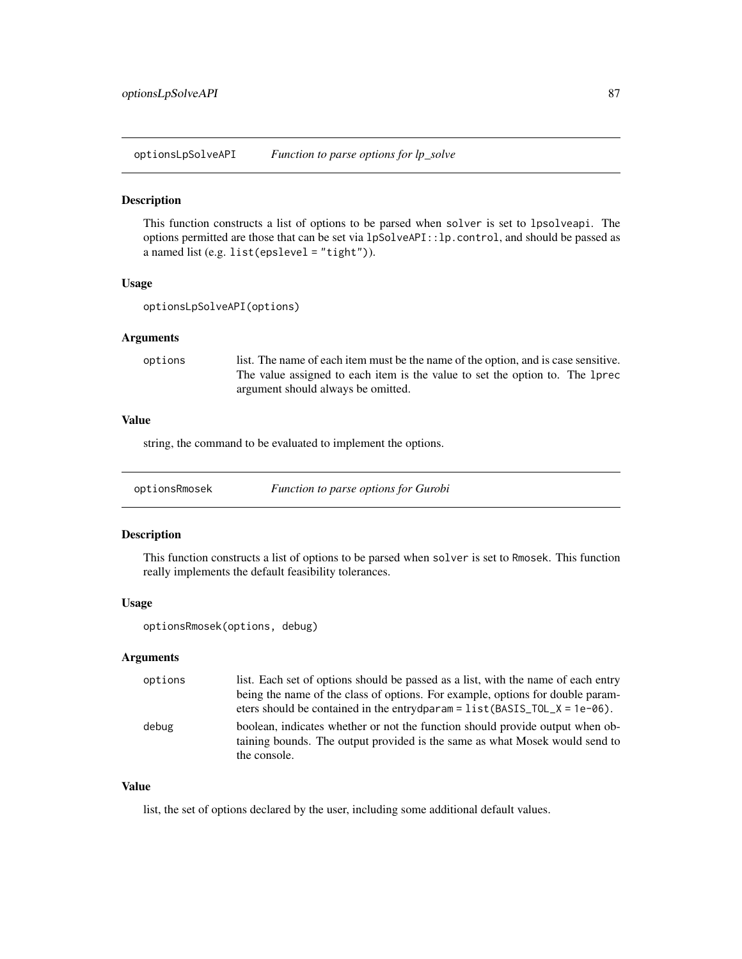optionsLpSolveAPI *Function to parse options for lp\_solve*

## Description

This function constructs a list of options to be parsed when solver is set to lpsolveapi. The options permitted are those that can be set via lpSolveAPI::lp.control, and should be passed as a named list (e.g. list(epslevel = "tight")).

#### Usage

```
optionsLpSolveAPI(options)
```
### Arguments

options list. The name of each item must be the name of the option, and is case sensitive. The value assigned to each item is the value to set the option to. The lprec argument should always be omitted.

# Value

string, the command to be evaluated to implement the options.

optionsRmosek *Function to parse options for Gurobi*

#### Description

This function constructs a list of options to be parsed when solver is set to Rmosek. This function really implements the default feasibility tolerances.

#### Usage

optionsRmosek(options, debug)

## Arguments

| options | list. Each set of options should be passed as a list, with the name of each entry                                                                                            |
|---------|------------------------------------------------------------------------------------------------------------------------------------------------------------------------------|
|         | being the name of the class of options. For example, options for double param-                                                                                               |
|         | eters should be contained in the entrydparam = $list(BASIS_TOL_X = 1e-06)$ .                                                                                                 |
| debug   | boolean, indicates whether or not the function should provide output when ob-<br>taining bounds. The output provided is the same as what Mosek would send to<br>the console. |

# Value

list, the set of options declared by the user, including some additional default values.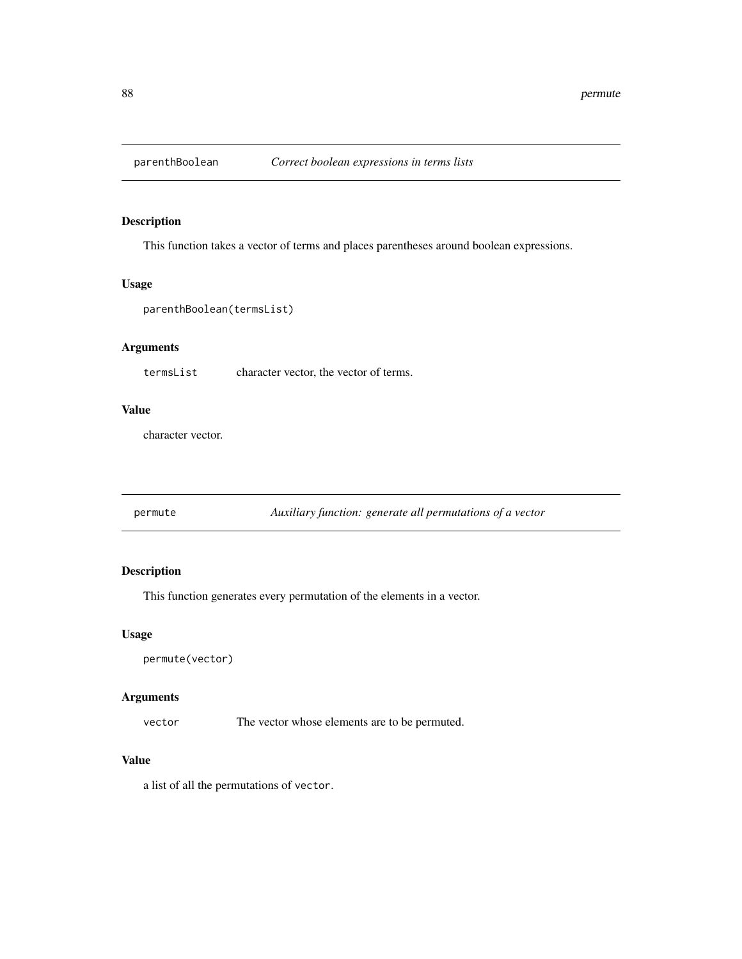This function takes a vector of terms and places parentheses around boolean expressions.

#### Usage

```
parenthBoolean(termsList)
```
## Arguments

termsList character vector, the vector of terms.

## Value

character vector.

permute *Auxiliary function: generate all permutations of a vector*

# Description

This function generates every permutation of the elements in a vector.

## Usage

```
permute(vector)
```
# Arguments

vector The vector whose elements are to be permuted.

## Value

a list of all the permutations of vector.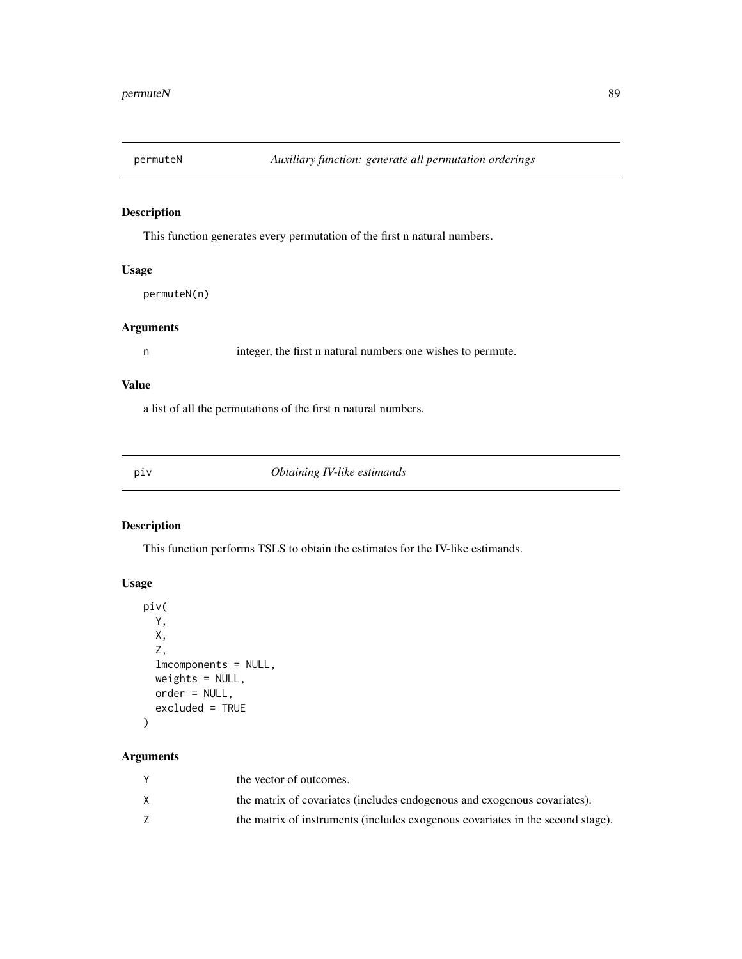This function generates every permutation of the first n natural numbers.

## Usage

permuteN(n)

# Arguments

n integer, the first n natural numbers one wishes to permute.

## Value

a list of all the permutations of the first n natural numbers.

piv *Obtaining IV-like estimands*

# Description

This function performs TSLS to obtain the estimates for the IV-like estimands.

# Usage

```
piv(
 Y,
 X,
  Z,
  lmcomponents = NULL,
 weights = NULL,
 order = NULL,
  excluded = TRUE
)
```
# Arguments

| the vector of outcomes.                                                        |
|--------------------------------------------------------------------------------|
| the matrix of covariates (includes endogenous and exogenous covariates).       |
| the matrix of instruments (includes exogenous covariates in the second stage). |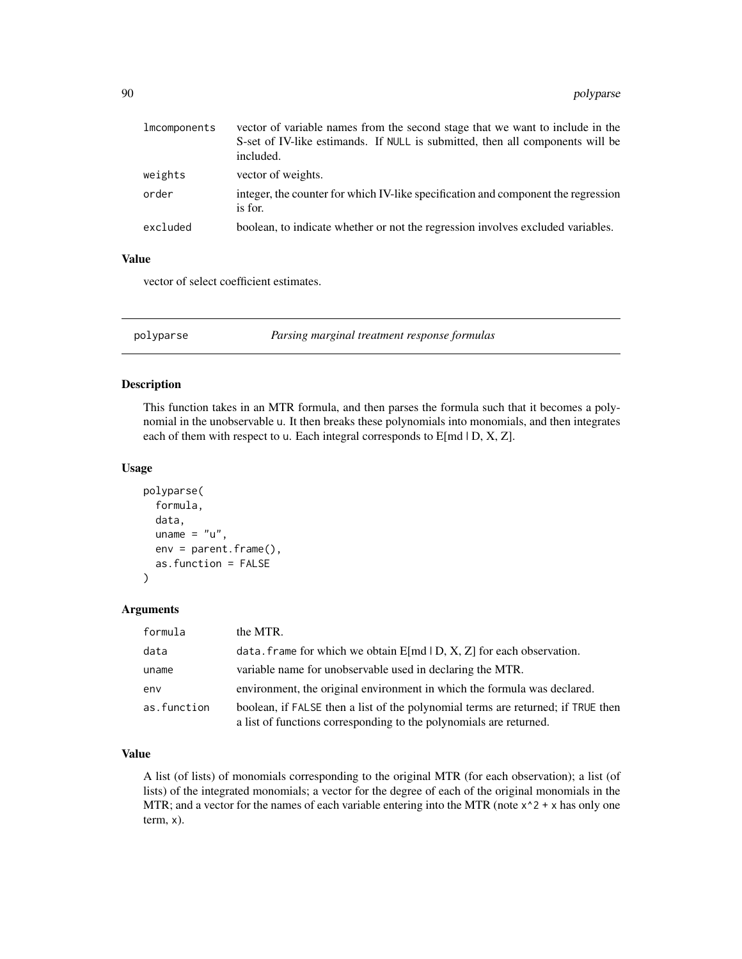| lmcomponents | vector of variable names from the second stage that we want to include in the<br>S-set of IV-like estimands. If NULL is submitted, then all components will be<br>included. |
|--------------|-----------------------------------------------------------------------------------------------------------------------------------------------------------------------------|
| weights      | vector of weights.                                                                                                                                                          |
| order        | integer, the counter for which IV-like specification and component the regression<br>is for.                                                                                |
| excluded     | boolean, to indicate whether or not the regression involves excluded variables.                                                                                             |

### Value

vector of select coefficient estimates.

polyparse *Parsing marginal treatment response formulas*

## Description

This function takes in an MTR formula, and then parses the formula such that it becomes a polynomial in the unobservable u. It then breaks these polynomials into monomials, and then integrates each of them with respect to u. Each integral corresponds to E[md | D, X, Z].

## Usage

```
polyparse(
  formula,
  data,
 uname = "u",env = parent.frame(),
  as.function = FALSE
)
```
#### Arguments

| formula     | the MTR.                                                                                                                                               |
|-------------|--------------------------------------------------------------------------------------------------------------------------------------------------------|
| data        | data. frame for which we obtain $E[md   D, X, Z]$ for each observation.                                                                                |
| uname       | variable name for unobservable used in declaring the MTR.                                                                                              |
| env         | environment, the original environment in which the formula was declared.                                                                               |
| as.function | boolean, if FALSE then a list of the polynomial terms are returned; if TRUE then<br>a list of functions corresponding to the polynomials are returned. |

## Value

A list (of lists) of monomials corresponding to the original MTR (for each observation); a list (of lists) of the integrated monomials; a vector for the degree of each of the original monomials in the MTR; and a vector for the names of each variable entering into the MTR (note  $x^2 + x$  has only one term, x).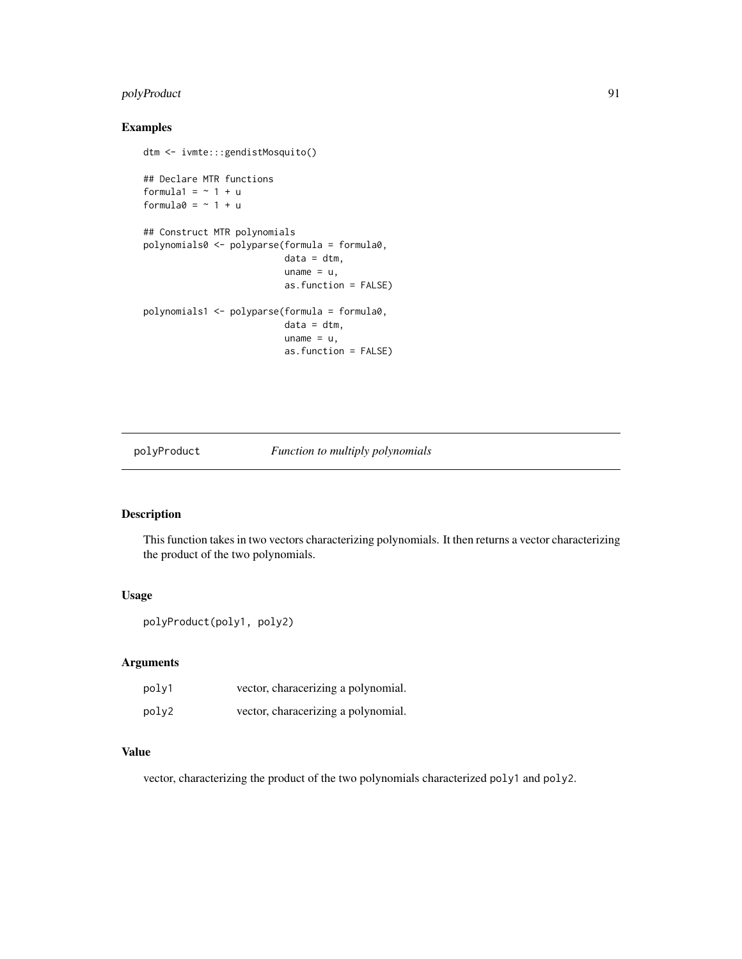# polyProduct 91

# Examples

```
dtm <- ivmte:::gendistMosquito()
## Declare MTR functions
formula1 = ~1 + uformula0 = -1 + u## Construct MTR polynomials
polynomials0 <- polyparse(formula = formula0,
                          data = dtm,uname = u,
                         as.function = FALSE)
polynomials1 <- polyparse(formula = formula0,
                         data = dtm,uname = u,
                         as.function = FALSE)
```
polyProduct *Function to multiply polynomials*

# Description

This function takes in two vectors characterizing polynomials. It then returns a vector characterizing the product of the two polynomials.

# Usage

```
polyProduct(poly1, poly2)
```
## Arguments

| poly1 | vector, characerizing a polynomial. |
|-------|-------------------------------------|
| poly2 | vector, characerizing a polynomial. |

# Value

vector, characterizing the product of the two polynomials characterized poly1 and poly2.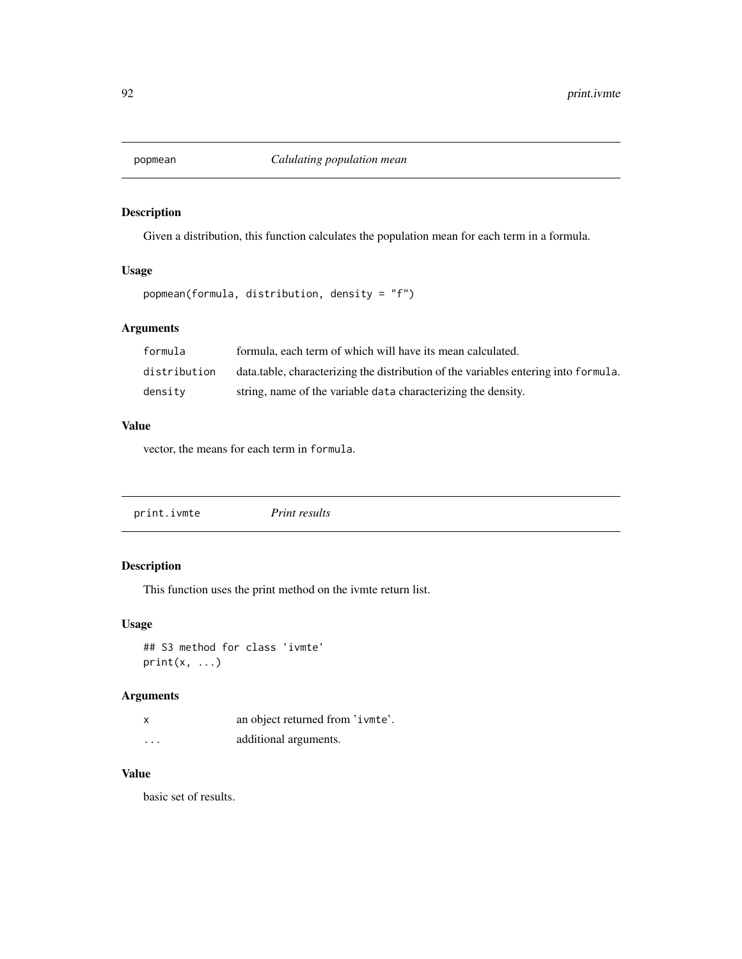Given a distribution, this function calculates the population mean for each term in a formula.

## Usage

```
popmean(formula, distribution, density = "f")
```
# Arguments

| formula      | formula, each term of which will have its mean calculated.                           |
|--------------|--------------------------------------------------------------------------------------|
| distribution | data, table, characterizing the distribution of the variables entering into formula. |
| density      | string, name of the variable data characterizing the density.                        |

## Value

vector, the means for each term in formula.

|  | print.ivmte | <i>Print results</i> |  |  |
|--|-------------|----------------------|--|--|
|--|-------------|----------------------|--|--|

# Description

This function uses the print method on the ivmte return list.

# Usage

```
## S3 method for class 'ivmte'
print(x, \ldots)
```
# Arguments

| x                       | an object returned from 'ivmte'. |
|-------------------------|----------------------------------|
| $\cdot$ $\cdot$ $\cdot$ | additional arguments.            |

## Value

basic set of results.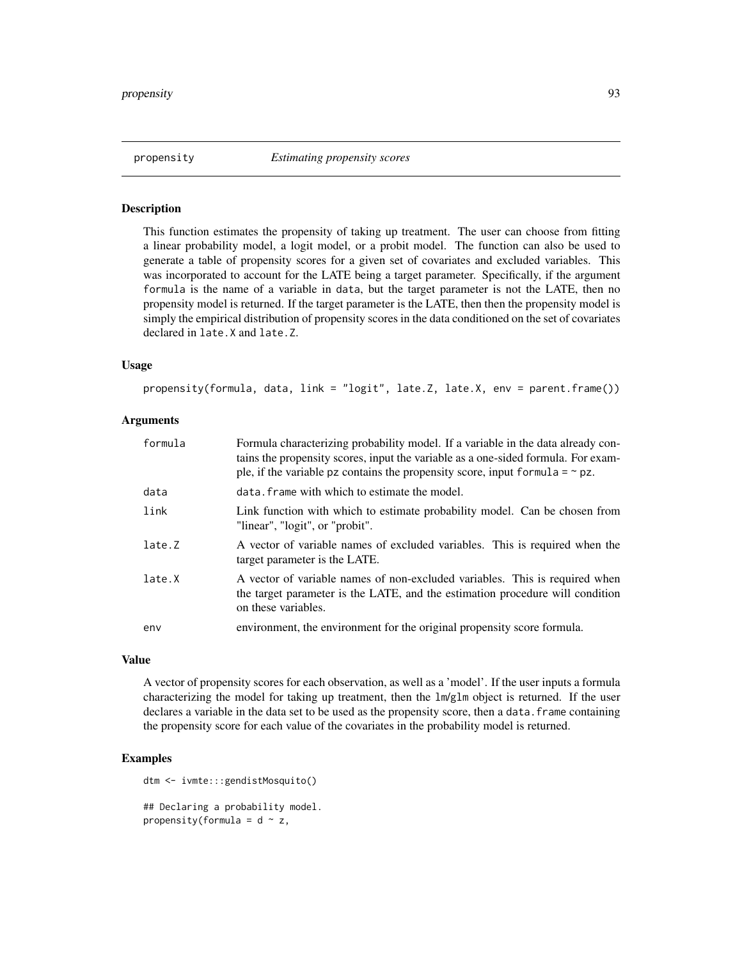propensity *Estimating propensity scores*

### Description

This function estimates the propensity of taking up treatment. The user can choose from fitting a linear probability model, a logit model, or a probit model. The function can also be used to generate a table of propensity scores for a given set of covariates and excluded variables. This was incorporated to account for the LATE being a target parameter. Specifically, if the argument formula is the name of a variable in data, but the target parameter is not the LATE, then no propensity model is returned. If the target parameter is the LATE, then then the propensity model is simply the empirical distribution of propensity scores in the data conditioned on the set of covariates declared in late.X and late.Z.

## Usage

propensity(formula, data, link = "logit", late.Z, late.X, env = parent.frame())

### Arguments

| formula | Formula characterizing probability model. If a variable in the data already con-<br>tains the propensity scores, input the variable as a one-sided formula. For exam-<br>ple, if the variable pz contains the propensity score, input formula $= \infty$ pz. |
|---------|--------------------------------------------------------------------------------------------------------------------------------------------------------------------------------------------------------------------------------------------------------------|
| data    | data. frame with which to estimate the model.                                                                                                                                                                                                                |
| link    | Link function with which to estimate probability model. Can be chosen from<br>"linear", "logit", or "probit".                                                                                                                                                |
| late.Z  | A vector of variable names of excluded variables. This is required when the<br>target parameter is the LATE.                                                                                                                                                 |
| late.X  | A vector of variable names of non-excluded variables. This is required when<br>the target parameter is the LATE, and the estimation procedure will condition<br>on these variables.                                                                          |
| env     | environment, the environment for the original propensity score formula.                                                                                                                                                                                      |

### Value

A vector of propensity scores for each observation, as well as a 'model'. If the user inputs a formula characterizing the model for taking up treatment, then the lm/glm object is returned. If the user declares a variable in the data set to be used as the propensity score, then a data. frame containing the propensity score for each value of the covariates in the probability model is returned.

## Examples

dtm <- ivmte:::gendistMosquito()

## Declaring a probability model. propensity(formula =  $d \sim z$ ,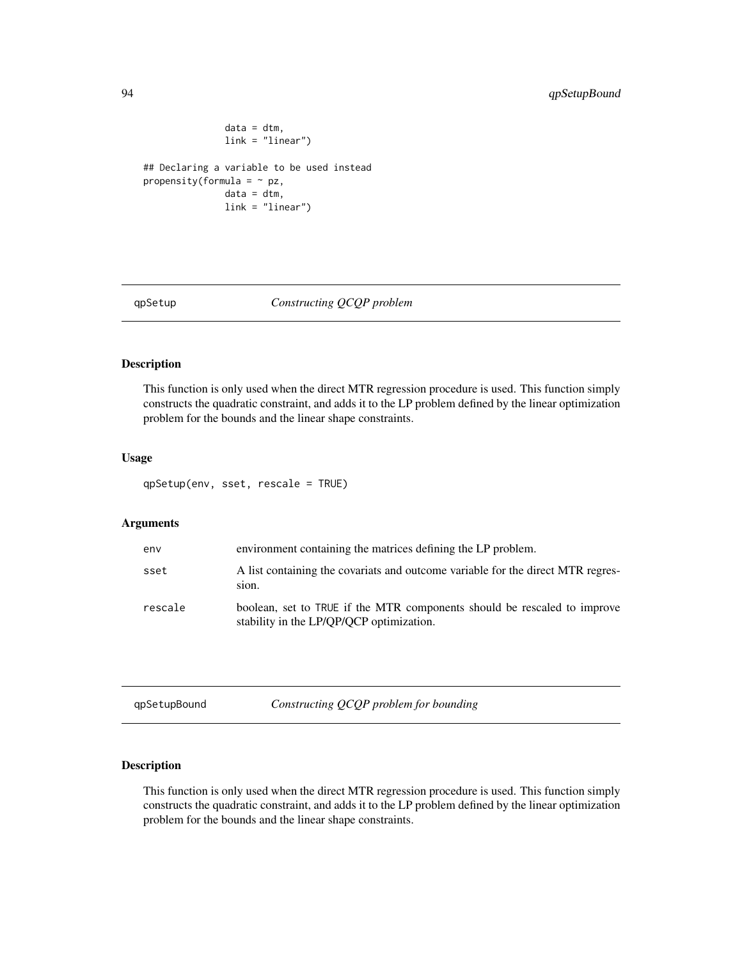```
data = dtm,link = "linear")
## Declaring a variable to be used instead
propensity(formula = ~\sim pz,
               data = dtm,
               link = "linear")
```
<span id="page-93-0"></span>

#### qpSetup *Constructing QCQP problem*

#### Description

This function is only used when the direct MTR regression procedure is used. This function simply constructs the quadratic constraint, and adds it to the LP problem defined by the linear optimization problem for the bounds and the linear shape constraints.

## Usage

qpSetup(env, sset, rescale = TRUE)

#### Arguments

| env     | environment containing the matrices defining the LP problem.                                                         |
|---------|----------------------------------------------------------------------------------------------------------------------|
| sset    | A list containing the covariats and outcome variable for the direct MTR regres-<br>sion.                             |
| rescale | boolean, set to TRUE if the MTR components should be rescaled to improve<br>stability in the LP/QP/QCP optimization. |

| qpSetupBound |
|--------------|
|--------------|

Constructing QCQP problem for bounding

# Description

This function is only used when the direct MTR regression procedure is used. This function simply constructs the quadratic constraint, and adds it to the LP problem defined by the linear optimization problem for the bounds and the linear shape constraints.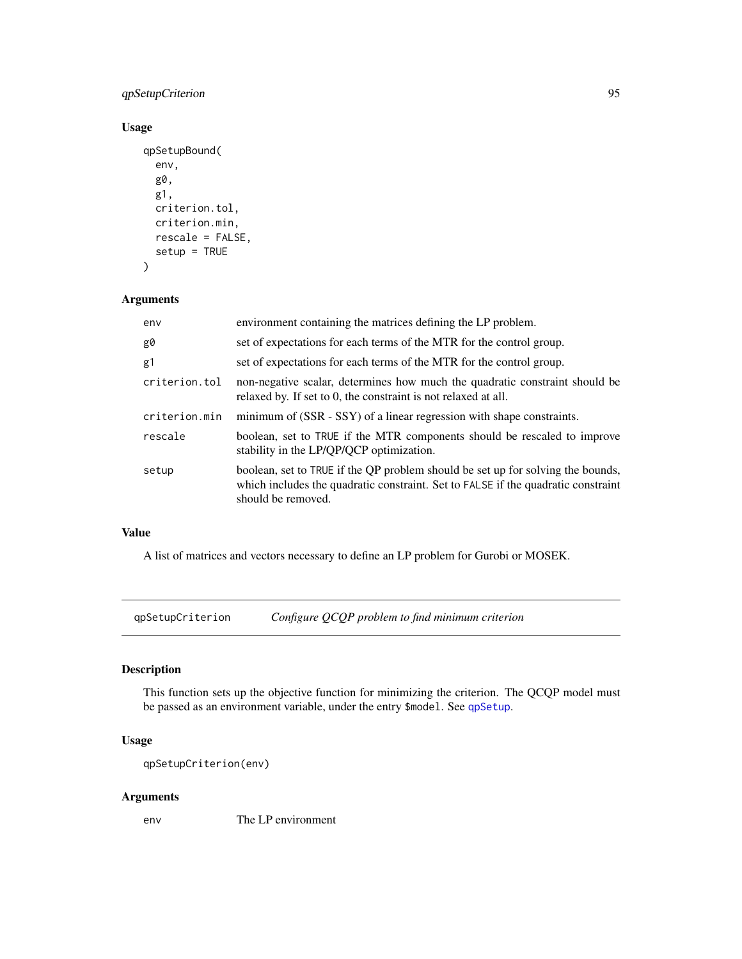# qpSetupCriterion 95

# Usage

```
qpSetupBound(
  env,
  g0,
  g1,
  criterion.tol,
  criterion.min,
  rescale = FALSE,
  setup = TRUE
\mathcal{L}
```
# Arguments

| env           | environment containing the matrices defining the LP problem.                                                                                                                               |
|---------------|--------------------------------------------------------------------------------------------------------------------------------------------------------------------------------------------|
| g0            | set of expectations for each terms of the MTR for the control group.                                                                                                                       |
| g1            | set of expectations for each terms of the MTR for the control group.                                                                                                                       |
| criterion.tol | non-negative scalar, determines how much the quadratic constraint should be<br>relaxed by. If set to 0, the constraint is not relaxed at all.                                              |
| criterion.min | minimum of (SSR - SSY) of a linear regression with shape constraints.                                                                                                                      |
| rescale       | boolean, set to TRUE if the MTR components should be rescaled to improve<br>stability in the LP/QP/QCP optimization.                                                                       |
| setup         | boolean, set to TRUE if the QP problem should be set up for solving the bounds,<br>which includes the quadratic constraint. Set to FALSE if the quadratic constraint<br>should be removed. |

# Value

A list of matrices and vectors necessary to define an LP problem for Gurobi or MOSEK.

qpSetupCriterion *Configure QCQP problem to find minimum criterion*

# Description

This function sets up the objective function for minimizing the criterion. The QCQP model must be passed as an environment variable, under the entry \$model. See [qpSetup](#page-93-0).

# Usage

```
qpSetupCriterion(env)
```
# Arguments

env The LP environment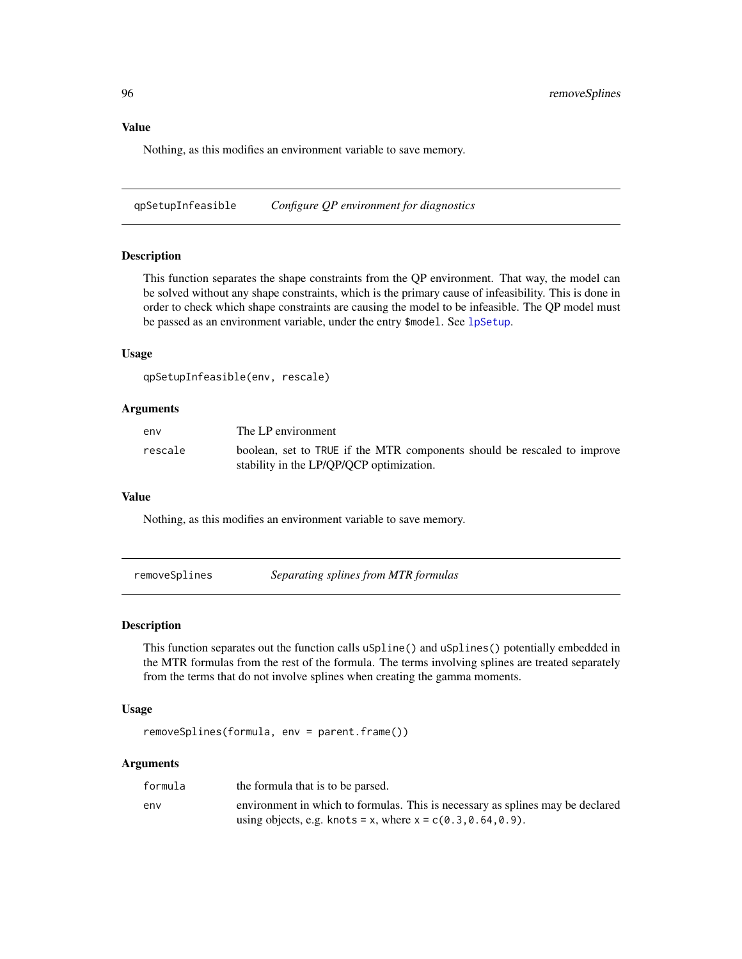# Value

Nothing, as this modifies an environment variable to save memory.

qpSetupInfeasible *Configure QP environment for diagnostics*

#### Description

This function separates the shape constraints from the QP environment. That way, the model can be solved without any shape constraints, which is the primary cause of infeasibility. This is done in order to check which shape constraints are causing the model to be infeasible. The QP model must be passed as an environment variable, under the entry \$model. See [lpSetup](#page-71-0).

### Usage

```
qpSetupInfeasible(env, rescale)
```
#### Arguments

| env     | The LP environment                                                                                                   |
|---------|----------------------------------------------------------------------------------------------------------------------|
| rescale | boolean, set to TRUE if the MTR components should be rescaled to improve<br>stability in the LP/QP/QCP optimization. |

### Value

Nothing, as this modifies an environment variable to save memory.

removeSplines *Separating splines from MTR formulas*

## Description

This function separates out the function calls uSpline() and uSplines() potentially embedded in the MTR formulas from the rest of the formula. The terms involving splines are treated separately from the terms that do not involve splines when creating the gamma moments.

#### Usage

```
removeSplines(formula, env = parent.frame())
```
### Arguments

| formula | the formula that is to be parsed.                                                                                                                |
|---------|--------------------------------------------------------------------------------------------------------------------------------------------------|
| env     | environment in which to formulas. This is necessary as splines may be declared<br>using objects, e.g. knots = x, where $x = c(0.3, 0.64, 0.9)$ . |
|         |                                                                                                                                                  |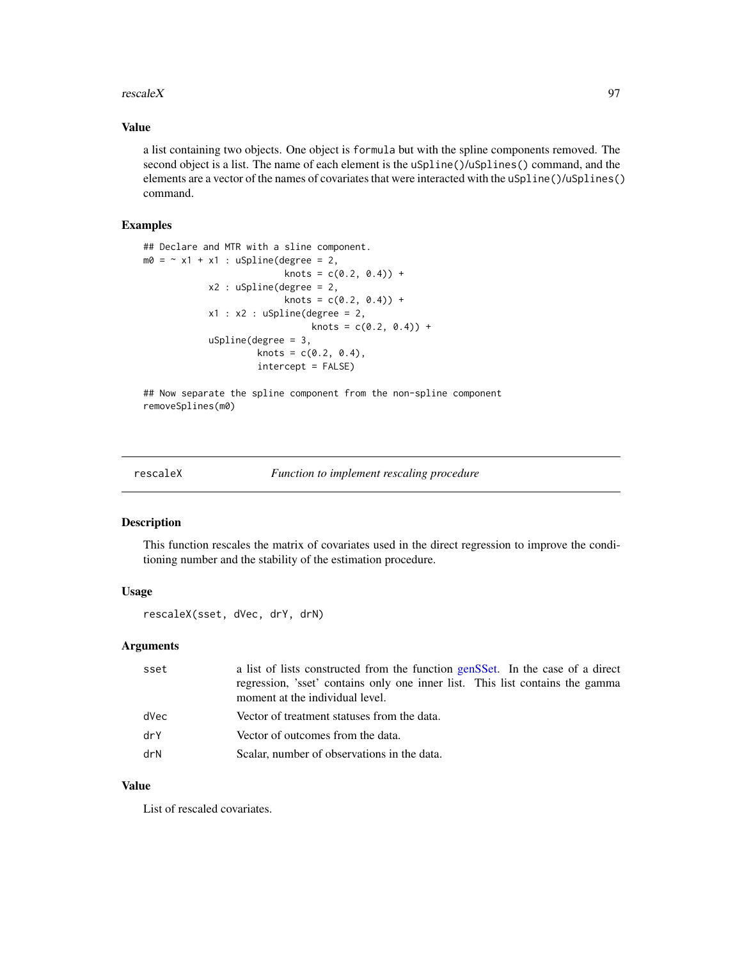#### rescale $X$  97

## Value

a list containing two objects. One object is formula but with the spline components removed. The second object is a list. The name of each element is the uSpline()/uSplines() command, and the elements are a vector of the names of covariates that were interacted with the uSpline()/uSplines() command.

### Examples

```
## Declare and MTR with a sline component.
m0 = r \times 1 + x1: uSpline(degree = 2,
                          knots = c(0.2, 0.4)) +
            x2 : uSpline(degree = 2,
                          knots = c(0.2, 0.4) +
            x1 : x2 : uSpline(degree = 2,
                               knots = c(0.2, 0.4)) +
            uSpline(degree = 3,
                     knots = c(0.2, 0.4),intercept = FALSE)
```
## Now separate the spline component from the non-spline component removeSplines(m0)

rescaleX *Function to implement rescaling procedure*

#### Description

This function rescales the matrix of covariates used in the direct regression to improve the conditioning number and the stability of the estimation procedure.

# Usage

rescaleX(sset, dVec, drY, drN)

## Arguments

| sset | a list of lists constructed from the function genSSet. In the case of a direct                                   |
|------|------------------------------------------------------------------------------------------------------------------|
|      | regression, 'sset' contains only one inner list. This list contains the gamma<br>moment at the individual level. |
| dVec | Vector of treatment statuses from the data.                                                                      |
| drY  | Vector of outcomes from the data.                                                                                |
| drN  | Scalar, number of observations in the data.                                                                      |

### Value

List of rescaled covariates.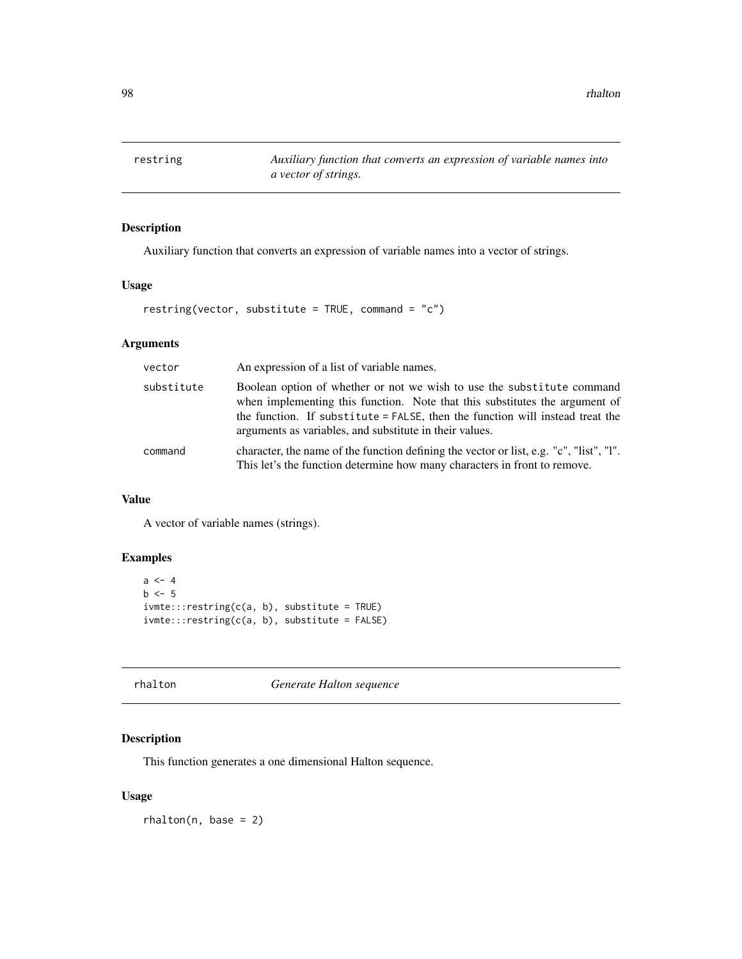restring *Auxiliary function that converts an expression of variable names into a vector of strings.*

## Description

Auxiliary function that converts an expression of variable names into a vector of strings.

# Usage

```
restring(vector, substitute = TRUE, command = "c")
```
# Arguments

| vector     | An expression of a list of variable names.                                                                                                                                                                                                                                                        |
|------------|---------------------------------------------------------------------------------------------------------------------------------------------------------------------------------------------------------------------------------------------------------------------------------------------------|
| substitute | Boolean option of whether or not we wish to use the substitute command<br>when implementing this function. Note that this substitutes the argument of<br>the function. If substitute = FALSE, then the function will instead treat the<br>arguments as variables, and substitute in their values. |
| command    | character, the name of the function defining the vector or list, e.g. "c", "list", "l".<br>This let's the function determine how many characters in front to remove.                                                                                                                              |

# Value

A vector of variable names (strings).

# Examples

```
a \leftarrow 4b \leq -5i vmte:::restring(c(a, b), substitute = TRUE)
ivmte:::restring(c(a, b), substitute = FALSE)
```
rhalton *Generate Halton sequence*

# Description

This function generates a one dimensional Halton sequence.

## Usage

 $r$ halton(n, base = 2)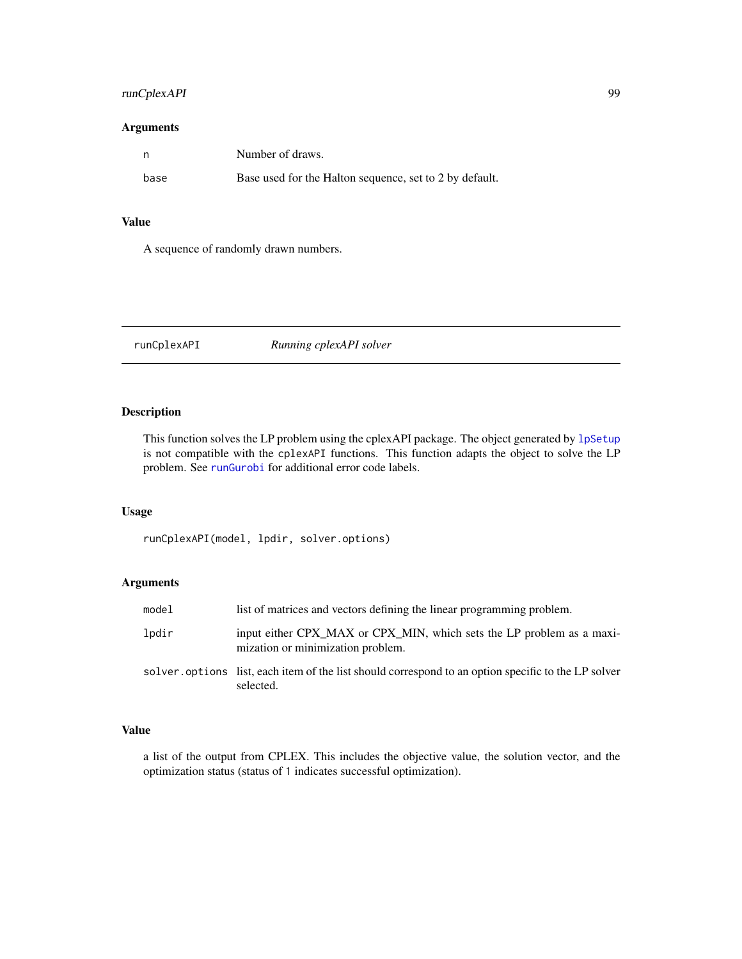# runCplexAPI 99

## Arguments

|      | Number of draws.                                        |
|------|---------------------------------------------------------|
| base | Base used for the Halton sequence, set to 2 by default. |

## Value

A sequence of randomly drawn numbers.

<span id="page-98-0"></span>runCplexAPI *Running cplexAPI solver*

# Description

This function solves the LP problem using the cplexAPI package. The object generated by 1pSetup is not compatible with the cplexAPI functions. This function adapts the object to solve the LP problem. See [runGurobi](#page-99-0) for additional error code labels.

# Usage

runCplexAPI(model, lpdir, solver.options)

# Arguments

| model | list of matrices and vectors defining the linear programming problem.                                             |
|-------|-------------------------------------------------------------------------------------------------------------------|
| lpdir | input either CPX_MAX or CPX_MIN, which sets the LP problem as a maxi-<br>mization or minimization problem.        |
|       | solver, options list, each item of the list should correspond to an option specific to the LP solver<br>selected. |

## Value

a list of the output from CPLEX. This includes the objective value, the solution vector, and the optimization status (status of 1 indicates successful optimization).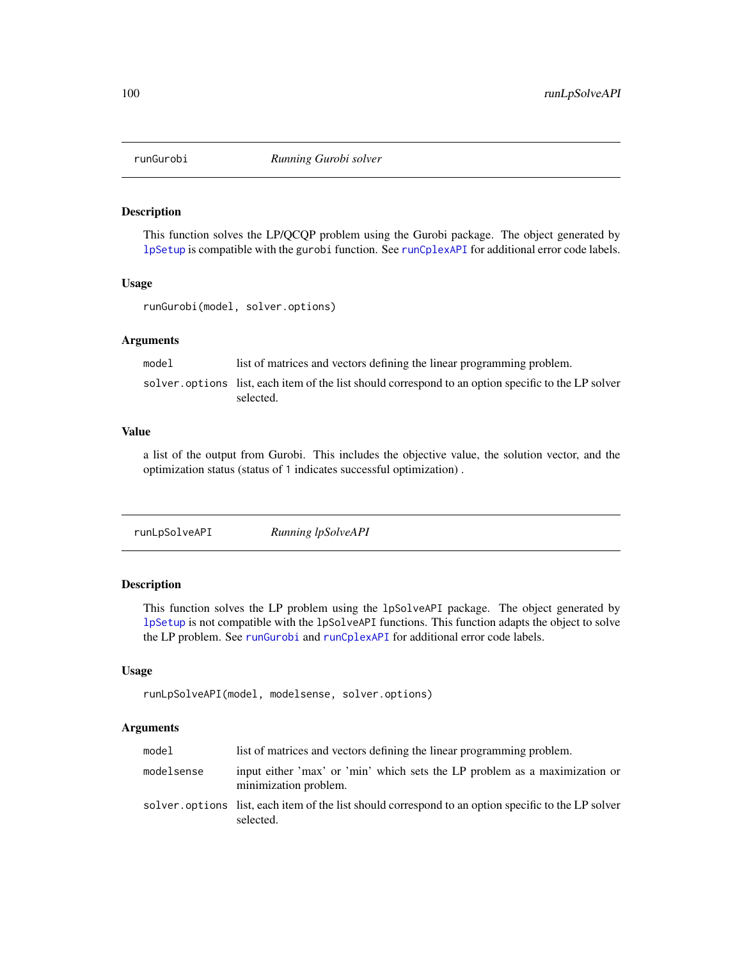<span id="page-99-0"></span>

This function solves the LP/QCQP problem using the Gurobi package. The object generated by [lpSetup](#page-71-0) is compatible with the gurobi function. See [runCplexAPI](#page-98-0) for additional error code labels.

#### Usage

runGurobi(model, solver.options)

### Arguments

model list of matrices and vectors defining the linear programming problem. solver. options list, each item of the list should correspond to an option specific to the LP solver selected.

## Value

a list of the output from Gurobi. This includes the objective value, the solution vector, and the optimization status (status of 1 indicates successful optimization) .

runLpSolveAPI *Running lpSolveAPI*

## Description

This function solves the LP problem using the lpSolveAPI package. The object generated by [lpSetup](#page-71-0) is not compatible with the lpSolveAPI functions. This function adapts the object to solve the LP problem. See [runGurobi](#page-99-0) and [runCplexAPI](#page-98-0) for additional error code labels.

#### Usage

```
runLpSolveAPI(model, modelsense, solver.options)
```
#### Arguments

| model      | list of matrices and vectors defining the linear programming problem.                                             |  |
|------------|-------------------------------------------------------------------------------------------------------------------|--|
| modelsense | input either 'max' or 'min' which sets the LP problem as a maximization or<br>minimization problem.               |  |
|            | solver, options list, each item of the list should correspond to an option specific to the LP solver<br>selected. |  |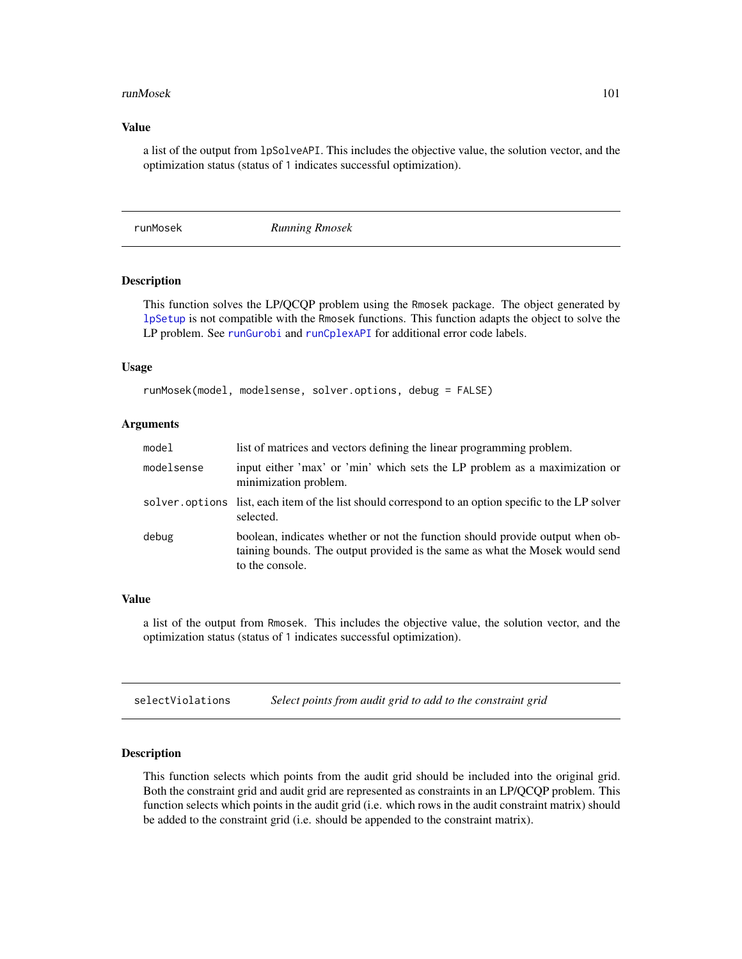#### runMosek 101

## Value

a list of the output from lpSolveAPI. This includes the objective value, the solution vector, and the optimization status (status of 1 indicates successful optimization).

runMosek *Running Rmosek*

### **Description**

This function solves the LP/QCQP problem using the Rmosek package. The object generated by [lpSetup](#page-71-0) is not compatible with the Rmosek functions. This function adapts the object to solve the LP problem. See [runGurobi](#page-99-0) and [runCplexAPI](#page-98-0) for additional error code labels.

### Usage

```
runMosek(model, modelsense, solver.options, debug = FALSE)
```
## Arguments

| model      | list of matrices and vectors defining the linear programming problem.                                                                                                            |
|------------|----------------------------------------------------------------------------------------------------------------------------------------------------------------------------------|
| modelsense | input either 'max' or 'min' which sets the LP problem as a maximization or<br>minimization problem.                                                                              |
|            | solver, options list, each item of the list should correspond to an option specific to the LP solver<br>selected.                                                                |
| debug      | boolean, indicates whether or not the function should provide output when ob-<br>taining bounds. The output provided is the same as what the Mosek would send<br>to the console. |

## Value

a list of the output from Rmosek. This includes the objective value, the solution vector, and the optimization status (status of 1 indicates successful optimization).

selectViolations *Select points from audit grid to add to the constraint grid*

### Description

This function selects which points from the audit grid should be included into the original grid. Both the constraint grid and audit grid are represented as constraints in an LP/QCQP problem. This function selects which points in the audit grid (i.e. which rows in the audit constraint matrix) should be added to the constraint grid (i.e. should be appended to the constraint matrix).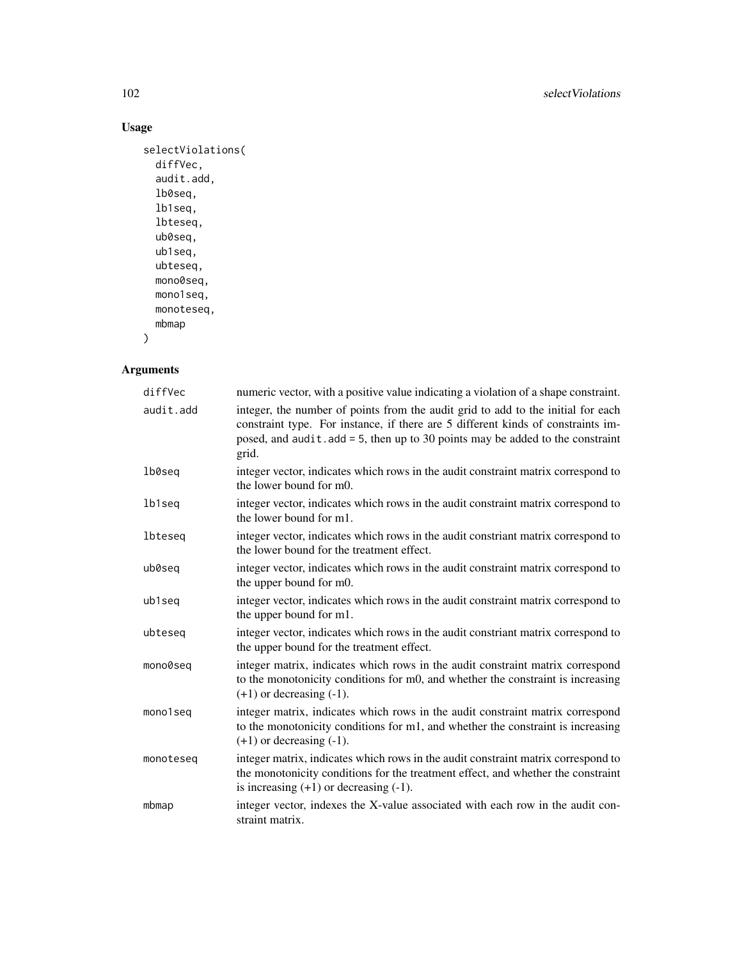# Usage

```
selectViolations(
 diffVec,
 audit.add,
 lb0seq,
 lb1seq,
 lbteseq,
 ub0seq,
 ub1seq,
 ubteseq,
 mono0seq,
 mono1seq,
 monoteseq,
 mbmap
```
 $\,$ 

# Arguments

| diffVec   | numeric vector, with a positive value indicating a violation of a shape constraint.                                                                                                                                                                               |
|-----------|-------------------------------------------------------------------------------------------------------------------------------------------------------------------------------------------------------------------------------------------------------------------|
| audit.add | integer, the number of points from the audit grid to add to the initial for each<br>constraint type. For instance, if there are 5 different kinds of constraints im-<br>posed, and $audit.add = 5$ , then up to 30 points may be added to the constraint<br>grid. |
| lb0seq    | integer vector, indicates which rows in the audit constraint matrix correspond to<br>the lower bound for m0.                                                                                                                                                      |
| lb1seq    | integer vector, indicates which rows in the audit constraint matrix correspond to<br>the lower bound for m1.                                                                                                                                                      |
| lbteseq   | integer vector, indicates which rows in the audit constriant matrix correspond to<br>the lower bound for the treatment effect.                                                                                                                                    |
| ub0seq    | integer vector, indicates which rows in the audit constraint matrix correspond to<br>the upper bound for m0.                                                                                                                                                      |
| ub1seq    | integer vector, indicates which rows in the audit constraint matrix correspond to<br>the upper bound for m1.                                                                                                                                                      |
| ubteseg   | integer vector, indicates which rows in the audit constriant matrix correspond to<br>the upper bound for the treatment effect.                                                                                                                                    |
| mono0seq  | integer matrix, indicates which rows in the audit constraint matrix correspond<br>to the monotonicity conditions for m0, and whether the constraint is increasing<br>$(+1)$ or decreasing $(-1)$ .                                                                |
| mono1seq  | integer matrix, indicates which rows in the audit constraint matrix correspond<br>to the monotonicity conditions for m1, and whether the constraint is increasing<br>$(+1)$ or decreasing $(-1)$ .                                                                |
| monoteseq | integer matrix, indicates which rows in the audit constraint matrix correspond to<br>the monotonicity conditions for the treatment effect, and whether the constraint<br>is increasing $(+1)$ or decreasing $(-1)$ .                                              |
| mbmap     | integer vector, indexes the X-value associated with each row in the audit con-<br>straint matrix.                                                                                                                                                                 |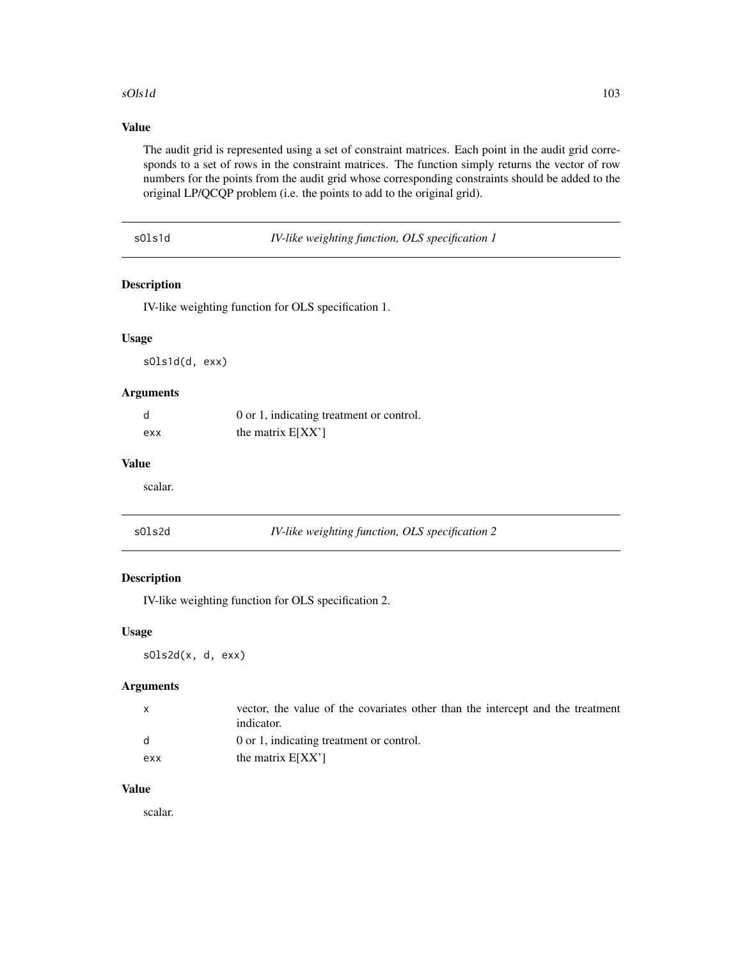### sOls1d 103

# Value

The audit grid is represented using a set of constraint matrices. Each point in the audit grid corresponds to a set of rows in the constraint matrices. The function simply returns the vector of row numbers for the points from the audit grid whose corresponding constraints should be added to the original LP/QCQP problem (i.e. the points to add to the original grid).

sOls1d *IV-like weighting function, OLS specification 1*

## Description

IV-like weighting function for OLS specification 1.

# Usage

sOls1d(d, exx)

# Arguments

| d   | 0 or 1, indicating treatment or control. |
|-----|------------------------------------------|
| exx | the matrix $E[XX']$                      |

### Value

scalar.

|--|

IV-like weighting function, OLS specification 2

## Description

IV-like weighting function for OLS specification 2.

## Usage

sOls2d(x, d, exx)

## Arguments

|     | vector, the value of the covariates other than the intercept and the treatment<br>indicator. |
|-----|----------------------------------------------------------------------------------------------|
|     | 0 or 1, indicating treatment or control.                                                     |
| exx | the matrix $E[XX']$                                                                          |

#### Value

scalar.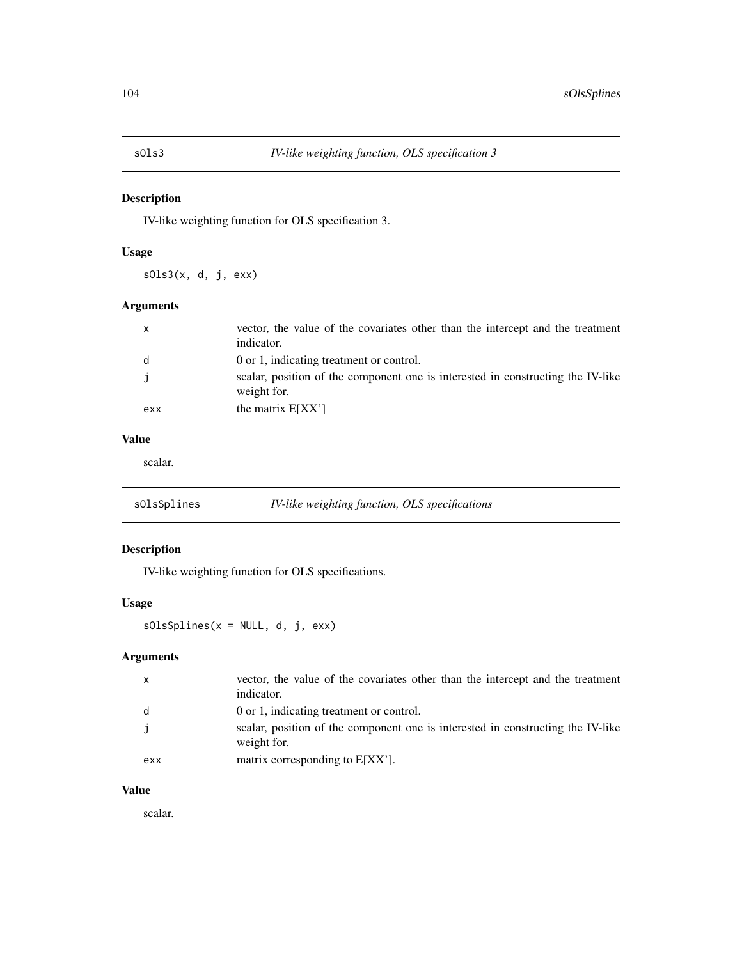IV-like weighting function for OLS specification 3.

# Usage

sOls3(x, d, j, exx)

# Arguments

| $\mathbf{x}$ | vector, the value of the covariates other than the intercept and the treatment<br>indicator.   |
|--------------|------------------------------------------------------------------------------------------------|
| d            | 0 or 1, indicating treatment or control.                                                       |
|              | scalar, position of the component one is interested in constructing the IV-like<br>weight for. |
| exx          | the matrix $E[XX']$                                                                            |

# Value

scalar.

| sOlsSplines | IV-like weighting function, OLS specifications |  |
|-------------|------------------------------------------------|--|
|             |                                                |  |

# Description

IV-like weighting function for OLS specifications.

# Usage

sOlsSplines(x = NULL, d, j, exx)

# Arguments

| $\mathsf{X}$ | vector, the value of the covariates other than the intercept and the treatment<br>indicator.   |
|--------------|------------------------------------------------------------------------------------------------|
| d            | 0 or 1, indicating treatment or control.                                                       |
|              | scalar, position of the component one is interested in constructing the IV-like<br>weight for. |
| exx          | matrix corresponding to $E[XX']$ .                                                             |

# Value

scalar.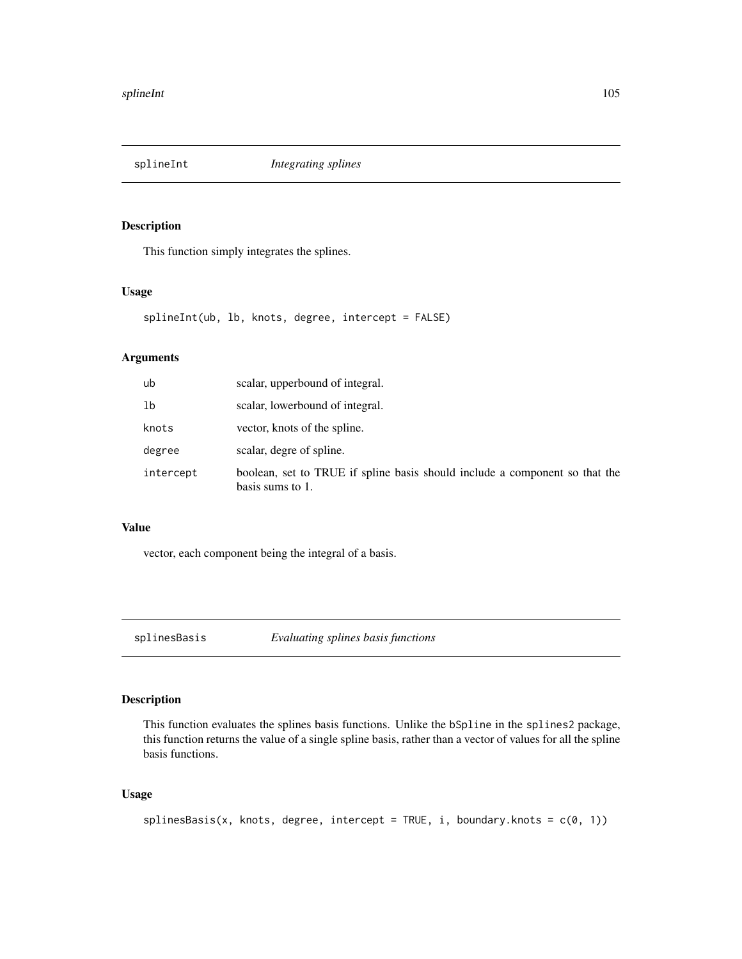This function simply integrates the splines.

# Usage

```
splineInt(ub, lb, knots, degree, intercept = FALSE)
```
### Arguments

| ub        | scalar, upperbound of integral.                                                                 |
|-----------|-------------------------------------------------------------------------------------------------|
| 1b        | scalar, lowerbound of integral.                                                                 |
| knots     | vector, knots of the spline.                                                                    |
| degree    | scalar, degre of spline.                                                                        |
| intercept | boolean, set to TRUE if spline basis should include a component so that the<br>basis sums to 1. |

## Value

vector, each component being the integral of a basis.

splinesBasis *Evaluating splines basis functions*

# Description

This function evaluates the splines basis functions. Unlike the bSpline in the splines2 package, this function returns the value of a single spline basis, rather than a vector of values for all the spline basis functions.

## Usage

```
splinesBasis(x, knots, degree, intercept = TRUE, i, boundary.knots = c(0, 1))
```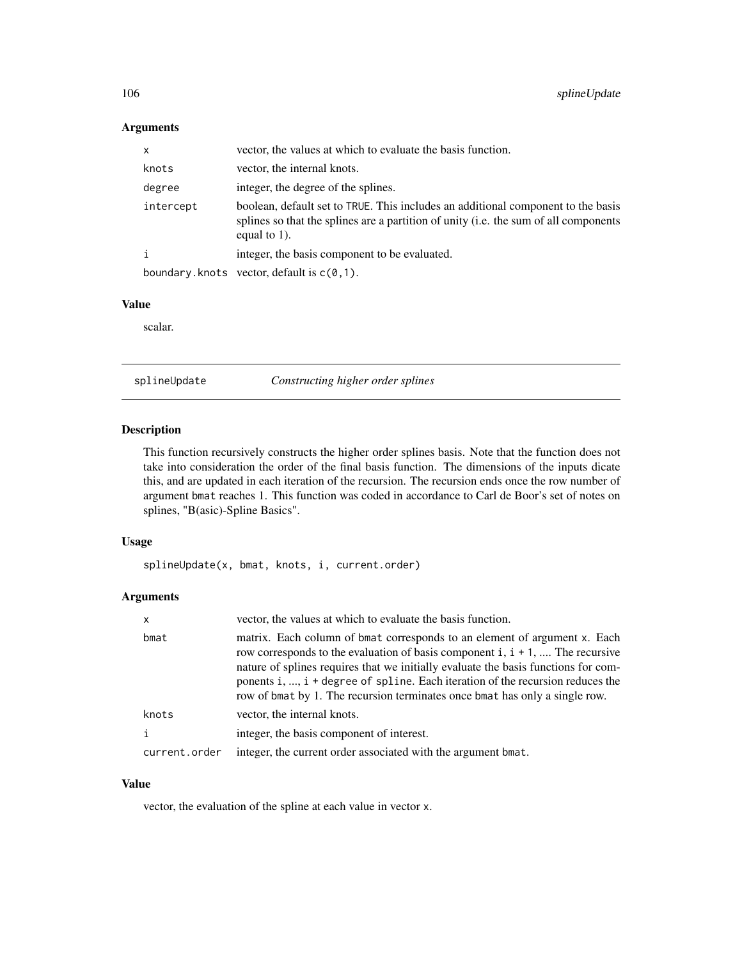# Arguments

| x         | vector, the values at which to evaluate the basis function.                                                                                                                                 |
|-----------|---------------------------------------------------------------------------------------------------------------------------------------------------------------------------------------------|
| knots     | vector, the internal knots.                                                                                                                                                                 |
| degree    | integer, the degree of the splines.                                                                                                                                                         |
| intercept | boolean, default set to TRUE. This includes an additional component to the basis<br>splines so that the splines are a partition of unity (i.e. the sum of all components<br>equal to $1$ ). |
|           | integer, the basis component to be evaluated.                                                                                                                                               |
|           | boundary.knots vector, default is $c(0,1)$ .                                                                                                                                                |

# Value

scalar.

splineUpdate *Constructing higher order splines*

## Description

This function recursively constructs the higher order splines basis. Note that the function does not take into consideration the order of the final basis function. The dimensions of the inputs dicate this, and are updated in each iteration of the recursion. The recursion ends once the row number of argument bmat reaches 1. This function was coded in accordance to Carl de Boor's set of notes on splines, "B(asic)-Spline Basics".

## Usage

splineUpdate(x, bmat, knots, i, current.order)

# Arguments

| x             | vector, the values at which to evaluate the basis function.                                                                                                                                                                                                                                                                                                                                                            |
|---------------|------------------------------------------------------------------------------------------------------------------------------------------------------------------------------------------------------------------------------------------------------------------------------------------------------------------------------------------------------------------------------------------------------------------------|
| bmat          | matrix. Each column of bmat corresponds to an element of argument x. Each<br>row corresponds to the evaluation of basis component i, $i + 1$ ,  The recursive<br>nature of splines requires that we initially evaluate the basis functions for com-<br>ponents i, , $i + degree$ of spline. Each iteration of the recursion reduces the<br>row of bmat by 1. The recursion terminates once bmat has only a single row. |
| knots         | vector, the internal knots.                                                                                                                                                                                                                                                                                                                                                                                            |
| i             | integer, the basis component of interest.                                                                                                                                                                                                                                                                                                                                                                              |
| current.order | integer, the current order associated with the argument bmat.                                                                                                                                                                                                                                                                                                                                                          |

# Value

vector, the evaluation of the spline at each value in vector x.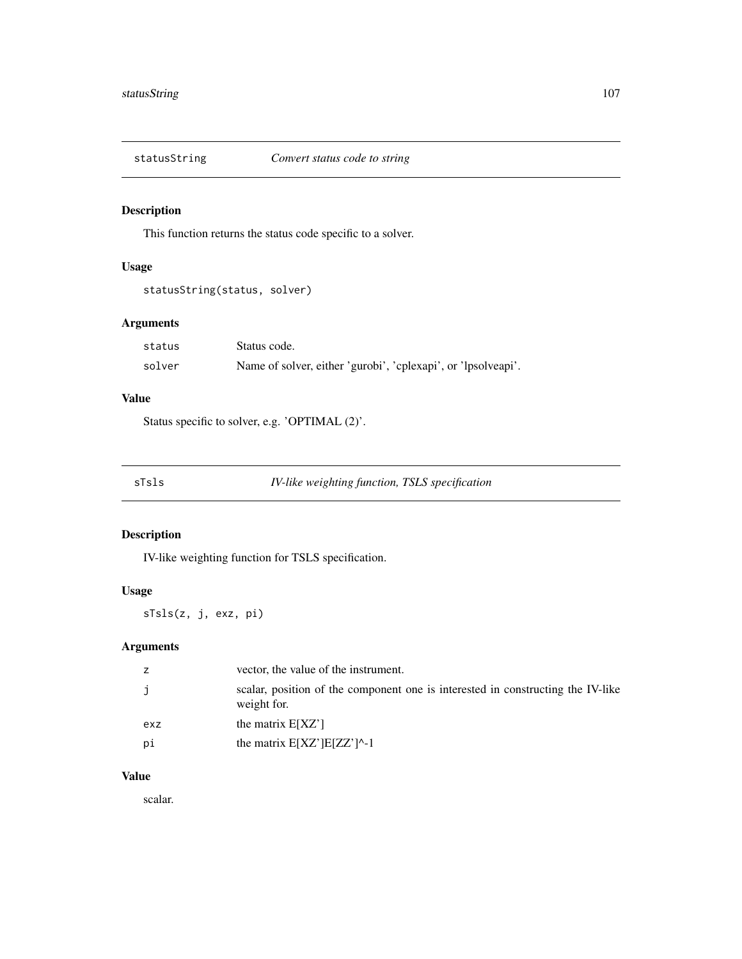This function returns the status code specific to a solver.

# Usage

```
statusString(status, solver)
```
# Arguments

| status | Status code.                                                  |
|--------|---------------------------------------------------------------|
| solver | Name of solver, either 'gurobi', 'cplexapi', or 'lpsolveapi'. |

## Value

Status specific to solver, e.g. 'OPTIMAL (2)'.

sTsls *IV-like weighting function, TSLS specification*

# Description

IV-like weighting function for TSLS specification.

# Usage

sTsls(z, j, exz, pi)

# Arguments

|     | vector, the value of the instrument.                                                           |
|-----|------------------------------------------------------------------------------------------------|
|     | scalar, position of the component one is interested in constructing the IV-like<br>weight for. |
| exz | the matrix $E[XZ']$                                                                            |
| рi  | the matrix $E[XZ']E[ZZ']$ <sup><math>\uparrow</math></sup> -1                                  |

## Value

scalar.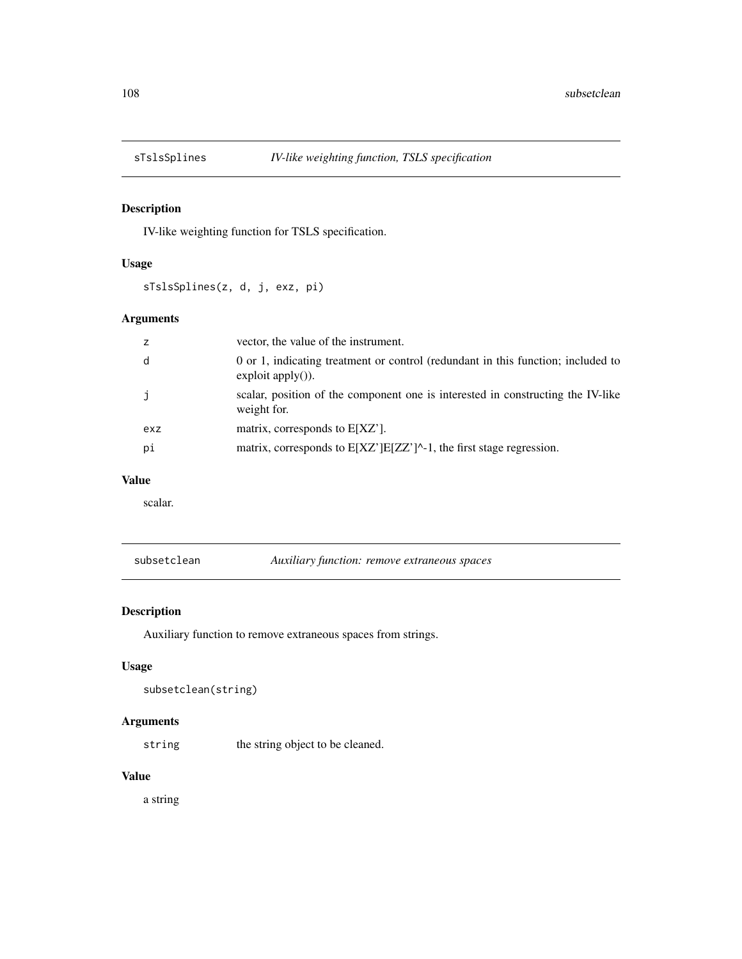IV-like weighting function for TSLS specification.

## Usage

sTslsSplines(z, d, j, exz, pi)

# Arguments

|     | vector, the value of the instrument.                                                                    |
|-----|---------------------------------------------------------------------------------------------------------|
| d   | 0 or 1, indicating treatment or control (redundant in this function; included to<br>$exploit$ apply()). |
| j.  | scalar, position of the component one is interested in constructing the IV-like<br>weight for.          |
| exz | matrix, corresponds to $E[XZ']$ .                                                                       |
| рi  | matrix, corresponds to $E[ XZ' ] E[ZZ']^{\wedge} -1$ , the first stage regression.                      |

## Value

scalar.

subsetclean *Auxiliary function: remove extraneous spaces*

# Description

Auxiliary function to remove extraneous spaces from strings.

## Usage

```
subsetclean(string)
```
## Arguments

string the string object to be cleaned.

## Value

a string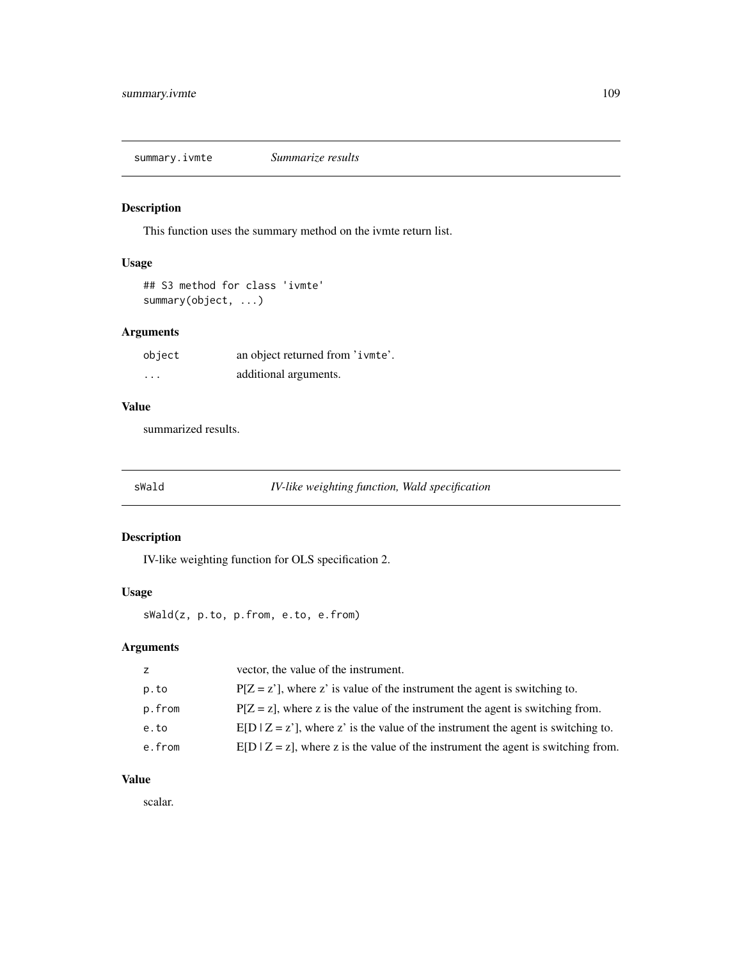<span id="page-108-0"></span>summary.ivmte *Summarize results*

# Description

This function uses the summary method on the ivmte return list.

# Usage

```
## S3 method for class 'ivmte'
summary(object, ...)
```
# Arguments

| object   | an object returned from 'ivmte'. |
|----------|----------------------------------|
| $\cdots$ | additional arguments.            |

# Value

summarized results.

sWald *IV-like weighting function, Wald specification*

# Description

IV-like weighting function for OLS specification 2.

# Usage

sWald(z, p.to, p.from, e.to, e.from)

# Arguments

| Z.     | vector, the value of the instrument.                                                 |
|--------|--------------------------------------------------------------------------------------|
| p.to   | $P[Z = z']$ , where z' is value of the instrument the agent is switching to.         |
| p.from | $P[Z = z]$ , where z is the value of the instrument the agent is switching from.     |
| e.to   | $E[D Z=z']$ , where z' is the value of the instrument the agent is switching to.     |
| e.from | $E[D   Z = z]$ , where z is the value of the instrument the agent is switching from. |
|        |                                                                                      |

# Value

scalar.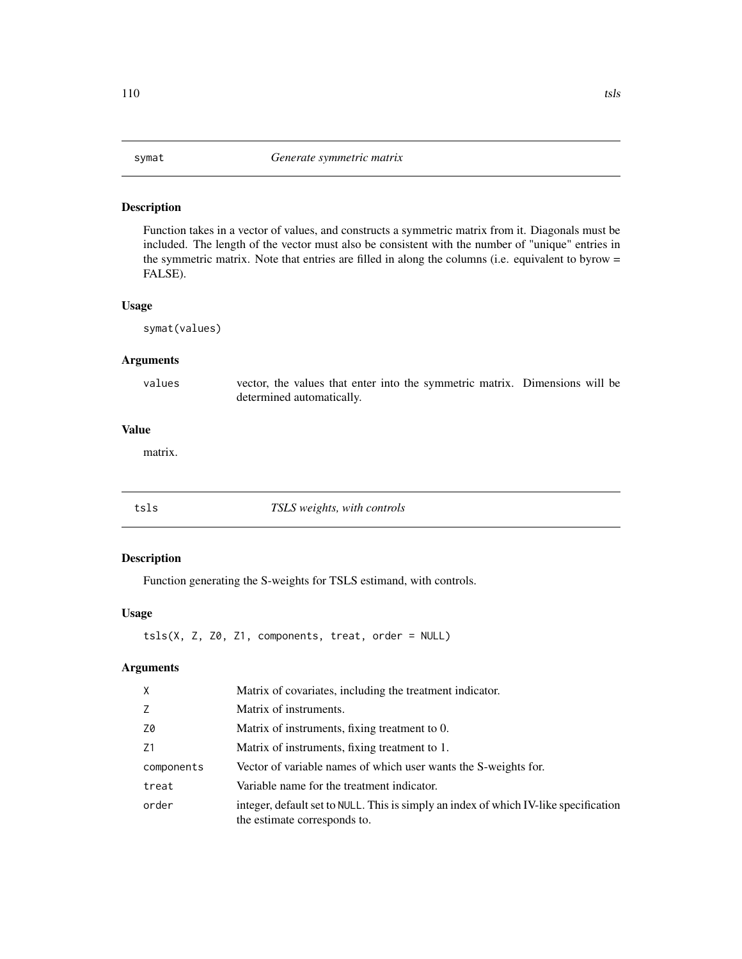<span id="page-109-0"></span>Function takes in a vector of values, and constructs a symmetric matrix from it. Diagonals must be included. The length of the vector must also be consistent with the number of "unique" entries in the symmetric matrix. Note that entries are filled in along the columns (i.e. equivalent to byrow = FALSE).

## Usage

symat(values)

# Arguments

values vector, the values that enter into the symmetric matrix. Dimensions will be determined automatically.

# Value

matrix.

| :sls |  |  |  |
|------|--|--|--|
|      |  |  |  |

#### tsls *TSLS weights, with controls*

# Description

Function generating the S-weights for TSLS estimand, with controls.

# Usage

 $tsls(X, Z, Z\theta, Z1, components, treat, order = NULL)$ 

# Arguments

| $\times$   | Matrix of covariates, including the treatment indicator.                                                             |
|------------|----------------------------------------------------------------------------------------------------------------------|
| Z          | Matrix of instruments.                                                                                               |
| Z0         | Matrix of instruments, fixing treatment to 0.                                                                        |
| Z1         | Matrix of instruments, fixing treatment to 1.                                                                        |
| components | Vector of variable names of which user wants the S-weights for.                                                      |
| treat      | Variable name for the treatment indicator.                                                                           |
| order      | integer, default set to NULL. This is simply an index of which IV-like specification<br>the estimate corresponds to. |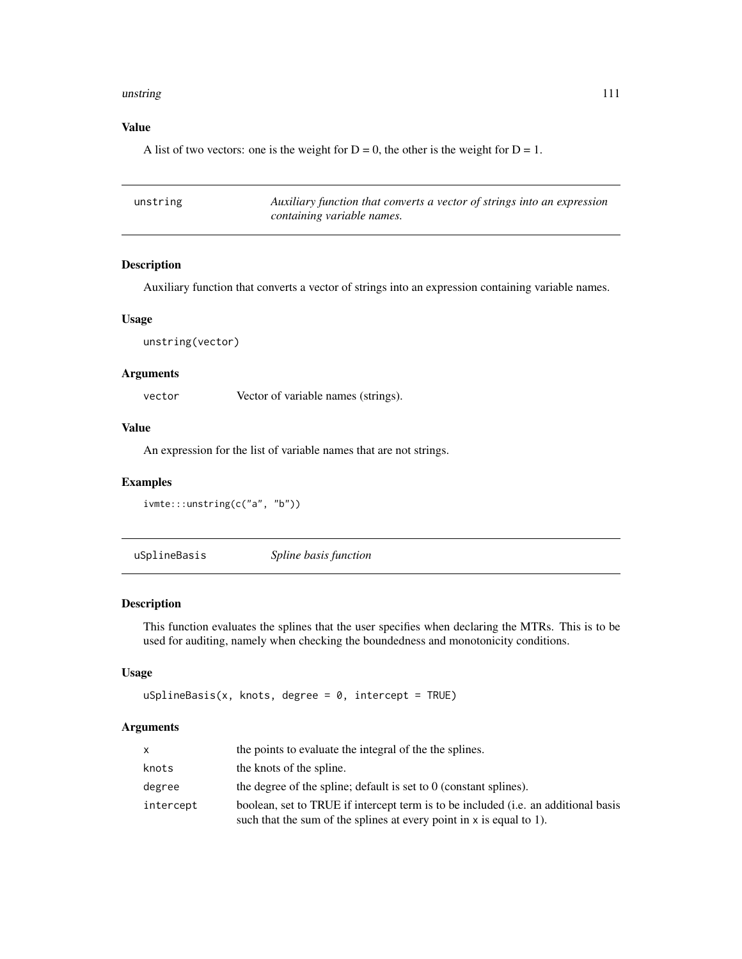#### <span id="page-110-0"></span>unstring the contract of the contract of the contract of the contract of the contract of the contract of the contract of the contract of the contract of the contract of the contract of the contract of the contract of the c

## Value

A list of two vectors: one is the weight for  $D = 0$ , the other is the weight for  $D = 1$ .

| unstring | Auxiliary function that converts a vector of strings into an expression |
|----------|-------------------------------------------------------------------------|
|          | containing variable names.                                              |

#### Description

Auxiliary function that converts a vector of strings into an expression containing variable names.

#### Usage

```
unstring(vector)
```
# Arguments

vector Vector of variable names (strings).

# Value

An expression for the list of variable names that are not strings.

#### Examples

```
ivmte:::unstring(c("a", "b"))
```
uSplineBasis *Spline basis function*

#### Description

This function evaluates the splines that the user specifies when declaring the MTRs. This is to be used for auditing, namely when checking the boundedness and monotonicity conditions.

# Usage

```
uSplitneBasis(x, knots, degree = 0, intercept = TRUE)
```
#### Arguments

| X         | the points to evaluate the integral of the the splines.                                                                                                              |
|-----------|----------------------------------------------------------------------------------------------------------------------------------------------------------------------|
| knots     | the knots of the spline.                                                                                                                                             |
| degree    | the degree of the spline; default is set to $0$ (constant splines).                                                                                                  |
| intercept | boolean, set to TRUE if intercept term is to be included ( <i>i.e.</i> an additional basis<br>such that the sum of the splines at every point in $x$ is equal to 1). |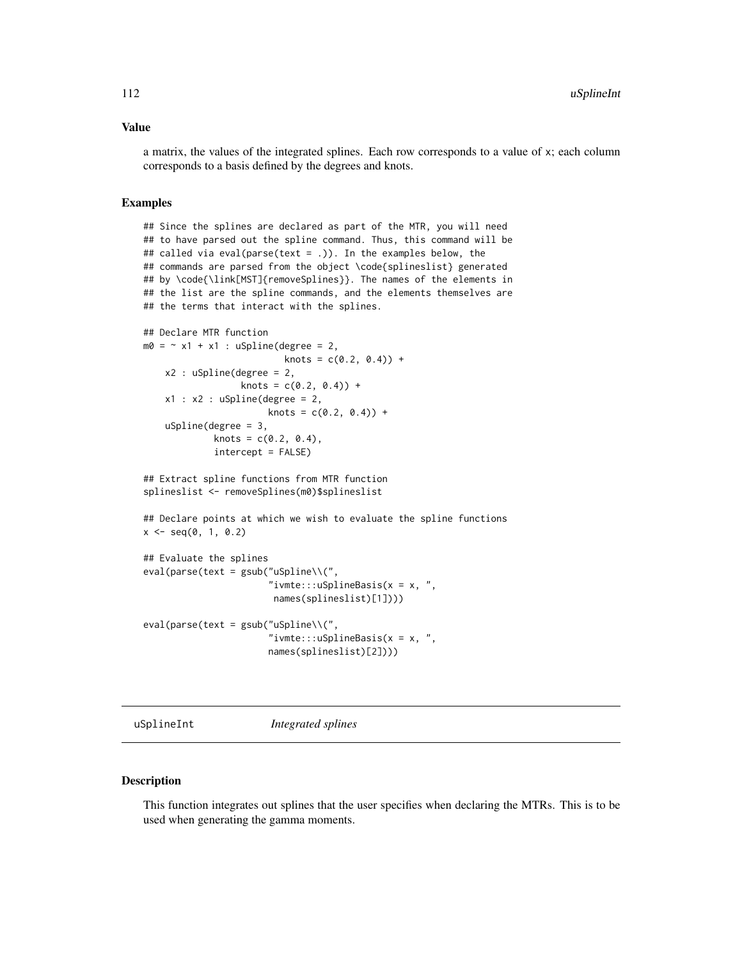#### <span id="page-111-0"></span>Value

a matrix, the values of the integrated splines. Each row corresponds to a value of x; each column corresponds to a basis defined by the degrees and knots.

#### Examples

## Since the splines are declared as part of the MTR, you will need ## to have parsed out the spline command. Thus, this command will be ## called via eval(parse(text = .)). In the examples below, the ## commands are parsed from the object \code{splineslist} generated ## by \code{\link[MST]{removeSplines}}. The names of the elements in ## the list are the spline commands, and the elements themselves are ## the terms that interact with the splines.

```
## Declare MTR function
m0 = -x1 + x1: uSpline(degree = 2,
                         knots = c(0.2, 0.4) +
   x2 : uSpline(degree = 2,
                 knots = c(0.2, 0.4)) +
    x1 : x2 : uSplitne(degree = 2,knots = c(0.2, 0.4)) +
    uSpline(degree = 3,
            knots = c(0.2, 0.4),intercept = FALSE)
```
## Extract spline functions from MTR function splineslist <- removeSplines(m0)\$splineslist

## Declare points at which we wish to evaluate the spline functions  $x \le -$  seq(0, 1, 0.2)

```
## Evaluate the splines
eval(parse(text = gsub("uSpline\\\C","ivmte:::uSplineBasis(x = x, ",
                        names(splineslist)[1])))
```

```
eval(parse(text = gsub("uSpline\\(",
                       "ivmte:::uSplineBasis(x = x, ",
                       names(splineslist)[2])))
```
uSplineInt *Integrated splines*

#### **Description**

This function integrates out splines that the user specifies when declaring the MTRs. This is to be used when generating the gamma moments.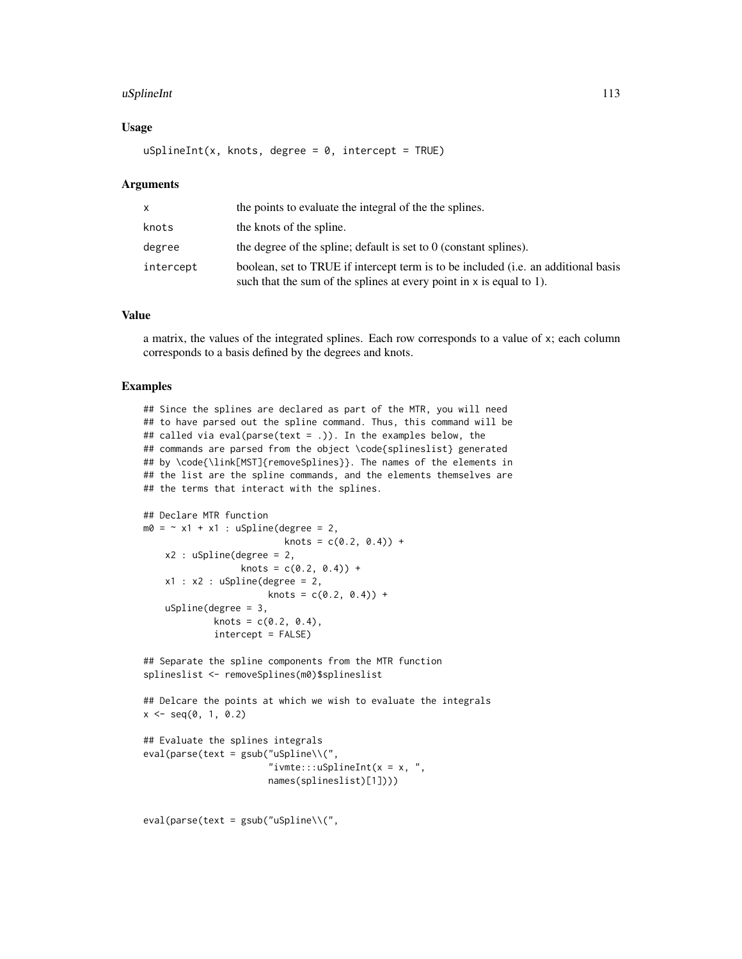#### uSplineInt 113

#### Usage

 $uSplitnetInt(x, knots, degree = 0, intercept = TRUE)$ 

#### Arguments

| x         | the points to evaluate the integral of the the splines.                                                                                                      |
|-----------|--------------------------------------------------------------------------------------------------------------------------------------------------------------|
| knots     | the knots of the spline.                                                                                                                                     |
| degree    | the degree of the spline; default is set to $0$ (constant splines).                                                                                          |
| intercept | boolean, set to TRUE if intercept term is to be included (i.e. an additional basis<br>such that the sum of the splines at every point in $x$ is equal to 1). |

# Value

a matrix, the values of the integrated splines. Each row corresponds to a value of x; each column corresponds to a basis defined by the degrees and knots.

#### Examples

```
## Since the splines are declared as part of the MTR, you will need
## to have parsed out the spline command. Thus, this command will be
## called via eval(parse(text = .)). In the examples below, the
## commands are parsed from the object \code{splineslist} generated
## by \code{\link[MST]{removeSplines}}. The names of the elements in
## the list are the spline commands, and the elements themselves are
## the terms that interact with the splines.
```

```
## Declare MTR function
m0 = -x1 + x1: uSpline(degree = 2,
                          knots = c(0.2, 0.4) +
    x2 : uSpline(degree = 2,
                  knots = c(0.2, 0.4)) +
    x1 : x2 : uSplitine(degree = 2,knots = c(0.2, 0.4)) +
    uSpline(degree = 3,
             knots = c(0.2, 0.4),intercept = FALSE)
```

```
## Separate the spline components from the MTR function
splineslist <- removeSplines(m0)$splineslist
```

```
## Delcare the points at which we wish to evaluate the integrals
x \le - seq(0, 1, 0.2)
```

```
## Evaluate the splines integrals
eval(parse(text = gsub("uSpline\\(",
                       "ivmte:::uSplineInt(x = x, ",
                       names(splineslist)[1])))
```

```
eval(parse(text = gsub("uSpline\\(",
```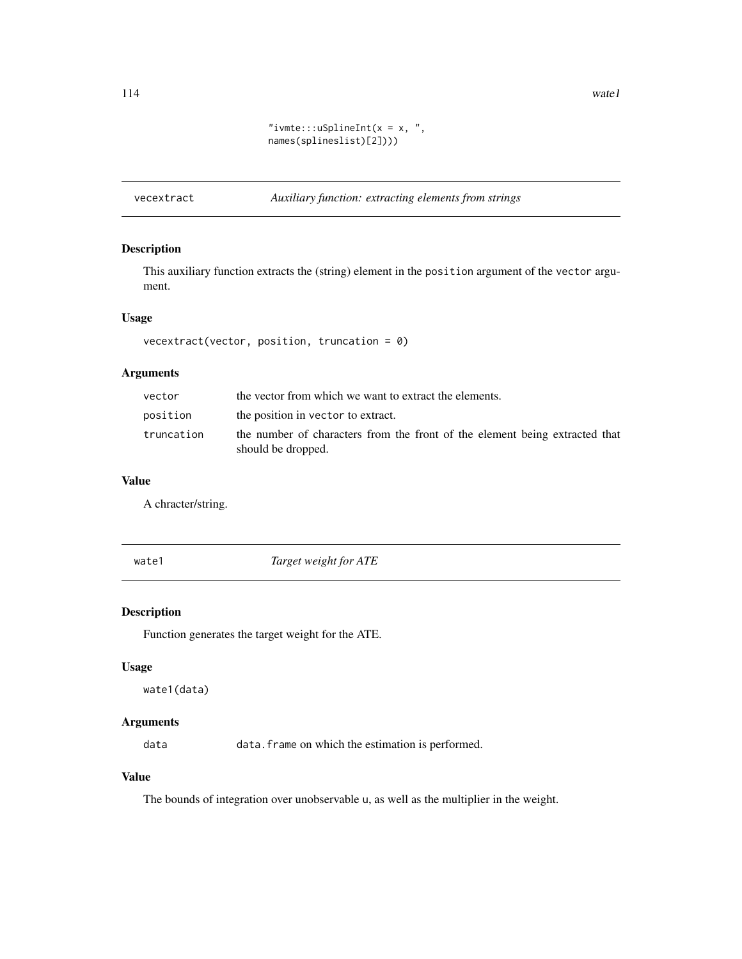<span id="page-113-0"></span>114 watel

```
"ivmte:::uSplineInt(x = x, ",
names(splineslist)[2])))
```
vecextract *Auxiliary function: extracting elements from strings*

# Description

This auxiliary function extracts the (string) element in the position argument of the vector argument.

# Usage

vecextract(vector, position, truncation = 0)

# Arguments

| vector     | the vector from which we want to extract the elements.                                            |
|------------|---------------------------------------------------------------------------------------------------|
| position   | the position in vector to extract.                                                                |
| truncation | the number of characters from the front of the element being extracted that<br>should be dropped. |

# Value

A chracter/string.

wate1 *Target weight for ATE*

# Description

Function generates the target weight for the ATE.

## Usage

wate1(data)

# Arguments

data data.frame on which the estimation is performed.

# Value

The bounds of integration over unobservable u, as well as the multiplier in the weight.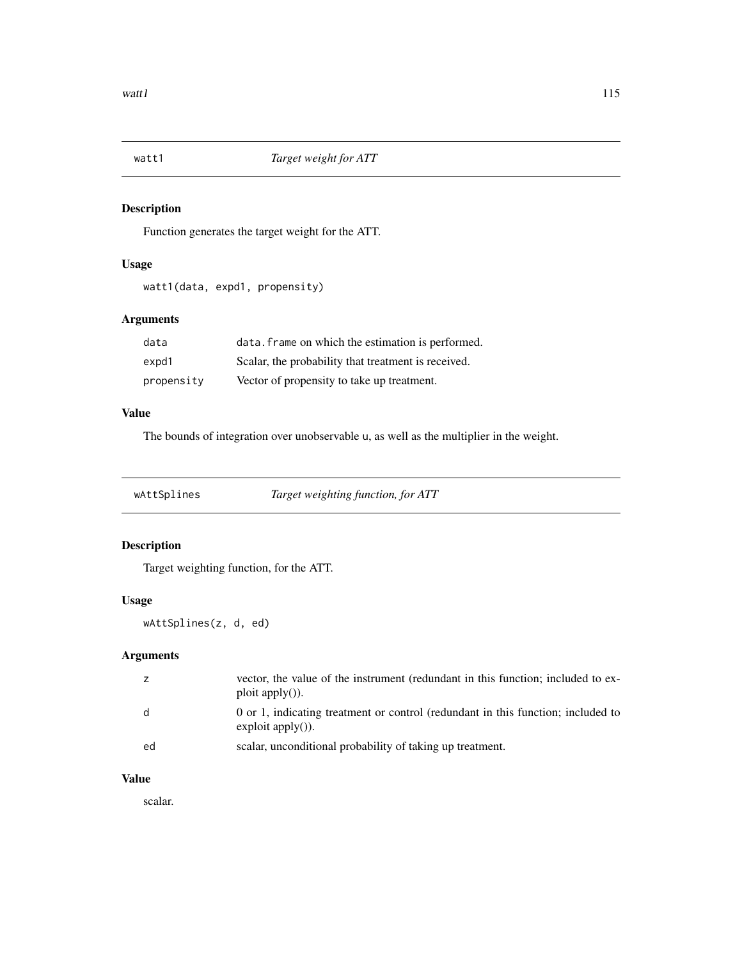<span id="page-114-0"></span>

Function generates the target weight for the ATT.

# Usage

watt1(data, expd1, propensity)

# Arguments

| data       | data. frame on which the estimation is performed.   |
|------------|-----------------------------------------------------|
| expd1      | Scalar, the probability that treatment is received. |
| propensity | Vector of propensity to take up treatment.          |

# Value

The bounds of integration over unobservable u, as well as the multiplier in the weight.

wAttSplines *Target weighting function, for ATT*

# Description

Target weighting function, for the ATT.

# Usage

wAttSplines(z, d, ed)

# Arguments

|    | vector, the value of the instrument (redundant in this function; included to ex-<br>$ploit apply()$ ).   |
|----|----------------------------------------------------------------------------------------------------------|
| d  | 0 or 1, indicating treatment or control (redundant in this function; included to<br>$exploit apply()$ ). |
| ed | scalar, unconditional probability of taking up treatment.                                                |

# Value

scalar.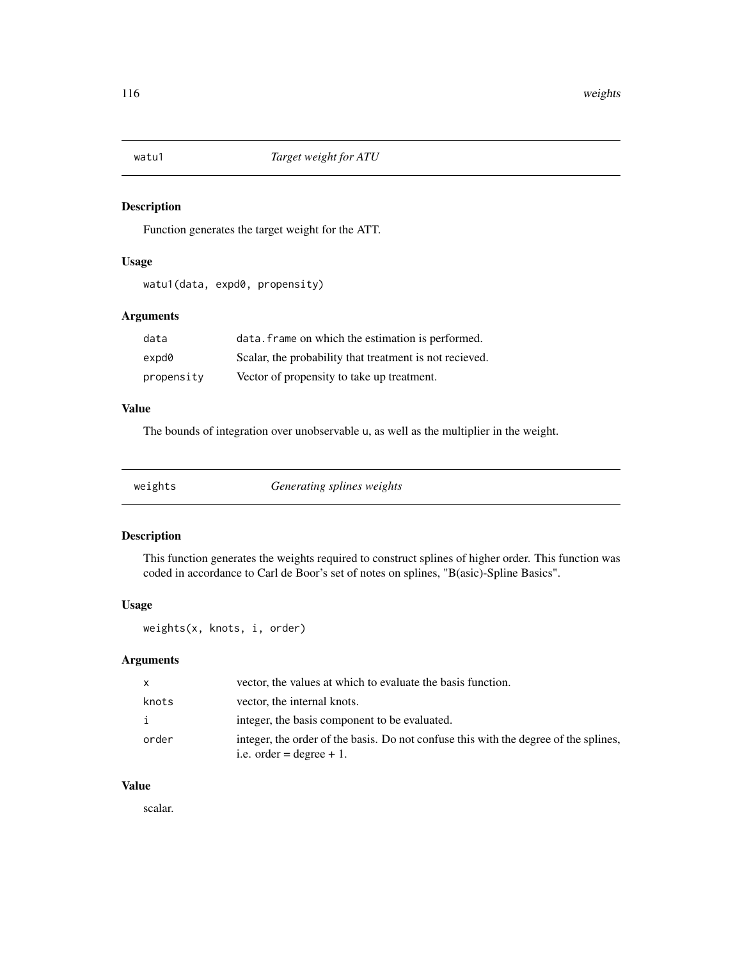<span id="page-115-0"></span>

Function generates the target weight for the ATT.

#### Usage

watu1(data, expd0, propensity)

# Arguments

| data       | data. frame on which the estimation is performed.       |
|------------|---------------------------------------------------------|
| expd0      | Scalar, the probability that treatment is not recieved. |
| propensity | Vector of propensity to take up treatment.              |

#### Value

The bounds of integration over unobservable u, as well as the multiplier in the weight.

| weights |  |
|---------|--|
|         |  |
|         |  |

weights *Generating splines weights*

#### Description

This function generates the weights required to construct splines of higher order. This function was coded in accordance to Carl de Boor's set of notes on splines, "B(asic)-Spline Basics".

# Usage

weights(x, knots, i, order)

#### Arguments

| $\mathsf{x}$ | vector, the values at which to evaluate the basis function.                                                        |
|--------------|--------------------------------------------------------------------------------------------------------------------|
| knots        | vector, the internal knots.                                                                                        |
| i.           | integer, the basis component to be evaluated.                                                                      |
| order        | integer, the order of the basis. Do not confuse this with the degree of the splines,<br>i.e. order = degree $+1$ . |

# Value

scalar.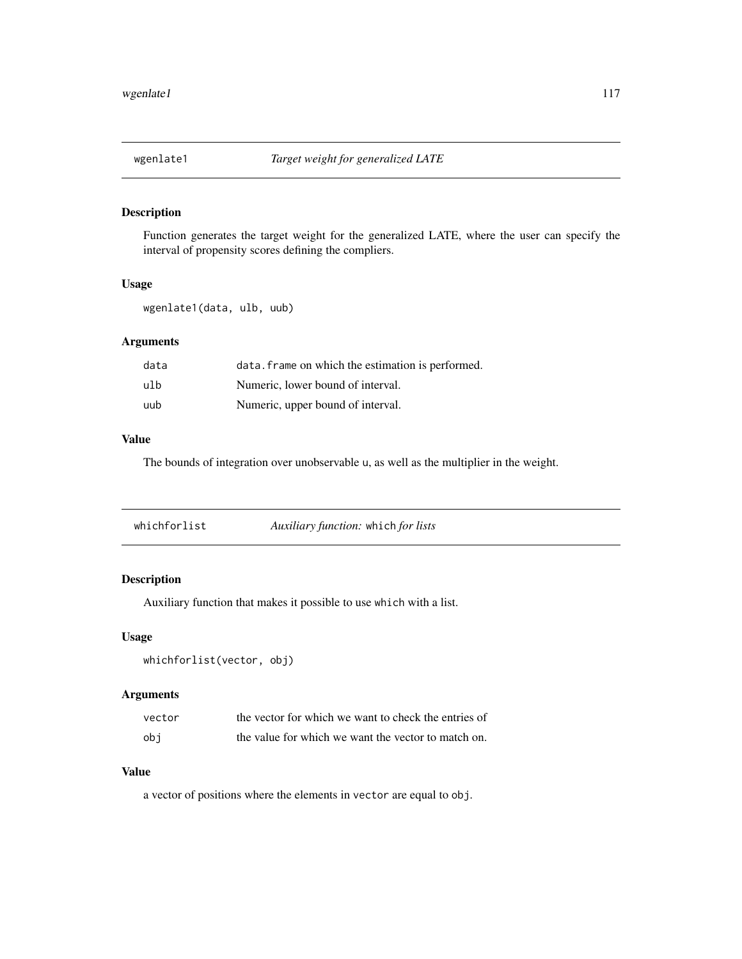<span id="page-116-0"></span>

Function generates the target weight for the generalized LATE, where the user can specify the interval of propensity scores defining the compliers.

#### Usage

wgenlate1(data, ulb, uub)

### Arguments

| data | data. frame on which the estimation is performed. |
|------|---------------------------------------------------|
| ulb  | Numeric, lower bound of interval.                 |
| uub  | Numeric, upper bound of interval.                 |

# Value

The bounds of integration over unobservable u, as well as the multiplier in the weight.

| Auxiliary function: which for lists<br>whichforlist |
|-----------------------------------------------------|
|-----------------------------------------------------|

# Description

Auxiliary function that makes it possible to use which with a list.

#### Usage

```
whichforlist(vector, obj)
```
### Arguments

| vector | the vector for which we want to check the entries of |
|--------|------------------------------------------------------|
| obi    | the value for which we want the vector to match on.  |

# Value

a vector of positions where the elements in vector are equal to obj.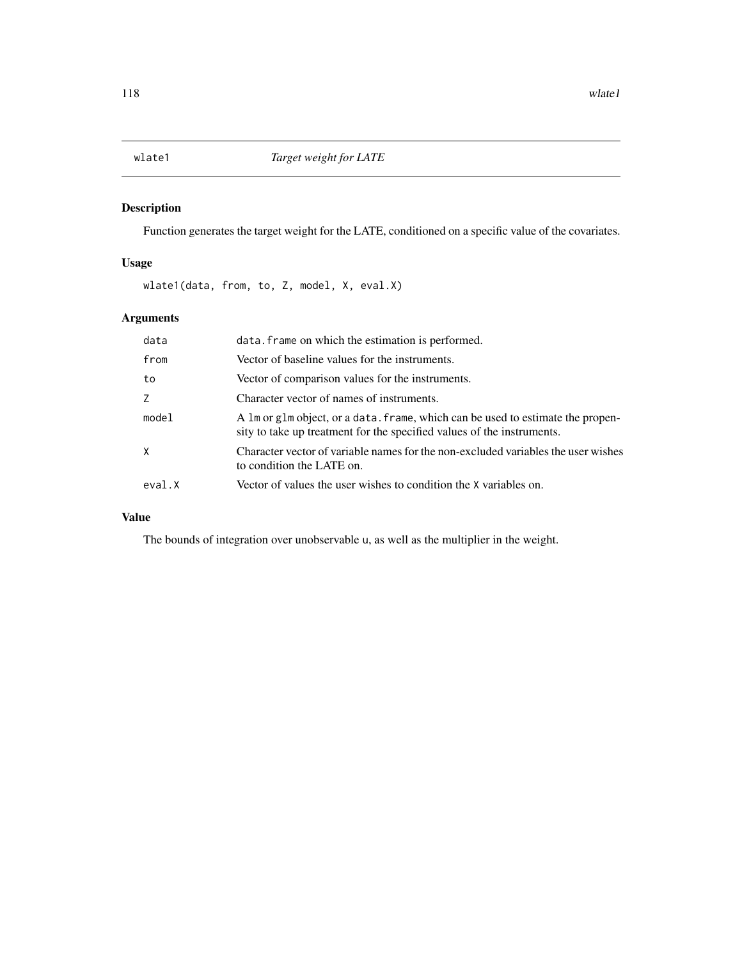<span id="page-117-0"></span>Function generates the target weight for the LATE, conditioned on a specific value of the covariates.

# Usage

wlate1(data, from, to, Z, model, X, eval.X)

# Arguments

| data   | data. frame on which the estimation is performed.                                                                                                         |
|--------|-----------------------------------------------------------------------------------------------------------------------------------------------------------|
| from   | Vector of baseline values for the instruments.                                                                                                            |
| to     | Vector of comparison values for the instruments.                                                                                                          |
| Z      | Character vector of names of instruments.                                                                                                                 |
| model  | A 1m or g1m object, or a data. frame, which can be used to estimate the propen-<br>sity to take up treatment for the specified values of the instruments. |
| X      | Character vector of variable names for the non-excluded variables the user wishes<br>to condition the LATE on.                                            |
| eval.X | Vector of values the user wishes to condition the X variables on.                                                                                         |

# Value

The bounds of integration over unobservable u, as well as the multiplier in the weight.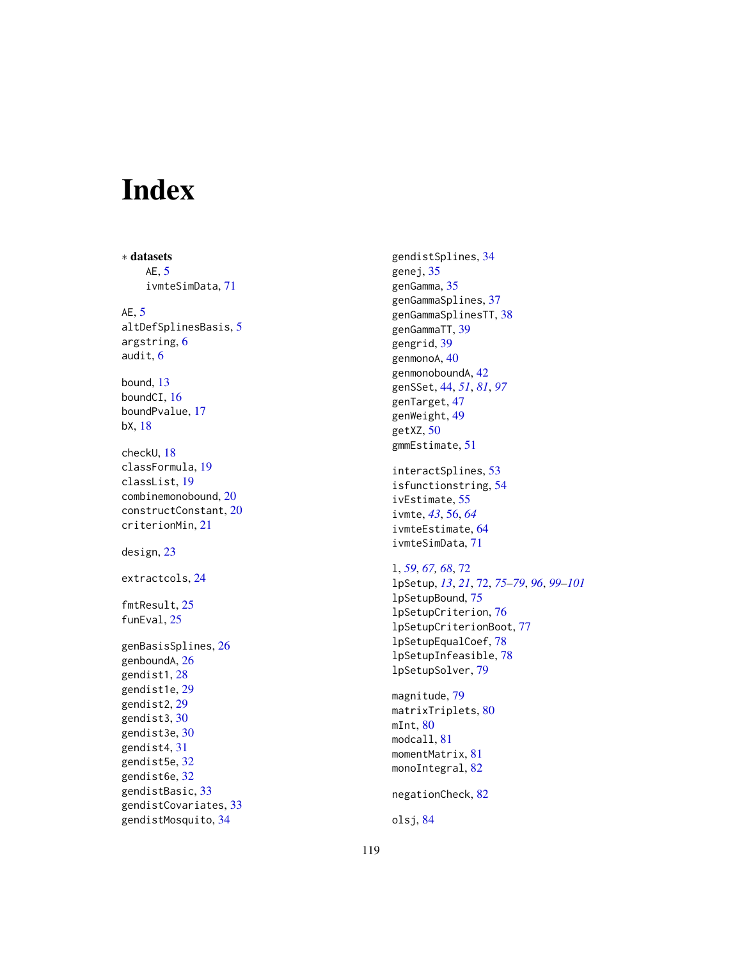# Index

∗ datasets AE , [5](#page-4-0) ivmteSimData , [71](#page-70-0) AE , [5](#page-4-0) altDefSplinesBasis , [5](#page-4-0) argstring , [6](#page-5-0) audit , [6](#page-5-0) bound , [13](#page-12-0) boundCI , [16](#page-15-0) boundPvalue , [17](#page-16-0) bX , [18](#page-17-0) checkU , [18](#page-17-0) classFormula , [19](#page-18-0) classList , [19](#page-18-0) combinemonobound , [20](#page-19-0) constructConstant , [20](#page-19-0) criterionMin , [21](#page-20-0) design , [23](#page-22-0) extractcols , [24](#page-23-0) fmtResult , [25](#page-24-0) funEval, [25](#page-24-0) genBasisSplines , [26](#page-25-0) genboundA , [26](#page-25-0) gendist1 , [28](#page-27-0) gendist1e , [29](#page-28-0) gendist2 , [29](#page-28-0) gendist3 , [30](#page-29-0) gendist3e , [30](#page-29-0) gendist4 , [31](#page-30-0) gendist5e , [32](#page-31-0) gendist6e , [32](#page-31-0) gendistBasic , [33](#page-32-0) gendistCovariates , [33](#page-32-0) gendistMosquito , [34](#page-33-0)

gendistSplines , [34](#page-33-0) genej, [35](#page-34-0) genGamma , [35](#page-34-0) genGammaSplines , [37](#page-36-0) genGammaSplinesTT , [38](#page-37-0) genGammaTT , [39](#page-38-0) gengrid, [39](#page-38-0) genmonoA, [40](#page-39-0) genmonoboundA, [42](#page-41-0) genSSet , [44](#page-43-0) , *[51](#page-50-0)* , *[81](#page-80-0)* , *[97](#page-96-0)* genTarget , [47](#page-46-0) genWeight , [49](#page-48-0) getXZ , [50](#page-49-0) gmmEstimate , [51](#page-50-0) interactSplines , [53](#page-52-0) isfunctionstring , [54](#page-53-0) ivEstimate , [55](#page-54-0) ivmte , *[43](#page-42-0)* , [56](#page-55-0) , *[64](#page-63-0)* ivmteEstimate , [64](#page-63-0) ivmteSimData , [71](#page-70-0) l , *[59](#page-58-0)* , *[67,](#page-66-0) [68](#page-67-0)* , [72](#page-71-0)

lpSetup , *[13](#page-12-0)* , *[21](#page-20-0)* , [72](#page-71-0) , *[75](#page-74-0) [–79](#page-78-0)* , *[96](#page-95-0)* , *[99](#page-98-0) [–101](#page-100-0)* lpSetupBound , [75](#page-74-0) lpSetupCriterion , [76](#page-75-0) lpSetupCriterionBoot , [77](#page-76-0) lpSetupEqualCoef , [78](#page-77-0) lpSetupInfeasible , [78](#page-77-0) lpSetupSolver , [79](#page-78-0)

magnitude , [79](#page-78-0) matrixTriplets, $80$ mInt,  $80$ modcall , [81](#page-80-0) momentMatrix, [81](#page-80-0) monoIntegral, <mark>[82](#page-81-0)</mark>

negationCheck , [82](#page-81-0)

```
olsj
, 84
```